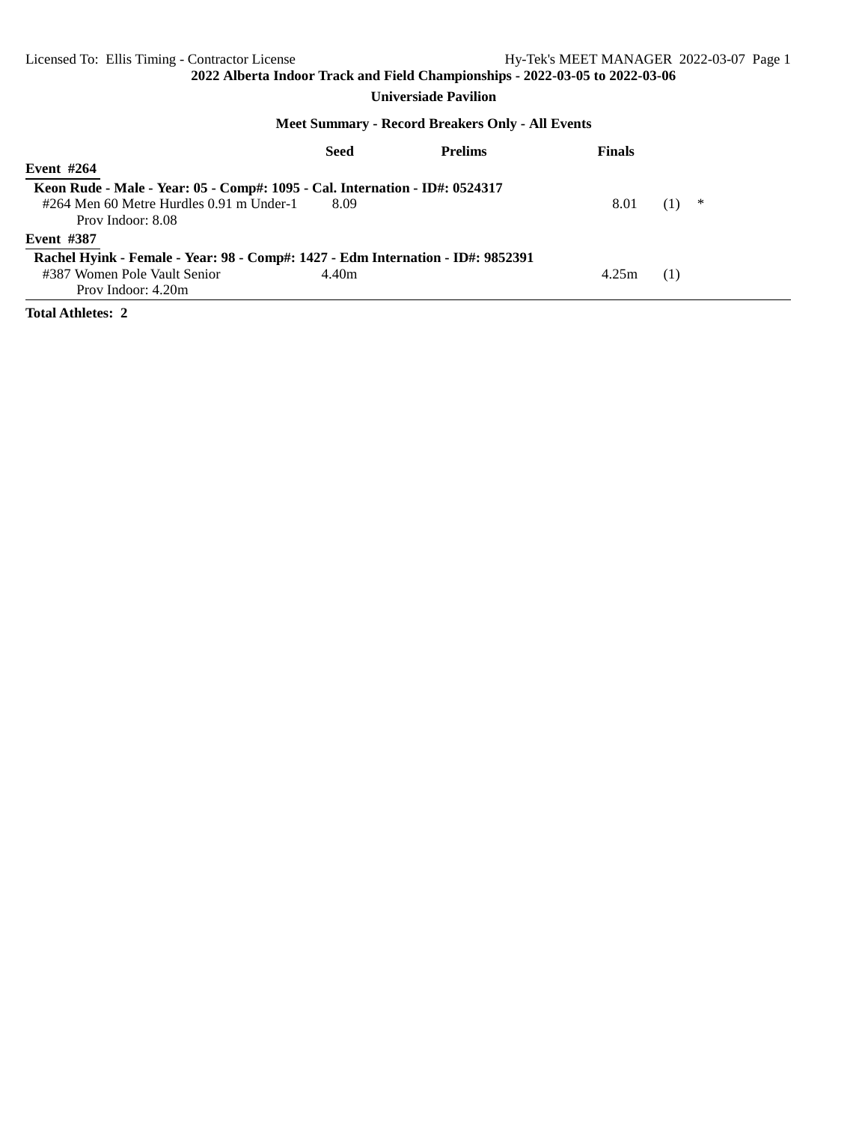### **Universiade Pavilion**

#### **Meet Summary - Record Breakers Only - All Events**

|                                                                             | Seed                                                                            | <b>Prelims</b> | <b>Finals</b> |          |  |  |  |  |  |  |
|-----------------------------------------------------------------------------|---------------------------------------------------------------------------------|----------------|---------------|----------|--|--|--|--|--|--|
| Event $#264$                                                                |                                                                                 |                |               |          |  |  |  |  |  |  |
| Keon Rude - Male - Year: 05 - Comp#: 1095 - Cal. Internation - ID#: 0524317 |                                                                                 |                |               |          |  |  |  |  |  |  |
| #264 Men 60 Metre Hurdles 0.91 m Under-1                                    | 8.09                                                                            |                | 8.01          | ∗<br>(1) |  |  |  |  |  |  |
| Prov Indoor: 8.08                                                           |                                                                                 |                |               |          |  |  |  |  |  |  |
| <b>Event #387</b>                                                           |                                                                                 |                |               |          |  |  |  |  |  |  |
|                                                                             | Rachel Hyink - Female - Year: 98 - Comp#: 1427 - Edm Internation - ID#: 9852391 |                |               |          |  |  |  |  |  |  |
| #387 Women Pole Vault Senior                                                | 4.40m                                                                           |                | 4.25m         | (1)      |  |  |  |  |  |  |
| Prov Indoor: 4.20m                                                          |                                                                                 |                |               |          |  |  |  |  |  |  |

**Total Athletes: 2**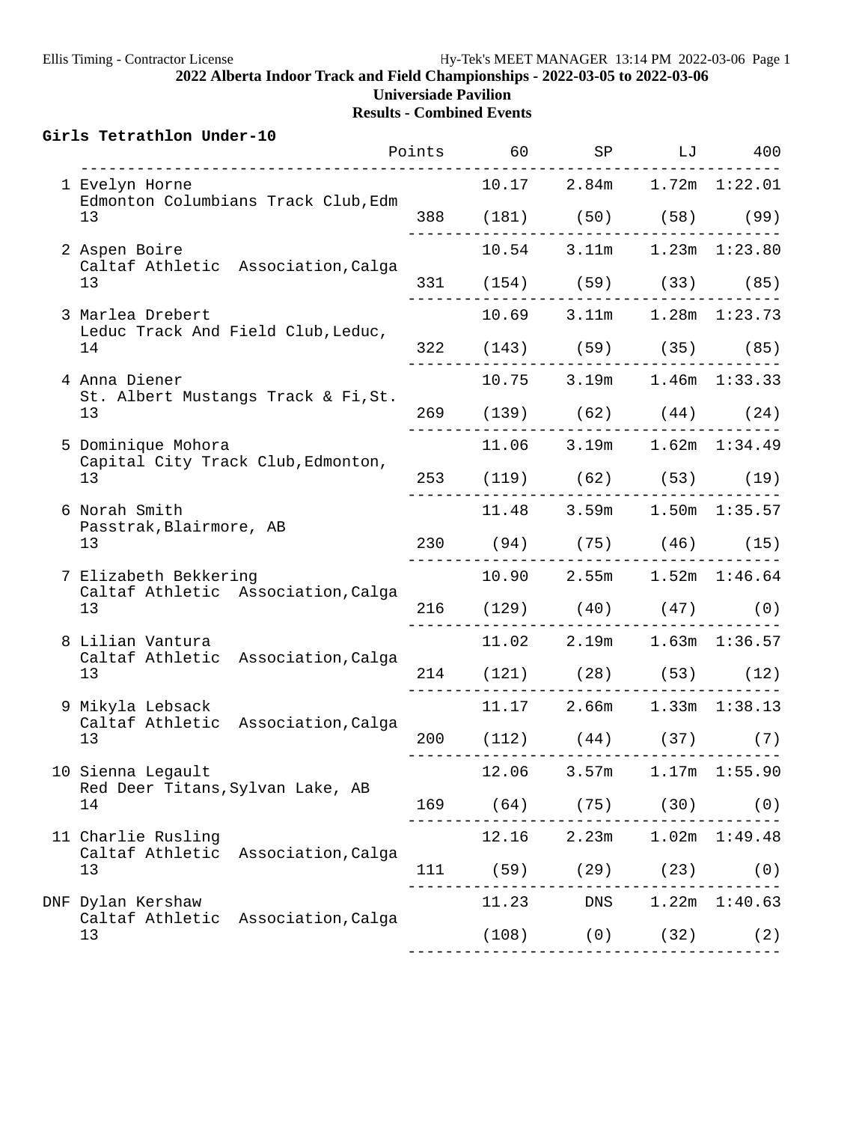| Girls Tetrathlon Under-10<br>-------------------            |       |       | Points 60 SP LJ 400                                             |                   |
|-------------------------------------------------------------|-------|-------|-----------------------------------------------------------------|-------------------|
| 1 Evelyn Horne                                              |       |       | $10.17$ $2.84m$ $1.72m$ $1:22.01$                               |                   |
| Edmonton Columbians Track Club, Edm<br>13                   |       |       | 388 (181) (50) (58) (99)                                        |                   |
| 2 Aspen Boire                                               |       |       | 10.54 3.11m 1.23m 1:23.80                                       |                   |
| Caltaf Athletic Association, Calga<br>13                    |       |       | 331 (154) (59) (33) (85)                                        |                   |
| 3 Marlea Drebert                                            |       |       | 10.69 3.11m 1.28m 1:23.73                                       |                   |
| Leduc Track And Field Club, Leduc,<br>14                    |       |       | 322 (143) (59) (35) (85)                                        |                   |
| 4 Anna Diener                                               |       |       | 10.75 3.19m 1.46m 1:33.33                                       |                   |
| St. Albert Mustangs Track & Fi, St.<br>13                   |       |       | 269 (139) (62) (44) (24)                                        |                   |
| 5 Dominique Mohora                                          |       |       | 11.06 3.19m 1.62m 1:34.49                                       |                   |
| Capital City Track Club, Edmonton,<br>13                    |       |       | 253 (119) (62) (53) (19)                                        |                   |
| 6 Norah Smith<br>Passtrak, Blairmore, AB                    |       |       | 11.48 3.59m 1.50m 1:35.57                                       |                   |
| 13                                                          |       |       | 230 (94) (75) (46) (15)                                         |                   |
| 7 Elizabeth Bekkering<br>Caltaf Athletic Association, Calga |       |       | 10.90 2.55m 1.52m 1:46.64                                       |                   |
| 13                                                          |       |       | $216$ (129) (40) (47) (0)                                       |                   |
| 8 Lilian Vantura<br>Caltaf Athletic Association, Calga      |       |       | 11.02 2.19m 1.63m 1:36.57                                       |                   |
| 13                                                          |       |       | 214 (121) (28) (53) (12)                                        |                   |
| 9 Mikyla Lebsack<br>Caltaf Athletic Association, Calga      |       |       | 11.17 2.66m 1.33m 1:38.13                                       |                   |
| 13                                                          |       |       | 200 (112) (44) (37) (7)<br>____________________________________ |                   |
| 10 Sienna Legault                                           | 12.06 | 3.57m |                                                                 | $1.17m$ $1:55.90$ |
| Red Deer Titans, Sylvan Lake, AB<br>14                      |       |       | 169 (64) (75) (30) (0)                                          |                   |
| 11 Charlie Rusling<br>Caltaf Athletic Association, Calga    |       |       | 12.16 2.23m 1.02m 1:49.48                                       |                   |
| 13                                                          |       |       | 111 (59) (29) (23)                                              | (0)               |
| DNF Dylan Kershaw<br>Caltaf Athletic Association, Calga     |       |       | 11.23 DNS 1.22m 1:40.63                                         |                   |
| 13                                                          |       |       | $(108)$ $(0)$ $(32)$ $(2)$                                      |                   |
|                                                             |       |       |                                                                 |                   |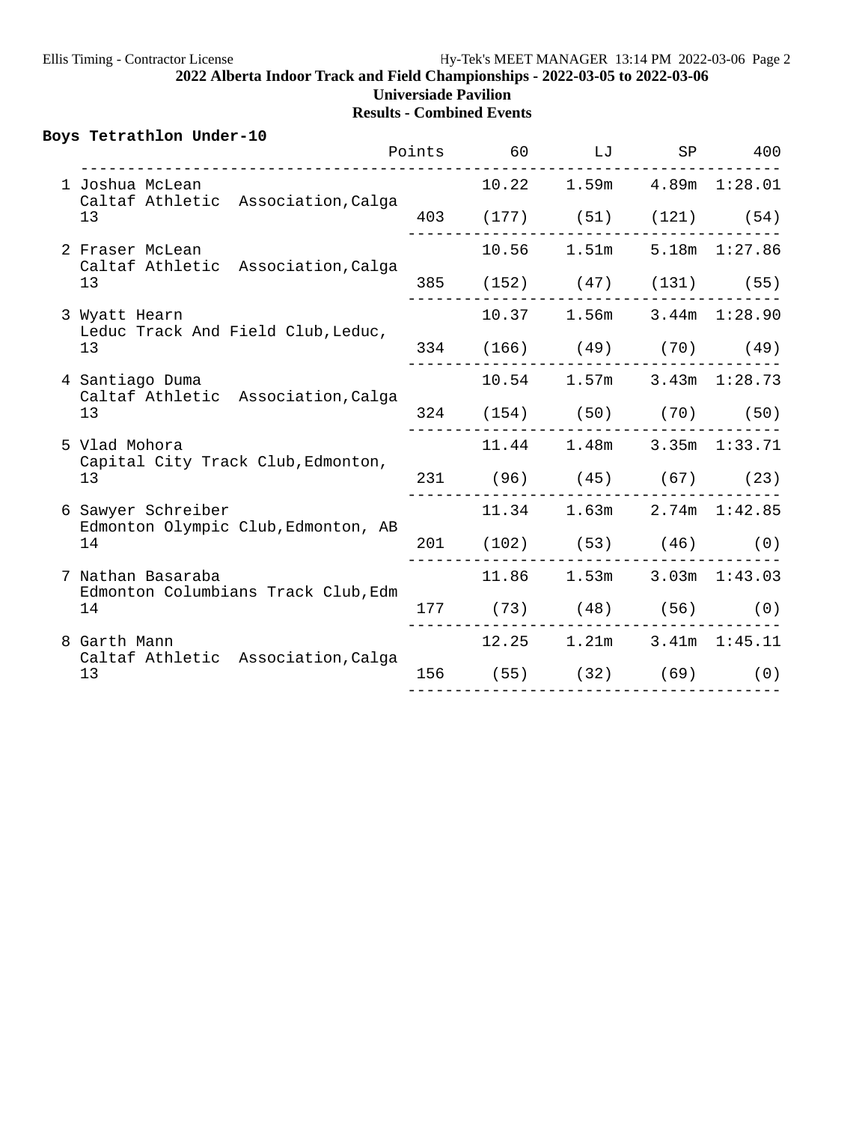|    | Boys Tetrathlon Under-10                                  |  | Points 60 LJ SP 400                                           |  |
|----|-----------------------------------------------------------|--|---------------------------------------------------------------|--|
|    | 1 Joshua McLean                                           |  | 10.22 1.59m 4.89m 1:28.01                                     |  |
|    | Caltaf Athletic Association, Calga<br>13                  |  | 403 (177) (51) (121) (54)                                     |  |
|    | 2 Fraser McLean                                           |  | 10.56 1.51m 5.18m 1:27.86                                     |  |
|    | Caltaf Athletic Association, Calga<br>13                  |  | 385 (152) (47) (131) (55)                                     |  |
|    | 3 Wyatt Hearn                                             |  | 10.37 1.56m 3.44m 1:28.90                                     |  |
|    | Leduc Track And Field Club, Leduc,<br>13                  |  | 334 (166) (49) (70) (49)                                      |  |
|    | 4 Santiago Duma<br>Caltaf Athletic Association, Calga     |  | $10.54$ 1.57m 3.43m 1:28.73                                   |  |
| 13 |                                                           |  | 324 (154) (50) (70) (50)                                      |  |
|    | 5 Vlad Mohora<br>Capital City Track Club, Edmonton,       |  | 11.44 1.48m 3.35m 1:33.71                                     |  |
|    | 13                                                        |  | 231 (96) (45) (67) (23)                                       |  |
|    | 6 Sawyer Schreiber<br>Edmonton Olympic Club, Edmonton, AB |  | 11.34 1.63m 2.74m 1:42.85                                     |  |
|    | 14                                                        |  | 201 (102) (53) (46) (0)                                       |  |
|    | 7 Nathan Basaraba<br>Edmonton Columbians Track Club, Edm  |  | 11.86 1.53m 3.03m 1:43.03                                     |  |
|    | 14                                                        |  | $177$ (73) (48) (56) (0)                                      |  |
|    | 8 Garth Mann<br>Caltaf Athletic Association, Calga        |  | 12.25 1.21m 3.41m 1:45.11                                     |  |
|    | 13                                                        |  | 156 (55) (32) (69) (0)<br>___________________________________ |  |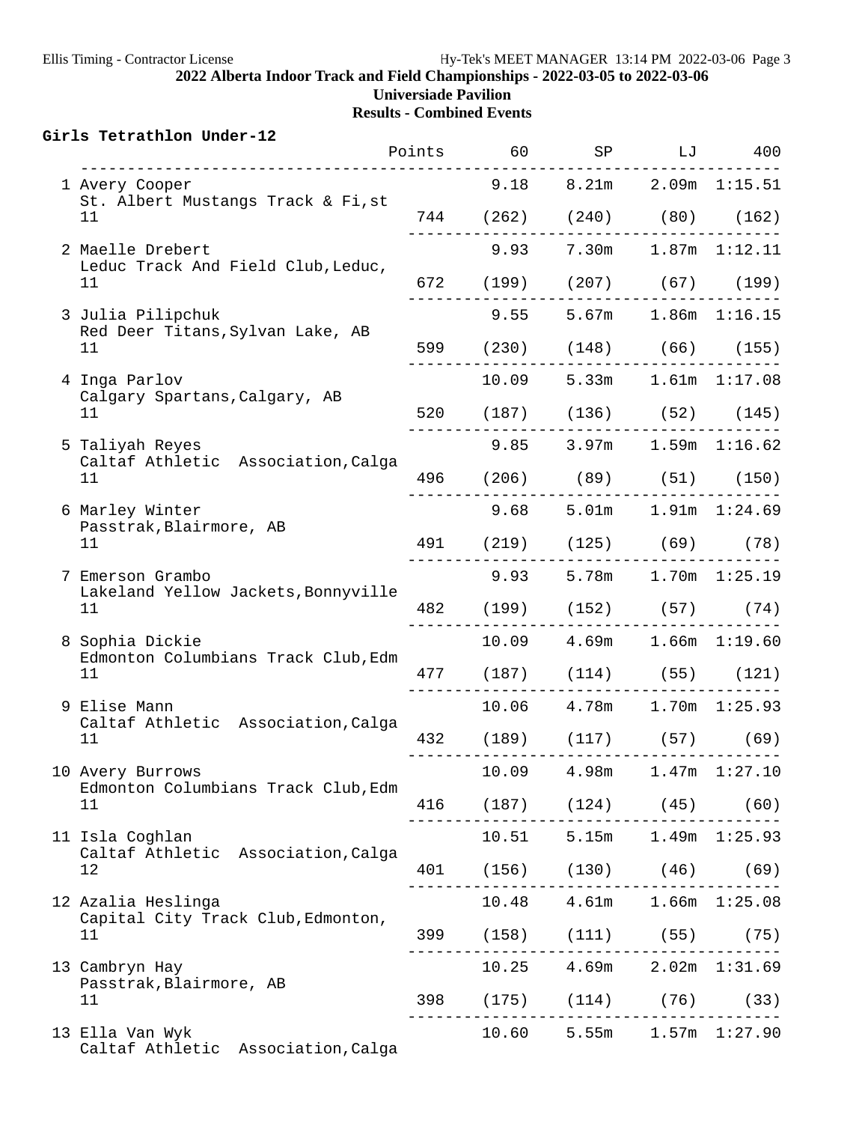|  | Girls Tetrathlon Under-12                                     |  |             | Points 60 SP LJ 400                                              |                   |
|--|---------------------------------------------------------------|--|-------------|------------------------------------------------------------------|-------------------|
|  | 1 Avery Cooper                                                |  |             | $9.18$ $8.21m$ $2.09m$ $1:15.51$                                 |                   |
|  | St. Albert Mustangs Track & Fi, st<br>11                      |  |             | 744 (262) (240) (80) (162)                                       |                   |
|  | 2 Maelle Drebert                                              |  |             | 9.93 7.30m 1.87m 1:12.11                                         |                   |
|  | Leduc Track And Field Club, Leduc,<br>11                      |  |             | 672 (199) (207) (67) (199)                                       |                   |
|  | 3 Julia Pilipchuk                                             |  |             | 9.55 5.67m 1.86m 1:16.15                                         |                   |
|  | Red Deer Titans, Sylvan Lake, AB<br>11                        |  |             | 599 (230) (148) (66) (155)                                       |                   |
|  | 4 Inga Parlov                                                 |  |             | 10.09 5.33m 1.61m 1:17.08                                        |                   |
|  | Calgary Spartans, Calgary, AB<br>11                           |  |             | 520 (187) (136) (52) (145)                                       |                   |
|  | 5 Taliyah Reyes                                               |  |             | $9.85$ 3.97m 1.59m 1:16.62                                       |                   |
|  | Caltaf Athletic Association, Calga<br>11                      |  |             | 496 (206) (89) (51) (150)                                        |                   |
|  | 6 Marley Winter                                               |  |             | $9.68$ 5.01m 1.91m 1:24.69                                       |                   |
|  | Passtrak, Blairmore, AB<br>11                                 |  |             | 491 (219) (125) (69) (78)                                        |                   |
|  | 7 Emerson Grambo<br>Lakeland Yellow Jackets, Bonnyville<br>11 |  |             | $9.93$ 5.78m 1.70m 1:25.19                                       |                   |
|  |                                                               |  |             | 482 (199) (152) (57) (74)<br>---------------------------         |                   |
|  | 8 Sophia Dickie                                               |  |             | 10.09  4.69m  1.66m  1:19.60                                     |                   |
|  | Edmonton Columbians Track Club, Edm<br>11                     |  |             | 477 (187) (114) (55) (121)                                       |                   |
|  | 9 Elise Mann                                                  |  |             | 10.06  4.78m  1.70m  1:25.93                                     |                   |
|  | Caltaf Athletic Association, Calga<br>11                      |  |             | 432 (189) (117) (57) (69)<br>___________________________________ |                   |
|  | 10 Avery Burrows                                              |  | 10.09 4.98m |                                                                  | $1.47m$ $1:27.10$ |
|  | Edmonton Columbians Track Club, Edm<br>11                     |  |             | 416 (187) (124) (45) (60)                                        |                   |
|  | 11 Isla Coghlan                                               |  |             | 10.51 5.15m 1.49m 1:25.93                                        |                   |
|  | Caltaf Athletic Association, Calga<br>$12 \overline{ }$       |  |             | 401 (156) (130) (46) (69)                                        |                   |
|  | 12 Azalia Heslinga                                            |  |             | 10.48  4.61m  1.66m  1:25.08                                     |                   |
|  | Capital City Track Club, Edmonton,<br>11                      |  |             | 399 (158) (111) (55) (75)                                        |                   |
|  | 13 Cambryn Hay                                                |  |             | 10.25 4.69m 2.02m 1:31.69                                        |                   |
|  | Passtrak, Blairmore, AB<br>11                                 |  |             | 398 (175) (114) (76) (33)                                        |                   |
|  | 13 Ella Van Wyk<br>Caltaf Athletic Association, Calga         |  |             | $10.60$ 5.55m $1.57m$ 1:27.90                                    |                   |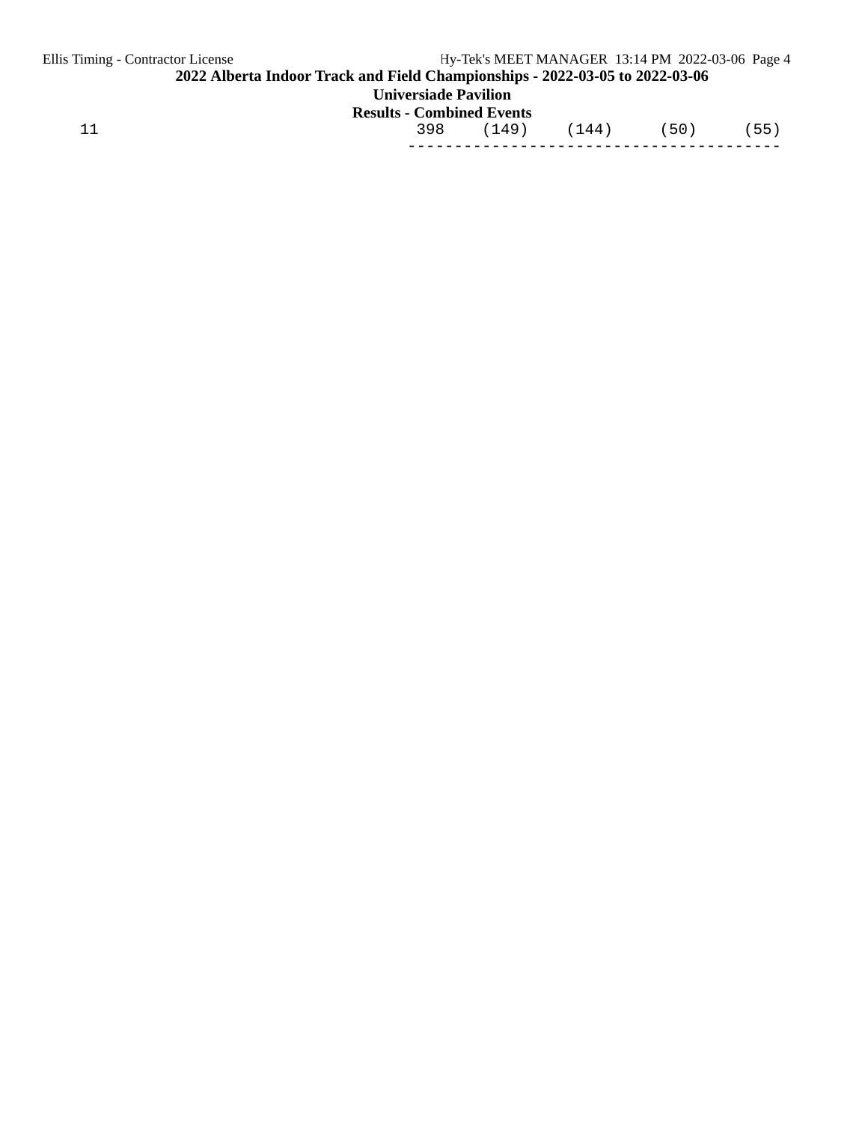| Ellis Timing - Contractor License                                            |                                  | Hy-Tek's MEET MANAGER 13:14 PM 2022-03-06 Page 4 |       |  |      |      |  |  |
|------------------------------------------------------------------------------|----------------------------------|--------------------------------------------------|-------|--|------|------|--|--|
| 2022 Alberta Indoor Track and Field Championships - 2022-03-05 to 2022-03-06 |                                  |                                                  |       |  |      |      |  |  |
| <b>Universiade Pavilion</b>                                                  |                                  |                                                  |       |  |      |      |  |  |
|                                                                              | <b>Results - Combined Events</b> |                                                  |       |  |      |      |  |  |
| 11                                                                           | 398                              | (149)                                            | (144) |  | (50) | (55) |  |  |
|                                                                              |                                  |                                                  |       |  |      |      |  |  |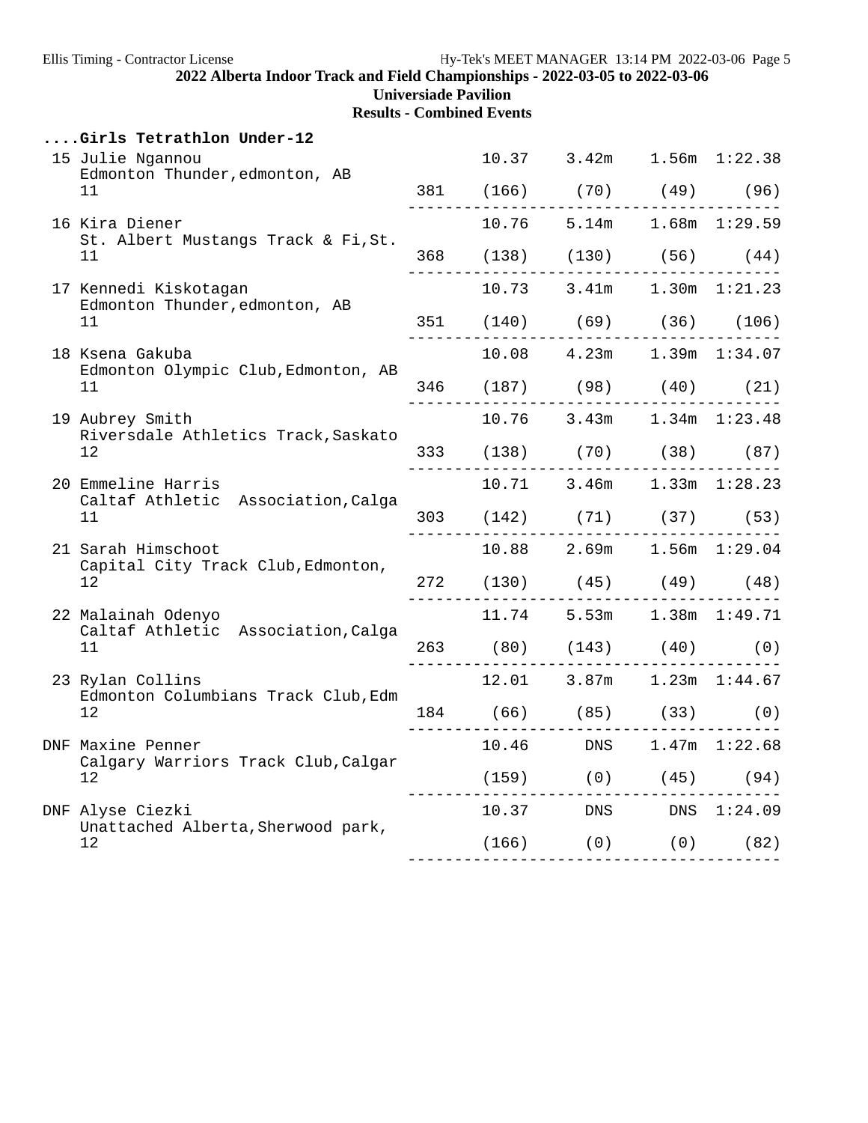**Universiade Pavilion**

|                                                              | Girls Tetrathlon Under-12                                |                         |                                                               |                   |  |
|--------------------------------------------------------------|----------------------------------------------------------|-------------------------|---------------------------------------------------------------|-------------------|--|
|                                                              | 15 Julie Ngannou<br>Edmonton Thunder, edmonton, AB       |                         | 10.37 3.42m 1.56m 1:22.38                                     |                   |  |
|                                                              | 11                                                       |                         | 381 (166) (70) (49) (96)                                      |                   |  |
|                                                              | 16 Kira Diener<br>St. Albert Mustangs Track & Fi, St.    |                         | $10.76$ 5.14m 1.68m 1:29.59                                   |                   |  |
|                                                              | 11                                                       | _______________________ | 368 (138) (130) (56) (44)                                     | ----------------- |  |
|                                                              | 17 Kennedi Kiskotagan                                    |                         | $10.73$ 3.41m $1.30$ m $1:21.23$                              |                   |  |
|                                                              | Edmonton Thunder, edmonton, AB<br>11                     | ___________             | 351 (140) (69) (36) (106)                                     |                   |  |
|                                                              | 18 Ksena Gakuba                                          |                         | 10.08  4.23m  1.39m  1:34.07                                  |                   |  |
|                                                              | Edmonton Olympic Club, Edmonton, AB<br>11                |                         | 346 (187) (98) (40) (21)                                      |                   |  |
| 19 Aubrey Smith<br>Riversdale Athletics Track, Saskato<br>12 |                                                          |                         | 10.76 3.43m 1.34m 1:23.48                                     |                   |  |
|                                                              |                                                          |                         | 333 (138) (70) (38) (87)                                      | .                 |  |
|                                                              | 20 Emmeline Harris                                       |                         | $10.71$ 3.46m $1.33$ m $1:28.23$                              |                   |  |
|                                                              | Caltaf Athletic Association, Calga<br>11                 |                         | 303 (142) (71) (37) (53)                                      |                   |  |
|                                                              | 21 Sarah Himschoot<br>Capital City Track Club, Edmonton, |                         | 10.88 2.69m 1.56m 1:29.04                                     |                   |  |
|                                                              | 12 <sub>2</sub>                                          |                         | 272 (130) (45) (49) (48)                                      | ------            |  |
|                                                              | 22 Malainah Odenyo<br>Caltaf Athletic Association, Calga |                         | 11.74 5.53m 1.38m 1:49.71                                     |                   |  |
|                                                              | 11                                                       |                         | 263 (80) (143) (40) (0)                                       |                   |  |
|                                                              | 23 Rylan Collins<br>Edmonton Columbians Track Club, Edm  |                         | 12.01 3.87m 1.23m 1:44.67                                     |                   |  |
|                                                              | 12                                                       |                         | $184$ (66) (85) (33) (0)                                      |                   |  |
|                                                              | DNF Maxine Penner                                        |                         | 10.46 DNS 1.47m 1:22.68                                       |                   |  |
|                                                              | Calgary Warriors Track Club, Calgar<br>12                |                         | $(159)$ (0) (45) (94)<br>. _ _ _ _ _ _                        |                   |  |
|                                                              | DNF Alyse Ciezki<br>Unattached Alberta, Sherwood park,   |                         | 10.37 DNS DNS 1:24.09                                         |                   |  |
|                                                              | 12                                                       |                         | $(166)$ $(0)$ $(0)$ $(82)$<br>------------------------------- |                   |  |
|                                                              |                                                          |                         |                                                               |                   |  |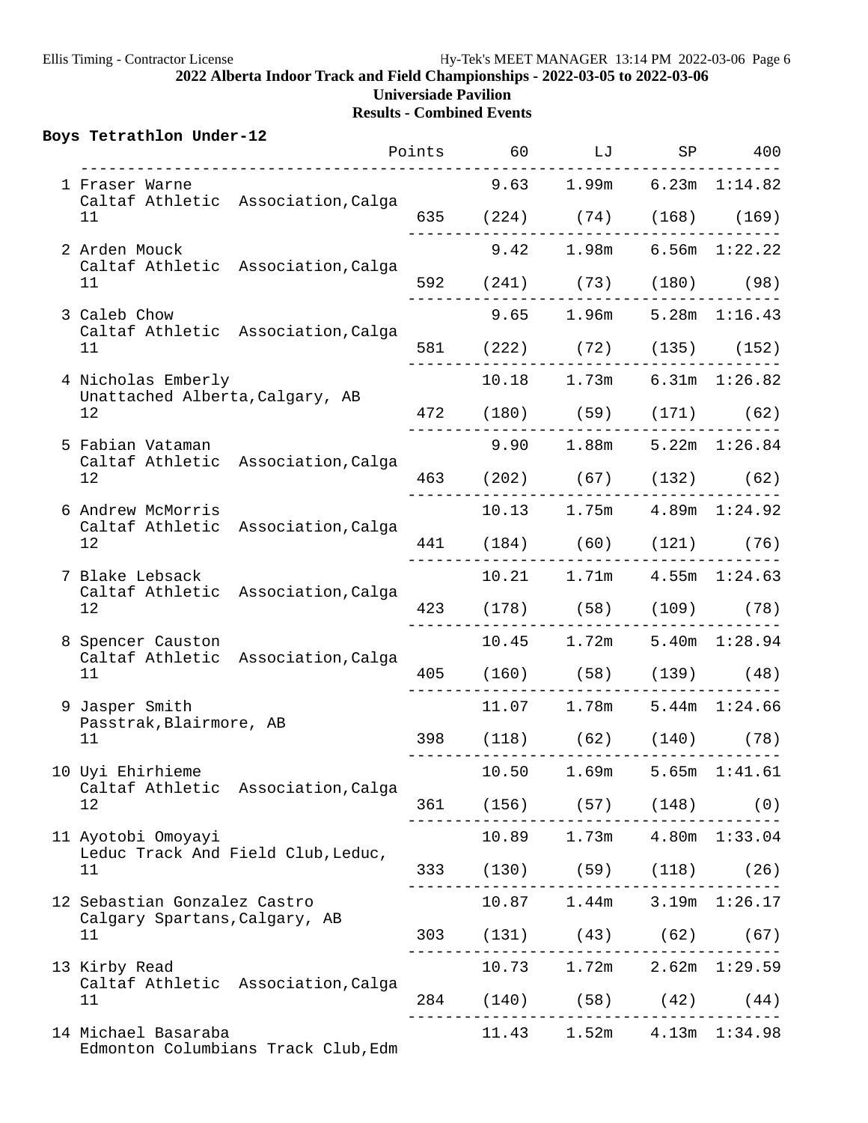|  | Boys Tetrathlon Under-12                                    |                                     |  | Points 60 LJ              |                                 | SP 400 |
|--|-------------------------------------------------------------|-------------------------------------|--|---------------------------|---------------------------------|--------|
|  | 1 Fraser Warne                                              |                                     |  |                           | $9.63$ 1.99m $6.23m$ 1:14.82    |        |
|  | 11                                                          | Caltaf Athletic Association, Calga  |  |                           | 635 (224) (74) (168) (169)      |        |
|  | 2 Arden Mouck                                               |                                     |  |                           | 9.42 1.98m 6.56m 1:22.22        |        |
|  | 11                                                          | Caltaf Athletic Association, Calga  |  |                           | 592 (241) (73) (180) (98)       |        |
|  | 3 Caleb Chow                                                |                                     |  |                           | 9.65 1.96m 5.28m 1:16.43        |        |
|  | 11                                                          | Caltaf Athletic Association, Calga  |  |                           | 581 (222) (72) (135) (152)      |        |
|  | 4 Nicholas Emberly                                          |                                     |  |                           | 10.18 1.73m 6.31m 1:26.82       |        |
|  | Unattached Alberta, Calgary, AB<br>12                       |                                     |  |                           | 472 (180) (59) (171) (62)       |        |
|  | 5 Fabian Vataman                                            |                                     |  |                           | 9.90 1.88m 5.22m 1:26.84        |        |
|  | Caltaf Athletic Association, Calga<br>12                    |                                     |  |                           | 463 (202) (67) (132) (62)       |        |
|  | 6 Andrew McMorris                                           |                                     |  |                           | 10.13  1.75m  4.89m  1:24.92    |        |
|  | Caltaf Athletic Association, Calga<br>12                    |                                     |  | 441 (184) (60) (121) (76) |                                 |        |
|  | 7 Blake Lebsack<br>Caltaf Athletic Association, Calga<br>12 |                                     |  |                           | 10.21  1.71m  4.55m  1:24.63    |        |
|  |                                                             |                                     |  | 423 (178) (58) (109) (78) |                                 |        |
|  | 8 Spencer Causton                                           |                                     |  |                           | 10.45 1.72m 5.40m 1:28.94       |        |
|  | 11                                                          | Caltaf Athletic Association, Calga  |  |                           | 405 (160) (58) (139) (48)       |        |
|  | 9 Jasper Smith                                              |                                     |  |                           | 11.07   1.78m   5.44m   1:24.66 |        |
|  | Passtrak, Blairmore, AB<br>11                               |                                     |  |                           | 398 (118) (62) (140) (78)       |        |
|  | 10 Uyi Ehirhieme                                            |                                     |  |                           | 10.50 1.69m 5.65m 1:41.61       |        |
|  | 12                                                          | Caltaf Athletic Association, Calga  |  |                           | 361 (156) (57) (148) (0)        |        |
|  | 11 Ayotobi Omoyayi                                          |                                     |  |                           | 10.89 1.73m 4.80m 1:33.04       |        |
|  | 11                                                          | Leduc Track And Field Club, Leduc,  |  |                           | 333 (130) (59) (118) (26)       |        |
|  | 12 Sebastian Gonzalez Castro                                |                                     |  |                           | 10.87   1.44m   3.19m   1:26.17 |        |
|  | Calgary Spartans, Calgary, AB<br>11                         |                                     |  |                           | 303 (131) (43) (62) (67)        |        |
|  | 13 Kirby Read                                               |                                     |  |                           | 10.73 1.72m 2.62m 1:29.59       |        |
|  | 11                                                          | Caltaf Athletic Association, Calga  |  |                           | 284 (140) (58) (42) (44)        |        |
|  | 14 Michael Basaraba                                         | Edmonton Columbians Track Club, Edm |  |                           | 11.43 1.52m 4.13m 1:34.98       |        |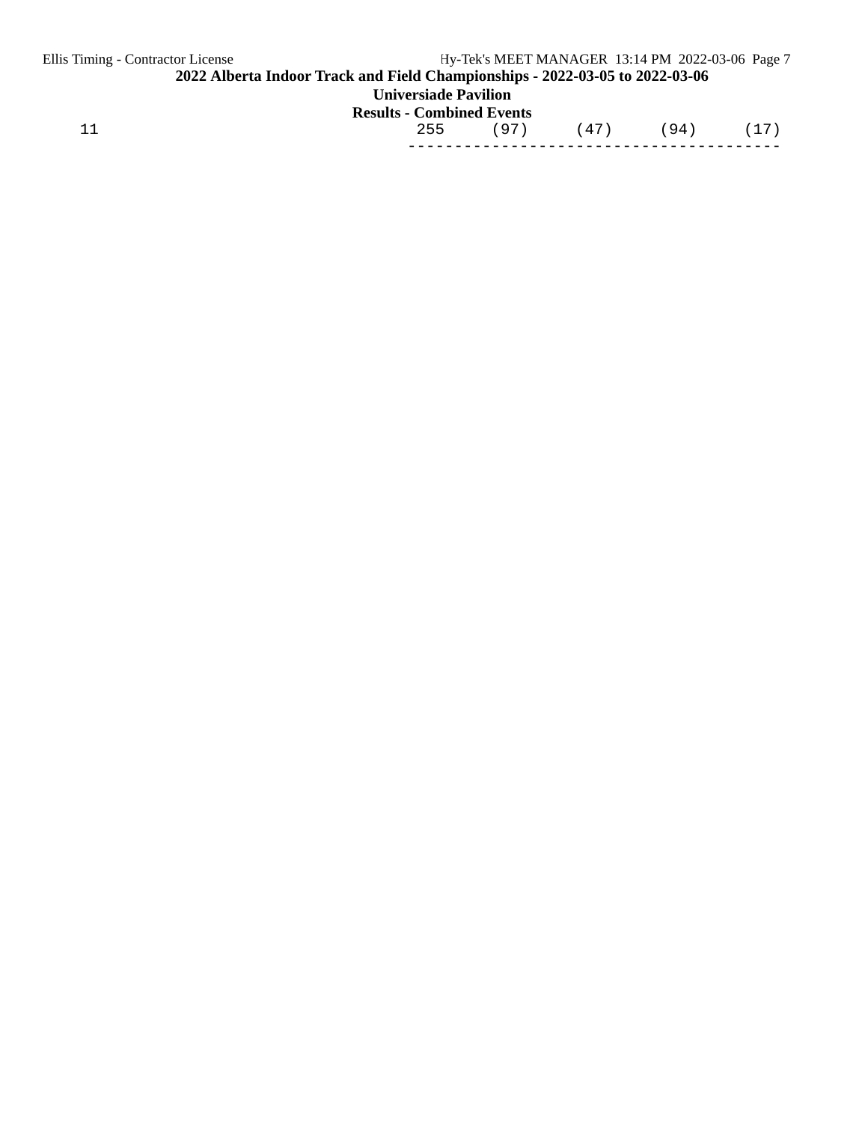| Ellis Timing - Contractor License                                            |                                  | Hy-Tek's MEET MANAGER 13:14 PM 2022-03-06 Page 7 |      |  |      |      |  |  |
|------------------------------------------------------------------------------|----------------------------------|--------------------------------------------------|------|--|------|------|--|--|
| 2022 Alberta Indoor Track and Field Championships - 2022-03-05 to 2022-03-06 |                                  |                                                  |      |  |      |      |  |  |
| <b>Universiade Pavilion</b>                                                  |                                  |                                                  |      |  |      |      |  |  |
|                                                                              | <b>Results - Combined Events</b> |                                                  |      |  |      |      |  |  |
| 11                                                                           | 255                              | (97)                                             | (47) |  | (94) | (17) |  |  |
|                                                                              |                                  |                                                  |      |  |      |      |  |  |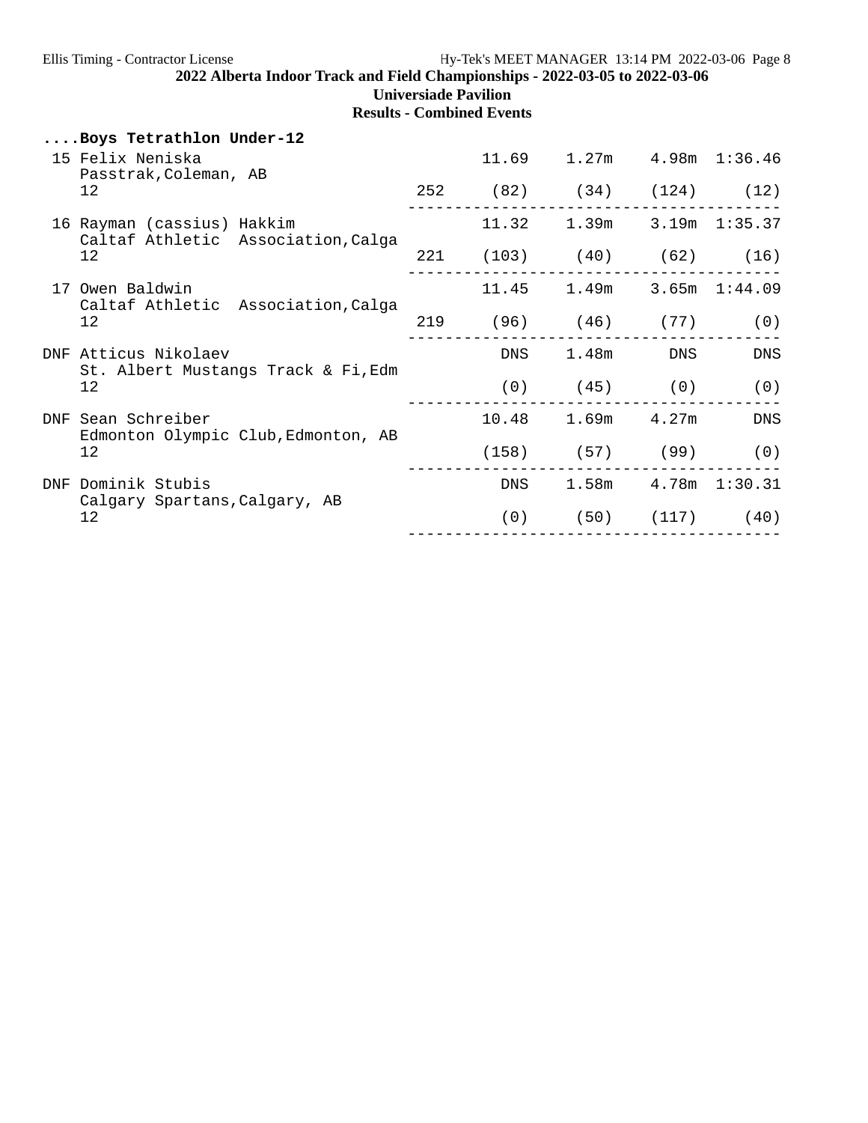**Results - Combined Events**

## **....Boys Tetrathlon Under-12**

|            | 15 Felix Neniska<br>Passtrak, Coleman, AB                         |     | 11.69      | 1.27m                        |                       | $4.98m$ $1:36.46$ |
|------------|-------------------------------------------------------------------|-----|------------|------------------------------|-----------------------|-------------------|
|            | 12                                                                | 252 |            | $(82)$ $(34)$ $(124)$ $(12)$ |                       |                   |
|            | 16 Rayman (cassius) Hakkim<br>Caltaf Athletic Association, Calga  |     |            | 11.32 1.39m                  |                       | $3.19m$ $1:35.37$ |
|            | 12                                                                |     |            | 221 (103) (40) (62) (16)     |                       |                   |
| 17         | Owen Baldwin<br>Caltaf Athletic Association, Calga<br>12          |     |            | 11.45 1.49m 3.65m 1:44.09    |                       |                   |
|            |                                                                   | 219 |            | $(96)$ $(46)$ $(77)$         |                       | (0)               |
|            | DNF Atticus Nikolaev<br>St. Albert Mustangs Track & Fi, Edm<br>12 |     | DNS        |                              | $1.48m$ DNS           | DNS               |
|            |                                                                   |     | (0)        | $(45)$ (0) (0)               |                       |                   |
| <b>DNF</b> | Sean Schreiber<br>Edmonton Olympic Club, Edmonton, AB             |     |            | $10.48$ 1.69m $4.27$ m       |                       | DNS               |
|            | 12                                                                |     | (158)      |                              | (57) (99)             | (0)               |
| <b>DNF</b> | Dominik Stubis<br>Calgary Spartans, Calgary, AB<br>12             |     | <b>DNS</b> |                              | 1.58m  4.78m  1:30.31 |                   |
|            |                                                                   |     | (0)        |                              | $(50)$ $(117)$ $(40)$ |                   |
|            |                                                                   |     |            |                              |                       |                   |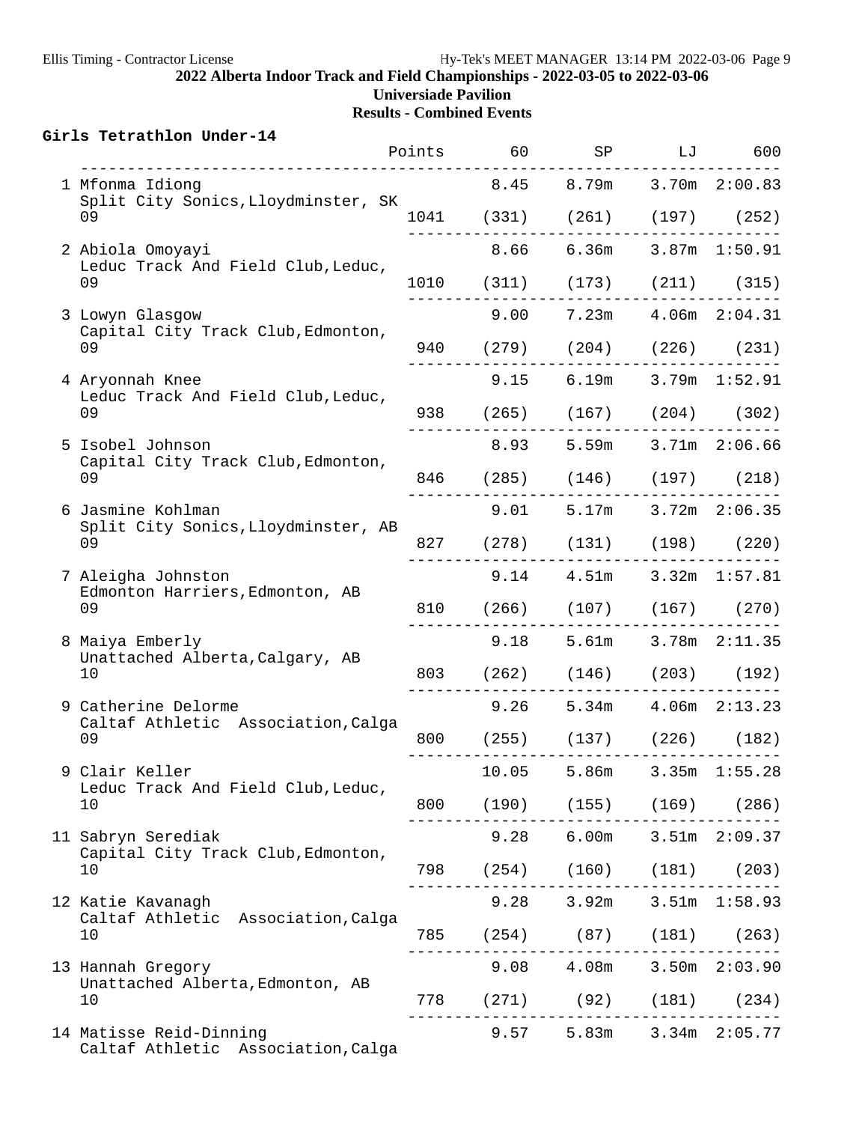|  | Girls Tetrathlon Under-14                                     |       | Points 60 SP                                                    |                                 | LJ 600            |
|--|---------------------------------------------------------------|-------|-----------------------------------------------------------------|---------------------------------|-------------------|
|  | 1 Mfonma Idiong                                               |       | 8.45 8.79m 3.70m 2:00.83                                        |                                 |                   |
|  | Split City Sonics, Lloydminster, SK<br>09                     |       | 1041 (331) (261) (197) (252)                                    |                                 |                   |
|  | 2 Abiola Omoyayi                                              |       | --------------------------<br>8.66 6.36m 3.87m 1:50.91          |                                 |                   |
|  | Leduc Track And Field Club, Leduc,<br>09                      |       | 1010 (311) (173) (211) (315)                                    |                                 |                   |
|  | 3 Lowyn Glasgow                                               |       | 9.00 7.23m 4.06m 2:04.31                                        |                                 |                   |
|  | Capital City Track Club, Edmonton,<br>09                      |       | 940 (279) (204) (226) (231)<br>- - - - - - - - - -              |                                 |                   |
|  | 4 Aryonnah Knee                                               |       | $9.15$ 6.19m 3.79m 1:52.91                                      |                                 |                   |
|  | Leduc Track And Field Club, Leduc,<br>09                      |       | 938 (265) (167) (204) (302)                                     |                                 |                   |
|  | 5 Isobel Johnson                                              |       | 8.93 5.59m 3.71m 2:06.66                                        |                                 |                   |
|  | Capital City Track Club, Edmonton,<br>09                      |       | 846 (285) (146) (197) (218)                                     |                                 |                   |
|  | 6 Jasmine Kohlman                                             |       | $9.01$ $5.17m$ $3.72m$ $2:06.35$                                |                                 |                   |
|  | Split City Sonics, Lloydminster, AB<br>09                     |       | 827 (278) (131) (198) (220)                                     |                                 |                   |
|  | 7 Aleigha Johnston<br>Edmonton Harriers, Edmonton, AB<br>09   |       | $9.14$ $4.51m$ $3.32m$ $1:57.81$                                |                                 |                   |
|  |                                                               |       | 810 (266) (107) (167) (270)                                     |                                 |                   |
|  | 8 Maiya Emberly<br>Unattached Alberta, Calgary, AB            |       | 9.18 5.61m 3.78m 2:11.35                                        |                                 |                   |
|  | 10                                                            |       | 803 (262) (146) (203) (192)                                     |                                 |                   |
|  | 9 Catherine Delorme<br>Caltaf Athletic Association, Calga     |       | 9.26 5.34m 4.06m 2:13.23                                        |                                 |                   |
|  | 09                                                            |       | 800 (255) (137) (226) (182)                                     |                                 |                   |
|  | 9 Clair Keller                                                | 10.05 | 5.86m                                                           |                                 | $3.35m$ $1:55.28$ |
|  | Leduc Track And Field Club, Leduc,<br>10                      |       | 800 (190) (155) (169) (286)<br>-------------------------------- |                                 |                   |
|  | 11 Sabryn Serediak<br>Capital City Track Club, Edmonton,      |       | 9.28 6.00m                                                      |                                 | $3.51m$ $2:09.37$ |
|  | 10                                                            |       | 798 (254) (160) (181) (203)                                     |                                 |                   |
|  | 12 Katie Kavanagh<br>Caltaf Athletic Association, Calga       | 9.28  |                                                                 | 3.92m 3.51m 1:58.93             |                   |
|  | 10                                                            |       | 785 (254) (87) (181) (263)<br>. _ _ _ _ _ _ _ _ .               | . _ _ _ _ _ _ _ _ _ _ _ _ _ _ _ |                   |
|  | 13 Hannah Gregory<br>Unattached Alberta, Edmonton, AB         |       | $9.08$ $4.08$ m $3.50$ m $2:03.90$                              |                                 |                   |
|  | 10                                                            |       | 778 (271) (92) (181) (234)                                      |                                 |                   |
|  | 14 Matisse Reid-Dinning<br>Caltaf Athletic Association, Calga |       | $9.57$ 5.83m 3.34m 2:05.77                                      |                                 |                   |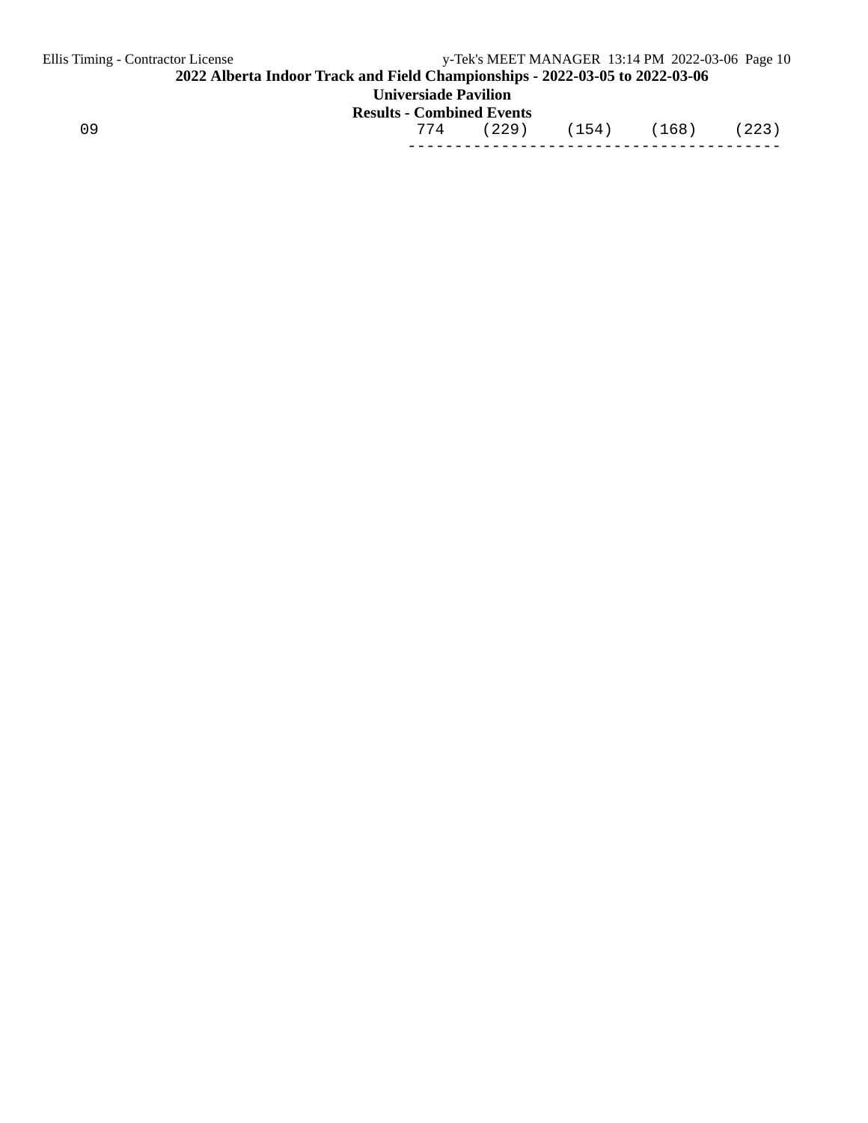| Ellis Timing - Contractor License                                            |                                  |       |       | y-Tek's MEET MANAGER 13:14 PM 2022-03-06 Page 10 |       |  |  |  |
|------------------------------------------------------------------------------|----------------------------------|-------|-------|--------------------------------------------------|-------|--|--|--|
| 2022 Alberta Indoor Track and Field Championships - 2022-03-05 to 2022-03-06 |                                  |       |       |                                                  |       |  |  |  |
| <b>Universiade Pavilion</b>                                                  |                                  |       |       |                                                  |       |  |  |  |
|                                                                              | <b>Results - Combined Events</b> |       |       |                                                  |       |  |  |  |
| 09                                                                           | 774                              | (229) | (154) | (168)                                            | (223) |  |  |  |
|                                                                              |                                  |       |       |                                                  |       |  |  |  |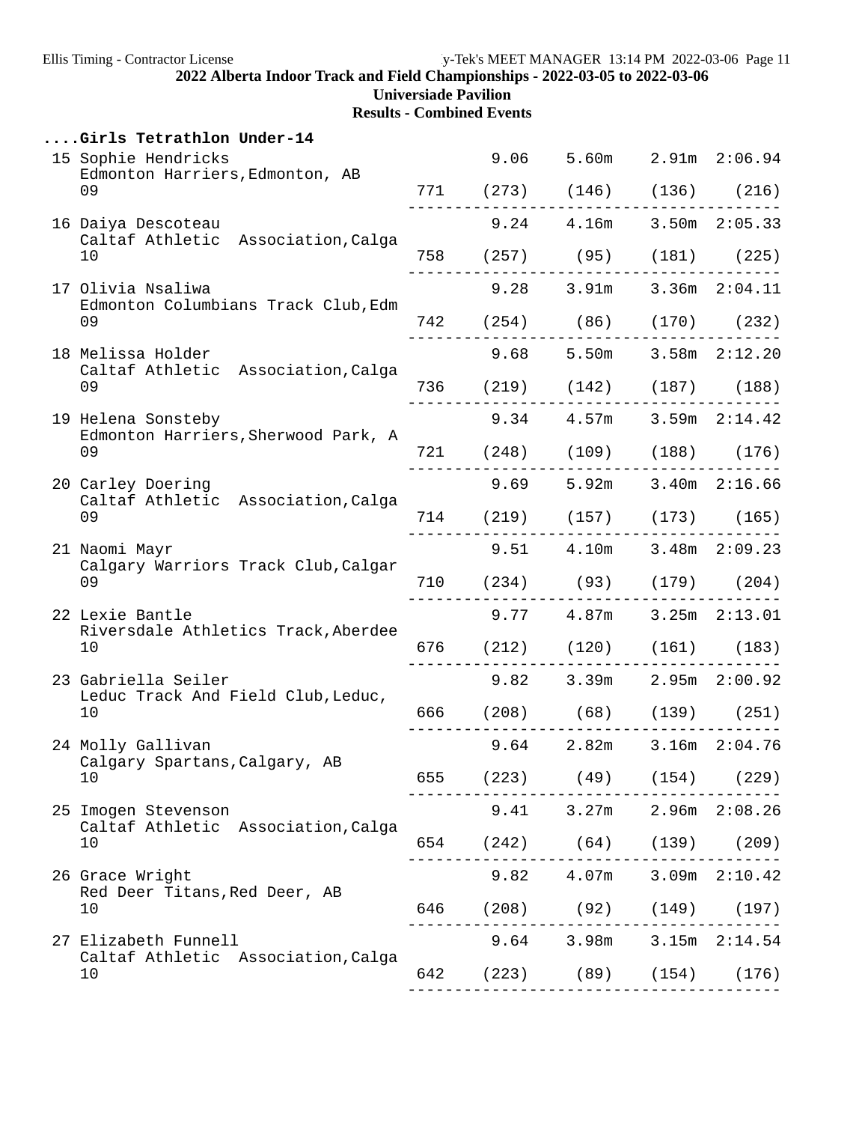**Universiade Pavilion**

|               | Girls Tetrathlon Under-14                                     |  |                                  |          |  |
|---------------|---------------------------------------------------------------|--|----------------------------------|----------|--|
|               | 15 Sophie Hendricks                                           |  | 9.06 5.60m 2.91m 2:06.94         |          |  |
|               | Edmonton Harriers, Edmonton, AB<br>09                         |  | 771 (273) (146) (136) (216)      |          |  |
|               | 16 Daiya Descoteau                                            |  | $9.24$ $4.16m$ $3.50m$ $2:05.33$ |          |  |
|               | Caltaf Athletic Association, Calga<br>10                      |  | 758 (257) (95) (181) (225)       |          |  |
|               | 17 Olivia Nsaliwa                                             |  | $9.28$ $3.91m$ $3.36m$ $2:04.11$ |          |  |
|               | Edmonton Columbians Track Club, Edm<br>09                     |  | 742 (254) (86) (170) (232)       |          |  |
|               | 18 Melissa Holder                                             |  | $9.68$ 5.50m 3.58m $2:12.20$     |          |  |
|               | Caltaf Athletic Association, Calga<br>09                      |  | 736 (219) (142) (187) (188)      |          |  |
|               | 19 Helena Sonsteby<br>Edmonton Harriers, Sherwood Park, A     |  | $9.34$ $4.57m$ $3.59m$ $2:14.42$ |          |  |
|               | 09                                                            |  | 721 (248) (109) (188) (176)      | -------- |  |
|               | 20 Carley Doering<br>Caltaf Athletic Association, Calga<br>09 |  | 9.69 5.92m 3.40m 2:16.66         |          |  |
|               |                                                               |  | 714 (219) (157) (173) (165)      |          |  |
| 21 Naomi Mayr |                                                               |  | $9.51$ $4.10m$ $3.48m$ $2:09.23$ |          |  |
|               | Calgary Warriors Track Club, Calgar<br>09                     |  | 710 (234) (93) (179) (204)       |          |  |
|               | 22 Lexie Bantle<br>Riversdale Athletics Track, Aberdee        |  | $9.77$ $4.87m$ $3.25m$ $2:13.01$ |          |  |
|               | 10                                                            |  | 676 (212) (120) (161) (183)      |          |  |
|               | 23 Gabriella Seiler<br>Leduc Track And Field Club, Leduc,     |  | $9.82$ 3.39m 2.95m 2:00.92       |          |  |
|               | 10                                                            |  | 666 (208) (68) (139) (251)       |          |  |
|               | 24 Molly Gallivan<br>Calgary Spartans,Calgary, AB             |  | $9.64$ $2.82m$ $3.16m$ $2:04.76$ |          |  |
|               | 10                                                            |  | 655 (223) (49) (154) (229)       |          |  |
|               | 25 Imogen Stevenson<br>Caltaf Athletic Association, Calga     |  | $9.41$ $3.27m$ $2.96m$ $2:08.26$ |          |  |
|               | 10                                                            |  | 654 (242) (64) (139) (209)       |          |  |
|               | 26 Grace Wright<br>Red Deer Titans, Red Deer, AB              |  | $9.82$ $4.07m$ $3.09m$ $2:10.42$ |          |  |
|               | 10                                                            |  | 646 (208) (92) (149) (197)       |          |  |
|               | 27 Elizabeth Funnell<br>Caltaf Athletic Association, Calga    |  | $9.64$ $3.98m$ $3.15m$ $2:14.54$ |          |  |
|               | 10                                                            |  | 642 (223) (89) (154) (176)       |          |  |
|               |                                                               |  |                                  |          |  |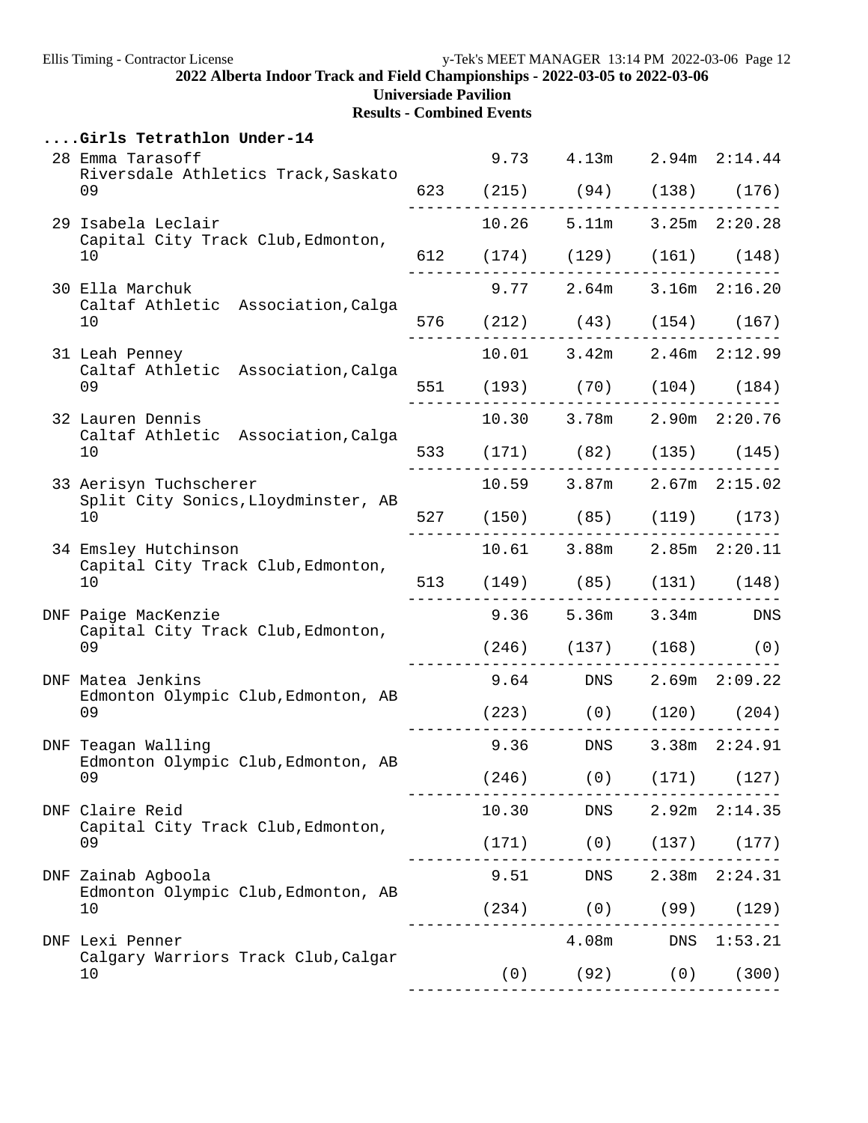# **Universiade Pavilion**

|  | Girls Tetrathlon Under-14                                        |  |      |                                 |            |                   |
|--|------------------------------------------------------------------|--|------|---------------------------------|------------|-------------------|
|  | 28 Emma Tarasoff<br>Riversdale Athletics Track, Saskato          |  |      | 9.73 4.13m 2.94m 2:14.44        |            |                   |
|  | 09                                                               |  |      | 623 (215) (94) (138) (176)      |            |                   |
|  | 29 Isabela Leclair                                               |  |      | $10.26$ 5.11m 3.25m $2:20.28$   |            |                   |
|  | Capital City Track Club, Edmonton,<br>10                         |  |      | 612 (174) (129) (161) (148)     |            |                   |
|  | 30 Ella Marchuk                                                  |  |      | 9.77 2.64m 3.16m 2:16.20        |            |                   |
|  | Caltaf Athletic Association, Calga<br>10                         |  |      | 576 (212) (43) (154) (167)      |            |                   |
|  | 31 Leah Penney<br>Caltaf Athletic Association, Calga             |  |      | 10.01 3.42m 2.46m 2:12.99       |            |                   |
|  | 09                                                               |  |      | 551 (193) (70) (104) (184)      |            |                   |
|  | 32 Lauren Dennis                                                 |  |      | 10.30 3.78m 2.90m 2:20.76       |            |                   |
|  | Caltaf Athletic Association, Calga<br>10                         |  |      | 533 (171) (82) (135) (145)      |            |                   |
|  | 33 Aerisyn Tuchscherer<br>Split City Sonics, Lloydminster, AB    |  |      | $10.59$ 3.87m $2.67m$ $2:15.02$ |            |                   |
|  | 10                                                               |  |      | 527 (150) (85) (119) (173)      |            |                   |
|  | 34 Emsley Hutchinson<br>Capital City Track Club, Edmonton,<br>10 |  |      | 10.61 3.88m 2.85m 2:20.11       |            |                   |
|  |                                                                  |  |      | 513 (149) (85) (131) (148)      |            |                   |
|  | DNF Paige MacKenzie                                              |  |      | 9.36 5.36m 3.34m DNS            |            |                   |
|  | Capital City Track Club, Edmonton,<br>09                         |  |      | $(246)$ $(137)$ $(168)$ $(0)$   |            |                   |
|  | DNF Matea Jenkins<br>Edmonton Olympic Club, Edmonton, AB         |  |      | 9.64 DNS 2.69m 2:09.22          |            |                   |
|  | 09                                                               |  |      | $(223)$ $(0)$ $(120)$ $(204)$   |            |                   |
|  | DNF Teagan Walling<br>Edmonton Olympic Club, Edmonton, AB        |  | 9.36 | DNS                             |            | 3.38m 2:24.91     |
|  | 09                                                               |  |      | $(246)$ (0)                     |            | $(171)$ $(127)$   |
|  | DNF Claire Reid                                                  |  |      | 10.30 DNS                       |            | $2.92m$ $2:14.35$ |
|  | Capital City Track Club, Edmonton,<br>09                         |  |      | $(171)$ (0) $(137)$ (177)       |            |                   |
|  | DNF Zainab Agboola                                               |  | 9.51 | DNS                             |            | 2.38m 2:24.31     |
|  | Edmonton Olympic Club, Edmonton, AB<br>10                        |  |      | $(234)$ (0) (99)                |            | (129)             |
|  | DNF Lexi Penner                                                  |  |      | 4.08m                           |            | DNS 1:53.21       |
|  | Calgary Warriors Track Club, Calgar<br>10                        |  | (0)  |                                 | $(92)$ (0) | (300)             |
|  |                                                                  |  |      |                                 |            |                   |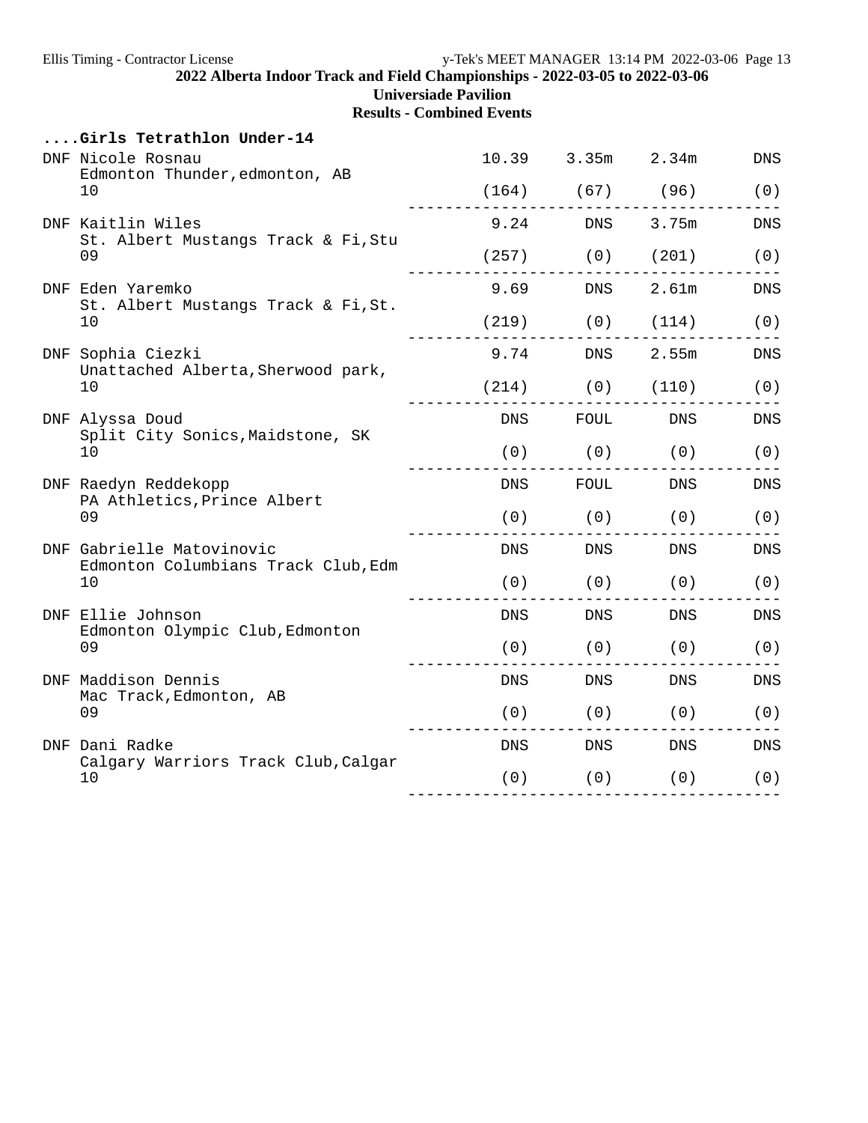**Universiade Pavilion**

| Girls Tetrathlon Under-14                                        |            |                                                                                                                |                                                                                                                       |                    |
|------------------------------------------------------------------|------------|----------------------------------------------------------------------------------------------------------------|-----------------------------------------------------------------------------------------------------------------------|--------------------|
| DNF Nicole Rosnau<br>Edmonton Thunder, edmonton, AB              |            | 10.39 3.35m                                                                                                    | 2.34m                                                                                                                 | $\mathop{\rm DNS}$ |
| 10                                                               |            | $(164)$ (67) (96)                                                                                              |                                                                                                                       | (0)                |
| DNF Kaitlin Wiles<br>St. Albert Mustangs Track & Fi, Stu         |            | 9.24 DNS 3.75m                                                                                                 |                                                                                                                       | <b>DNS</b>         |
| 09                                                               | (257)      | (0)                                                                                                            | (201)                                                                                                                 | (0)                |
| DNF Eden Yaremko<br>St. Albert Mustangs Track & Fi, St.          | 9.69       | DNS                                                                                                            | 2.61m                                                                                                                 | <b>DNS</b>         |
| 10                                                               |            | $(219)$ $(0)$ $(114)$                                                                                          |                                                                                                                       | (0)                |
| DNF Sophia Ciezki<br>Unattached Alberta, Sherwood park,          |            | 9.74 DNS 2.55m                                                                                                 |                                                                                                                       | <b>DNS</b>         |
| 10                                                               |            | $(214)$ $(0)$ $(110)$                                                                                          |                                                                                                                       | (0)                |
| DNF Alyssa Doud<br>Split City Sonics, Maidstone, SK              | <b>DNS</b> | FOUL                                                                                                           | DNS                                                                                                                   | <b>DNS</b>         |
| 10                                                               | (0)        |                                                                                                                | $(0)$ $(0)$                                                                                                           | (0)                |
| DNF Raedyn Reddekopp<br>PA Athletics, Prince Albert              | DNS        | FOUL                                                                                                           | DNS                                                                                                                   | ${\rm DNS}$        |
| 09                                                               | (0)        | (0)                                                                                                            | (0)                                                                                                                   | (0)                |
| DNF Gabrielle Matovinovic<br>Edmonton Columbians Track Club, Edm | DNS        | DNS                                                                                                            | DNS                                                                                                                   | <b>DNS</b>         |
| 10                                                               | (0)        | (0)                                                                                                            | (0)                                                                                                                   | (0)                |
| DNF Ellie Johnson<br>Edmonton Olympic Club, Edmonton             | <b>DNS</b> | DNS                                                                                                            | DNS                                                                                                                   | <b>DNS</b>         |
| 09                                                               | (0)        | (0)                                                                                                            | (0)                                                                                                                   | (0)                |
| DNF Maddison Dennis<br>Mac Track, Edmonton, AB                   | DNS.       | DNS                                                                                                            | DNS                                                                                                                   | DNS                |
| 09                                                               | (0)        |                                                                                                                | $(0)$ $(0)$                                                                                                           | (0)                |
| DNF Dani Radke<br>Calgary Warriors Track Club, Calgar            |            | DNS FOR THE STATE OF THE STATE OF THE STATE OF THE STATE OF THE STATE OF THE STATE OF THE STATE OF THE STATE O | DNS FOR THE STATE OF THE STATE OF THE STATE OF THE STATE OF THE STATE OF THE STATE OF THE STATE OF THE STATE O<br>DNS | DNS                |
| 10                                                               | (0)        | (0)                                                                                                            | (0)                                                                                                                   | (0)                |
|                                                                  |            |                                                                                                                |                                                                                                                       |                    |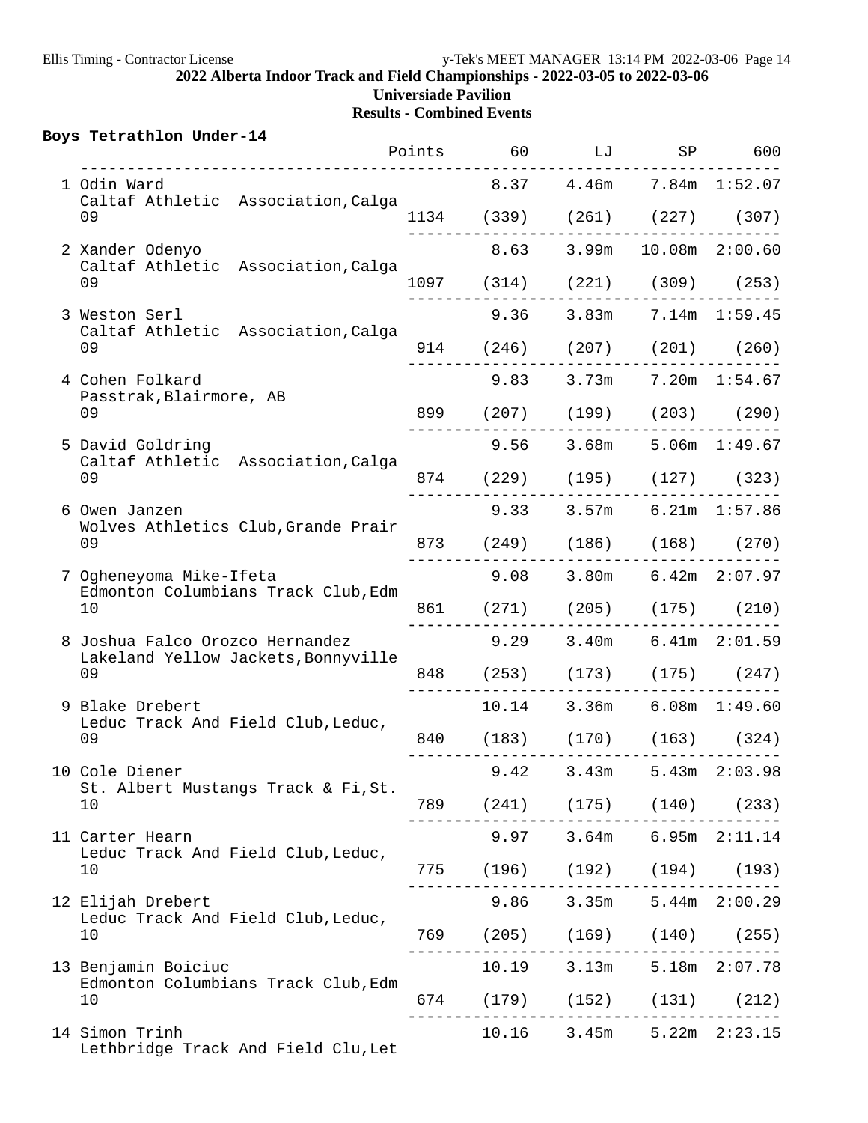|  | Boys Tetrathlon Under-14                                   |  |                         | Points 60 LJ SP 600                                           |                   |
|--|------------------------------------------------------------|--|-------------------------|---------------------------------------------------------------|-------------------|
|  | 1 Odin Ward                                                |  |                         | 8.37 4.46m 7.84m 1:52.07                                      |                   |
|  | Caltaf Athletic Association, Calga<br>09                   |  |                         | 1134 (339) (261) (227) (307)                                  |                   |
|  | 2 Xander Odenyo                                            |  |                         | 8.63 3.99m 10.08m 2:00.60                                     |                   |
|  | Caltaf Athletic Association, Calga<br>09                   |  |                         | 1097 (314) (221) (309) (253)                                  |                   |
|  | 3 Weston Serl                                              |  |                         | 9.36 3.83m 7.14m 1:59.45                                      |                   |
|  | Caltaf Athletic Association, Calga<br>09                   |  |                         | 914 (246) (207) (201) (260)                                   |                   |
|  | 4 Cohen Folkard                                            |  |                         | 9.83 3.73m 7.20m 1:54.67                                      |                   |
|  | Passtrak, Blairmore, AB<br>09                              |  |                         | 899 (207) (199) (203) (290)                                   |                   |
|  | 5 David Goldring                                           |  |                         | $9.56$ $3.68m$ $5.06m$ $1:49.67$                              |                   |
|  | Caltaf Athletic Association, Calga<br>09                   |  |                         | 874 (229) (195) (127) (323)                                   |                   |
|  | 6 Owen Janzen<br>Wolves Athletics Club, Grande Prair<br>09 |  |                         | $9.33$ $3.57m$ $6.21m$ $1:57.86$                              |                   |
|  |                                                            |  |                         | 873 (249) (186) (168) (270)                                   |                   |
|  | 7 Ogheneyoma Mike-Ifeta                                    |  |                         | $9.08$ $3.80m$ $6.42m$ $2:07.97$                              |                   |
|  | Edmonton Columbians Track Club, Edm<br>10                  |  |                         | 861 (271) (205) (175) (210)                                   |                   |
|  | 8 Joshua Falco Orozco Hernandez                            |  |                         | $9.29$ $3.40m$ $6.41m$ $2:01.59$                              |                   |
|  | Lakeland Yellow Jackets, Bonnyville<br>09                  |  |                         | 848 (253) (173) (175) (247)                                   |                   |
|  | 9 Blake Drebert                                            |  |                         | 10.14 3.36m 6.08m 1:49.60                                     |                   |
|  | Leduc Track And Field Club, Leduc,<br>09                   |  |                         | 840 (183) (170) (163) (324)                                   |                   |
|  | 10 Cole Diener                                             |  | $9.42$ 3.43m            |                                                               | $5.43m$ $2:03.98$ |
|  | St. Albert Mustangs Track & Fi, St.<br>10                  |  |                         | 789 (241) (175) (140) (233)                                   |                   |
|  | 11 Carter Hearn                                            |  |                         | ---------------------------------<br>9.97 3.64m 6.95m 2:11.14 |                   |
|  | Leduc Track And Field Club, Leduc,<br>10                   |  |                         | 775 (196) (192) (194) (193)                                   |                   |
|  | 12 Elijah Drebert                                          |  |                         | $9.86$ $3.35m$ $5.44m$ $2:00.29$                              |                   |
|  | Leduc Track And Field Club, Leduc,<br>10                   |  |                         | 769 (205) (169) (140) (255)                                   |                   |
|  | 13 Benjamin Boiciuc                                        |  | - - - - - - - - - - - - | . _ _ _ _ _ _ _ _ _ _ _ _ _ _ _<br>10.19 3.13m 5.18m 2:07.78  |                   |
|  | Edmonton Columbians Track Club, Edm<br>10                  |  |                         | 674 (179) (152) (131) (212)                                   |                   |
|  | 14 Simon Trinh<br>Lethbridge Track And Field Clu, Let      |  |                         | $10.16$ 3.45m 5.22m 2:23.15                                   |                   |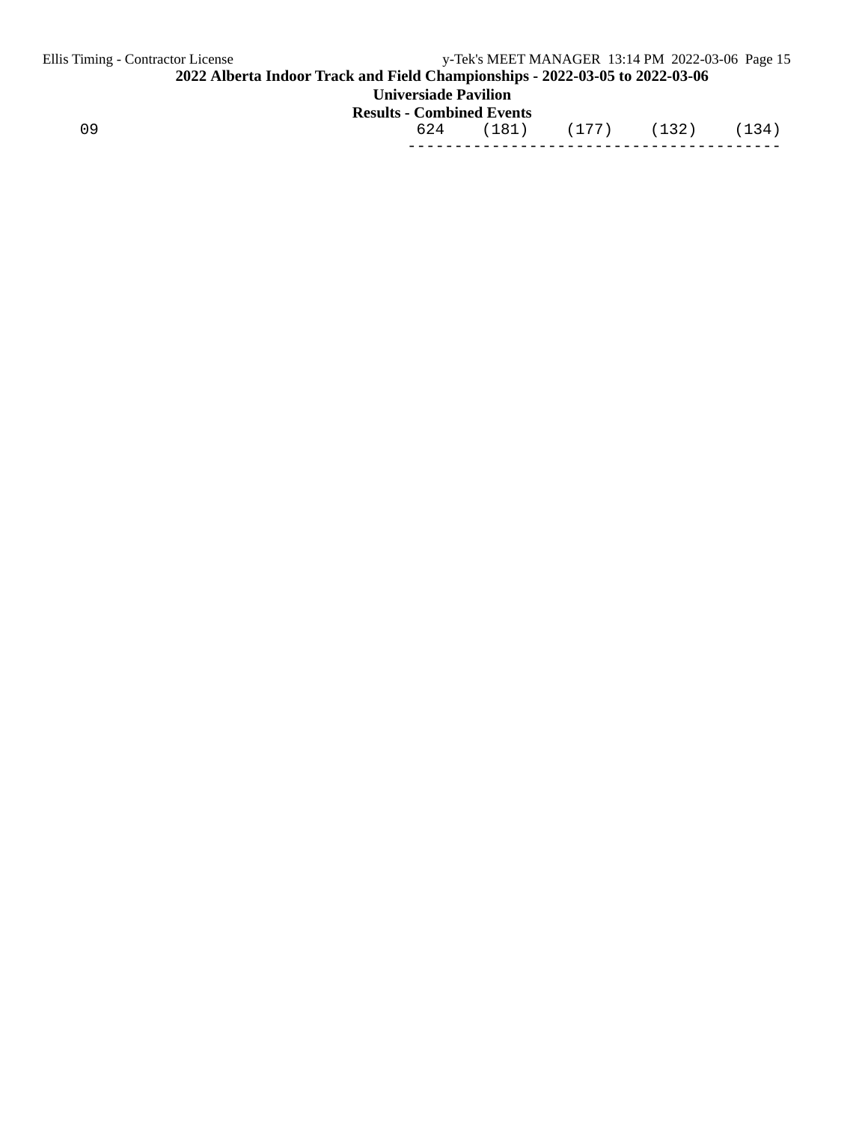| Ellis Timing - Contractor License                                            |                                  | y-Tek's MEET MANAGER 13:14 PM 2022-03-06 Page 15 |       |  |       |       |  |
|------------------------------------------------------------------------------|----------------------------------|--------------------------------------------------|-------|--|-------|-------|--|
| 2022 Alberta Indoor Track and Field Championships - 2022-03-05 to 2022-03-06 |                                  |                                                  |       |  |       |       |  |
| <b>Universiade Pavilion</b>                                                  |                                  |                                                  |       |  |       |       |  |
|                                                                              | <b>Results - Combined Events</b> |                                                  |       |  |       |       |  |
| 09                                                                           | 624                              | (181)                                            | (177) |  | (132) | (134) |  |
|                                                                              |                                  |                                                  |       |  |       |       |  |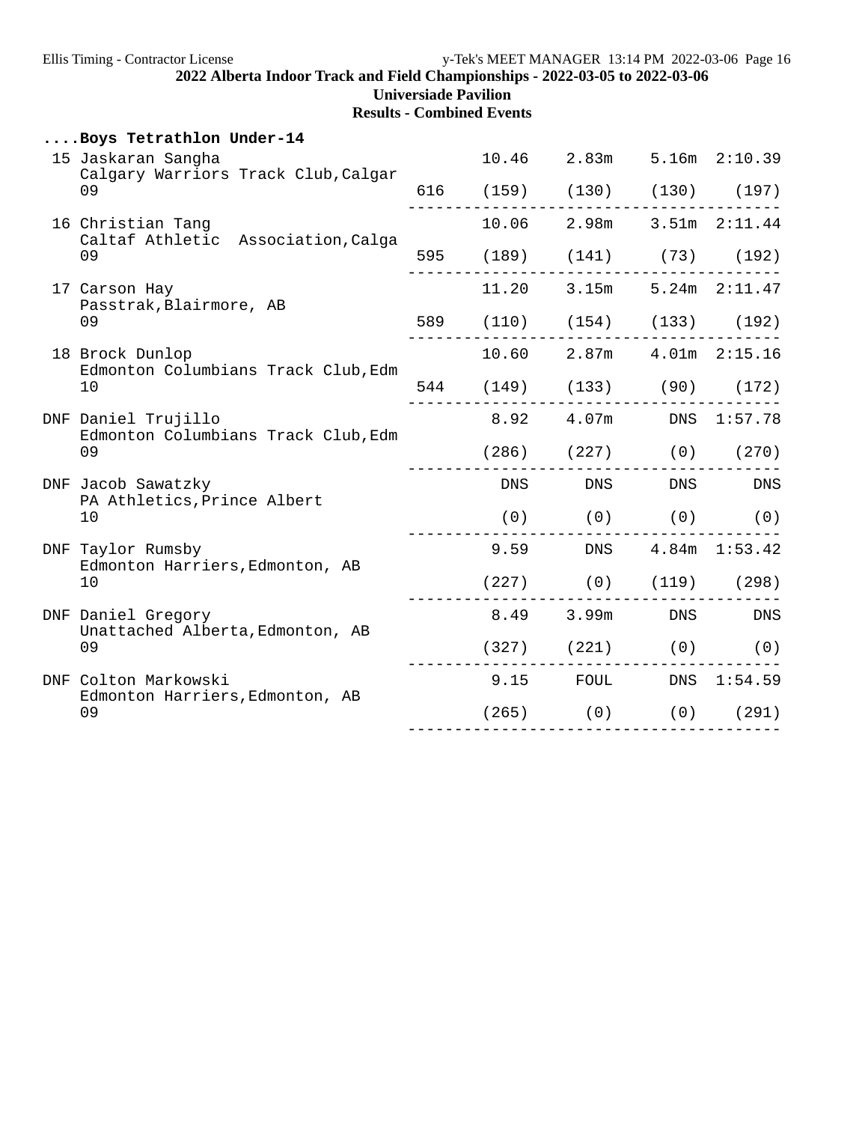|     | Boys Tetrathlon Under-14                                         |  |                               |            |  |
|-----|------------------------------------------------------------------|--|-------------------------------|------------|--|
|     | 15 Jaskaran Sangha                                               |  | 10.46 2.83m 5.16m 2:10.39     |            |  |
|     | Calgary Warriors Track Club, Calgar<br>09                        |  | 616 (159) (130) (130) (197)   |            |  |
|     | 16 Christian Tang<br>Caltaf Athletic Association, Calga<br>09    |  | 10.06 2.98m 3.51m 2:11.44     |            |  |
|     |                                                                  |  | 595 (189) (141) (73) (192)    |            |  |
|     | 17 Carson Hay                                                    |  | 11.20 3.15m 5.24m 2:11.47     |            |  |
|     | Passtrak, Blairmore, AB<br>09                                    |  | 589 (110) (154) (133) (192)   |            |  |
|     | 18 Brock Dunlop                                                  |  | 10.60 2.87m 4.01m 2:15.16     |            |  |
|     | Edmonton Columbians Track Club, Edm<br>10                        |  | 544 (149) (133) (90) (172)    |            |  |
|     | DNF Daniel Trujillo<br>Edmonton Columbians Track Club, Edm<br>09 |  | 8.92  4.07m  DNS  1:57.78     |            |  |
|     |                                                                  |  | $(286)$ $(227)$ $(0)$ $(270)$ |            |  |
|     | DNF Jacob Sawatzky                                               |  | DNS DNS DNS DNS               |            |  |
|     | PA Athletics, Prince Albert<br>10                                |  | $(0)$ $(0)$ $(0)$ $(0)$       |            |  |
|     | DNF Taylor Rumsby                                                |  | 9.59 DNS 4.84m 1:53.42        |            |  |
|     | Edmonton Harriers, Edmonton, AB<br>10                            |  | $(227)$ (0) $(119)$ (298)     |            |  |
|     | DNF Daniel Gregory                                               |  | 8.49 3.99m DNS DNS            |            |  |
|     | Unattached Alberta, Edmonton, AB<br>09                           |  | $(327)$ $(221)$ $(0)$ $(0)$   | ---------- |  |
| DNF | Colton Markowski                                                 |  | 9.15 FOUL DNS 1:54.59         |            |  |
|     | Edmonton Harriers, Edmonton, AB<br>09                            |  | $(265)$ (0) (0) (291)         |            |  |
|     |                                                                  |  |                               |            |  |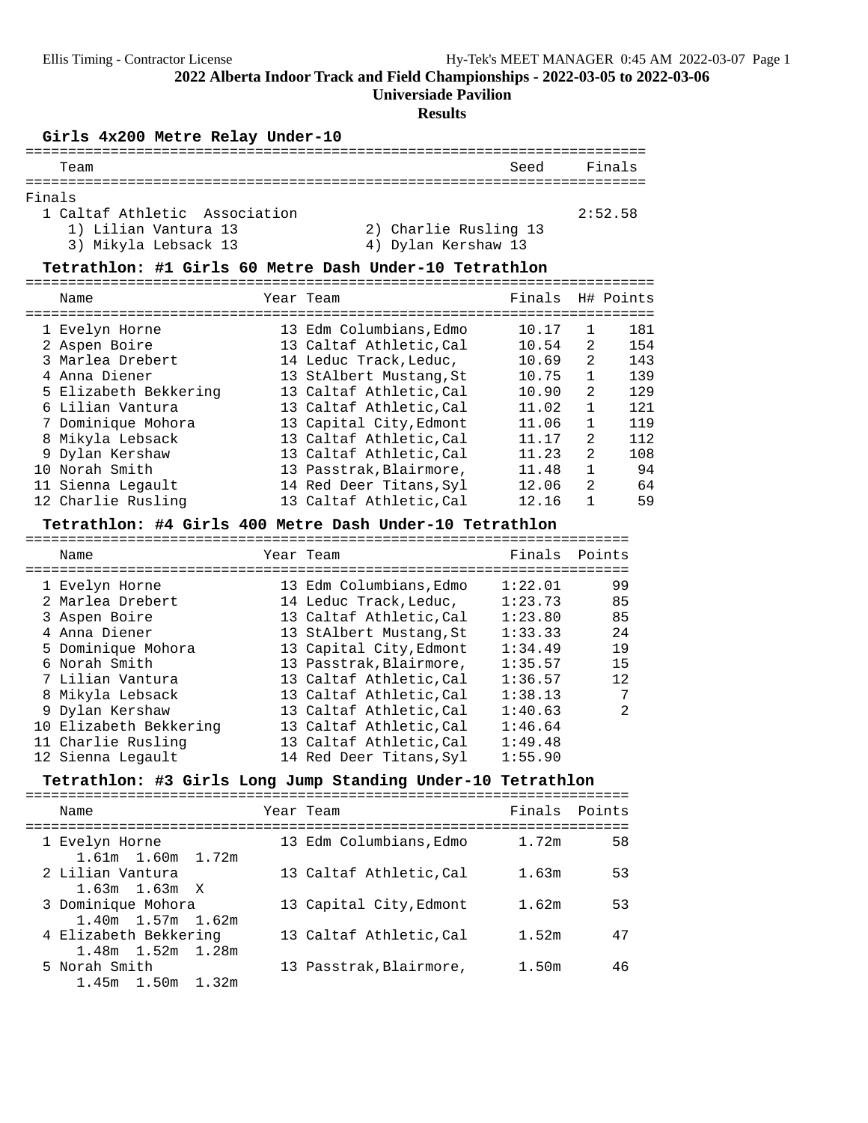**Universiade Pavilion**

#### **Results**

# **Girls 4x200 Metre Relay Under-10** =========================================================================

| Team                          | Seed                  | Finals  |
|-------------------------------|-----------------------|---------|
|                               |                       |         |
| Finals                        |                       |         |
| 1 Caltaf Athletic Association |                       | 2:52.58 |
| 1) Lilian Vantura 13          | 2) Charlie Rusling 13 |         |
| 3) Mikyla Lebsack 13          | 4) Dylan Kershaw 13   |         |

# **Tetrathlon: #1 Girls 60 Metre Dash Under-10 Tetrathlon** ==========================================================================

| Name                  | Year Team               | Finals |                | H# Points |
|-----------------------|-------------------------|--------|----------------|-----------|
| 1 Evelyn Horne        | 13 Edm Columbians, Edmo | 10.17  |                | 181       |
| 2 Aspen Boire         | 13 Caltaf Athletic.Cal  | 10.54  | $\mathcal{L}$  | 154       |
| 3 Marlea Drebert      | 14 Leduc Track, Leduc,  | 10.69  | 2              | 143       |
| 4 Anna Diener         | 13 StAlbert Mustang, St | 10.75  |                | 139       |
| 5 Elizabeth Bekkering | 13 Caltaf Athletic, Cal | 10.90  | $\mathcal{L}$  | 129       |
| 6 Lilian Vantura      | 13 Caltaf Athletic.Cal  | 11.02  | $\mathbf{1}$   | 121       |
| 7 Dominique Mohora    | 13 Capital City, Edmont | 11.06  | $\mathbf{1}$   | 119       |
| 8 Mikyla Lebsack      | 13 Caltaf Athletic.Cal  | 11.17  | $\mathfrak{D}$ | 112       |
| 9 Dylan Kershaw       | 13 Caltaf Athletic.Cal  | 11.23  | $\mathcal{L}$  | 108       |
| 10 Norah Smith        | 13 Passtrak, Blairmore, | 11.48  |                | 94        |
| 11 Sienna Legault     | 14 Red Deer Titans, Syl | 12.06  | $\mathcal{L}$  | 64        |
| 12 Charlie Rusling    | 13 Caltaf Athletic.Cal  | 12.16  |                | 59        |

## **Tetrathlon: #4 Girls 400 Metre Dash Under-10 Tetrathlon** =======================================================================

| Name                   | Year Team               | Finals  | Points        |
|------------------------|-------------------------|---------|---------------|
|                        |                         | 1:22.01 | 99            |
| 1 Evelyn Horne         | 13 Edm Columbians, Edmo |         |               |
| 2 Marlea Drebert       | 14 Leduc Track, Leduc,  | 1:23.73 | 85            |
| 3 Aspen Boire          | 13 Caltaf Athletic, Cal | 1:23.80 | 85            |
| 4 Anna Diener          | 13 StAlbert Mustang, St | 1:33.33 | 24            |
| 5 Dominique Mohora     | 13 Capital City, Edmont | 1:34.49 | 19            |
| 6 Norah Smith          | 13 Passtrak, Blairmore, | 1:35.57 | 15            |
| 7 Lilian Vantura       | 13 Caltaf Athletic, Cal | 1:36.57 | 12            |
| 8 Mikyla Lebsack       | 13 Caltaf Athletic.Cal  | 1:38.13 | 7             |
| 9 Dylan Kershaw        | 13 Caltaf Athletic, Cal | 1:40.63 | $\mathcal{L}$ |
| 10 Elizabeth Bekkering | 13 Caltaf Athletic, Cal | 1:46.64 |               |
| 11 Charlie Rusling     | 13 Caltaf Athletic, Cal | 1:49.48 |               |
| 12 Sienna Legault      | 14 Red Deer Titans, Syl | 1:55.90 |               |

# **Tetrathlon: #3 Girls Long Jump Standing Under-10 Tetrathlon** =======================================================================

| Name                                             | Year Team               | Finals Points |    |
|--------------------------------------------------|-------------------------|---------------|----|
| 1 Evelyn Horne<br>1.61m 1.60m 1.72m              | 13 Edm Columbians, Edmo | 1.72m         | 58 |
| 2 Lilian Vantura<br>$1.63m$ $1.63m$ X            | 13 Caltaf Athletic, Cal | 1.63m         | 53 |
| 3 Dominique Mohora<br>$1.40m$ $1.57m$ $1.62m$    | 13 Capital City, Edmont | 1.62m         | 53 |
| 4 Elizabeth Bekkering<br>$1.48m$ $1.52m$ $1.28m$ | 13 Caltaf Athletic, Cal | 1.52m         | 47 |
| 5 Norah Smith<br>1.45m 1.50m 1.32m               | 13 Passtrak, Blairmore, | 1.50m         | 46 |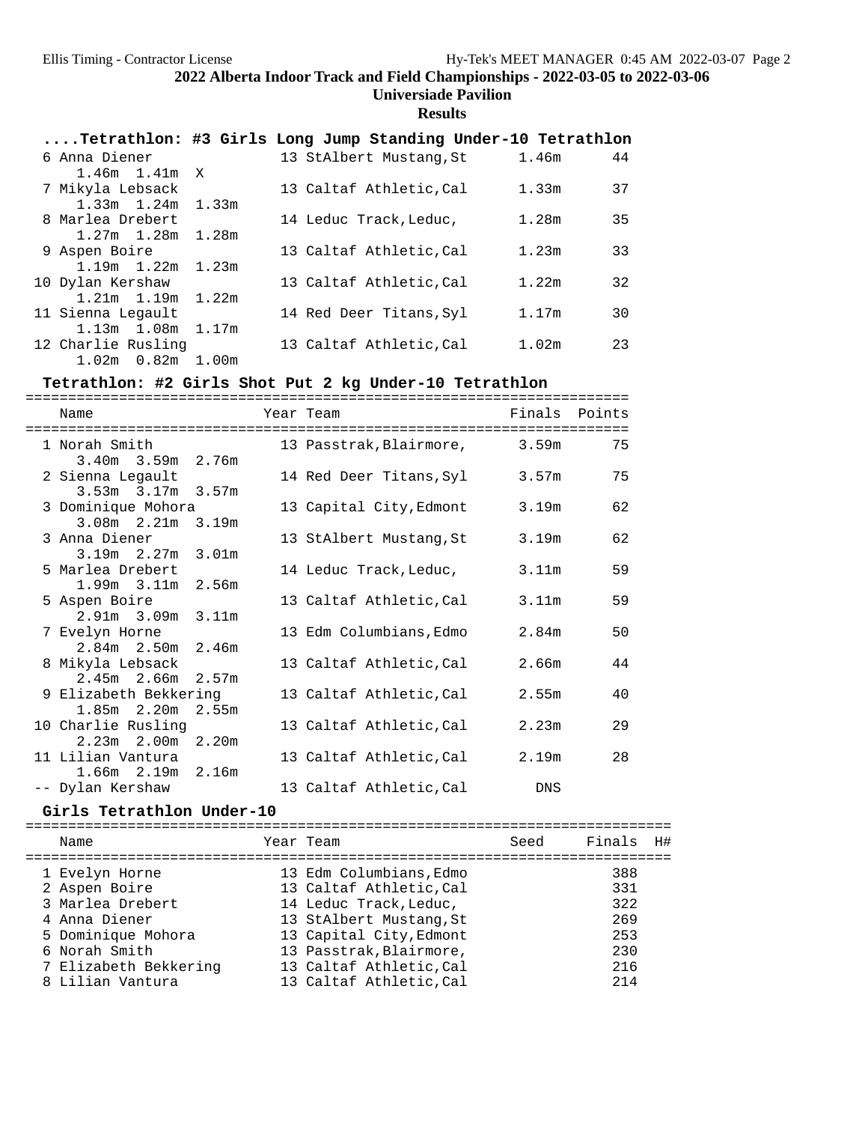## **Universiade Pavilion**

## **Results**

| Tetrathlon: #3 Girls Long Jump Standing Under-10 Tetrathlon |  |                         |                         |  |
|-------------------------------------------------------------|--|-------------------------|-------------------------|--|
| 6 Anna Diener                                               |  | 13 StAlbert Mustang, St | 1.46m<br>44             |  |
| $1.46m$ $1.41m$ X                                           |  |                         |                         |  |
| 7 Mikyla Lebsack                                            |  | 13 Caltaf Athletic, Cal | 1.33m<br>37             |  |
| $1.33m$ $1.24m$ $1.33m$                                     |  |                         |                         |  |
| 8 Marlea Drebert                                            |  | 14 Leduc Track, Leduc,  | 1.28m<br>35             |  |
| $1.27m$ $1.28m$ $1.28m$                                     |  |                         |                         |  |
| 9 Aspen Boire                                               |  | 13 Caltaf Athletic, Cal | 1.23m<br>33             |  |
| $1.19m$ $1.22m$ $1.23m$                                     |  |                         |                         |  |
| 10 Dylan Kershaw                                            |  | 13 Caltaf Athletic, Cal | 1.22m<br>32             |  |
| $1.21m$ $1.19m$ $1.22m$                                     |  |                         |                         |  |
| 11 Sienna Legault                                           |  | 14 Red Deer Titans, Syl | 1.17m<br>30             |  |
| $1.13m$ $1.08m$ $1.17m$                                     |  |                         |                         |  |
| 12 Charlie Rusling                                          |  | 13 Caltaf Athletic, Cal | 23<br>1.02 <sub>m</sub> |  |
| $1.02m$ $0.82m$ $1.00m$                                     |  |                         |                         |  |

# **Tetrathlon: #2 Girls Shot Put 2 kg Under-10 Tetrathlon** =======================================================================

| Name<br>======================================                                                                |  | Year Team<br>-------------------------------------- | Finals Points     |    |
|---------------------------------------------------------------------------------------------------------------|--|-----------------------------------------------------|-------------------|----|
| 1 Norah Smith 1 2000 1 2000 1 2000 1 2000 1 2000 1 2000 1 2000 1 2000 1 2000 1 2000 1 2000 1 2000 1 2000 1 20 |  | 13 Passtrak, Blairmore, 3.59m                       |                   | 75 |
| $3.40m$ $3.59m$ $2.76m$                                                                                       |  |                                                     |                   |    |
| 2 Sienna Legault                                                                                              |  | 14 Red Deer Titans, Syl 3.57m                       |                   | 75 |
| $3.53m$ $3.17m$ $3.57m$                                                                                       |  |                                                     |                   |    |
| 3 Dominique Mohora                                                                                            |  | 13 Capital City,Edmont                              | 3.19m             | 62 |
| 3.08m 2.21m 3.19m                                                                                             |  |                                                     |                   |    |
| 3 Anna Diener                                                                                                 |  | 13 StAlbert Mustang,St                              | 3.19m             | 62 |
| 3.19m 2.27m 3.01m                                                                                             |  |                                                     |                   |    |
| 5 Marlea Drebert                                                                                              |  | 14 Leduc Track,Leduc,                               | 3.11m             | 59 |
| $1.99m$ $3.11m$ $2.56m$                                                                                       |  |                                                     |                   |    |
| 5 Aspen Boire                                                                                                 |  | 13 Caltaf Athletic,Cal                              | 3.11m             | 59 |
| 2.91m 3.09m 3.11m                                                                                             |  |                                                     |                   |    |
| 7 Evelyn Horne                                                                                                |  | 13 Edm Columbians, Edmo                             | 2.84 <sub>m</sub> | 50 |
| $2.84m$ $2.50m$ $2.46m$                                                                                       |  |                                                     |                   |    |
| 8 Mikyla Lebsack                                                                                              |  | 13 Caltaf Athletic,Cal                              | 2.66m             | 44 |
| $2.45m$ $2.66m$ $2.57m$                                                                                       |  |                                                     |                   |    |
| 9 Elizabeth Bekkering                                                                                         |  | 13 Caltaf Athletic,Cal                              | 2.55m             | 40 |
| 1.85m 2.20m 2.55m                                                                                             |  |                                                     |                   |    |
| 10 Charlie Rusling                                                                                            |  | 13 Caltaf Athletic,Cal                              | 2.23m             | 29 |
| 2.23m 2.00m 2.20m                                                                                             |  |                                                     |                   |    |
| 11 Lilian Vantura                                                                                             |  | 13 Caltaf Athletic,Cal                              | 2.19m             | 28 |
| $1.66m$ $2.19m$ $2.16m$                                                                                       |  |                                                     |                   |    |
| -- Dylan Kershaw                                                                                              |  | 13 Caltaf Athletic, Cal DNS                         |                   |    |

### Girls Tetrathlon Under-10

| Name                                                                                                                                 | Year Team                                                                                                                                                                                | Seed | Finals                                        | H# |
|--------------------------------------------------------------------------------------------------------------------------------------|------------------------------------------------------------------------------------------------------------------------------------------------------------------------------------------|------|-----------------------------------------------|----|
| 1 Evelyn Horne<br>2 Aspen Boire<br>3 Marlea Drebert<br>4 Anna Diener<br>5 Dominique Mohora<br>6 Norah Smith<br>7 Elizabeth Bekkering | 13 Edm Columbians, Edmo<br>13 Caltaf Athletic, Cal<br>14 Leduc Track, Leduc,<br>13 StAlbert Mustang, St<br>13 Capital City, Edmont<br>13 Passtrak, Blairmore,<br>13 Caltaf Athletic, Cal |      | 388<br>331<br>322<br>269<br>253<br>230<br>216 |    |
| 8 Lilian Vantura                                                                                                                     | 13 Caltaf Athletic, Cal                                                                                                                                                                  |      | 214                                           |    |
|                                                                                                                                      |                                                                                                                                                                                          |      |                                               |    |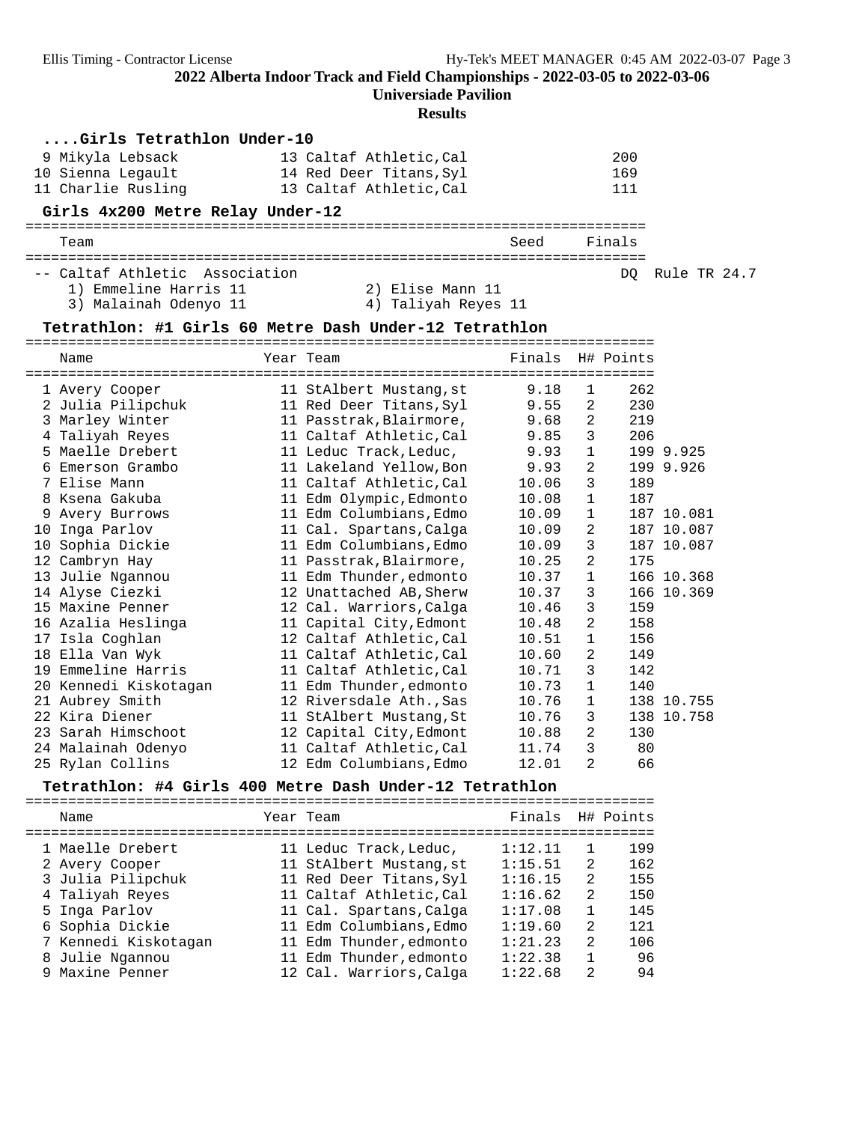**Universiade Pavilion**

#### **Results**

| Girls Tetrathlon Under-10                              |                         |                  |                |        |              |  |
|--------------------------------------------------------|-------------------------|------------------|----------------|--------|--------------|--|
| 9 Mikyla Lebsack                                       | 13 Caltaf Athletic, Cal |                  |                | 200    |              |  |
| 10 Sienna Legault                                      | 14 Red Deer Titans, Syl |                  |                | 169    |              |  |
| 11 Charlie Rusling                                     | 13 Caltaf Athletic, Cal |                  |                | 111    |              |  |
| Girls 4x200 Metre Relay Under-12                       |                         |                  |                |        |              |  |
| Team                                                   |                         | Seed             |                | Finals |              |  |
| -- Caltaf Athletic Association                         |                         |                  |                | DO.    | Rule TR 24.7 |  |
| 1) Emmeline Harris 11                                  | 2) Elise Mann 11        |                  |                |        |              |  |
| 3) Malainah Odenyo 11                                  | 4) Taliyah Reyes 11     |                  |                |        |              |  |
| Tetrathlon: #1 Girls 60 Metre Dash Under-12 Tetrathlon |                         |                  |                |        |              |  |
| Name                                                   | Year Team               | Finals H# Points |                |        |              |  |
|                                                        |                         |                  |                |        |              |  |
| 1 Avery Cooper                                         | 11 StAlbert Mustang, st | 9.18             | 1              | 262    |              |  |
| 2 Julia Pilipchuk                                      | 11 Red Deer Titans, Syl | 9.55             | 2              | 230    |              |  |
| 3 Marley Winter                                        | 11 Passtrak, Blairmore, | 9.68             | 2              | 219    |              |  |
| 4 Taliyah Reyes                                        | 11 Caltaf Athletic, Cal | 9.85             | 3              | 206    |              |  |
| 5 Maelle Drebert                                       | 11 Leduc Track, Leduc,  | 9.93             | $\mathbf{1}$   |        | 199 9.925    |  |
| 6 Emerson Grambo                                       | 11 Lakeland Yellow, Bon | 9.93             | 2              |        | 199 9.926    |  |
| 7 Elise Mann                                           | 11 Caltaf Athletic, Cal | 10.06            | 3              | 189    |              |  |
| 8 Ksena Gakuba                                         | 11 Edm Olympic, Edmonto | 10.08            | $\mathbf{1}$   | 187    |              |  |
| 9 Avery Burrows                                        | 11 Edm Columbians, Edmo | 10.09            | 1              |        | 187 10.081   |  |
| 10 Inga Parlov                                         | 11 Cal. Spartans, Calga | 10.09            | 2              |        | 187 10.087   |  |
| 10 Sophia Dickie                                       | 11 Edm Columbians, Edmo | 10.09            | 3              |        | 187 10.087   |  |
| 12 Cambryn Hay                                         | 11 Passtrak, Blairmore, | 10.25            | 2              | 175    |              |  |
| 13 Julie Ngannou                                       | 11 Edm Thunder, edmonto | 10.37            | 1              |        | 166 10.368   |  |
| 14 Alyse Ciezki                                        | 12 Unattached AB, Sherw | 10.37            | 3              |        | 166 10.369   |  |
| 15 Maxine Penner                                       | 12 Cal. Warriors, Calga | 10.46            | 3              | 159    |              |  |
| 16 Azalia Heslinga                                     | 11 Capital City, Edmont | 10.48            | 2              | 158    |              |  |
| 17 Isla Coghlan                                        | 12 Caltaf Athletic, Cal | 10.51            | 1              | 156    |              |  |
| 18 Ella Van Wyk                                        | 11 Caltaf Athletic, Cal | 10.60            | 2              | 149    |              |  |
| 19 Emmeline Harris                                     | 11 Caltaf Athletic, Cal | 10.71            | 3              | 142    |              |  |
| 20 Kennedi Kiskotagan                                  | 11 Edm Thunder, edmonto | 10.73            | $\mathbf{1}$   | 140    |              |  |
| 21 Aubrey Smith                                        | 12 Riversdale Ath., Sas | 10.76            | 1              |        | 138 10.755   |  |
| 22 Kira Diener                                         | 11 StAlbert Mustang, St | 10.76            | 3              |        | 138 10.758   |  |
| 23 Sarah Himschoot                                     | 12 Capital City, Edmont | 10.88            | 2              | 130    |              |  |
| 24 Malainah Odenyo                                     | 11 Caltaf Athletic, Cal | 11.74            | 3              | 80     |              |  |
| 25 Rylan Collins                                       | 12 Edm Columbians, Edmo | 12.01            | $\overline{a}$ | 66     |              |  |

**Tetrathlon: #4 Girls 400 Metre Dash Under-12 Tetrathlon** ========================================================================== Name Year Team Finals H# Points ========================================================================== 1 Maelle Drebert 11 Leduc Track,Leduc, 1:12.11 1 199 2 Avery Cooper 11 StAlbert Mustang,st 1:15.51 2 162 3 Julia Pilipchuk 11 Red Deer Titans,Syl 1:16.15 2 155 4 Taliyah Reyes 11 Caltaf Athletic,Cal 1:16.62 2 150 5 Inga Parlov 11 Cal. Spartans,Calga 1:17.08 1 145 6 Sophia Dickie 11 Edm Columbians,Edmo 1:19.60 2 121 7 Kennedi Kiskotagan 11 Edm Thunder,edmonto 1:21.23 2 106 8 Julie Ngannou 11 Edm Thunder,edmonto 1:22.38 1 96 9 Maxine Penner 12 Cal. Warriors,Calga 1:22.68 2 94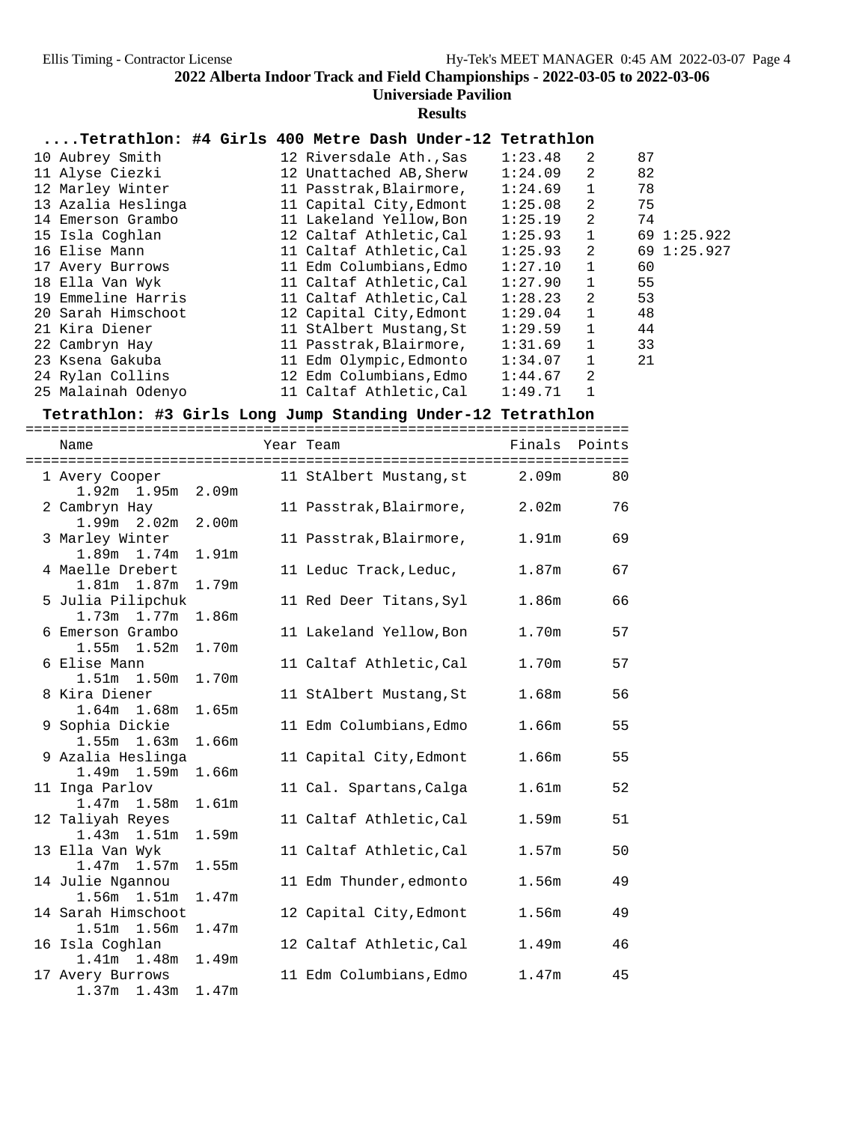## **Universiade Pavilion**

**Results**

| Tetrathlon: #4 Girls 400 Metre Dash Under-12 Tetrathlon |  |  |  |  |  |  |  |  |
|---------------------------------------------------------|--|--|--|--|--|--|--|--|
|---------------------------------------------------------|--|--|--|--|--|--|--|--|

| 10 Aubrey Smith    | 12 Riversdale Ath., Sas | 1:23.48 | 2            | 87          |
|--------------------|-------------------------|---------|--------------|-------------|
| 11 Alyse Ciezki    | 12 Unattached AB, Sherw | 1:24.09 | 2            | 82          |
| 12 Marley Winter   | 11 Passtrak, Blairmore, | 1:24.69 | 1            | 78          |
| 13 Azalia Heslinga | 11 Capital City, Edmont | 1:25.08 | 2            | 75          |
| 14 Emerson Grambo  | 11 Lakeland Yellow, Bon | 1:25.19 | 2            | 74          |
| 15 Isla Coghlan    | 12 Caltaf Athletic, Cal | 1:25.93 | $\mathbf{1}$ | 69 1:25.922 |
| 16 Elise Mann      | 11 Caltaf Athletic, Cal | 1:25.93 | 2            | 69 1:25.927 |
| 17 Avery Burrows   | 11 Edm Columbians, Edmo | 1:27.10 | $\mathbf{1}$ | 60          |
| 18 Ella Van Wyk    | 11 Caltaf Athletic, Cal | 1:27.90 | $\mathbf{1}$ | 55          |
| 19 Emmeline Harris | 11 Caltaf Athletic.Cal  | 1:28.23 | 2            | 53          |
| 20 Sarah Himschoot | 12 Capital City, Edmont | 1:29.04 | $\mathbf{1}$ | 48          |
| 21 Kira Diener     | 11 StAlbert Mustang, St | 1:29.59 | 1            | 44          |
| 22 Cambryn Hay     | 11 Passtrak, Blairmore, | 1:31.69 |              | 33          |
| 23 Ksena Gakuba    | 11 Edm Olympic, Edmonto | 1:34.07 | 1            | 21          |
| 24 Rylan Collins   | 12 Edm Columbians, Edmo | 1:44.67 | 2            |             |
| 25 Malainah Odenyo | 11 Caltaf Athletic, Cal | 1:49.71 |              |             |

### Tetrathlon: #3 Girls Long Jump Standing Under-12 Tetrathlon

| Name                        |                   | Year Team               |                   | Finals Points |
|-----------------------------|-------------------|-------------------------|-------------------|---------------|
| 1 Avery Cooper              |                   | 11 StAlbert Mustang, st | 2.09 <sub>m</sub> | 80            |
| 1.92m 1.95m 2.09m           |                   |                         |                   |               |
| 2 Cambryn Hay               |                   | 11 Passtrak, Blairmore, | 2.02m             | 76            |
| $1.99m$ $2.02m$             | 2.00 <sub>m</sub> |                         |                   |               |
| 3 Marley Winter             |                   | 11 Passtrak, Blairmore, | 1.91m             | 69            |
| $1.89m$ $1.74m$             | 1.91m             |                         |                   |               |
| 4 Maelle Drebert            |                   | 11 Leduc Track, Leduc,  | 1.87m             | 67            |
| 1.81m 1.87m                 | 1.79m             |                         |                   |               |
| 5 Julia Pilipchuk           |                   | 11 Red Deer Titans, Syl | 1.86m             | 66            |
| $1.73m$ $1.77m$             | 1.86m             |                         |                   |               |
| 6 Emerson Grambo            |                   | 11 Lakeland Yellow, Bon | 1.70m             | 57            |
| $1.55m$ $1.52m$             | 1.70m             |                         |                   |               |
| 6 Elise Mann<br>1.51m 1.50m |                   | 11 Caltaf Athletic, Cal | 1.70m             | 57            |
| 8 Kira Diener               | 1.70m             |                         | 1.68m             | 56            |
| $1.64m$ $1.68m$             | 1.65m             | 11 StAlbert Mustang, St |                   |               |
| 9 Sophia Dickie             |                   | 11 Edm Columbians, Edmo | 1.66m             | 55            |
| $1.55m$ $1.63m$             | 1.66m             |                         |                   |               |
| 9 Azalia Heslinga           |                   | 11 Capital City, Edmont | 1.66m             | 55            |
| $1.49m$ $1.59m$             | 1.66m             |                         |                   |               |
| 11 Inga Parlov              |                   | 11 Cal. Spartans, Calga | 1.61 <sub>m</sub> | 52            |
| $1.47m$ $1.58m$             | 1.61 <sub>m</sub> |                         |                   |               |
| 12 Taliyah Reyes            |                   | 11 Caltaf Athletic, Cal | 1.59m             | 51            |
| $1.43m$ $1.51m$             | 1.59m             |                         |                   |               |
| 13 Ella Van Wyk             |                   | 11 Caltaf Athletic, Cal | 1.57 <sub>m</sub> | 50            |
| $1.47m$ $1.57m$             | 1.55m             |                         |                   |               |
| 14 Julie Ngannou            |                   | 11 Edm Thunder, edmonto | 1.56m             | 49            |
| 1.56m 1.51m                 | 1.47m             |                         |                   |               |
| 14 Sarah Himschoot          |                   | 12 Capital City, Edmont | 1.56m             | 49            |
| 1.51m 1.56m                 | 1.47m             |                         |                   |               |
| 16 Isla Coghlan             |                   | 12 Caltaf Athletic, Cal | 1.49m             | 46            |
| 1.41m 1.48m                 | 1.49m             |                         |                   |               |
| 17 Avery Burrows            |                   | 11 Edm Columbians, Edmo | 1.47m             | 45            |
| $1.37m$ $1.43m$             | 1.47m             |                         |                   |               |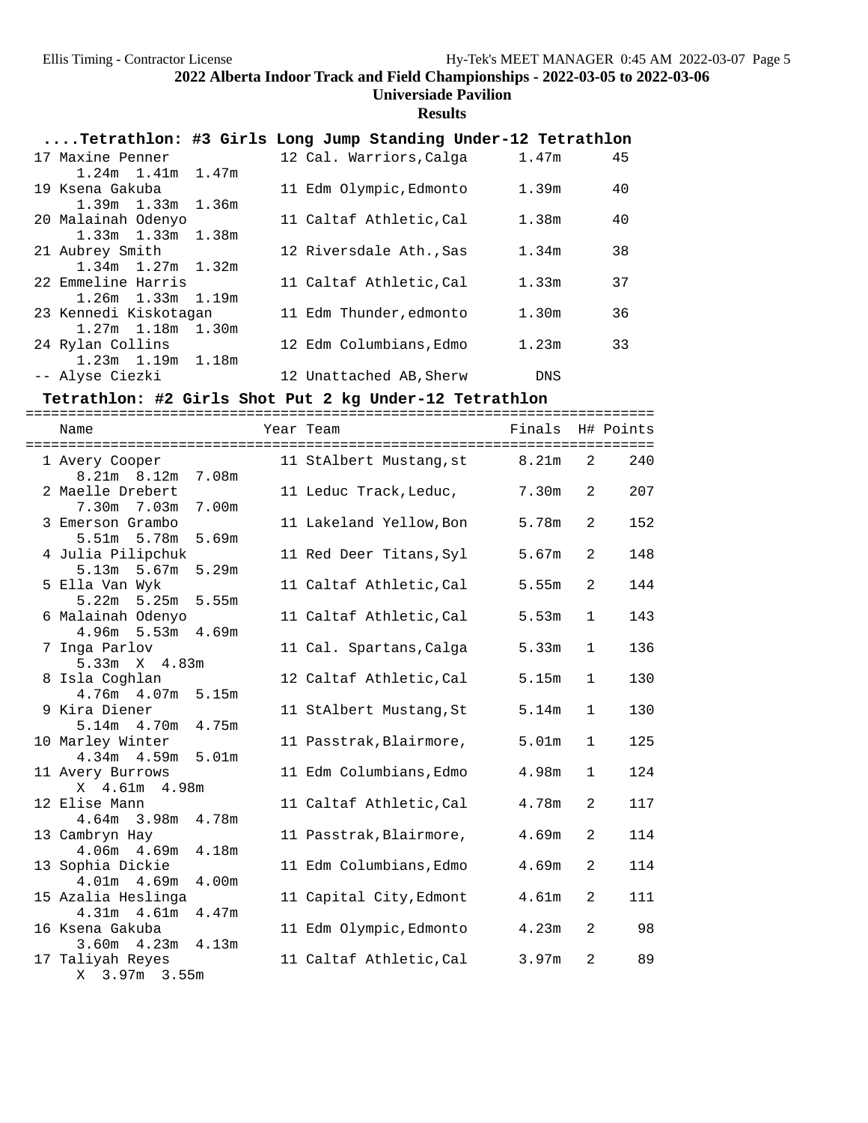#### **Universiade Pavilion**

#### **Results**

| Tetrathlon: #3 Girls Long Jump Standing Under-12 Tetrathlon |  |                         |                   |    |
|-------------------------------------------------------------|--|-------------------------|-------------------|----|
| 17 Maxine Penner                                            |  | 12 Cal. Warriors,Calga  | 1.47m             | 45 |
| $1.24m$ $1.41m$ $1.47m$                                     |  |                         |                   |    |
| 19 Ksena Gakuba                                             |  | 11 Edm Olympic, Edmonto | 1.39m             | 40 |
| $1.39m$ $1.33m$ $1.36m$                                     |  |                         |                   |    |
| 20 Malainah Odenyo                                          |  | 11 Caltaf Athletic, Cal | 1.38 <sub>m</sub> | 40 |
| $1.33m$ $1.33m$ $1.38m$                                     |  |                         |                   |    |
| 21 Aubrey Smith                                             |  | 12 Riversdale Ath., Sas | 1.34 <sub>m</sub> | 38 |
| $1.34m$ $1.27m$ $1.32m$                                     |  |                         |                   |    |
| 22 Emmeline Harris                                          |  | 11 Caltaf Athletic, Cal | 1.33m             | 37 |
| $1.26m$ $1.33m$ $1.19m$                                     |  |                         |                   |    |
| 23 Kennedi Kiskotagan                                       |  | 11 Edm Thunder, edmonto | 1.30 <sub>m</sub> | 36 |
| 1.27m 1.18m 1.30m                                           |  |                         |                   |    |
| 24 Rylan Collins                                            |  | 12 Edm Columbians, Edmo | 1.23m             | 33 |
| $1.23m$ $1.19m$ $1.18m$                                     |  |                         |                   |    |
| -- Alyse Ciezki                                             |  | 12 Unattached AB, Sherw | DNS               |    |

# **Tetrathlon: #2 Girls Shot Put 2 kg Under-12 Tetrathlon** ==========================================================================

Name Tear Team Team Finals H# Points ========================================================================== 1 Avery Cooper 11 StAlbert Mustang,st 8.21m 2 240 8.21m 8.12m 7.08m 2 Maelle Drebert 11 Leduc Track,Leduc, 7.30m 2 207 7.30m 7.03m 7.00m 3 Emerson Grambo 11 Lakeland Yellow,Bon 5.78m 2 152 s Emerson Gramso<br>5.51m 5.78m 5.69m<br>4 Julia Pilipchuk 11 Red Deer Titans, Syl 5.67m 2 148 5.13m 5.67m 5.29m 5 Ella Van Wyk 11 Caltaf Athletic,Cal 5.55m 2 144 5.22m 5.25m 5.55m 6 Malainah Odenyo 11 Caltaf Athletic,Cal 5.53m 1 143 4.96m 5.53m 4.69m 11 Cal. Spartans, Calga 5.33m 1 136 5.33m X 4.83m 12 Caltaf Athletic,Cal 5.15m 1 130 4.76m 4.07m 5.15m 9 Kira Diener 11 StAlbert Mustang, St 5.14m 1 130 5.14m 4.70m 4.75m<br>10 Marley Winter 11 Passtrak,Blairmore, 5.01m 1 125 4.34m 4.59m 5.01m 11 Avery Burrows 11 Edm Columbians,Edmo 4.98m 1 124 X 4.61m 4.98m 12 Elise Mann 11 Caltaf Athletic,Cal 4.78m 2 117 4.64m 3.98m 4.78m 13 Cambryn Hay 11 Passtrak,Blairmore, 4.69m 2 114 4.06m 4.69m 4.18m 13 Sophia Dickie 11 Edm Columbians,Edmo 4.69m 2 114 4.01m 4.69m 4.00m 15 Azalia Heslinga 11 Capital City,Edmont 4.61m 2 111 4.31m 4.61m 4.47m<br>16 Ksena Gakuba 11 Edm Olympic, Edmonto 4.23m 2 98 3.60m 4.23m 4.13m<br>17 Taliyah Reyes 11 Caltaf Athletic,Cal 3.97m 2 89 X 3.97m 3.55m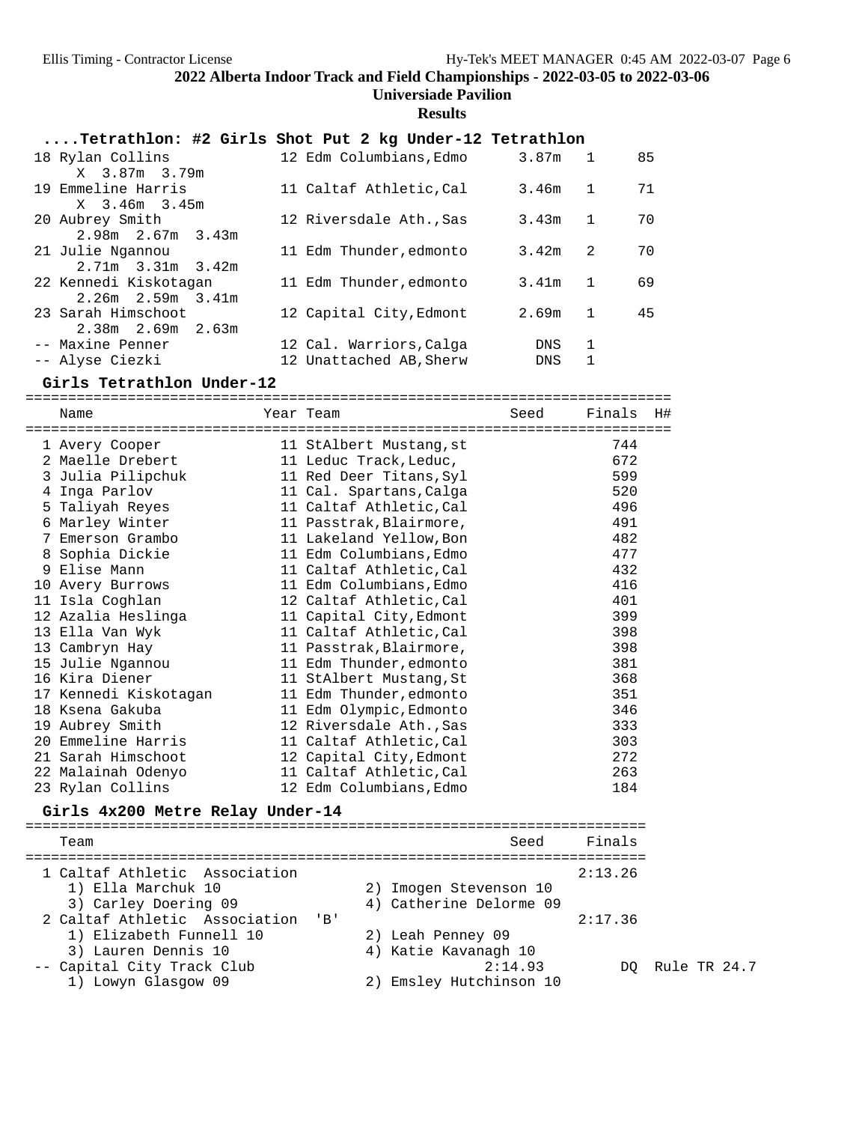#### **Universiade Pavilion**

#### **Results**

| Tetrathlon: #2 Girls Shot Put 2 kg Under-12 Tetrathlon |                                 |           |    |
|--------------------------------------------------------|---------------------------------|-----------|----|
| 18 Rylan Collins                                       | 12 Edm Columbians, Edmo 3.87m 1 |           | 85 |
| X 3.87m 3.79m<br>19 Emmeline Harris                    |                                 |           |    |
| X 3.46m 3.45m                                          | 11 Caltaf Athletic, Cal         | $3.46m$ 1 | 71 |
| 20 Aubrey Smith                                        | 12 Riversdale Ath., Sas         | $3.43m$ 1 | 70 |
| $2.98m$ $2.67m$ $3.43m$                                |                                 |           |    |
| 21 Julie Ngannou                                       | 11 Edm Thunder, edmonto         | $3.42m$ 2 | 70 |
| $2.71m$ $3.31m$ $3.42m$<br>22 Kennedi Kiskotagan       | 11 Edm Thunder, edmonto         | $3.41m$ 1 | 69 |
| $2.26m$ $2.59m$ $3.41m$                                |                                 |           |    |
| 23 Sarah Himschoot                                     | 12 Capital City, Edmont         | 2.69m 1   | 45 |
| $2.38m$ $2.69m$ $2.63m$                                |                                 |           |    |
| -- Maxine Penner                                       | 12 Cal. Warriors, Calga         | 1<br>DNS  |    |
| -- Alyse Ciezki                                        | 12 Unattached AB, Sherw         | 1<br>DNS  |    |
|                                                        |                                 |           |    |

**Girls Tetrathlon Under-12** ============================================================================ Name Year Team Seed Finals H# ============================================================================ 1 Avery Cooper 11 StAlbert Mustang,st 744 2 Maelle Drebert 11 Leduc Track,Leduc, 672 3 Julia Pilipchuk 11 Red Deer Titans,Syl 599 4 Inga Parlov 11 Cal. Spartans,Calga 520 5 Taliyah Reyes 11 Caltaf Athletic,Cal 496 6 Marley Winter 11 Passtrak,Blairmore, 491 7 Emerson Grambo 11 Lakeland Yellow,Bon 482 8 Sophia Dickie 11 Edm Columbians,Edmo 477 9 Elise Mann 11 Caltaf Athletic,Cal 432 10 Avery Burrows 11 Edm Columbians,Edmo 416 11 Isla Coghlan 12 Caltaf Athletic,Cal 401 12 Azalia Heslinga 11 Capital City,Edmont 399 13 Ella Van Wyk 11 Caltaf Athletic,Cal 398 13 Cambryn Hay 11 Passtrak,Blairmore, 398 15 Julie Ngannou 11 Edm Thunder,edmonto 381 16 Kira Diener 11 StAlbert Mustang,St 368 17 Kennedi Kiskotagan 11 Edm Thunder,edmonto 351 18 Ksena Gakuba 11 Edm Olympic,Edmonto 346 19 Aubrey Smith 12 Riversdale Ath.,Sas 333 20 Emmeline Harris 11 Caltaf Athletic,Cal 303 21 Sarah Himschoot 12 Capital City,Edmont 272 22 Malainah Odenyo 11 Caltaf Athletic,Cal 263 23 Rylan Collins 12 Edm Columbians,Edmo 184 **Girls 4x200 Metre Relay Under-14** ========================================================================= Team Seed Finals ========================================================================= 1 Caltaf Athletic Association 2:13.26 1) Ella Marchuk 10 2) Imogen Stevenson 10 3) Carley Doering 09 4) Catherine Delorme 09 2 Caltaf Athletic Association 'B' 2:17.36 1) Elizabeth Funnell 10 2) Leah Penney 09

- 
- 3) Lauren Dennis 10 4) Katie Kavanagh 10 -- Capital City Track Club 2:14.93 DQ Rule TR 24.7
- 1) Lowyn Glasgow 09 2) Emsley Hutchinson 10
- 
-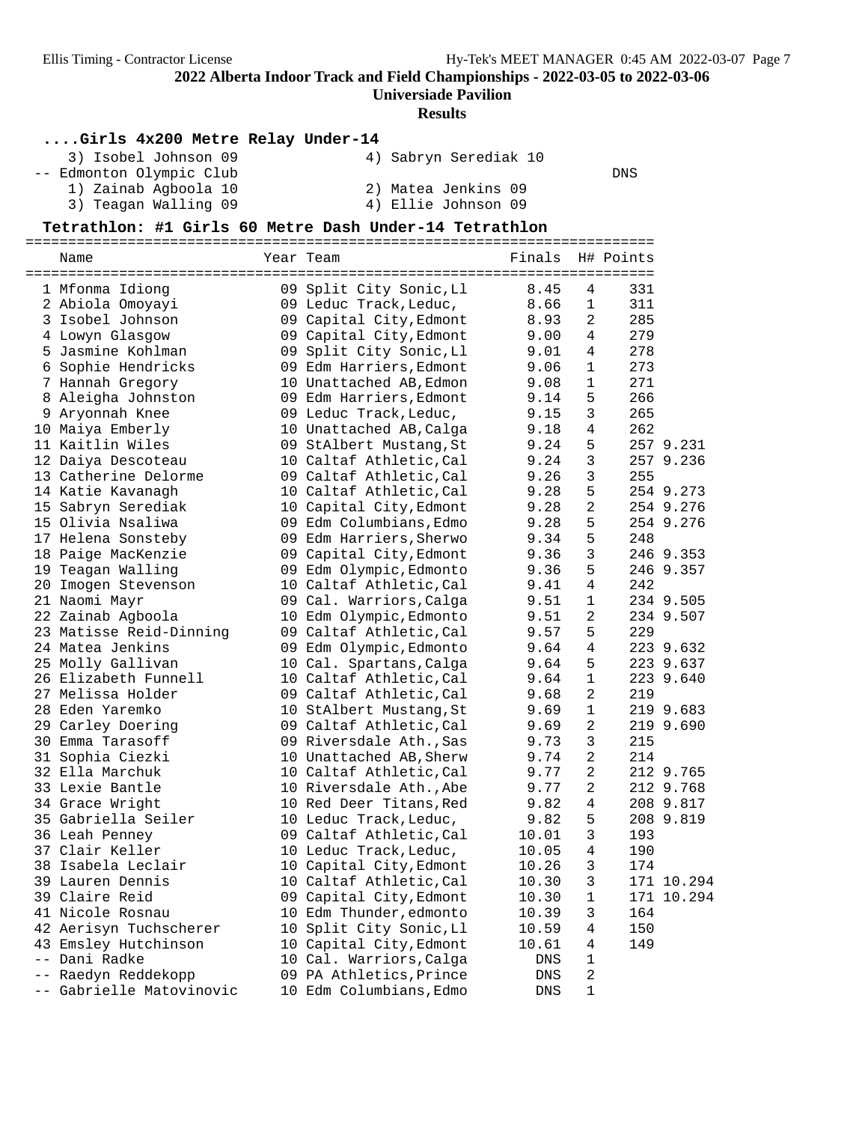**Universiade Pavilion**

#### **Results**

#### **....Girls 4x200 Metre Relay Under-14**

| 3) Isobel Johnson 09     | 4) Sabryn Serediak 10 |     |
|--------------------------|-----------------------|-----|
| -- Edmonton Olympic Club |                       | DNS |
| 1) Zainab Agboola 10     | 2) Matea Jenkins 09   |     |
| 3) Teagan Walling 09     | 4) Ellie Johnson 09   |     |

 3) Teagan Walling 09 4) Ellie Johnson 09 **Tetrathlon: #1 Girls 60 Metre Dash Under-14 Tetrathlon** ========================================================================== Name Year Team Finals H# Points ========================================================================== 1 Mfonma Idiong 09 Split City Sonic,Ll 8.45 4 331 2 Abiola Omoyayi 09 Leduc Track,Leduc, 8.66 1 311 3 Isobel Johnson 09 Capital City,Edmont 8.93 2 285 4 Lowyn Glasgow 09 Capital City,Edmont 9.00 4 279 5 Jasmine Kohlman 09 Split City Sonic,Ll 9.01 4 278 6 Sophie Hendricks 09 Edm Harriers,Edmont 9.06 1 273 7 Hannah Gregory 10 Unattached AB,Edmon 9.08 1 271 8 Aleigha Johnston 09 Edm Harriers,Edmont 9.14 5 266 9 Aryonnah Knee 09 Leduc Track,Leduc, 9.15 3 265 10 Maiya Emberly 10 Unattached AB,Calga 9.18 4 262 11 Kaitlin Wiles 09 StAlbert Mustang,St 9.24 5 257 9.231 12 Daiya Descoteau 10 Caltaf Athletic,Cal 9.24 3 257 9.236 13 Catherine Delorme 09 Caltaf Athletic,Cal 9.26 3 255 14 Katie Kavanagh 10 Caltaf Athletic,Cal 9.28 5 254 9.273 15 Sabryn Serediak 10 Capital City,Edmont 9.28 2 254 9.276 15 Olivia Nsaliwa 09 Edm Columbians,Edmo 9.28 5 254 9.276 17 Helena Sonsteby 09 Edm Harriers,Sherwo 9.34 5 248 18 Paige MacKenzie 09 Capital City,Edmont 9.36 3 246 9.353 19 Teagan Walling 09 Edm Olympic,Edmonto 9.36 5 246 9.357 20 Imogen Stevenson 10 Caltaf Athletic,Cal 9.41 4 242 21 Naomi Mayr 09 Cal. Warriors,Calga 9.51 1 234 9.505 22 Zainab Agboola 10 Edm Olympic,Edmonto 9.51 2 234 9.507 23 Matisse Reid-Dinning 09 Caltaf Athletic,Cal 9.57 5 229 24 Matea Jenkins 09 Edm Olympic,Edmonto 9.64 4 223 9.632 25 Molly Gallivan 10 Cal. Spartans,Calga 9.64 5 223 9.637 26 Elizabeth Funnell 10 Caltaf Athletic,Cal 9.64 1 223 9.640 27 Melissa Holder 09 Caltaf Athletic,Cal 9.68 2 219 28 Eden Yaremko 10 StAlbert Mustang,St 9.69 1 219 9.683 29 Carley Doering 09 Caltaf Athletic,Cal 9.69 2 219 9.690 30 Emma Tarasoff 09 Riversdale Ath.,Sas 9.73 3 215 31 Sophia Ciezki 10 Unattached AB,Sherw 9.74 2 214 32 Ella Marchuk 10 Caltaf Athletic,Cal 9.77 2 212 9.765 33 Lexie Bantle 10 Riversdale Ath.,Abe 9.77 2 212 9.768 34 Grace Wright 10 Red Deer Titans,Red 9.82 4 208 9.817 35 Gabriella Seiler 10 Leduc Track,Leduc, 9.82 5 208 9.819 36 Leah Penney 09 Caltaf Athletic,Cal 10.01 3 193 37 Clair Keller 10 Leduc Track,Leduc, 10.05 4 190 38 Isabela Leclair 10 Capital City,Edmont 10.26 3 174 39 Lauren Dennis 10 Caltaf Athletic,Cal 10.30 3 171 10.294 39 Claire Reid 09 Capital City,Edmont 10.30 1 171 10.294 41 Nicole Rosnau 10 Edm Thunder,edmonto 10.39 3 164 42 Aerisyn Tuchscherer 10 Split City Sonic,Ll 10.59 4 150 43 Emsley Hutchinson 10 Capital City,Edmont 10.61 4 149 -- Dani Radke 10 Cal. Warriors,Calga DNS 1

 -- Raedyn Reddekopp 09 PA Athletics,Prince DNS 2 -- Gabrielle Matovinovic 10 Edm Columbians, Edmo CDNS 1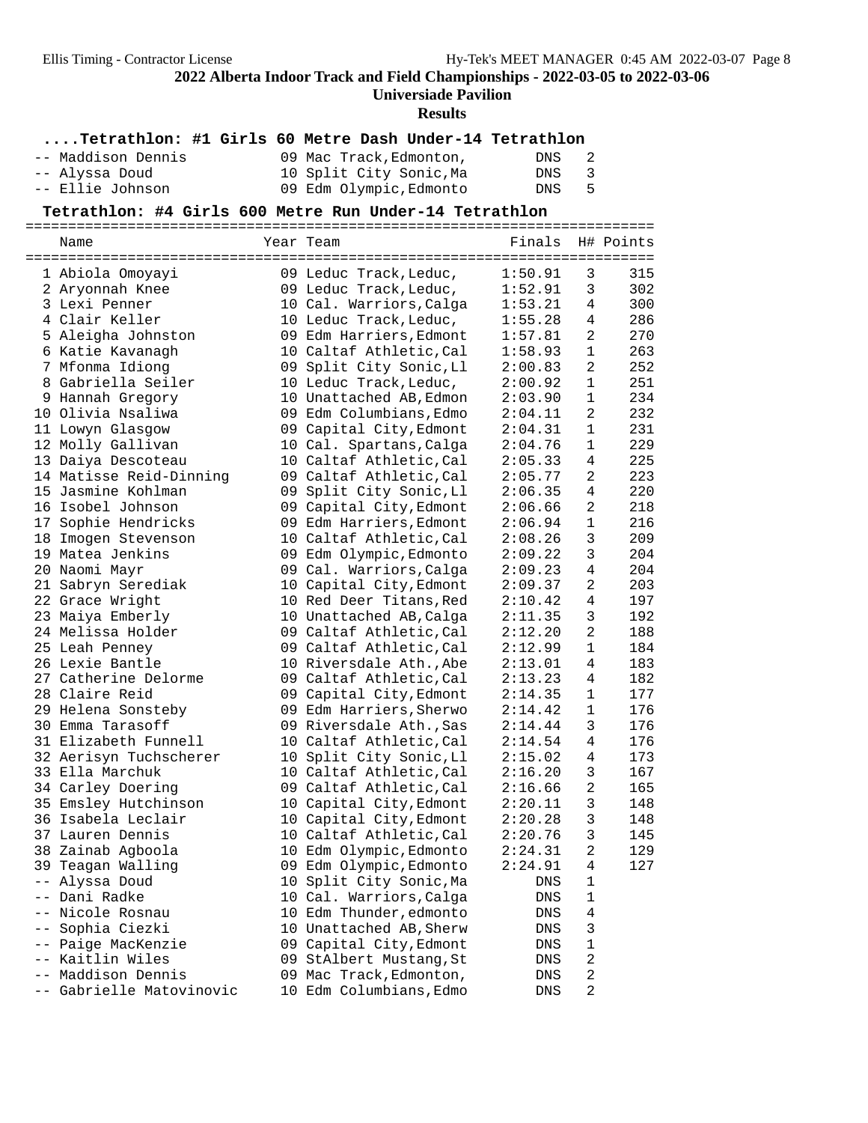### **Universiade Pavilion**

#### **Results**

# **....Tetrathlon: #1 Girls 60 Metre Dash Under-14 Tetrathlon**

| -- Maddison Dennis | 09 Mac Track, Edmonton, | DNS   | - 2 |
|--------------------|-------------------------|-------|-----|
| -- Alyssa Doud     | 10 Split City Sonic, Ma | DNS 3 |     |
| -- Ellie Johnson   | 09 Edm Olympic, Edmonto | DNS 5 |     |

**Tetrathlon: #4 Girls 600 Metre Run Under-14 Tetrathlon** ==========================================================================

| Name                     | Year Team               | Finals  |                | H# Points |
|--------------------------|-------------------------|---------|----------------|-----------|
| 1 Abiola Omoyayi         | 09 Leduc Track, Leduc,  | 1:50.91 | 3              | 315       |
| 2 Aryonnah Knee          | 09 Leduc Track, Leduc,  | 1:52.91 | 3              | 302       |
| 3 Lexi Penner            | 10 Cal. Warriors, Calga | 1:53.21 | 4              | 300       |
| 4 Clair Keller           | 10 Leduc Track, Leduc,  | 1:55.28 | 4              | 286       |
| 5 Aleigha Johnston       | 09 Edm Harriers, Edmont | 1:57.81 | 2              | 270       |
| 6 Katie Kavanagh         | 10 Caltaf Athletic, Cal | 1:58.93 | $\mathbf 1$    | 263       |
| 7 Mfonma Idiong          | 09 Split City Sonic, Ll | 2:00.83 | $\overline{a}$ | 252       |
| 8 Gabriella Seiler       | 10 Leduc Track, Leduc,  | 2:00.92 | 1              | 251       |
| 9 Hannah Gregory         | 10 Unattached AB, Edmon | 2:03.90 | $\mathbf{1}$   | 234       |
| 10 Olivia Nsaliwa        | 09 Edm Columbians, Edmo | 2:04.11 | 2              | 232       |
| 11 Lowyn Glasgow         | 09 Capital City, Edmont | 2:04.31 | 1              | 231       |
| 12 Molly Gallivan        | 10 Cal. Spartans, Calga | 2:04.76 | 1              | 229       |
| 13 Daiya Descoteau       | 10 Caltaf Athletic, Cal | 2:05.33 | 4              | 225       |
| 14 Matisse Reid-Dinning  | 09 Caltaf Athletic, Cal | 2:05.77 | $\overline{2}$ | 223       |
| 15 Jasmine Kohlman       | 09 Split City Sonic, Ll | 2:06.35 | 4              | 220       |
| 16 Isobel Johnson        | 09 Capital City, Edmont | 2:06.66 | $\overline{2}$ | 218       |
| 17 Sophie Hendricks      | 09 Edm Harriers, Edmont | 2:06.94 | $\mathbf 1$    | 216       |
| 18 Imogen Stevenson      | 10 Caltaf Athletic, Cal | 2:08.26 | 3              | 209       |
| 19 Matea Jenkins         | 09 Edm Olympic, Edmonto | 2:09.22 | 3              | 204       |
| 20 Naomi Mayr            | 09 Cal. Warriors, Calga | 2:09.23 | 4              | 204       |
| 21 Sabryn Serediak       | 10 Capital City, Edmont | 2:09.37 | $\overline{a}$ | 203       |
| 22 Grace Wright          | 10 Red Deer Titans, Red | 2:10.42 | $\overline{4}$ | 197       |
| 23 Maiya Emberly         | 10 Unattached AB, Calga | 2:11.35 | 3              | 192       |
| 24 Melissa Holder        | 09 Caltaf Athletic, Cal | 2:12.20 | $\overline{a}$ | 188       |
| 25 Leah Penney           | 09 Caltaf Athletic, Cal | 2:12.99 | 1              | 184       |
| 26 Lexie Bantle          | 10 Riversdale Ath., Abe | 2:13.01 | 4              | 183       |
| 27 Catherine Delorme     | 09 Caltaf Athletic, Cal | 2:13.23 | 4              | 182       |
| 28 Claire Reid           | 09 Capital City, Edmont | 2:14.35 | 1              | 177       |
| 29 Helena Sonsteby       | 09 Edm Harriers, Sherwo | 2:14.42 | $\mathbf 1$    | 176       |
| 30 Emma Tarasoff         | 09 Riversdale Ath., Sas | 2:14.44 | 3              | 176       |
| 31 Elizabeth Funnell     | 10 Caltaf Athletic, Cal | 2:14.54 | 4              | 176       |
| 32 Aerisyn Tuchscherer   | 10 Split City Sonic, Ll | 2:15.02 | 4              | 173       |
| 33 Ella Marchuk          | 10 Caltaf Athletic, Cal | 2:16.20 | 3              | 167       |
| 34 Carley Doering        | 09 Caltaf Athletic, Cal | 2:16.66 | $\overline{a}$ | 165       |
| 35 Emsley Hutchinson     | 10 Capital City, Edmont | 2:20.11 | $\mathbf{3}$   | 148       |
| 36 Isabela Leclair       | 10 Capital City, Edmont | 2:20.28 | 3              | 148       |
| 37 Lauren Dennis         | 10 Caltaf Athletic, Cal | 2:20.76 | 3              | 145       |
| 38 Zainab Agboola        | 10 Edm Olympic, Edmonto | 2:24.31 | $\overline{2}$ | 129       |
| 39 Teagan Walling        | 09 Edm Olympic, Edmonto | 2:24.91 | 4              | 127       |
| -- Alyssa Doud           | 10 Split City Sonic, Ma | DNS     | 1              |           |
| -- Dani Radke            | 10 Cal. Warriors, Calga | DNS     | 1              |           |
| Nicole Rosnau            | 10 Edm Thunder, edmonto | DNS     | 4              |           |
| Sophia Ciezki            | 10 Unattached AB, Sherw | DNS     | 3              |           |
| Paige MacKenzie          | 09 Capital City, Edmont | DNS     | $\mathbf 1$    |           |
| -- Kaitlin Wiles         | 09 StAlbert Mustang, St | DNS     | 2              |           |
| -- Maddison Dennis       | 09 Mac Track, Edmonton, | DNS     | 2              |           |
| -- Gabrielle Matovinovic | 10 Edm Columbians, Edmo | DNS     | 2              |           |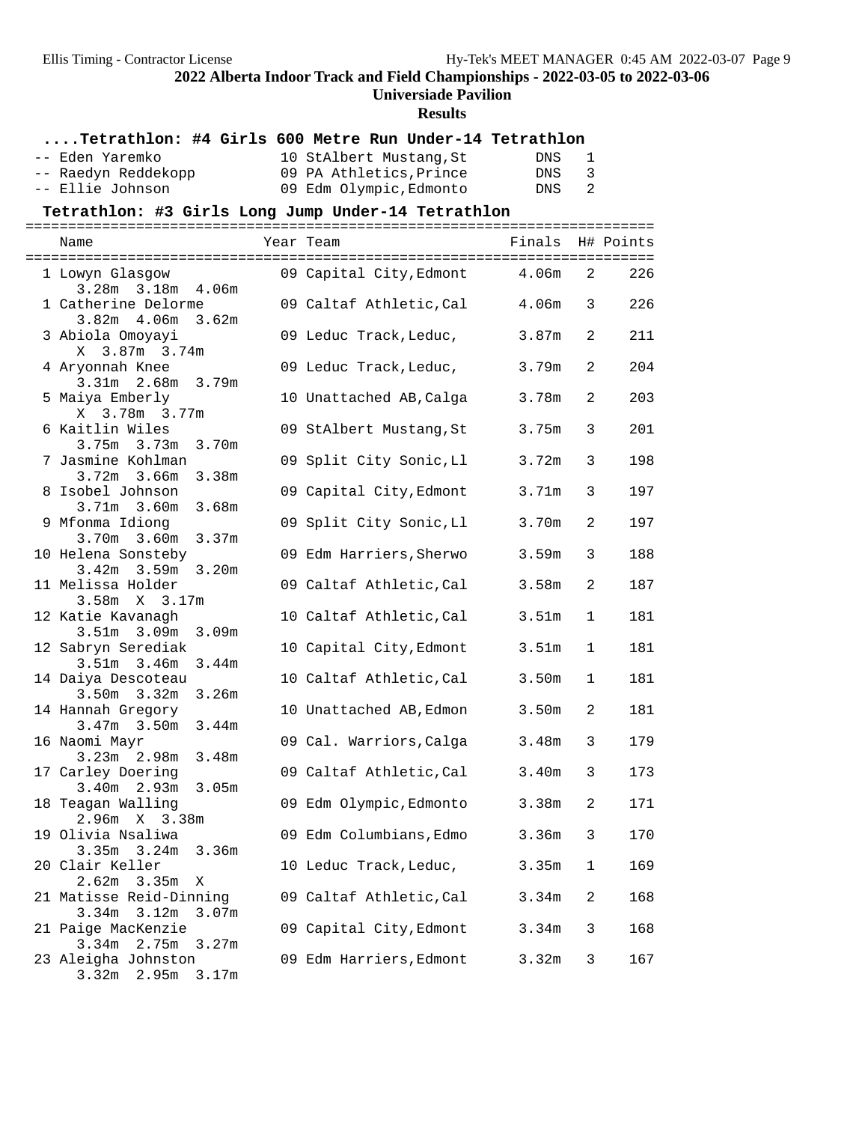#### **Universiade Pavilion**

**Results**

| Tetrathlon: #4 Girls 600 Metre Run Under-14 Tetrathlon |                         |                   |   |           |
|--------------------------------------------------------|-------------------------|-------------------|---|-----------|
| -- Eden Yaremko                                        | 10 StAlbert Mustang, St | <b>DNS</b>        | 1 |           |
| -- Raedyn Reddekopp                                    | 09 PA Athletics, Prince | DNS               | 3 |           |
| -- Ellie Johnson                                       | 09 Edm Olympic, Edmonto | DNS               | 2 |           |
| Tetrathlon: #3 Girls Long Jump Under-14 Tetrathlon     |                         |                   |   |           |
| Name                                                   | Year Team               | Finals            |   | H# Points |
| 1 Lowyn Glasgow<br>3.28m 3.18m 4.06m                   | 09 Capital City, Edmont | 4.06m             | 2 | 226       |
| 1 Catherine Delorme<br>$3.82m$ 4.06m 3.62m             | 09 Caltaf Athletic, Cal | 4.06 <sub>m</sub> | 3 | 226       |
| 3 Abiola Omoyayi<br>X 3.87m 3.74m                      | 09 Leduc Track, Leduc,  | 3.87m             | 2 | 211       |
| 4 Aryonnah Knee<br>3.31m 2.68m 3.79m                   | 09 Leduc Track, Leduc,  | 3.79m             | 2 | 204       |
| 5 Maiya Emberly<br>X 3.78m 3.77m                       | 10 Unattached AB, Calga | 3.78m             | 2 | 203       |
| 6 Kaitlin Wiles<br>3.75m 3.73m 3.70m                   | 09 StAlbert Mustang, St | 3.75m             | 3 | 201       |
| 7 Jasmine Kohlman<br>3.72m 3.66m 3.38m                 | 09 Split City Sonic, Ll | 3.72m             | 3 | 198       |
| 8 Isobel Johnson<br>$3.71m$ $3.60m$ $3.68m$            | 09 Capital City, Edmont | 3.71m             | 3 | 197       |
| 9 Mfonma Idiong<br>$3.70m$ $3.60m$<br>3.37m            | 09 Split City Sonic, Ll | 3.70m             | 2 | 197       |
| 10 Helena Sonsteby<br>3.42m 3.59m 3.20m                | 09 Edm Harriers, Sherwo | 3.59m             | 3 | 188       |
| 11 Melissa Holder<br>$3.58m \tX 3.17m$                 | 09 Caltaf Athletic, Cal | 3.58m             | 2 | 187       |
| 12 Katie Kavanagh<br>$3.51m$ $3.09m$<br>3.09m          | 10 Caltaf Athletic, Cal | 3.51 <sub>m</sub> | 1 | 181       |
| 12 Sabryn Serediak<br>3.51m 3.46m 3.44m                | 10 Capital City, Edmont | 3.51 <sub>m</sub> | 1 | 181       |
| 14 Daiya Descoteau<br>3.50m 3.32m 3.26m                | 10 Caltaf Athletic, Cal | 3.50 <sub>m</sub> | 1 | 181       |
| 14 Hannah Gregory<br>$3.47m$ 3.50m<br>3.44m            | 10 Unattached AB, Edmon | 3.50m             | 2 | 181       |
| 16 Naomi Mayr<br>3.23m 2.98m 3.48m                     | 09 Cal. Warriors, Calga | 3.48m             | 3 | 179       |
| 17 Carley Doering<br>3.40m<br>$2.93m$ $3.05m$          | 09 Caltaf Athletic, Cal | 3.40m             | 3 | 173       |
| 18 Teagan Walling<br>2.96m X 3.38m                     | 09 Edm Olympic, Edmonto | 3.38m             | 2 | 171       |
| 19 Olivia Nsaliwa<br>$3.35m$ $3.24m$<br>3.36m          | 09 Edm Columbians, Edmo | 3.36m             | 3 | 170       |
| 20 Clair Keller<br>2.62m<br>3.35m<br>X                 | 10 Leduc Track, Leduc,  | 3.35m             | 1 | 169       |
| 21 Matisse Reid-Dinning<br>3.34m<br>3.12m<br>3.07m     | 09 Caltaf Athletic, Cal | 3.34m             | 2 | 168       |
| 21 Paige MacKenzie<br>3.34m<br>2.75m<br>3.27m          | 09 Capital City, Edmont | 3.34m             | 3 | 168       |
| 23 Aleigha Johnston<br>3.32m<br>2.95m 3.17m            | 09 Edm Harriers, Edmont | 3.32 <sub>m</sub> | 3 | 167       |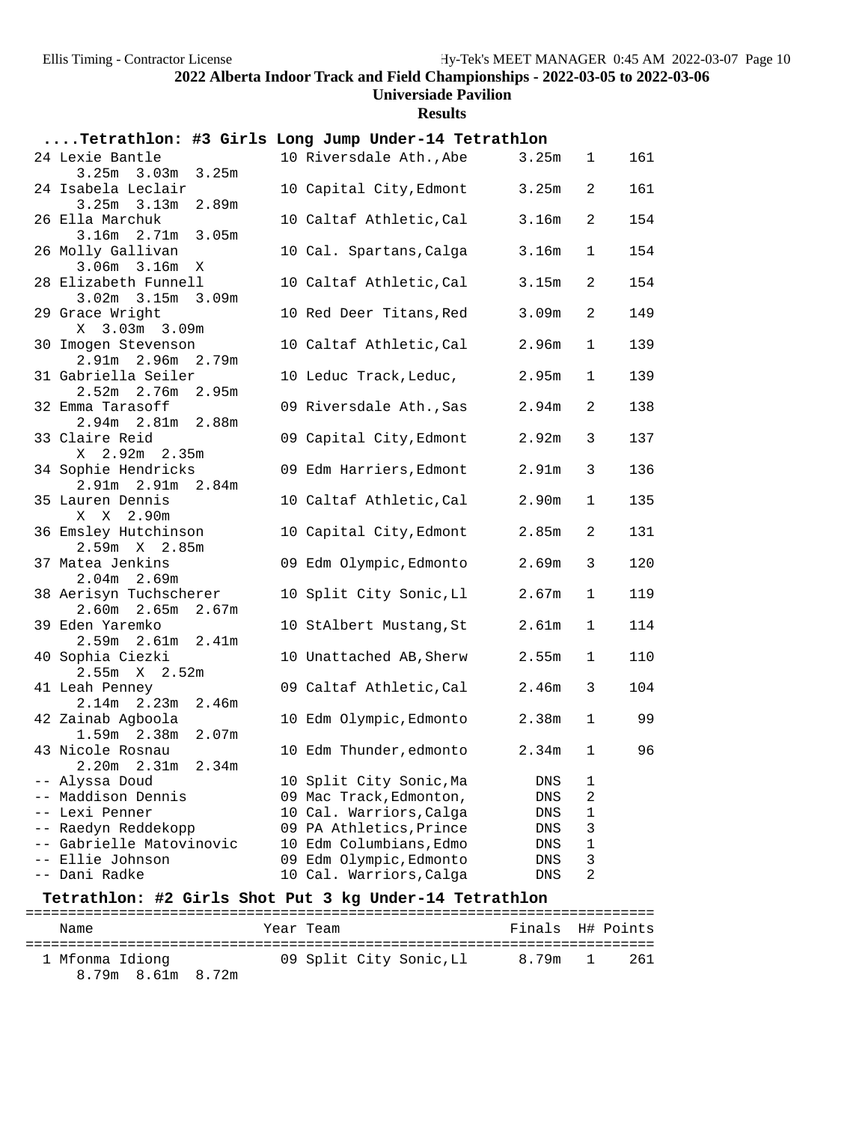#### **Universiade Pavilion**

**Results**

| Tetrathlon: #3 Girls Long Jump Under-14 Tetrathlon |                                             |                   |              |     |
|----------------------------------------------------|---------------------------------------------|-------------------|--------------|-----|
| 24 Lexie Bantle                                    | 10 Riversdale Ath., Abe                     | 3.25m             | 1            | 161 |
| $3.25m$ $3.03m$ $3.25m$<br>24 Isabela Leclair      | 10 Capital City, Edmont                     | 3.25m             | 2            | 161 |
| $3.25m$ $3.13m$<br>2.89m                           |                                             |                   |              |     |
| 26 Ella Marchuk                                    | 10 Caltaf Athletic, Cal                     | 3.16m             | 2            | 154 |
| $3.16m$ $2.71m$<br>3.05m                           |                                             |                   |              |     |
| 26 Molly Gallivan<br>$3.06m$ $3.16m$ X             | 10 Cal. Spartans, Calga                     | 3.16m             | 1            | 154 |
| 28 Elizabeth Funnell                               | 10 Caltaf Athletic, Cal                     | 3.15m             | 2            | 154 |
| $3.02m$ $3.15m$ $3.09m$                            |                                             |                   |              |     |
| 29 Grace Wright<br>X 3.03m 3.09m                   | 10 Red Deer Titans, Red                     | 3.09m             | 2            | 149 |
| 30 Imogen Stevenson                                | 10 Caltaf Athletic, Cal                     | 2.96 <sub>m</sub> | 1            | 139 |
| 2.91m 2.96m 2.79m                                  |                                             |                   |              |     |
| 31 Gabriella Seiler                                | 10 Leduc Track, Leduc,                      | 2.95m             | 1            | 139 |
| $2.52m$ 2.76m 2.95m                                |                                             |                   |              |     |
| 32 Emma Tarasoff<br>2.94m 2.81m 2.88m              | 09 Riversdale Ath., Sas                     | 2.94m             | 2            | 138 |
| 33 Claire Reid                                     | 09 Capital City, Edmont                     | 2.92m             | 3            | 137 |
| X 2.92m 2.35m                                      |                                             |                   |              |     |
| 34 Sophie Hendricks                                | 09 Edm Harriers, Edmont                     | 2.91 <sub>m</sub> | 3            | 136 |
| 2.91m 2.91m 2.84m                                  |                                             |                   |              |     |
| 35 Lauren Dennis<br>X X 2.90m                      | 10 Caltaf Athletic, Cal                     | 2.90 <sub>m</sub> | 1            | 135 |
| 36 Emsley Hutchinson                               | 10 Capital City, Edmont                     | 2.85m             | 2            | 131 |
| 2.59m X 2.85m                                      |                                             |                   |              |     |
| 37 Matea Jenkins                                   | 09 Edm Olympic, Edmonto                     | 2.69m             | 3            | 120 |
| $2.04m$ 2.69m<br>38 Aerisyn Tuchscherer            | 10 Split City Sonic, Ll                     | 2.67m             | 1            | 119 |
| 2.60m 2.65m 2.67m                                  |                                             |                   |              |     |
| 39 Eden Yaremko                                    | 10 StAlbert Mustang, St                     | 2.61 <sub>m</sub> | 1            | 114 |
| $2.59m$ $2.61m$ $2.41m$                            |                                             |                   |              |     |
| 40 Sophia Ciezki                                   | 10 Unattached AB, Sherw                     | 2.55m             | 1            | 110 |
| $2.55m \t X \t 2.52m$<br>41 Leah Penney            | 09 Caltaf Athletic, Cal                     | 2.46m             | 3            | 104 |
| 2.14m 2.23m 2.46m                                  |                                             |                   |              |     |
| 42 Zainab Agboola                                  | 10 Edm Olympic, Edmonto                     | 2.38m             | $\mathbf{1}$ | 99  |
| 1.59m 2.38m 2.07m                                  |                                             |                   |              |     |
| 43 Nicole Rosnau<br>2.34m<br>2.20m<br>2.31m        | 10 Edm Thunder, edmonto                     | 2.34m             | $\mathbf{1}$ | 96  |
| -- Alyssa Doud                                     | 10 Split City Sonic, Ma                     | DNS               | ı            |     |
| -- Maddison Dennis                                 | 09 Mac Track, Edmonton,                     | DNS               | 2            |     |
| -- Lexi Penner                                     | 10 Cal. Warriors, Calga                     | DNS               | 1            |     |
| Raedyn Reddekopp                                   | 09 PA Athletics, Prince                     | DNS               | 3            |     |
| -- Gabrielle Matovinovic                           | 10 Edm Columbians, Edmo                     | DNS               | 1            |     |
| Ellie Johnson                                      | 09 Edm Olympic, Edmonto                     | DNS               | 3            |     |
| -- Dani Radke                                      | 10 Cal. Warriors, Calga                     | DNS               | 2            |     |
| шη.                                                | $2 - 1 - \mu$ $\tau = 1 - \mu$ , $\tau = 1$ |                   |              |     |

# **Tetrathlon: #2 Girls Shot Put 3 kg Under-14 Tetrathlon** ==========================================================================

| Name                                 | Year Team               | Finals H# Points |     |
|--------------------------------------|-------------------------|------------------|-----|
| 1 Mfonma Idiong<br>8.79m 8.61m 8.72m | 09 Split City Sonic, Ll | 8.79m 1          | 261 |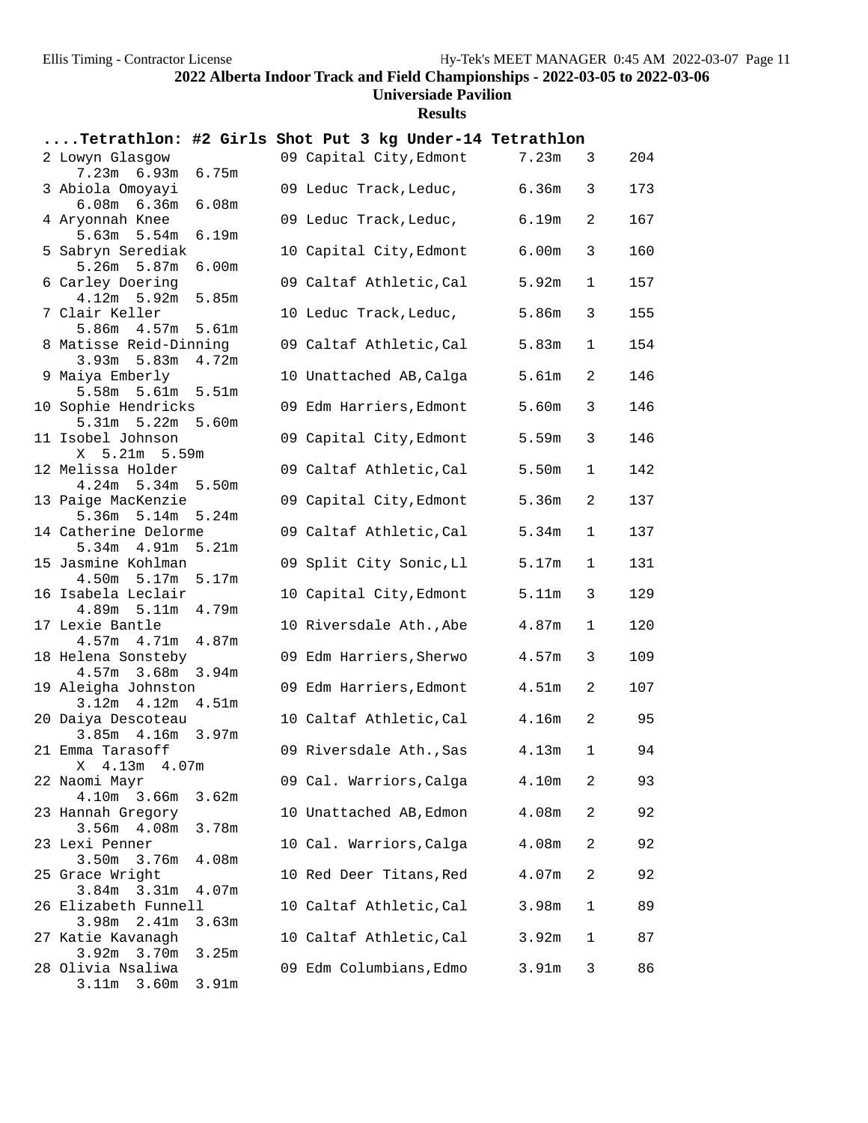#### **Universiade Pavilion**

**Results**

|                                                                          | Tetrathlon: #2 Girls Shot Put 3 kg Under-14 Tetrathlon |   |     |
|--------------------------------------------------------------------------|--------------------------------------------------------|---|-----|
| 2 Lowyn Glasgow<br>$7.23m$ 6.93m<br>6.75m                                | 09 Capital City, Edmont<br>7.23m                       | 3 | 204 |
| 3 Abiola Omoyayi<br>6.08m<br>$6.08m$ $6.36m$                             | 09 Leduc Track, Leduc,<br>6.36m                        | 3 | 173 |
| 4 Aryonnah Knee<br>$5.63m$ $5.54m$<br>6.19m                              | 6.19m<br>09 Leduc Track, Leduc,                        | 2 | 167 |
| 5 Sabryn Serediak<br>$5.26m$ $5.87m$<br>6.00 <sub>m</sub>                | 10 Capital City, Edmont<br>6.00m                       | 3 | 160 |
| 6 Carley Doering<br>$4.12m$ 5.92m<br>5.85m                               | 09 Caltaf Athletic, Cal<br>5.92m                       | 1 | 157 |
| 7 Clair Keller<br>$5.86m$ 4.57m<br>5.61m                                 | 5.86m<br>10 Leduc Track, Leduc,                        | 3 | 155 |
| 8 Matisse Reid-Dinning<br>$3.93m$ 5.83m<br>4.72m                         | 09 Caltaf Athletic, Cal<br>5.83m                       | 1 | 154 |
| 9 Maiya Emberly<br>5.58m 5.61m 5.51m                                     | 5.61m<br>10 Unattached AB, Calga                       | 2 | 146 |
| 10 Sophie Hendricks<br>$5.31m$ $5.22m$<br>5.60m                          | 5.60m<br>09 Edm Harriers, Edmont                       | 3 | 146 |
| 11 Isobel Johnson<br>X 5.21m 5.59m                                       | 09 Capital City, Edmont<br>5.59m                       | 3 | 146 |
| 12 Melissa Holder<br>4.24m 5.34m 5.50m                                   | 09 Caltaf Athletic, Cal<br>5.50m                       | 1 | 142 |
| 13 Paige MacKenzie<br>$5.36m$ $5.14m$<br>5.24m                           | 09 Capital City, Edmont<br>5.36m                       | 2 | 137 |
| 14 Catherine Delorme<br>$5.34m$ $4.91m$<br>5.21m                         | 09 Caltaf Athletic, Cal<br>5.34m                       | 1 | 137 |
| 15 Jasmine Kohlman<br>4.50m 5.17m 5.17m                                  | 09 Split City Sonic, Ll<br>5.17m                       | 1 | 131 |
| 16 Isabela Leclair<br>4.79m<br>$4.89m$ 5.11 $m$                          | 10 Capital City, Edmont<br>5.11m                       | 3 | 129 |
| 17 Lexie Bantle<br>4.87m<br>$4.57m$ $4.71m$                              | 10 Riversdale Ath., Abe<br>4.87m                       | 1 | 120 |
| 18 Helena Sonsteby<br>4.57m 3.68m 3.94m                                  | 09 Edm Harriers, Sherwo<br>4.57m                       | 3 | 109 |
| 19 Aleigha Johnston<br>$3.12m$ 4.12m<br>4.51 <sub>m</sub>                | 09 Edm Harriers, Edmont<br>4.51 <sub>m</sub>           | 2 | 107 |
| 20 Daiya Descoteau<br>3.85m 4.16m 3.97m                                  | 10 Caltaf Athletic, Cal<br>4.16m                       | 2 | 95  |
| 21 Emma Tarasoff<br>X 4.13m 4.07m                                        | 09 Riversdale Ath., Sas<br>4.13m                       | 1 | 94  |
| 22 Naomi Mayr<br>4.10m 3.66m<br>3.62m                                    | 09 Cal. Warriors, Calga<br>4.10m                       | 2 | 93  |
| 23 Hannah Gregory<br>3.56m<br>4.08m<br>3.78m                             | 10 Unattached AB, Edmon<br>4.08m                       | 2 | 92  |
| 23 Lexi Penner<br>3.50 <sub>m</sub><br>3.76m<br>4.08m                    | 10 Cal. Warriors, Calga<br>4.08m                       | 2 | 92  |
| 25 Grace Wright<br>3.31m<br>4.07m<br>3.84 <sub>m</sub>                   | 10 Red Deer Titans, Red<br>4.07m                       | 2 | 92  |
| 26 Elizabeth Funnell<br>3.98m                                            | 10 Caltaf Athletic, Cal<br>3.98m                       | 1 | 89  |
| 2.41m<br>3.63m<br>27 Katie Kavanagh                                      | 10 Caltaf Athletic, Cal<br>3.92m                       | 1 | 87  |
| $3.92m$ $3.70m$<br>3.25m<br>28 Olivia Nsaliwa<br>3.91m<br>3.11m<br>3.60m | 09 Edm Columbians, Edmo<br>3.91 <sub>m</sub>           | 3 | 86  |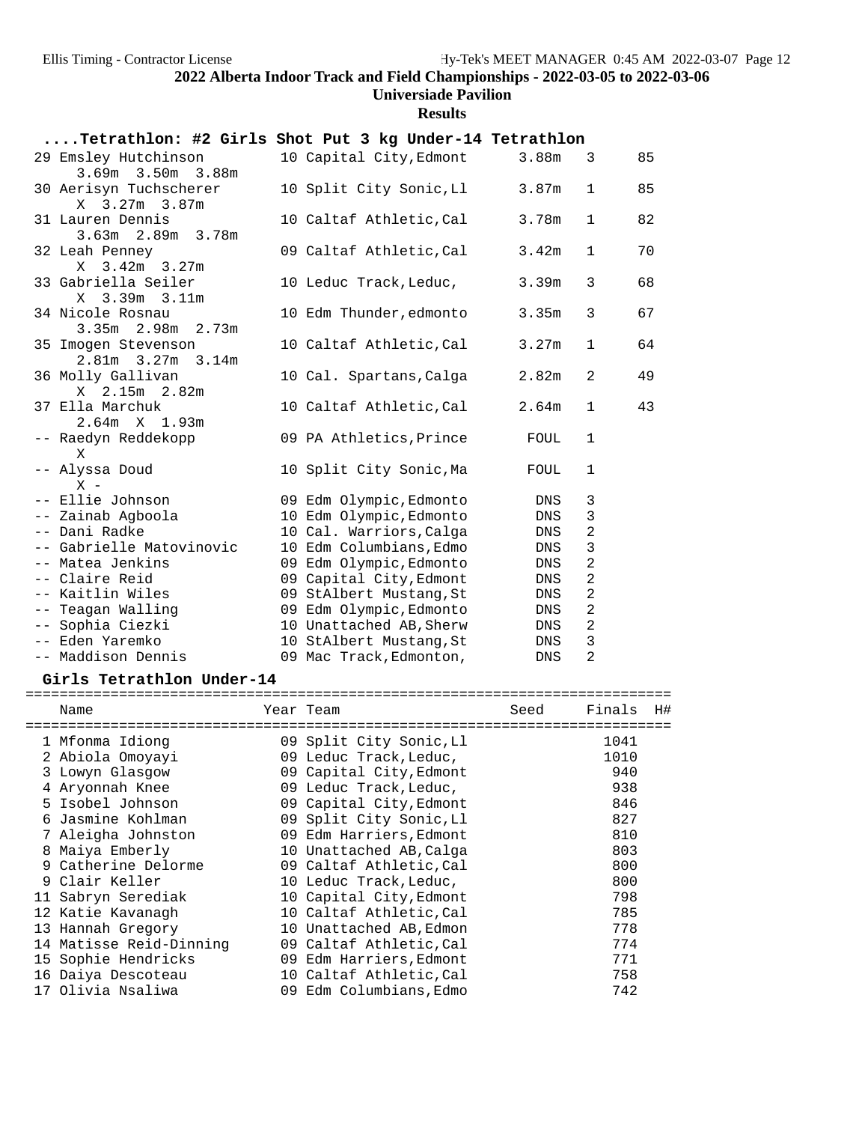### **Universiade Pavilion**

**Results**

| Tetrathlon: #2 Girls Shot Put 3 kg Under-14 Tetrathlon |                         |                   |                |    |
|--------------------------------------------------------|-------------------------|-------------------|----------------|----|
| 29 Emsley Hutchinson<br>3.69m 3.50m 3.88m              | 10 Capital City, Edmont | 3.88m             | 3              | 85 |
| 30 Aerisyn Tuchscherer<br>X 3.27m 3.87m                | 10 Split City Sonic, Ll | 3.87 <sub>m</sub> | $\mathbf{1}$   | 85 |
| 31 Lauren Dennis<br>3.63m 2.89m 3.78m                  | 10 Caltaf Athletic, Cal | 3.78m             | $\mathbf{1}$   | 82 |
| 32 Leah Penney<br>$3.42m$ $3.27m$<br>X                 | 09 Caltaf Athletic, Cal | 3.42m             | $\mathbf{1}$   | 70 |
| 33 Gabriella Seiler<br>X 3.39m 3.11m                   | 10 Leduc Track, Leduc,  | 3.39m             | 3              | 68 |
| 34 Nicole Rosnau<br>$3.35m$ $2.98m$ $2.73m$            | 10 Edm Thunder, edmonto | 3.35m             | 3              | 67 |
| 35 Imogen Stevenson<br>$2.81m$ $3.27m$ $3.14m$         | 10 Caltaf Athletic, Cal | 3.27m             | $\mathbf{1}$   | 64 |
| 36 Molly Gallivan<br>X 2.15m 2.82m                     | 10 Cal. Spartans, Calga | 2.82m             | 2              | 49 |
| 37 Ella Marchuk<br>$2.64m \t X \t 1.93m$               | 10 Caltaf Athletic,Cal  | 2.64m             | $\mathbf{1}$   | 43 |
| -- Raedyn Reddekopp<br>X                               | 09 PA Athletics, Prince | FOUL              | 1              |    |
| -- Alyssa Doud<br>$X -$                                | 10 Split City Sonic, Ma | FOUL              | $\mathbf{1}$   |    |
| -- Ellie Johnson                                       | 09 Edm Olympic, Edmonto | DNS               | 3              |    |
| -- Zainab Agboola                                      | 10 Edm Olympic, Edmonto | DNS               | $\mathbf{3}$   |    |
| -- Dani Radke                                          | 10 Cal. Warriors, Calga | DNS               | $\overline{a}$ |    |
| -- Gabrielle Matovinovic                               | 10 Edm Columbians, Edmo | DNS               | 3              |    |
| -- Matea Jenkins                                       | 09 Edm Olympic, Edmonto | DNS               | $\overline{2}$ |    |
| -- Claire Reid                                         | 09 Capital City, Edmont | DNS               | $\overline{2}$ |    |
| -- Kaitlin Wiles                                       | 09 StAlbert Mustang, St | DNS               | $\overline{a}$ |    |
| -- Teagan Walling                                      | 09 Edm Olympic, Edmonto | DNS               | $\overline{a}$ |    |
| -- Sophia Ciezki                                       | 10 Unattached AB, Sherw | DNS               | 2              |    |
| -- Eden Yaremko                                        | 10 StAlbert Mustang, St | DNS               | $\mathbf{3}$   |    |
| -- Maddison Dennis                                     | 09 Mac Track, Edmonton, | <b>DNS</b>        | $\overline{2}$ |    |

**Girls Tetrathlon Under-14** ============================================================================ Name Tear Team Seed Finals H# ============================================================================ 1 Mfonma Idiong 09 Split City Sonic,Ll 1041 2 Abiola Omoyayi 09 Leduc Track,Leduc, 1010

| 2 Abiola Omoyayı        | 09 Leduc Track, Leduc,  | 1010 |
|-------------------------|-------------------------|------|
| 3 Lowyn Glasgow         | 09 Capital City, Edmont | 940  |
| 4 Aryonnah Knee         | 09 Leduc Track, Leduc,  | 938  |
| 5 Isobel Johnson        | 09 Capital City, Edmont | 846  |
| 6 Jasmine Kohlman       | 09 Split City Sonic, Ll | 827  |
| 7 Aleigha Johnston      | 09 Edm Harriers, Edmont | 810  |
| 8 Maiya Emberly         | 10 Unattached AB, Calga | 803  |
| 9 Catherine Delorme     | 09 Caltaf Athletic, Cal | 800  |
| 9 Clair Keller          | 10 Leduc Track, Leduc,  | 800  |
| 11 Sabryn Serediak      | 10 Capital City, Edmont | 798  |
| 12 Katie Kavanagh       | 10 Caltaf Athletic, Cal | 785  |
| 13 Hannah Gregory       | 10 Unattached AB, Edmon | 778  |
| 14 Matisse Reid-Dinning | 09 Caltaf Athletic, Cal | 774  |
| 15 Sophie Hendricks     | 09 Edm Harriers, Edmont | 771  |
| 16 Daiya Descoteau      | 10 Caltaf Athletic, Cal | 758  |
| 17 Olivia Nsaliwa       | 09 Edm Columbians, Edmo | 742  |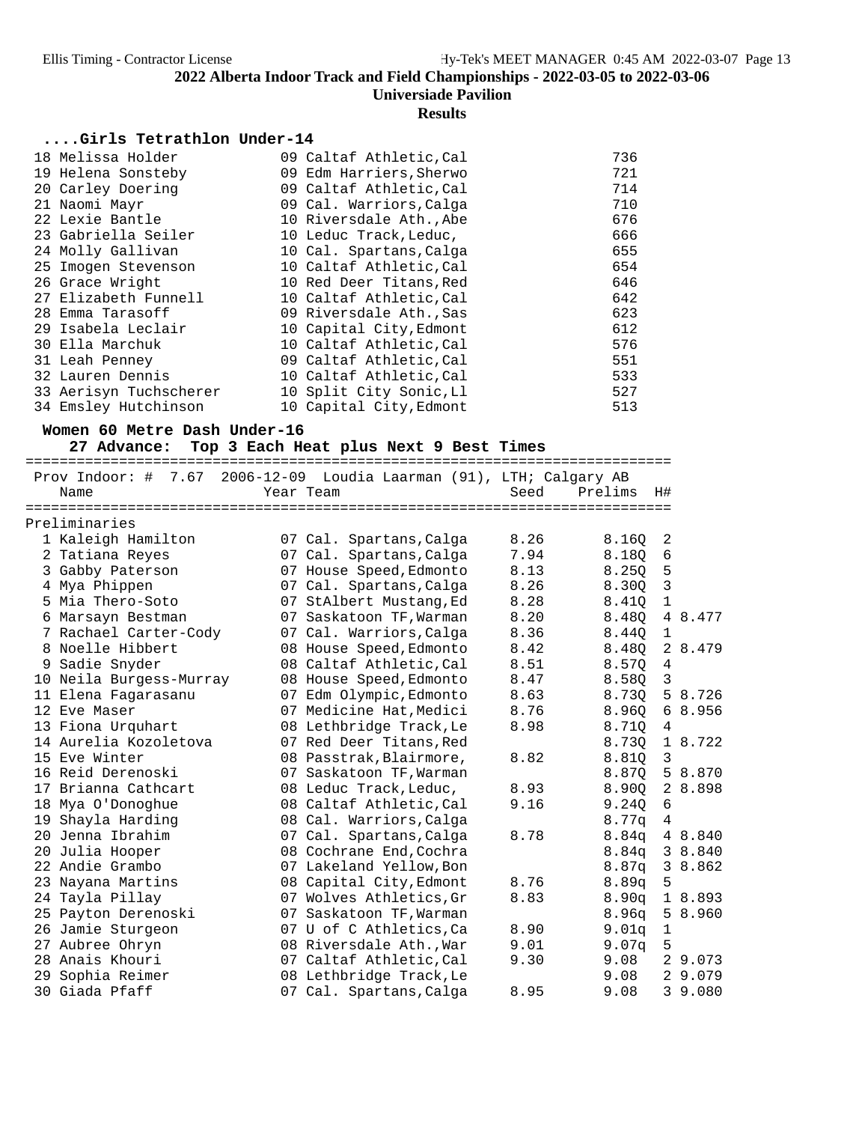#### **Results**

### **....Girls Tetrathlon Under-14**

| 18 Melissa Holder      | 09 Caltaf Athletic, Cal | 736 |
|------------------------|-------------------------|-----|
| 19 Helena Sonsteby     | 09 Edm Harriers, Sherwo | 721 |
| 20 Carley Doering      | 09 Caltaf Athletic, Cal | 714 |
| 21 Naomi Mayr          | 09 Cal. Warriors, Calga | 710 |
| 22 Lexie Bantle        | 10 Riversdale Ath., Abe | 676 |
| 23 Gabriella Seiler    | 10 Leduc Track, Leduc,  | 666 |
| 24 Molly Gallivan      | 10 Cal. Spartans, Calga | 655 |
| 25 Imogen Stevenson    | 10 Caltaf Athletic, Cal | 654 |
| 26 Grace Wright        | 10 Red Deer Titans, Red | 646 |
| 27 Elizabeth Funnell   | 10 Caltaf Athletic, Cal | 642 |
| 28 Emma Tarasoff       | 09 Riversdale Ath., Sas | 623 |
| 29 Isabela Leclair     | 10 Capital City, Edmont | 612 |
| 30 Ella Marchuk        | 10 Caltaf Athletic, Cal | 576 |
| 31 Leah Penney         | 09 Caltaf Athletic, Cal | 551 |
| 32 Lauren Dennis       | 10 Caltaf Athletic, Cal | 533 |
| 33 Aerisyn Tuchscherer | 10 Split City Sonic, Ll | 527 |
| 34 Emsley Hutchinson   | 10 Capital City, Edmont | 513 |

#### **Women 60 Metre Dash Under-16**

27 Advance: Top 3 Each Heat plus Next 9 Best Times

|   |                         |                                                      |      | =========================== |                |         |
|---|-------------------------|------------------------------------------------------|------|-----------------------------|----------------|---------|
|   | Prov Indoor: #          | 7.67 2006-12-09 Loudia Laarman (91), LTH; Calgary AB |      |                             |                |         |
|   | Name                    | Year Team                                            | Seed | Prelims                     | H#             |         |
|   | ===============         | =============                                        |      |                             |                |         |
|   | Preliminaries           |                                                      |      |                             |                |         |
|   | 1 Kaleigh Hamilton      | 07 Cal. Spartans, Calga                              | 8.26 | 8.16Q                       | 2              |         |
|   | 2 Tatiana Reyes         | 07 Cal. Spartans, Calga                              | 7.94 | 8.18Q                       | 6              |         |
|   | 3 Gabby Paterson        | 07 House Speed, Edmonto                              | 8.13 | 8.250                       | 5              |         |
|   | 4 Mya Phippen           | 07 Cal. Spartans, Calga                              | 8.26 | 8.30Q                       | $\overline{3}$ |         |
|   | 5 Mia Thero-Soto        | 07 StAlbert Mustang, Ed                              | 8.28 | 8.410                       | $\mathbf{1}$   |         |
|   | 6 Marsayn Bestman       | 07 Saskatoon TF, Warman                              | 8.20 | 8.480                       |                | 4 8.477 |
|   | 7 Rachael Carter-Cody   | 07 Cal. Warriors, Calga                              | 8.36 | 8.440                       | 1              |         |
|   | 8 Noelle Hibbert        | 08 House Speed, Edmonto                              | 8.42 | 8.480                       |                | 2 8.479 |
| 9 | Sadie Snyder            | 08 Caltaf Athletic, Cal                              | 8.51 | 8.570                       | 4              |         |
|   | 10 Neila Burgess-Murray | 08 House Speed, Edmonto                              | 8.47 | 8.580                       | $\overline{3}$ |         |
|   | 11 Elena Fagarasanu     | 07 Edm Olympic, Edmonto                              | 8.63 | 8.73Q                       |                | 5 8.726 |
|   | 12 Eve Maser            | 07 Medicine Hat, Medici                              | 8.76 | 8.960                       |                | 68.956  |
|   | 13 Fiona Urquhart       | 08 Lethbridge Track, Le                              | 8.98 | 8.71Q                       | $\overline{4}$ |         |
|   | 14 Aurelia Kozoletova   | 07 Red Deer Titans, Red                              |      | 8.730                       |                | 1 8.722 |
|   | 15 Eve Winter           | 08 Passtrak, Blairmore,                              | 8.82 | 8.810                       | 3              |         |
|   | 16 Reid Derenoski       | 07 Saskatoon TF, Warman                              |      | 8.87Q                       |                | 5 8.870 |
|   | 17 Brianna Cathcart     | 08 Leduc Track, Leduc,                               | 8.93 | 8.90Q                       |                | 2 8.898 |
|   | 18 Mya O'Donoghue       | 08 Caltaf Athletic, Cal                              | 9.16 | 9.24Q                       | 6              |         |
|   | 19 Shayla Harding       | 08 Cal. Warriors, Calga                              |      | 8.77q                       | $\overline{4}$ |         |
|   | 20 Jenna Ibrahim        | 07 Cal. Spartans, Calga                              | 8.78 | 8.84q 4 8.840               |                |         |
|   | 20 Julia Hooper         | 08 Cochrane End, Cochra                              |      | 8.84q 3 8.840               |                |         |
|   | 22 Andie Grambo         | 07 Lakeland Yellow, Bon                              |      | 8.87q                       |                | 3 8.862 |
|   | 23 Nayana Martins       | 08 Capital City, Edmont                              | 8.76 | 8.89q                       | 5              |         |
|   | 24 Tayla Pillay         | 07 Wolves Athletics, Gr                              | 8.83 | 8.90q 1 8.893               |                |         |
|   | 25 Payton Derenoski     | 07 Saskatoon TF, Warman                              |      | 8.96q                       |                | 5 8.960 |
|   | 26 Jamie Sturgeon       | 07 U of C Athletics, Ca                              | 8.90 | 9.01q                       | 1              |         |
|   | 27 Aubree Ohryn         | 08 Riversdale Ath., War                              | 9.01 | 9.07q                       | 5              |         |
|   | 28 Anais Khouri         | 07 Caltaf Athletic, Cal                              | 9.30 | 9.08                        |                | 2 9.073 |
|   | 29 Sophia Reimer        | 08 Lethbridge Track, Le                              |      | 9.08                        |                | 2 9.079 |
|   | 30 Giada Pfaff          | 07 Cal. Spartans, Calga                              | 8.95 | 9.08                        |                | 3 9.080 |
|   |                         |                                                      |      |                             |                |         |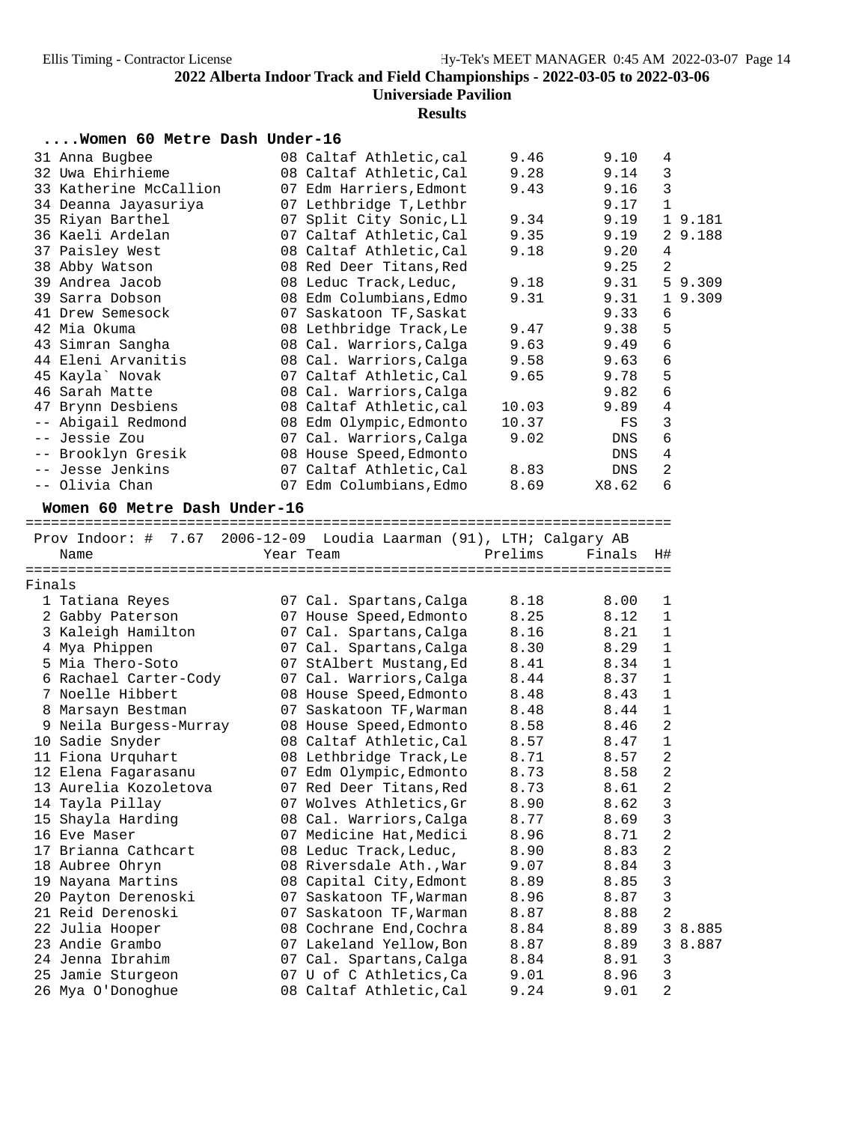#### **Results**

### **....Women 60 Metre Dash Under-16**

|        | 31 Anna Bugbee                                                      | 08 Caltaf Athletic, cal                            | 9.46         | 9.10   | 4                 |         |
|--------|---------------------------------------------------------------------|----------------------------------------------------|--------------|--------|-------------------|---------|
|        | 32 Uwa Ehirhieme                                                    | 08 Caltaf Athletic, Cal                            | 9.28         | 9.14   | 3                 |         |
|        | 33 Katherine McCallion                                              | 07 Edm Harriers, Edmont                            | 9.43         | 9.16   | 3                 |         |
|        | 34 Deanna Jayasuriya                                                | 07 Lethbridge T, Lethbr                            |              | 9.17   | $\mathbf{1}$      |         |
|        | 35 Riyan Barthel                                                    | 07 Split City Sonic, Ll                            | 9.34         | 9.19   |                   | 1 9.181 |
|        | 36 Kaeli Ardelan                                                    | 07 Caltaf Athletic, Cal                            | 9.35         | 9.19   |                   | 2 9.188 |
|        | 37 Paisley West                                                     | 08 Caltaf Athletic, Cal                            | 9.18         | 9.20   | 4                 |         |
|        | 38 Abby Watson                                                      | 08 Red Deer Titans, Red                            |              | 9.25   | 2                 |         |
|        | 39 Andrea Jacob                                                     | 08 Leduc Track, Leduc,                             | 9.18         | 9.31   |                   | 5 9.309 |
|        | 39 Sarra Dobson                                                     | 08 Edm Columbians, Edmo                            | 9.31         | 9.31   |                   | 1 9.309 |
|        | 41 Drew Semesock                                                    | 07 Saskatoon TF, Saskat                            |              | 9.33   | 6                 |         |
|        | 42 Mia Okuma                                                        | 08 Lethbridge Track, Le                            | 9.47         | 9.38   | 5                 |         |
|        | 43 Simran Sangha                                                    | 08 Cal. Warriors, Calga                            | 9.63         | 9.49   | 6                 |         |
|        | 44 Eleni Arvanitis                                                  | 08 Cal. Warriors, Calga                            | 9.58         | 9.63   | $\sqrt{6}$        |         |
|        | 45 Kayla` Novak                                                     | 07 Caltaf Athletic, Cal                            | 9.65         | 9.78   | 5                 |         |
|        | 46 Sarah Matte                                                      | 08 Cal. Warriors, Calga                            |              | 9.82   | 6                 |         |
|        | 47 Brynn Desbiens                                                   | 08 Caltaf Athletic, cal                            | 10.03        | 9.89   | 4                 |         |
|        | -- Abigail Redmond                                                  | 08 Edm Olympic, Edmonto                            | 10.37        | FS     | 3                 |         |
|        | -- Jessie Zou                                                       | 07 Cal. Warriors, Calga                            | 9.02         | DNS    | 6                 |         |
|        | -- Brooklyn Gresik                                                  | 08 House Speed, Edmonto                            |              | DNS    | 4                 |         |
|        | -- Jesse Jenkins                                                    | 07 Caltaf Athletic, Cal                            | 8.83         | DNS    | 2                 |         |
|        | -- Olivia Chan                                                      | 07 Edm Columbians, Edmo                            | 8.69         | X8.62  | 6                 |         |
|        | Women 60 Metre Dash Under-16                                        |                                                    |              |        |                   |         |
|        |                                                                     |                                                    |              |        |                   |         |
|        | Prov Indoor: # 7.67 2006-12-09 Loudia Laarman (91), LTH; Calgary AB |                                                    |              |        |                   |         |
|        | Name                                                                | Year Team                                          | Prelims      | Finals | H#                |         |
|        |                                                                     |                                                    |              |        |                   |         |
|        |                                                                     |                                                    |              |        |                   |         |
| Finals |                                                                     |                                                    |              |        |                   |         |
|        | 1 Tatiana Reyes                                                     | 07 Cal. Spartans, Calga                            | 8.18         | 8.00   | 1                 |         |
|        | 2 Gabby Paterson                                                    | 07 House Speed, Edmonto                            | 8.25         | 8.12   | $\mathbf 1$       |         |
|        | 3 Kaleigh Hamilton                                                  | 07 Cal. Spartans, Calga                            | 8.16         | 8.21   | $\mathbf{1}$      |         |
|        | 4 Mya Phippen                                                       | 07 Cal. Spartans, Calga                            | 8.30         | 8.29   | $\mathbf 1$       |         |
|        | 5 Mia Thero-Soto                                                    | 07 StAlbert Mustang, Ed                            | 8.41         | 8.34   | $\mathbf 1$       |         |
|        | 6 Rachael Carter-Cody                                               | 07 Cal. Warriors, Calga                            | 8.44         | 8.37   | 1                 |         |
|        | 7 Noelle Hibbert                                                    | 08 House Speed, Edmonto                            | 8.48         | 8.43   | $\mathbf 1$       |         |
|        | 8 Marsayn Bestman                                                   | 07 Saskatoon TF, Warman                            | 8.48         | 8.44   | $\mathbf{1}$      |         |
|        | 9 Neila Burgess-Murray                                              | 08 House Speed, Edmonto                            | 8.58         | 8.46   | 2                 |         |
|        | 10 Sadie Snyder                                                     | 08 Caltaf Athletic, Cal                            | 8.57         | 8.47   | $\mathbf 1$       |         |
|        | 11 Fiona Urquhart                                                   | 08 Lethbridge Track, Le                            | 8.71         | 8.57   | 2                 |         |
|        | 12 Elena Fagarasanu                                                 | 07 Edm Olympic, Edmonto                            | 8.73         | 8.58   | 2                 |         |
|        | 13 Aurelia Kozoletova                                               |                                                    | 8.73         | 8.61   | $\overline{c}$    |         |
|        | 14 Tayla Pillay                                                     | 07 Red Deer Titans, Red<br>07 Wolves Athletics, Gr | 8.90         | 8.62   | 3                 |         |
|        | 15 Shayla Harding                                                   | 08 Cal. Warriors, Calga                            | 8.77         | 8.69   | $\mathsf 3$       |         |
|        | 16 Eve Maser                                                        | 07 Medicine Hat, Medici                            | 8.96         | 8.71   | $\sqrt{2}$        |         |
|        | 17 Brianna Cathcart                                                 | 08 Leduc Track, Leduc,                             | 8.90         | 8.83   | 2                 |         |
|        | 18 Aubree Ohryn                                                     |                                                    | 9.07         | 8.84   | 3                 |         |
|        | 19 Nayana Martins                                                   | 08 Riversdale Ath., War                            | 8.89         | 8.85   | $\mathbf{3}$      |         |
|        | 20 Payton Derenoski                                                 | 08 Capital City, Edmont                            |              | 8.87   |                   |         |
|        | 21 Reid Derenoski                                                   | 07 Saskatoon TF, Warman<br>07 Saskatoon TF, Warman | 8.96<br>8.87 | 8.88   | $\mathbf{3}$<br>2 |         |
|        | 22 Julia Hooper                                                     | 08 Cochrane End, Cochra                            | 8.84         | 8.89   |                   | 3 8.885 |
|        | 23 Andie Grambo                                                     | 07 Lakeland Yellow, Bon                            | 8.87         | 8.89   | 3                 | 8.887   |
|        | 24 Jenna Ibrahim                                                    | 07 Cal. Spartans, Calga                            | 8.84         | 8.91   | 3                 |         |
|        | 25 Jamie Sturgeon                                                   | 07 U of C Athletics, Ca                            | 9.01         | 8.96   | 3                 |         |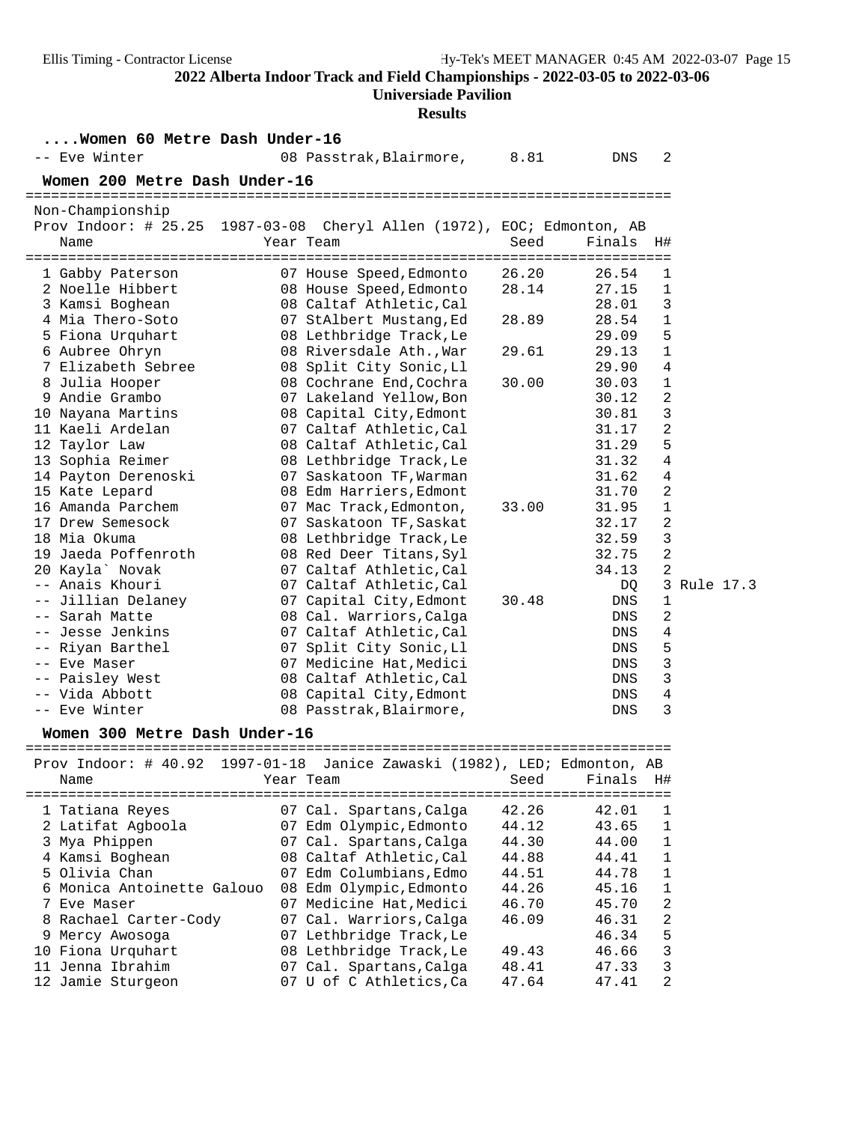### **Universiade Pavilion**

#### **Results**

| Women 60 Metre Dash Under-16     |                                                                          |                |                |             |           |
|----------------------------------|--------------------------------------------------------------------------|----------------|----------------|-------------|-----------|
| -- Eve Winter                    | 08 Passtrak, Blairmore, 8.81                                             |                | DNS            | 2           |           |
| Women 200 Metre Dash Under-16    |                                                                          |                |                |             |           |
|                                  |                                                                          |                |                |             |           |
| Non-Championship                 |                                                                          |                |                |             |           |
|                                  | Prov Indoor: # 25.25 1987-03-08 Cheryl Allen (1972), EOC; Edmonton, AB   |                |                |             |           |
| Name                             | Year Team                                                                | Seed           | Finals         | H#          |           |
| 1 Gabby Paterson                 | 07 House Speed, Edmonto                                                  | 26.20          | 26.54          | 1           |           |
| 2 Noelle Hibbert                 | 08 House Speed, Edmonto                                                  | 28.14          | 27.15          | 1           |           |
| 3 Kamsi Boghean                  | 08 Caltaf Athletic, Cal                                                  |                | 28.01          | 3           |           |
| 4 Mia Thero-Soto                 | 07 StAlbert Mustang, Ed                                                  | 28.89          | 28.54          | $\mathbf 1$ |           |
| 5 Fiona Urquhart                 | 08 Lethbridge Track, Le                                                  |                | 29.09          | 5           |           |
| 6 Aubree Ohryn                   | 08 Riversdale Ath., War                                                  | 29.61          | 29.13          | 1           |           |
| 7 Elizabeth Sebree               | 08 Split City Sonic, Ll                                                  |                | 29.90          | 4           |           |
| 8 Julia Hooper                   | 08 Cochrane End, Cochra                                                  | 30.00          | 30.03          | 1           |           |
| 9 Andie Grambo                   | 07 Lakeland Yellow, Bon                                                  |                | 30.12          | 2           |           |
| 10 Nayana Martins                | 08 Capital City, Edmont                                                  |                | 30.81          | 3           |           |
| 11 Kaeli Ardelan                 | 07 Caltaf Athletic, Cal                                                  |                | 31.17          | 2           |           |
| 12 Taylor Law                    | 08 Caltaf Athletic, Cal                                                  |                | 31.29          | 5           |           |
| 13 Sophia Reimer                 | 08 Lethbridge Track, Le                                                  |                | 31.32          | 4           |           |
| 14 Payton Derenoski              | 07 Saskatoon TF, Warman                                                  |                | 31.62          | 4           |           |
| 15 Kate Lepard                   | 08 Edm Harriers, Edmont                                                  |                | 31.70          | 2           |           |
| 16 Amanda Parchem                | 07 Mac Track, Edmonton,                                                  | 33.00          | 31.95          | 1           |           |
| 17 Drew Semesock                 | 07 Saskatoon TF, Saskat                                                  |                | 32.17          | 2           |           |
| 18 Mia Okuma                     | 08 Lethbridge Track, Le                                                  |                | 32.59          | 3           |           |
| 19 Jaeda Poffenroth              | 08 Red Deer Titans, Syl                                                  |                | 32.75          | 2           |           |
| 20 Kayla` Novak                  | 07 Caltaf Athletic, Cal                                                  |                | 34.13          | 2           |           |
| -- Anais Khouri                  | 07 Caltaf Athletic, Cal                                                  |                | DQ             | 3           | Rule 17.3 |
| -- Jillian Delaney               | 07 Capital City, Edmont                                                  | 30.48          | DNS            | 1           |           |
| -- Sarah Matte                   | 08 Cal. Warriors, Calga                                                  |                | DNS            | 2           |           |
| -- Jesse Jenkins                 | 07 Caltaf Athletic, Cal                                                  |                | DNS            | 4           |           |
| -- Riyan Barthel                 | 07 Split City Sonic, Ll                                                  |                | DNS            | 5           |           |
| -- Eve Maser                     | 07 Medicine Hat, Medici                                                  |                | DNS            | 3           |           |
| -- Paisley West                  | 08 Caltaf Athletic, Cal                                                  |                | DNS            | 3           |           |
| -- Vida Abbott                   | 08 Capital City, Edmont                                                  |                | DNS            | 4           |           |
| -- Eve Winter                    | 08 Passtrak, Blairmore,                                                  |                | DNS            | 3           |           |
| Women 300 Metre Dash Under-16    |                                                                          |                |                |             |           |
|                                  |                                                                          |                |                |             |           |
|                                  | Prov Indoor: # 40.92 1997-01-18 Janice Zawaski (1982), LED; Edmonton, AB |                |                |             |           |
| Name                             | Year Team                                                                | Seed           | Finals         | H#          |           |
|                                  |                                                                          |                |                |             |           |
| 1 Tatiana Reyes                  | 07 Cal. Spartans, Calga                                                  | 42.26          | 42.01          | 1           |           |
| 2 Latifat Agboola                | 07 Edm Olympic, Edmonto                                                  | 44.12          | 43.65          | 1<br>1      |           |
| 3 Mya Phippen<br>4 Kamsi Boghean | 07 Cal. Spartans, Calga                                                  | 44.30<br>44.88 | 44.00<br>44.41 |             |           |
| 5 Olivia Chan                    | 08 Caltaf Athletic, Cal<br>07 Edm Columbians, Edmo                       | 44.51          | 44.78          | 1<br>1      |           |
| 6 Monica Antoinette Galouo       | 08 Edm Olympic, Edmonto                                                  | 44.26          | 45.16          | 1           |           |
| 7 Eve Maser                      | 07 Medicine Hat, Medici                                                  | 46.70          | 45.70          | 2           |           |
| 8 Rachael Carter-Cody            | 07 Cal. Warriors, Calga                                                  | 46.09          | 46.31          | 2           |           |
|                                  |                                                                          |                |                |             |           |

 9 Mercy Awosoga 07 Lethbridge Track,Le 46.34 5 10 Fiona Urquhart 08 Lethbridge Track,Le 49.43 46.66 3 11 Jenna Ibrahim 07 Cal. Spartans,Calga 48.41 47.33 3 12 Jamie Sturgeon 07 U of C Athletics,Ca 47.64 47.41 2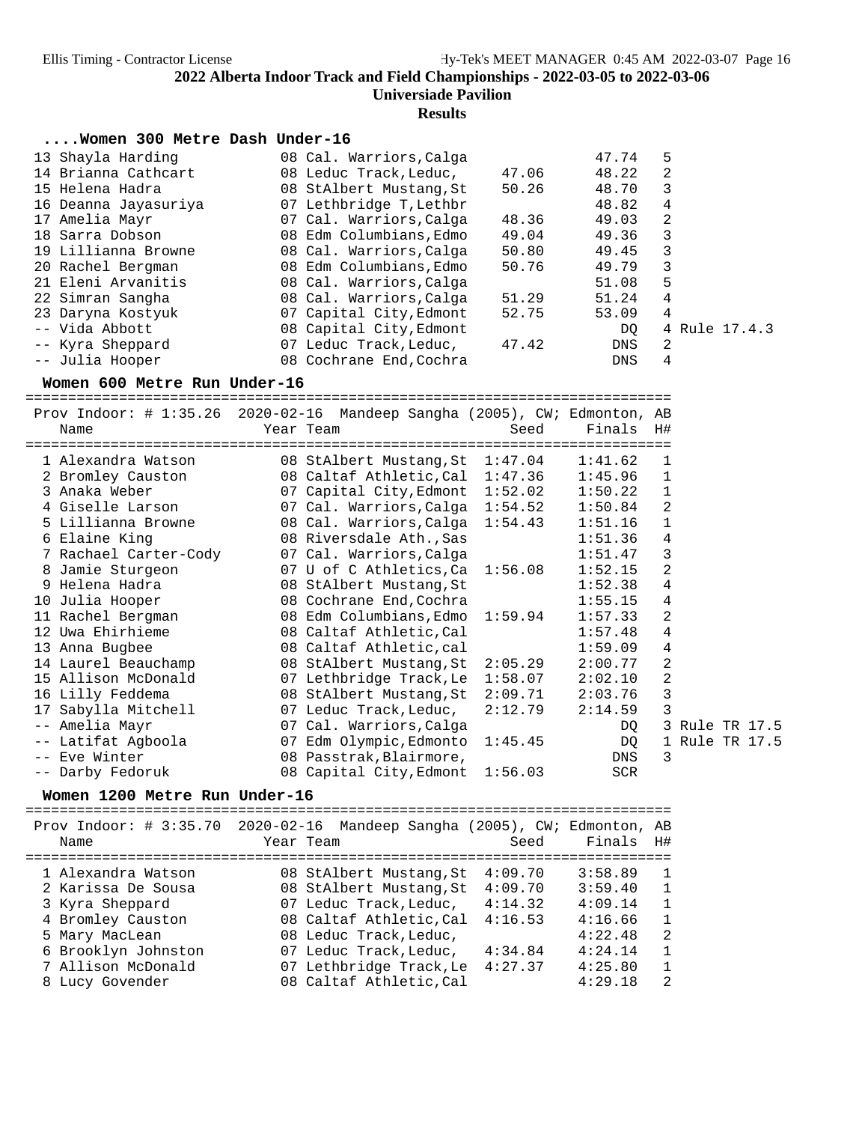#### **Results**

#### **....Women 300 Metre Dash Under-16**

| 13 Shayla Harding    | 08 Cal. Warriors, Calga |       | 47.74 | 5              |
|----------------------|-------------------------|-------|-------|----------------|
| 14 Brianna Cathcart  | 08 Leduc Track, Leduc,  | 47.06 | 48.22 | 2              |
| 15 Helena Hadra      | 08 StAlbert Mustang, St | 50.26 | 48.70 | 3              |
| 16 Deanna Jayasuriya | 07 Lethbridge T, Lethbr |       | 48.82 | 4              |
| 17 Amelia Mayr       | 07 Cal. Warriors, Calga | 48.36 | 49.03 | $\mathfrak{D}$ |
| 18 Sarra Dobson      | 08 Edm Columbians, Edmo | 49.04 | 49.36 | 3              |
| 19 Lillianna Browne  | 08 Cal. Warriors, Calga | 50.80 | 49.45 | 3              |
| 20 Rachel Bergman    | 08 Edm Columbians, Edmo | 50.76 | 49.79 | 3              |
| 21 Eleni Arvanitis   | 08 Cal. Warriors, Calga |       | 51.08 | 5              |
| 22 Simran Sangha     | 08 Cal. Warriors, Calga | 51.29 | 51.24 | 4              |
| 23 Daryna Kostyuk    | 07 Capital City, Edmont | 52.75 | 53.09 | 4              |
| -- Vida Abbott       | 08 Capital City, Edmont |       | DO.   | 4 Rule 17.4.3  |
| -- Kyra Sheppard     | 07 Leduc Track, Leduc,  | 47.42 | DNS   | 2              |
| -- Julia Hooper      | 08 Cochrane End, Cochra |       | DNS   | 4              |

**Women 600 Metre Run Under-16** ============================================================================ Prov Indoor: # 1:35.26 2020-02-16 Mandeep Sangha (2005), CW; Edmonton, AB Name Year Team Seed Finals H# ============================================================================ 1 Alexandra Watson 08 StAlbert Mustang,St 1:47.04 1:41.62 1 2 Bromley Causton 08 Caltaf Athletic,Cal 1:47.36 1:45.96 1 3 Anaka Weber 07 Capital City,Edmont 1:52.02 1:50.22 1 4 Giselle Larson 07 Cal. Warriors,Calga 1:54.52 1:50.84 2 5 Lillianna Browne 08 Cal. Warriors,Calga 1:54.43 1:51.16 1 6 Elaine King 08 Riversdale Ath.,Sas 1:51.36 4 7 Rachael Carter-Cody 07 Cal. Warriors,Calga 1:51.47 3 8 Jamie Sturgeon 07 U of C Athletics,Ca 1:56.08 1:52.15 2 9 Helena Hadra 08 StAlbert Mustang,St 1:52.38 4 10 Julia Hooper 08 Cochrane End,Cochra 1:55.15 4 11 Rachel Bergman 08 Edm Columbians,Edmo 1:59.94 1:57.33 2 12 Uwa Ehirhieme 08 Caltaf Athletic,Cal 1:57.48 4 13 Anna Bugbee 08 Caltaf Athletic,cal 1:59.09 4 14 Laurel Beauchamp 08 StAlbert Mustang,St 2:05.29 2:00.77 2 15 Allison McDonald 07 Lethbridge Track,Le 1:58.07 2:02.10 2 16 Lilly Feddema 08 StAlbert Mustang,St 2:09.71 2:03.76 3 17 Sabylla Mitchell 07 Leduc Track,Leduc, 2:12.79 2:14.59 3 -- Amelia Mayr 07 Cal. Warriors,Calga DQ 3 Rule TR 17.5 -- Latifat Agboola 07 Edm Olympic,Edmonto 1:45.45 DQ 1 Rule TR 17.5 -- Eve Winter 08 Passtrak,Blairmore, DNS 3 -- Darby Fedoruk 08 Capital City,Edmont 1:56.03 SCR

**Women 1200 Metre Run Under-16** ============================================================================ Prov Indoor: # 3:35.70 2020-02-16 Mandeep Sangha (2005), CW; Edmonton, AB Name Year Team Seed Finals H# ============================================================================ 1 Alexandra Watson 08 StAlbert Mustang,St 4:09.70 3:58.89 1 2 Karissa De Sousa 08 StAlbert Mustang,St 4:09.70 3:59.40 1 3 Kyra Sheppard 07 Leduc Track,Leduc, 4:14.32 4:09.14 1 4 Bromley Causton 08 Caltaf Athletic,Cal 4:16.53 4:16.66 1 5 Mary MacLean 08 Leduc Track,Leduc, 4:22.48 2 6 Brooklyn Johnston 07 Leduc Track,Leduc, 4:34.84 4:24.14 1 7 Allison McDonald 07 Lethbridge Track,Le 4:27.37 4:25.80 1 8 Lucy Govender 08 Caltaf Athletic,Cal 4:29.18 2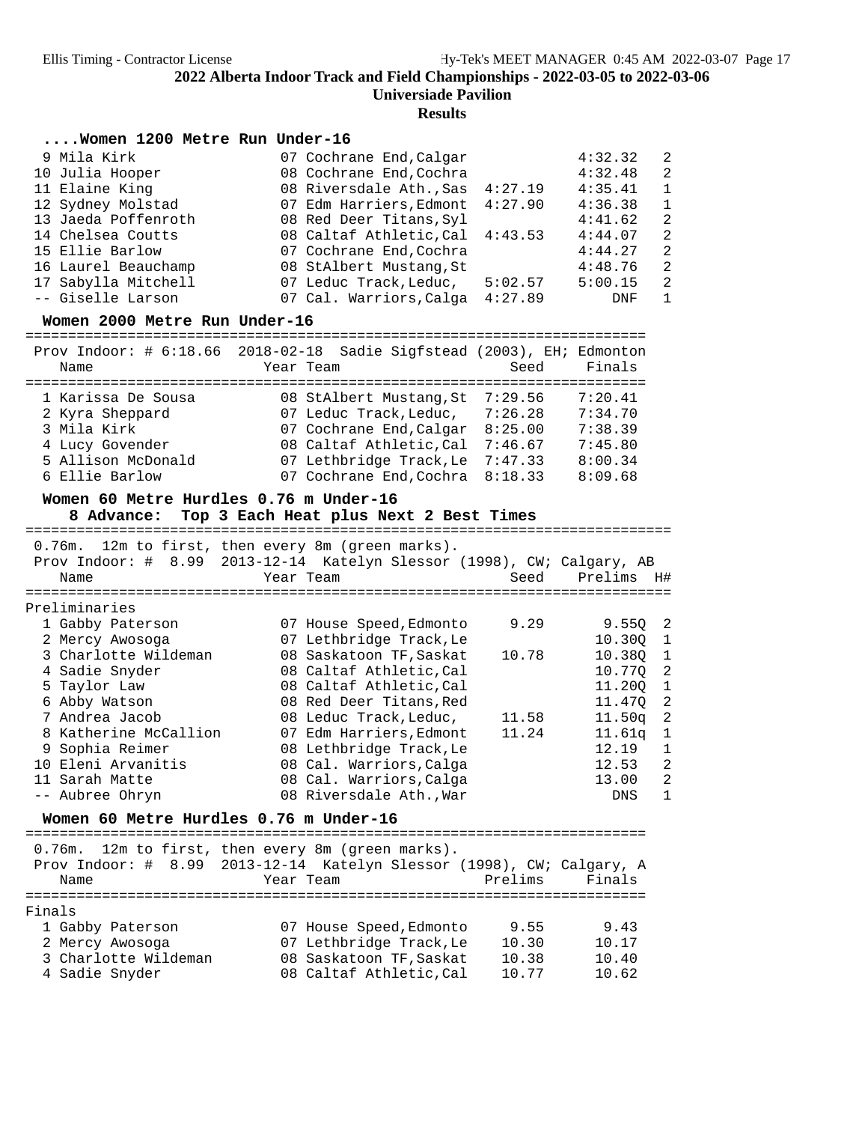## **Results**

| Women 1200 Metre Run Under-16 |  |  |
|-------------------------------|--|--|
|                               |  |  |

| 9 Mila Kirk         | 07 Cochrane End, Calgar         |         | 4:32.32 | $\overline{2}$ |
|---------------------|---------------------------------|---------|---------|----------------|
| 10 Julia Hooper     | 08 Cochrane End, Cochra         |         | 4:32.48 | -2             |
| 11 Elaine King      | 08 Riversdale Ath., Sas 4:27.19 |         | 4:35.41 | $\overline{1}$ |
| 12 Sydney Molstad   | 07 Edm Harriers, Edmont         | 4:27.90 | 4:36.38 | -1             |
| 13 Jaeda Poffenroth | 08 Red Deer Titans, Syl         |         | 4:41.62 | -2             |
| 14 Chelsea Coutts   | 08 Caltaf Athletic, Cal 4:43.53 |         | 4:44.07 | $\overline{2}$ |
| 15 Ellie Barlow     | 07 Cochrane End, Cochra         |         | 4:44.27 | $\overline{2}$ |
| 16 Laurel Beauchamp | 08 StAlbert Mustang, St         |         | 4:48.76 | $\overline{2}$ |
| 17 Sabylla Mitchell | 07 Leduc Track, Leduc,          | 5:02.57 | 5:00.15 | -2             |
| -- Giselle Larson   | 07 Cal. Warriors, Calga         | 4:27.89 | DNF     | 1              |
|                     |                                 |         |         |                |

**Women 2000 Metre Run Under-16** =========================================================================

| Name               | Prov Indoor: # 6:18.66 2018-02-18 Sadie Sigfstead (2003), EH; Edmonton<br>Year Team | Seed    | Finals  |
|--------------------|-------------------------------------------------------------------------------------|---------|---------|
|                    |                                                                                     |         |         |
| 1 Karissa De Sousa | 08 StAlbert Mustang, St                                                             | 7:29.56 | 7:20.41 |
| 2 Kyra Sheppard    | 07 Leduc Track, Leduc,                                                              | 7:26.28 | 7:34.70 |
| 3 Mila Kirk        | 07 Cochrane End, Calgar                                                             | 8:25.00 | 7:38.39 |
| 4 Lucy Govender    | 08 Caltaf Athletic, Cal                                                             | 7:46.67 | 7:45.80 |
| 5 Allison McDonald | 07 Lethbridge Track, Le                                                             | 7:47.33 | 8:00.34 |
| 6 Ellie Barlow     | 07 Cochrane End, Cochra 8:18.33                                                     |         | 8:09.68 |

# **Women 60 Metre Hurdles 0.76 m Under-16**

**8 Advance: Top 3 Each Heat plus Next 2 Best Times** ============================================================================ 0.76m. 12m to first, then every 8m (green marks).

| Name |                                                                                                                                                                                                                                                          | Seed                                                                                                                                                                                                                                                                                                                                                            | Prelims H#              |                                                                        |
|------|----------------------------------------------------------------------------------------------------------------------------------------------------------------------------------------------------------------------------------------------------------|-----------------------------------------------------------------------------------------------------------------------------------------------------------------------------------------------------------------------------------------------------------------------------------------------------------------------------------------------------------------|-------------------------|------------------------------------------------------------------------|
|      |                                                                                                                                                                                                                                                          |                                                                                                                                                                                                                                                                                                                                                                 |                         |                                                                        |
|      |                                                                                                                                                                                                                                                          |                                                                                                                                                                                                                                                                                                                                                                 |                         |                                                                        |
|      |                                                                                                                                                                                                                                                          | 9.29                                                                                                                                                                                                                                                                                                                                                            | 9.550 2                 |                                                                        |
|      |                                                                                                                                                                                                                                                          |                                                                                                                                                                                                                                                                                                                                                                 | 10.300 1                |                                                                        |
|      |                                                                                                                                                                                                                                                          | 10.78                                                                                                                                                                                                                                                                                                                                                           | 10.380 1                |                                                                        |
|      |                                                                                                                                                                                                                                                          |                                                                                                                                                                                                                                                                                                                                                                 | 10.770                  | $\overline{2}$                                                         |
|      |                                                                                                                                                                                                                                                          |                                                                                                                                                                                                                                                                                                                                                                 | 11,200                  | $\mathbf{1}$                                                           |
|      |                                                                                                                                                                                                                                                          |                                                                                                                                                                                                                                                                                                                                                                 | 11.470                  | $\overline{2}$                                                         |
|      |                                                                                                                                                                                                                                                          | 11.58                                                                                                                                                                                                                                                                                                                                                           | 11.50 <sub>q</sub>      | $\overline{2}$                                                         |
|      |                                                                                                                                                                                                                                                          | 11.24                                                                                                                                                                                                                                                                                                                                                           | 11.61q                  | 1                                                                      |
|      |                                                                                                                                                                                                                                                          |                                                                                                                                                                                                                                                                                                                                                                 | 12.19                   | $\mathbf{1}$                                                           |
|      |                                                                                                                                                                                                                                                          |                                                                                                                                                                                                                                                                                                                                                                 | 12.53                   | 2                                                                      |
|      |                                                                                                                                                                                                                                                          |                                                                                                                                                                                                                                                                                                                                                                 | 13.00                   | 2                                                                      |
|      |                                                                                                                                                                                                                                                          |                                                                                                                                                                                                                                                                                                                                                                 | DNS                     | 1                                                                      |
|      | Preliminaries<br>1 Gabby Paterson<br>2 Mercy Awosoga<br>3 Charlotte Wildeman<br>4 Sadie Snyder<br>5 Taylor Law<br>6 Abby Watson<br>7 Andrea Jacob<br>8 Katherine McCallion<br>9 Sophia Reimer<br>10 Eleni Arvanitis<br>11 Sarah Matte<br>-- Aubree Ohryn | LAM CO LILDO, CHCH CYCLY OM (MICCH MUIND).<br>Year Team<br>07 House Speed, Edmonto<br>07 Lethbridge Track, Le<br>08 Saskatoon TF, Saskat<br>08 Caltaf Athletic, Cal<br>08 Caltaf Athletic, Cal<br>08 Red Deer Titans, Red<br>08 Leduc Track, Leduc,<br>08 Lethbridge Track, Le<br>08 Cal. Warriors, Calga<br>08 Cal. Warriors, Calga<br>08 Riversdale Ath., War | 07 Edm Harriers, Edmont | Prov Indoor: # 8.99 2013-12-14 Katelyn Slessor (1998), CW; Calgary, AB |

**Women 60 Metre Hurdles 0.76 m Under-16** =========================================================================

0.76m. 12m to first, then every 8m (green marks).

| Name                 | Prov Indoor: # 8.99 2013-12-14 Katelyn Slessor (1998), CW; Calgary, A<br>Year Team | Prelims | Finals |
|----------------------|------------------------------------------------------------------------------------|---------|--------|
| Finals               |                                                                                    |         |        |
|                      |                                                                                    |         |        |
| 1 Gabby Paterson     | 07 House Speed, Edmonto                                                            | 9.55    | 9.43   |
| 2 Mercy Awosoga      | 07 Lethbridge Track, Le                                                            | 10.30   | 10.17  |
| 3 Charlotte Wildeman | 08 Saskatoon TF, Saskat                                                            | 10.38   | 10.40  |
| 4 Sadie Snyder       | 08 Caltaf Athletic, Cal                                                            | 10.77   | 10.62  |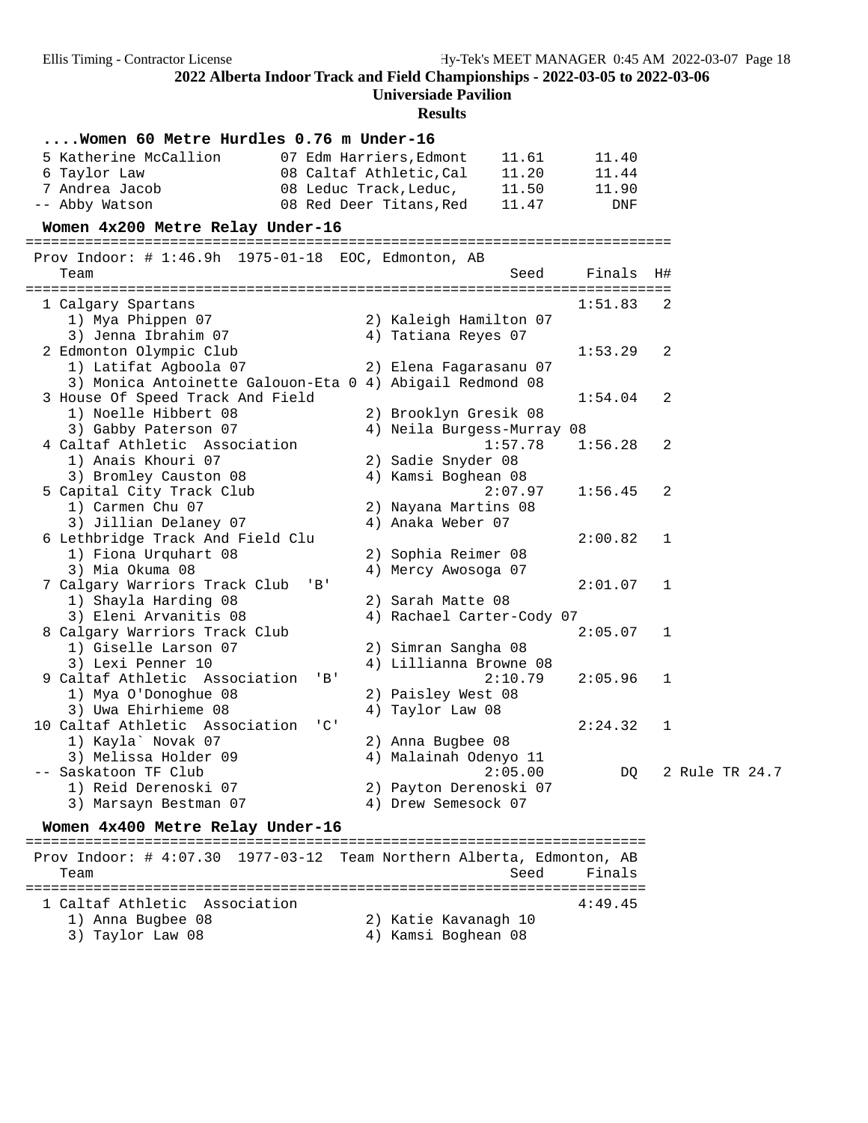# **Universiade Pavilion**

## **Results**

| Women 60 Metre Hurdles 0.76 m Under-16                 |                                                          |                |  |  |  |  |  |  |  |  |
|--------------------------------------------------------|----------------------------------------------------------|----------------|--|--|--|--|--|--|--|--|
| 5 Katherine McCallion                                  | 07 Edm Harriers. Edmont<br>11.61<br>11.40                |                |  |  |  |  |  |  |  |  |
| 6 Taylor Law                                           | 08 Caltaf Athletic, Cal<br>11.20<br>11.44                |                |  |  |  |  |  |  |  |  |
| 7 Andrea Jacob                                         | 08 Leduc Track, Leduc,<br>11.50<br>11.90                 |                |  |  |  |  |  |  |  |  |
| -- Abby Watson                                         | 11.47<br>08 Red Deer Titans, Red<br><b>DNF</b>           |                |  |  |  |  |  |  |  |  |
| Women 4x200 Metre Relay Under-16                       |                                                          |                |  |  |  |  |  |  |  |  |
| Prov Indoor: $\#$ 1:46.9h 1975-01-18 EOC, Edmonton, AB |                                                          |                |  |  |  |  |  |  |  |  |
| Team                                                   | Finals<br>Seed                                           | H#             |  |  |  |  |  |  |  |  |
| 1 Calgary Spartans                                     | 1:51.83                                                  | 2              |  |  |  |  |  |  |  |  |
| 1) Mya Phippen 07                                      | 2) Kaleigh Hamilton 07                                   |                |  |  |  |  |  |  |  |  |
| 3) Jenna Ibrahim 07                                    | 4) Tatiana Reyes 07                                      |                |  |  |  |  |  |  |  |  |
| 2 Edmonton Olympic Club                                | 1:53.29                                                  | 2              |  |  |  |  |  |  |  |  |
| 1) Latifat Agboola 07                                  | 2) Elena Fagarasanu 07                                   |                |  |  |  |  |  |  |  |  |
|                                                        | 3) Monica Antoinette Galouon-Eta 0 4) Abigail Redmond 08 |                |  |  |  |  |  |  |  |  |
| 3 House Of Speed Track And Field                       | 1:54.04                                                  | $\overline{2}$ |  |  |  |  |  |  |  |  |
| 1) Noelle Hibbert 08                                   | 2) Brooklyn Gresik 08                                    |                |  |  |  |  |  |  |  |  |
| 3) Gabby Paterson 07<br>4 Caltaf Athletic Association  | 4) Neila Burgess-Murray 08<br>1:57.78<br>1:56.28         | 2              |  |  |  |  |  |  |  |  |
| 1) Anais Khouri 07                                     | 2) Sadie Snyder 08                                       |                |  |  |  |  |  |  |  |  |
| 3) Bromley Causton 08                                  | 4) Kamsi Boghean 08                                      |                |  |  |  |  |  |  |  |  |
| 5 Capital City Track Club                              | 2:07.97<br>1:56.45                                       | 2              |  |  |  |  |  |  |  |  |
| 1) Carmen Chu 07                                       | 2) Nayana Martins 08                                     |                |  |  |  |  |  |  |  |  |
| 3) Jillian Delaney 07                                  | 4) Anaka Weber 07                                        |                |  |  |  |  |  |  |  |  |
| 6 Lethbridge Track And Field Clu                       | 2:00.82                                                  | $\mathbf{1}$   |  |  |  |  |  |  |  |  |
| 1) Fiona Urquhart 08                                   | 2) Sophia Reimer 08                                      |                |  |  |  |  |  |  |  |  |
| 3) Mia Okuma 08                                        | 4) Mercy Awosoga 07                                      |                |  |  |  |  |  |  |  |  |
| 7 Calgary Warriors Track Club                          | $'$ B $'$<br>2:01.07                                     | $\mathbf{1}$   |  |  |  |  |  |  |  |  |
| 1) Shayla Harding 08                                   | 2) Sarah Matte 08                                        |                |  |  |  |  |  |  |  |  |
| 3) Eleni Arvanitis 08                                  | 4) Rachael Carter-Cody 07                                |                |  |  |  |  |  |  |  |  |
| 8 Calgary Warriors Track Club                          | 2:05.07                                                  | 1              |  |  |  |  |  |  |  |  |
| 1) Giselle Larson 07                                   | 2) Simran Sangha 08                                      |                |  |  |  |  |  |  |  |  |
| 3) Lexi Penner 10                                      | 4) Lillianna Browne 08                                   |                |  |  |  |  |  |  |  |  |
| 9 Caltaf Athletic Association                          | 2:10.79<br>$'$ B $'$<br>2:05.96                          | $\mathbf{1}$   |  |  |  |  |  |  |  |  |
| 1) Mya O'Donoghue 08<br>3) Uwa Ehirhieme 08            | 2) Paisley West 08<br>4) Taylor Law 08                   |                |  |  |  |  |  |  |  |  |
| 10 Caltaf Athletic Association                         | $^{\prime}$ C $^{\prime}$<br>2:24.32                     | $\mathbf 1$    |  |  |  |  |  |  |  |  |
| 1) Kayla' Novak 07                                     | 2) Anna Bugbee 08                                        |                |  |  |  |  |  |  |  |  |
| 3) Melissa Holder 09                                   | 4) Malainah Odenyo 11                                    |                |  |  |  |  |  |  |  |  |
| -- Saskatoon TF Club                                   | 2:05.00<br>DQ                                            | 2 Rule TR 24.7 |  |  |  |  |  |  |  |  |
| 1) Reid Derenoski 07                                   | 2) Payton Derenoski 07                                   |                |  |  |  |  |  |  |  |  |
| 3) Marsayn Bestman 07                                  | 4) Drew Semesock 07                                      |                |  |  |  |  |  |  |  |  |
| Women 4x400 Metre Relay Under-16                       |                                                          |                |  |  |  |  |  |  |  |  |
|                                                        |                                                          |                |  |  |  |  |  |  |  |  |

 Prov Indoor: # 4:07.30 1977-03-12 Team Northern Alberta, Edmonton, AB Seed Finals ========================================================================= 1 Caltaf Athletic Association 1) Anna Bugbee 08 2) Katie Kavanagh 10 3) Taylor Law 08 1988 120 Memmat 2008 120 Memmat 2010 121 Memmat 2010 121 Memmat 2010 121 Memmat 30 Memmat 30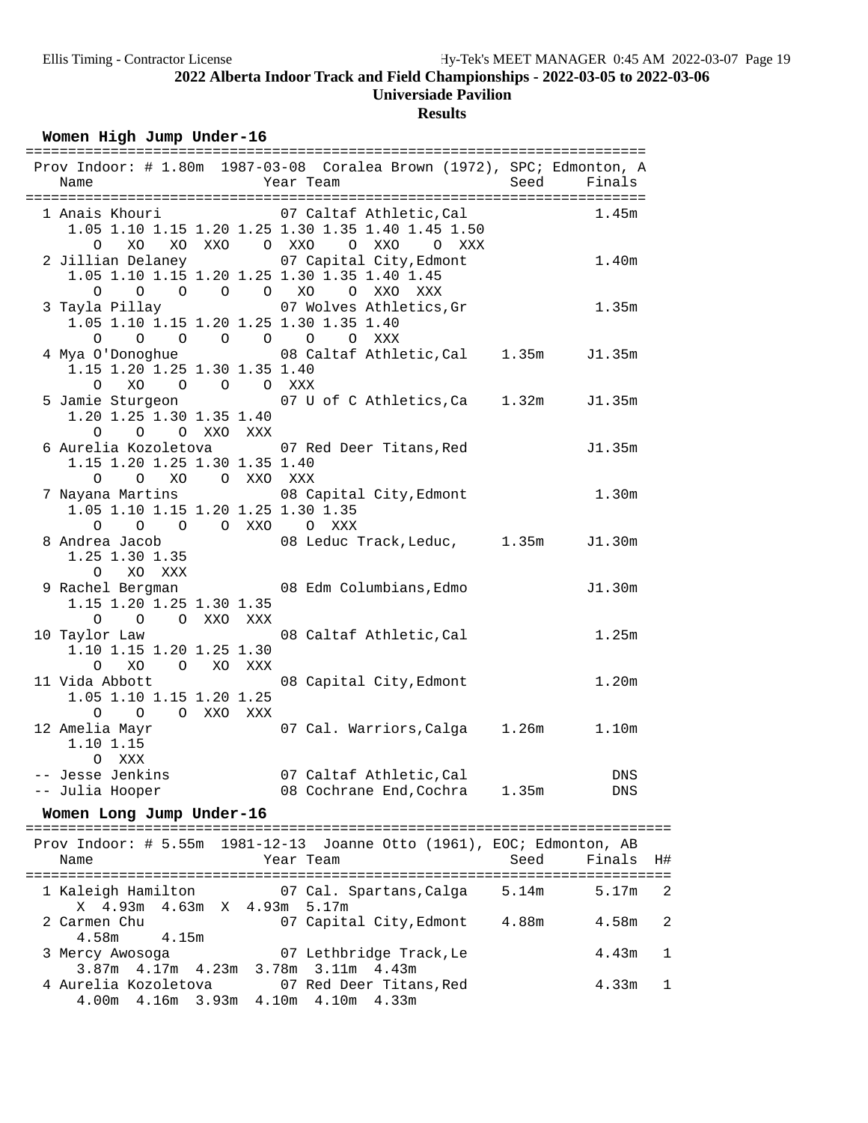### **Results**

## Women High Jump Under-16

| Name                                                                                                            | Prov Indoor: # 1.80m 1987-03-08 Coralea Brown (1972), SPC; Edmonton, A<br>Year Team | Seed  | Finals            |                |
|-----------------------------------------------------------------------------------------------------------------|-------------------------------------------------------------------------------------|-------|-------------------|----------------|
| 1 Anais Khouri 107 Caltaf Athletic, Cal<br>$\circ$<br>XO                                                        | 1.05 1.10 1.15 1.20 1.25 1.30 1.35 1.40 1.45 1.50<br>XOXXO OXXO OXXO OXXX           |       | 1.45m             |                |
| 2 Jillian Delaney<br>1.05 1.10 1.15 1.20 1.25 1.30 1.35 1.40 1.45<br>0 0 0 0 0 XO 0 XXO XXX                     | 07 Capital City, Edmont                                                             |       | 1.40m             |                |
| 3 Tayla Pillay 67 Wolves Athletics, Gr<br>1.05 1.10 1.15 1.20 1.25 1.30 1.35 1.40<br>0 0 0 0 0 0 XXX<br>$\circ$ |                                                                                     |       | 1.35m             |                |
| 1.15 1.20 1.25 1.30 1.35 1.40<br>0 XO 0 0 0 XXX                                                                 | 4 Mya O'Donoghue 68 Caltaf Athletic, Cal 1.35m J1.35m                               |       |                   |                |
| 1.20 1.25 1.30 1.35 1.40<br>0 0 0 XXO XXX                                                                       | 5 Jamie Sturgeon 67 U of C Athletics, Ca 1.32m J1.35m                               |       |                   |                |
| 6 Aurelia Kozoletova 07 Red Deer Titans, Red<br>1.15 1.20 1.25 1.30 1.35 1.40<br>O O XO O XXO XXX               |                                                                                     |       | J1.35m            |                |
| 7 Nayana Martins<br>1.05 1.10 1.15 1.20 1.25 1.30 1.35<br>0 0 0 0 XXO 0 XXX                                     | 08 Capital City, Edmont                                                             |       | 1.30m             |                |
| 8 Andrea Jacob<br>1.25 1.30 1.35<br>O XO XXX                                                                    | 08 Leduc Track, Leduc, 1.35m J1.30m                                                 |       |                   |                |
| 9 Rachel Bergman 68 Edm Columbians, Edmo<br>1.15 1.20 1.25 1.30 1.35<br>O O O XXO XXX                           |                                                                                     |       | J1.30m            |                |
| 10 Taylor Law<br>1.10 1.15 1.20 1.25 1.30<br>XO O XO XXX<br>$\circ$                                             | 08 Caltaf Athletic, Cal                                                             |       | 1.25m             |                |
| 11 Vida Abbott<br>1.05 1.10 1.15 1.20 1.25<br>$0\qquad 0$<br>O XXO XXX                                          | 08 Capital City, Edmont                                                             |       | 1.20m             |                |
| 12 Amelia Mayr<br>1.10 1.15<br>O XXX                                                                            | 07 Cal. Warriors, Calga 1.26m                                                       |       | 1.10m             |                |
| -- Jesse Jenkins<br>-- Julia Hooper                                                                             | 07 Caltaf Athletic, Cal<br>08 Cochrane End, Cochra 1.35m                            |       | <b>DNS</b><br>DNS |                |
| Women Long Jump Under-16                                                                                        |                                                                                     |       |                   |                |
| Name                                                                                                            | Prov Indoor: # 5.55m 1981-12-13 Joanne Otto (1961), EOC; Edmonton, AB<br>Year Team  | Seed  | Finals            | H#             |
| 1 Kaleigh Hamilton<br>X 4.93m 4.63m X 4.93m 5.17m                                                               | 07 Cal. Spartans, Calga                                                             | 5.14m | 5.17m             | $\overline{2}$ |
| 2 Carmen Chu<br>4.58m<br>4.15m                                                                                  | 07 Capital City, Edmont 4.88m                                                       |       | 4.58m             | $\overline{2}$ |
| 3 Mercy Awosoga<br>3.87m 4.17m 4.23m 3.78m 3.11m 4.43m                                                          | 07 Lethbridge Track, Le                                                             |       | 4.43m             | 1              |
| 4 Aurelia Kozoletova<br>4.00m  4.16m  3.93m  4.10m  4.10m  4.33m                                                | 07 Red Deer Titans, Red                                                             |       | 4.33m             | 1              |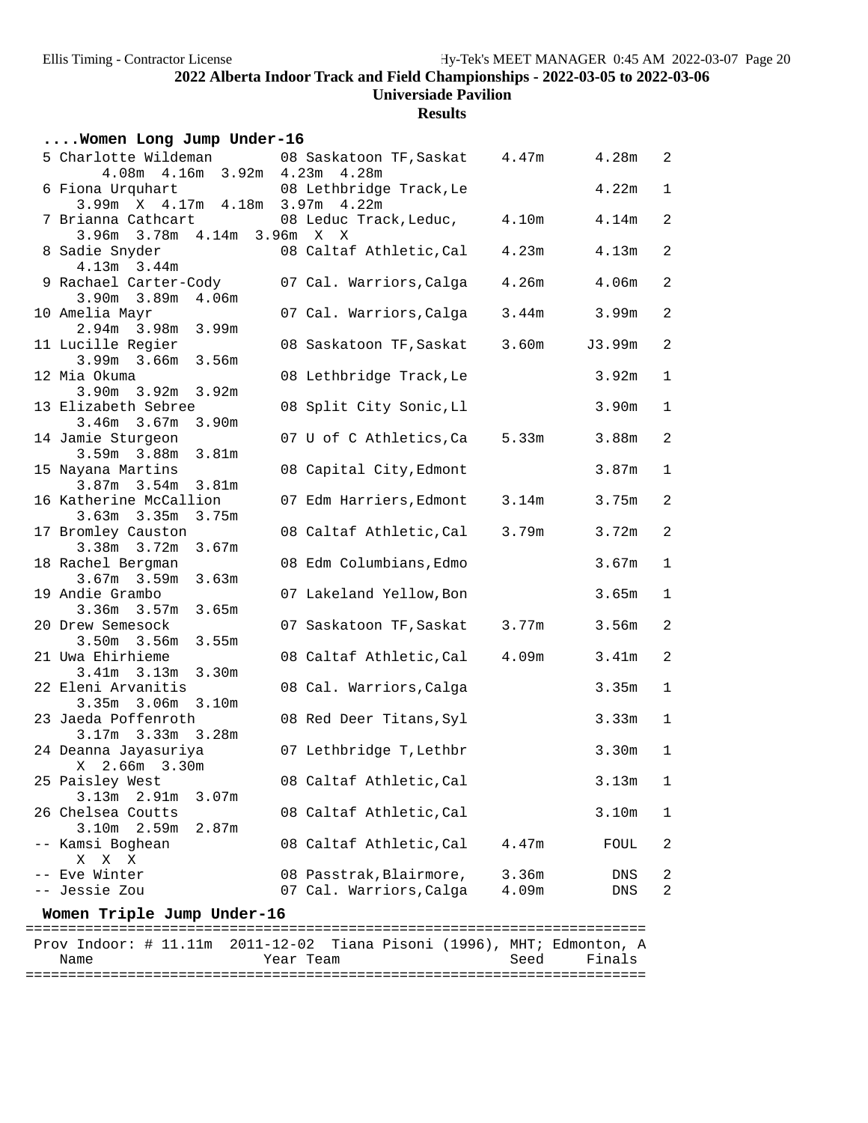**Results**

| Women Long Jump Under-16                                           |                                  |       |        |                         |
|--------------------------------------------------------------------|----------------------------------|-------|--------|-------------------------|
| 5 Charlotte Wildeman                                               | 08 Saskatoon TF, Saskat 4.47m    |       | 4.28m  | $\overline{2}$          |
| 4.08m  4.16m  3.92m  4.23m<br>6 Fiona Urquhart                     | 4.28m<br>08 Lethbridge Track, Le |       | 4.22m  | $\mathbf 1$             |
| 3.99m X 4.17m 4.18m 3.97m 4.22m                                    |                                  |       |        |                         |
| 7 Brianna Cathcart                                                 | 08 Leduc Track, Leduc,           | 4.10m | 4.14m  | $\overline{a}$          |
| 3.78m 4.14m 3.96m X X<br>3.96m                                     |                                  |       |        |                         |
| 8 Sadie Snyder<br>$4.13m$ $3.44m$                                  | 08 Caltaf Athletic, Cal          | 4.23m | 4.13m  | $\overline{a}$          |
| 9 Rachael Carter-Cody                                              | 07 Cal. Warriors, Calga          | 4.26m | 4.06m  | $\overline{a}$          |
| $3.90m$ $3.89m$<br>4.06m                                           |                                  |       |        |                         |
| 10 Amelia Mayr                                                     | 07 Cal. Warriors, Calga          | 3.44m | 3.99m  | $\overline{a}$          |
| $2.94m$ 3.98m<br>3.99m                                             |                                  |       |        |                         |
| 11 Lucille Regier                                                  | 08 Saskatoon TF,Saskat           | 3.60m | J3.99m | $\overline{a}$          |
| $3.99m$ $3.66m$<br>3.56m                                           |                                  |       |        |                         |
| 12 Mia Okuma                                                       | 08 Lethbridge Track, Le          |       | 3.92m  | $\mathbf 1$             |
| 3.92m<br>$3.90m$ $3.92m$                                           |                                  |       |        |                         |
| 13 Elizabeth Sebree<br>3.46m<br>3.67m<br>3.90 <sub>m</sub>         | 08 Split City Sonic, Ll          |       | 3.90m  | $\mathbf{1}$            |
| 14 Jamie Sturgeon                                                  | 07 U of C Athletics, Ca          | 5.33m | 3.88m  | $\overline{a}$          |
| $3.59m$ $3.88m$<br>3.81 <sub>m</sub>                               |                                  |       |        |                         |
| 15 Nayana Martins                                                  | 08 Capital City, Edmont          |       | 3.87m  | $\mathbf 1$             |
| $3.87m$ $3.54m$<br>3.81 <sub>m</sub>                               |                                  |       |        |                         |
| 16 Katherine McCallion                                             | 07 Edm Harriers, Edmont          | 3.14m | 3.75m  | $\overline{a}$          |
| $3.63m$ $3.35m$<br>3.75m                                           |                                  |       |        |                         |
| 17 Bromley Causton                                                 | 08 Caltaf Athletic, Cal          | 3.79m | 3.72m  | $\overline{a}$          |
| 3.38m 3.72m<br>3.67m                                               |                                  |       |        |                         |
| 18 Rachel Bergman                                                  | 08 Edm Columbians, Edmo          |       | 3.67m  | $\mathbf 1$             |
| $3.67m$ $3.59m$<br>3.63m                                           |                                  |       |        |                         |
| 19 Andie Grambo<br>3.36m<br>3.57m<br>3.65m                         | 07 Lakeland Yellow, Bon          |       | 3.65m  | $\mathbf{1}$            |
| 20 Drew Semesock                                                   | 07 Saskatoon TF, Saskat          | 3.77m | 3.56m  | $\overline{a}$          |
| $3.50m$ $3.56m$<br>3.55m                                           |                                  |       |        |                         |
| 21 Uwa Ehirhieme                                                   | 08 Caltaf Athletic, Cal          | 4.09m | 3.41m  | $\overline{a}$          |
| $3.41m$ $3.13m$<br>3.30 <sub>m</sub>                               |                                  |       |        |                         |
| 22 Eleni Arvanitis                                                 | 08 Cal. Warriors, Calga          |       | 3.35m  | $\mathbf 1$             |
| $3.35m$ $3.06m$<br>3.10m                                           |                                  |       |        |                         |
| 23 Jaeda Poffenroth                                                | 08 Red Deer Titans, Syl          |       | 3.33m  | 1                       |
| 3.17m 3.33m 3.28m                                                  |                                  |       |        |                         |
| 24 Deanna Jayasuriya                                               | 07 Lethbridge T, Lethbr          |       | 3.30m  | $\mathbf 1$             |
| X 2.66m 3.30m                                                      |                                  |       |        |                         |
| 25 Paisley West<br>3.13m<br>2.91 <sub>m</sub><br>3.07 <sub>m</sub> | 08 Caltaf Athletic, Cal          |       | 3.13m  | 1                       |
| 26 Chelsea Coutts                                                  | 08 Caltaf Athletic, Cal          |       | 3.10m  | 1                       |
| 3.10m<br>2.59m<br>2.87m                                            |                                  |       |        |                         |
| -- Kamsi Boghean                                                   | 08 Caltaf Athletic, Cal          | 4.47m | FOUL   | 2                       |
| Χ<br>Χ<br>Χ                                                        |                                  |       |        |                         |
| Eve Winter                                                         | 08 Passtrak, Blairmore,          | 3.36m | DNS    | 2                       |
| Jessie Zou                                                         | 07 Cal. Warriors, Calga          | 4.09m | DNS    | $\overline{\mathbf{c}}$ |
|                                                                    |                                  |       |        |                         |

**Women Triple Jump Under-16** ========================================================================= Prov Indoor: # 11.11m 2011-12-02 Tiana Pisoni (1996), MHT; Edmonton, A Name Tear Team Seed Finals =========================================================================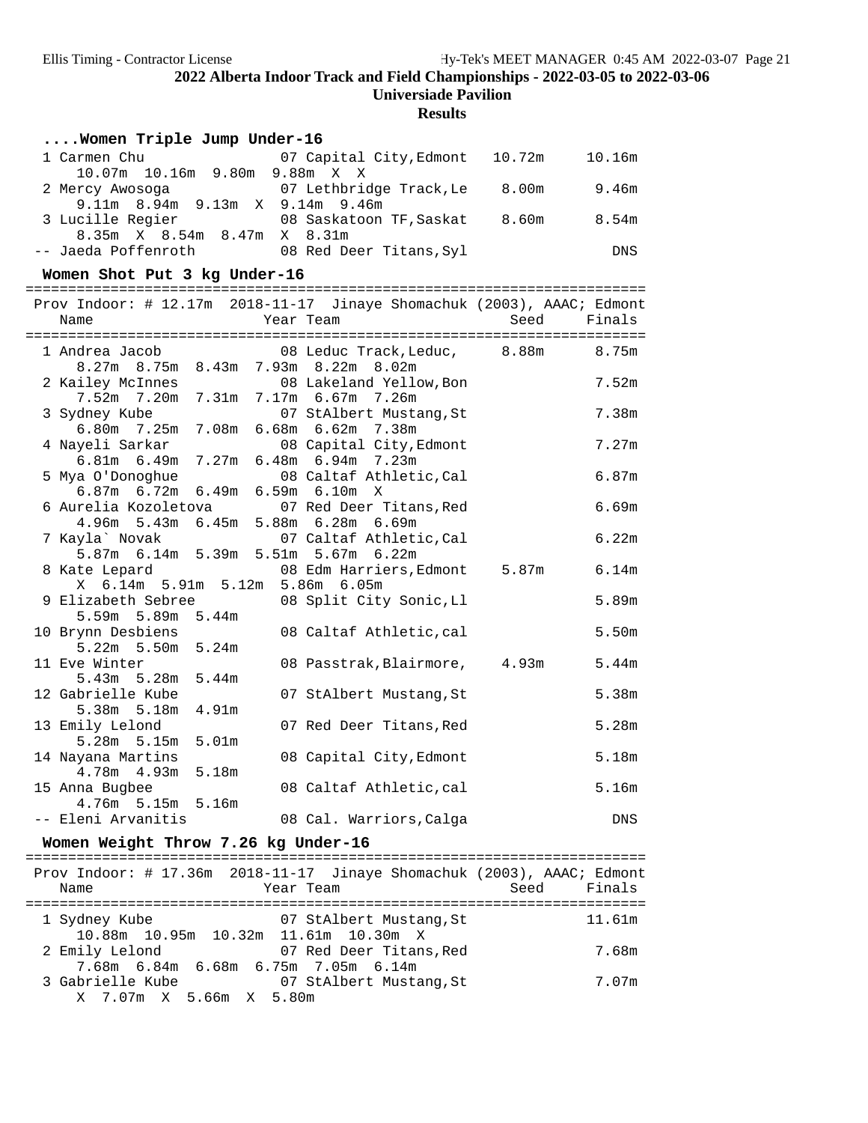| Women Triple Jump Under-16                                                                                   |       |                   |
|--------------------------------------------------------------------------------------------------------------|-------|-------------------|
| 1 Carmen Chu<br>07 Capital City, Edmont 10.72m<br>10.07m  10.16m  9.80m  9.88m  X  X                         |       | 10.16m            |
| 07 Lethbridge Track, Le 8.00m<br>2 Mercy Awosoga<br>9.11m 8.94m 9.13m X 9.14m 9.46m                          |       | 9.46m             |
| 3 Lucille Regier<br>08 Saskatoon TF, Saskat 8.60m<br>8.35m X 8.54m 8.47m X 8.31m                             |       | 8.54m             |
| -- Jaeda Poffenroth 08 Red Deer Titans, Syl                                                                  |       | DNS               |
| Women Shot Put 3 kg Under-16                                                                                 |       |                   |
| Prov Indoor: # 12.17m 2018-11-17 Jinaye Shomachuk (2003), AAAC; Edmont<br>Name<br>Year Team                  | Seed  | Finals            |
|                                                                                                              |       |                   |
| 08 Leduc Track, Leduc, 8.88m 8.75m<br>1 Andrea Jacob<br>8.27m 8.75m 8.43m 7.93m 8.22m 8.02m                  |       |                   |
| 2 Kailey McInnes 68 Lakeland Yellow, Bon<br>7.52m 7.20m 7.31m 7.17m 6.67m 7.26m                              |       | 7.52m             |
| 3 Sydney Kube<br>07 StAlbert Mustang, St<br>6.80m 7.25m 7.08m 6.68m 6.62m 7.38m                              |       | 7.38m             |
| 4 Nayeli Sarkar<br>08 Capital City, Edmont<br>6.81m 6.49m 7.27m 6.48m 6.94m 7.23m                            |       | 7.27m             |
| 08 Caltaf Athletic, Cal<br>5 Mya O'Donoghue<br>6.87m 6.72m 6.49m 6.59m 6.10m X                               |       | 6.87m             |
| 6 Aurelia Kozoletova<br>07 Red Deer Titans, Red<br>4.96m 5.43m 6.45m 5.88m 6.28m 6.69m                       |       | 6.69m             |
| 07 Caltaf Athletic, Cal<br>7 Kayla` Novak<br>5.87m 6.14m 5.39m 5.51m 5.67m 6.22m                             |       | 6.22m             |
| 8 Kate Lepard<br>08 Edm Harriers, Edmont<br>X 6.14m 5.91m 5.12m 5.86m 6.05m                                  | 5.87m | 6.14m             |
| 9 Elizabeth Sebree<br>08 Split City Sonic, Ll<br>5.59m 5.89m 5.44m                                           |       | 5.89m             |
| 10 Brynn Desbiens<br>08 Caltaf Athletic, cal<br>5.22m 5.50m 5.24m                                            |       | 5.50 <sub>m</sub> |
| 11 Eve Winter<br>08 Passtrak, Blairmore, 4.93m<br>5.43m 5.28m 5.44m                                          |       | 5.44m             |
| 12 Gabrielle Kube<br>07 StAlbert Mustang, St<br>5.38m 5.18m<br>4.91 <sub>m</sub>                             |       | 5.38m             |
| 13 Emily Lelond<br>07 Red Deer Titans, Red<br>5.28m 5.15m 5.01m                                              |       | 5.28m             |
| 14 Nayana Martins<br>08 Capital City, Edmont<br>4.78m  4.93m  5.18m                                          |       | 5.18m             |
| 15 Anna Bugbee<br>08 Caltaf Athletic, cal<br>4.76m 5.15m 5.16m                                               |       | 5.16m             |
| -- Eleni Arvanitis<br>08 Cal. Warriors, Calga                                                                |       | DNS               |
| Women Weight Throw 7.26 kg Under-16                                                                          |       |                   |
| Prov Indoor: # 17.36m 2018-11-17 Jinaye Shomachuk (2003), AAAC; Edmont<br>Year Team<br>Name                  | Seed  | Finals            |
| 07 StAlbert Mustang, St<br>1 Sydney Kube                                                                     |       | 11.61m            |
| 10.88m  10.95m  10.32m  11.61m  10.30m  X<br>2 Emily Lelond<br>07 Red Deer Titans,Red                        |       | 7.68m             |
| 7.68m 6.84m 6.68m 6.75m 7.05m 6.14m<br>3 Gabrielle Kube<br>07 StAlbert Mustang,St<br>X 7.07m X 5.66m X 5.80m |       | 7.07m             |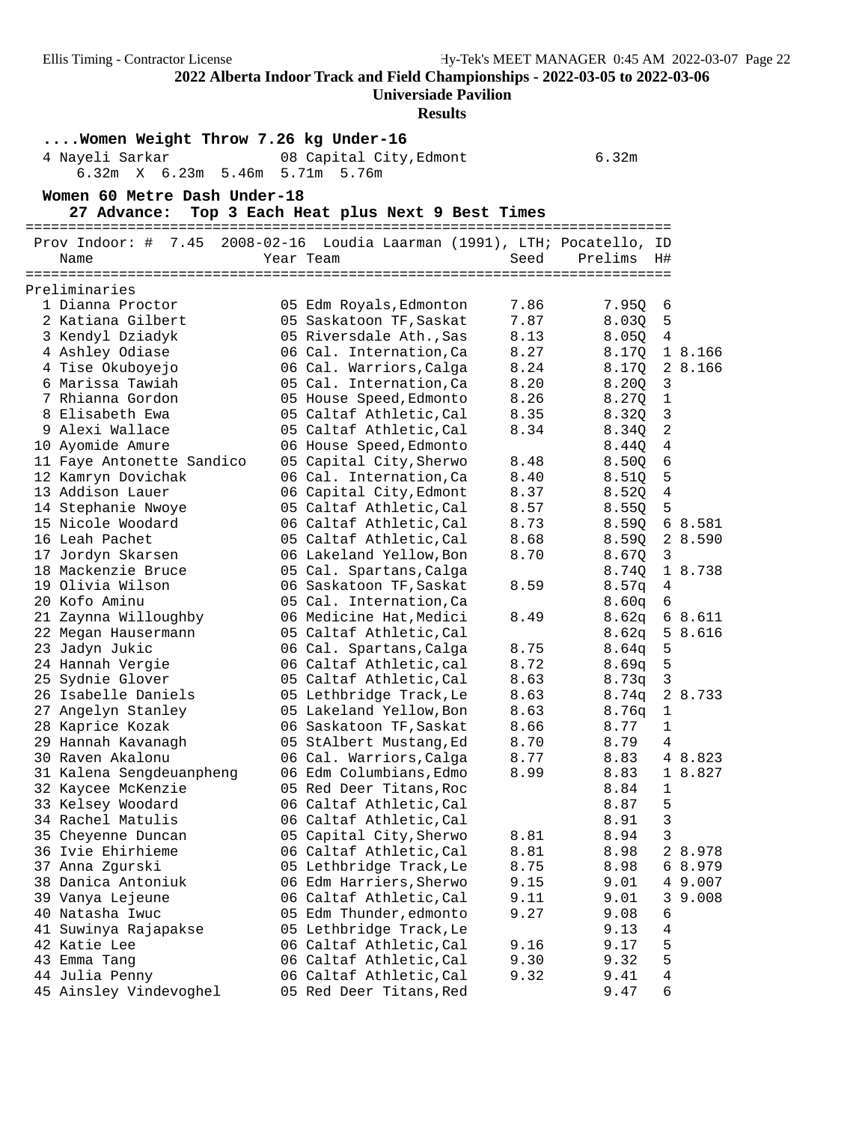**Universiade Pavilion**

| Women Weight Throw 7.26 kg Under-16<br>4 Nayeli Sarkar<br>6.32m<br>08 Capital City, Edmont<br>6.23m 5.46m<br>6.32m X<br>5.71m<br>5.76m |  |                                                    |              |                |                   |  |  |  |
|----------------------------------------------------------------------------------------------------------------------------------------|--|----------------------------------------------------|--------------|----------------|-------------------|--|--|--|
| Women 60 Metre Dash Under-18<br>27 Advance:<br>Top 3 Each Heat plus Next 9 Best Times                                                  |  |                                                    |              |                |                   |  |  |  |
| Prov Indoor: #<br>7.45<br>2008-02-16 Loudia Laarman (1991), LTH; Pocatello, ID<br>Year Team<br>Seed<br>Prelims H#<br>Name              |  |                                                    |              |                |                   |  |  |  |
|                                                                                                                                        |  |                                                    |              |                |                   |  |  |  |
| Preliminaries                                                                                                                          |  |                                                    |              |                |                   |  |  |  |
| 1 Dianna Proctor                                                                                                                       |  | 05 Edm Royals, Edmonton                            | 7.86         | 7.95Q          | 6                 |  |  |  |
| 2 Katiana Gilbert                                                                                                                      |  | 05 Saskatoon TF, Saskat                            | 7.87         | 8.030          | 5                 |  |  |  |
| 3 Kendyl Dziadyk                                                                                                                       |  | 05 Riversdale Ath., Sas                            | 8.13         | 8.050          | 4                 |  |  |  |
| 4 Ashley Odiase                                                                                                                        |  | 06 Cal. Internation, Ca                            | 8.27         | 8.17Q          | 1 8.166           |  |  |  |
| 4 Tise Okuboyejo                                                                                                                       |  | 06 Cal. Warriors, Calga                            | 8.24         | 8.17Q          | 2 8.166           |  |  |  |
| 6 Marissa Tawiah                                                                                                                       |  | 05 Cal. Internation, Ca                            | 8.20         | 8.20Q          | $\mathbf{3}$      |  |  |  |
| 7 Rhianna Gordon                                                                                                                       |  | 05 House Speed, Edmonto                            | 8.26         | 8.27Q          | $\mathbf{1}$      |  |  |  |
| 8 Elisabeth Ewa<br>9 Alexi Wallace                                                                                                     |  | 05 Caltaf Athletic, Cal                            | 8.35         | 8.32Q          | 3                 |  |  |  |
|                                                                                                                                        |  | 05 Caltaf Athletic, Cal                            | 8.34         | 8.340          | 2                 |  |  |  |
| 10 Ayomide Amure                                                                                                                       |  | 06 House Speed, Edmonto                            |              | 8.44Q          | 4                 |  |  |  |
| 11 Faye Antonette Sandico                                                                                                              |  | 05 Capital City, Sherwo                            | 8.48         | 8.50Q          | 6                 |  |  |  |
| 12 Kamryn Dovichak                                                                                                                     |  | 06 Cal. Internation, Ca                            | 8.40         | 8.51Q          | 5                 |  |  |  |
| 13 Addison Lauer                                                                                                                       |  | 06 Capital City, Edmont                            | 8.37         | 8.52Q          | $\overline{4}$    |  |  |  |
| 14 Stephanie Nwoye<br>15 Nicole Woodard                                                                                                |  | 05 Caltaf Athletic, Cal                            | 8.57<br>8.73 | 8.55Q          | 5                 |  |  |  |
| 16 Leah Pachet                                                                                                                         |  | 06 Caltaf Athletic, Cal<br>05 Caltaf Athletic, Cal | 8.68         | 8.59Q          | 68.581<br>2 8.590 |  |  |  |
| 17 Jordyn Skarsen                                                                                                                      |  |                                                    | 8.70         | 8.59Q          | 3                 |  |  |  |
| 18 Mackenzie Bruce                                                                                                                     |  | 06 Lakeland Yellow, Bon<br>05 Cal. Spartans, Calga |              | 8.67Q<br>8.74Q | 1 8.738           |  |  |  |
| 19 Olivia Wilson                                                                                                                       |  | 06 Saskatoon TF, Saskat                            | 8.59         | 8.57q          | 4                 |  |  |  |
| 20 Kofo Aminu                                                                                                                          |  | 05 Cal. Internation, Ca                            |              | 8.60q          | 6                 |  |  |  |
| 21 Zaynna Willoughby                                                                                                                   |  | 06 Medicine Hat, Medici                            | 8.49         | 8.62q          | 68.611            |  |  |  |
| 22 Megan Hausermann                                                                                                                    |  | 05 Caltaf Athletic, Cal                            |              | 8.62q          | 5 8.616           |  |  |  |
| 23 Jadyn Jukic                                                                                                                         |  | 06 Cal. Spartans, Calga                            | 8.75         | 8.64q          | 5                 |  |  |  |
| 24 Hannah Vergie                                                                                                                       |  | 06 Caltaf Athletic, cal                            | 8.72         | 8.69q          | 5                 |  |  |  |
| 25 Sydnie Glover                                                                                                                       |  | 05 Caltaf Athletic, Cal                            | 8.63         | 8.73q          | 3                 |  |  |  |
| 26 Isabelle Daniels                                                                                                                    |  | 05 Lethbridge Track, Le                            | 8.63         | 8.74q          | 2 8.733           |  |  |  |
| 27 Angelyn Stanley                                                                                                                     |  | 05 Lakeland Yellow, Bon                            | 8.63         | 8.76q          | 1                 |  |  |  |
| 28 Kaprice Kozak                                                                                                                       |  | 06 Saskatoon TF, Saskat                            | 8.66         | 8.77           | $\mathbf{1}$      |  |  |  |
| 29 Hannah Kavanagh                                                                                                                     |  | 05 StAlbert Mustang, Ed                            | 8.70         | 8.79           | 4                 |  |  |  |
| 30 Raven Akalonu                                                                                                                       |  | 06 Cal. Warriors, Calga                            | 8.77         | 8.83           | 4 8.823           |  |  |  |
| 31 Kalena Sengdeuanpheng                                                                                                               |  | 06 Edm Columbians, Edmo                            | 8.99         | 8.83           | 1 8.827           |  |  |  |
| 32 Kaycee McKenzie                                                                                                                     |  | 05 Red Deer Titans, Roc                            |              | 8.84           | 1                 |  |  |  |
| 33 Kelsey Woodard                                                                                                                      |  | 06 Caltaf Athletic, Cal                            |              | 8.87           | 5                 |  |  |  |
| 34 Rachel Matulis                                                                                                                      |  | 06 Caltaf Athletic, Cal                            |              | 8.91           | 3                 |  |  |  |
| 35 Cheyenne Duncan                                                                                                                     |  | 05 Capital City, Sherwo                            | 8.81         | 8.94           | 3                 |  |  |  |
| 36 Ivie Ehirhieme                                                                                                                      |  | 06 Caltaf Athletic, Cal                            | 8.81         | 8.98           | 2 8.978           |  |  |  |
| 37 Anna Zgurski                                                                                                                        |  | 05 Lethbridge Track, Le                            | 8.75         | 8.98           | 6 8.979           |  |  |  |
| 38 Danica Antoniuk                                                                                                                     |  | 06 Edm Harriers, Sherwo                            | 9.15         | 9.01           | 4 9.007           |  |  |  |
| 39 Vanya Lejeune                                                                                                                       |  | 06 Caltaf Athletic, Cal                            | 9.11         | 9.01           | 3<br>9.008        |  |  |  |
| 40 Natasha Iwuc                                                                                                                        |  | 05 Edm Thunder, edmonto                            | 9.27         | 9.08           | 6                 |  |  |  |
| 41 Suwinya Rajapakse                                                                                                                   |  | 05 Lethbridge Track, Le                            |              | 9.13           | 4                 |  |  |  |
| 42 Katie Lee                                                                                                                           |  | 06 Caltaf Athletic, Cal                            | 9.16         | 9.17           | 5                 |  |  |  |
| 43 Emma Tang                                                                                                                           |  | 06 Caltaf Athletic, Cal                            | 9.30         | 9.32           | 5                 |  |  |  |
| 44 Julia Penny                                                                                                                         |  | 06 Caltaf Athletic, Cal                            | 9.32         | 9.41           | 4                 |  |  |  |
| 45 Ainsley Vindevoghel                                                                                                                 |  | 05 Red Deer Titans, Red                            |              | 9.47           | 6                 |  |  |  |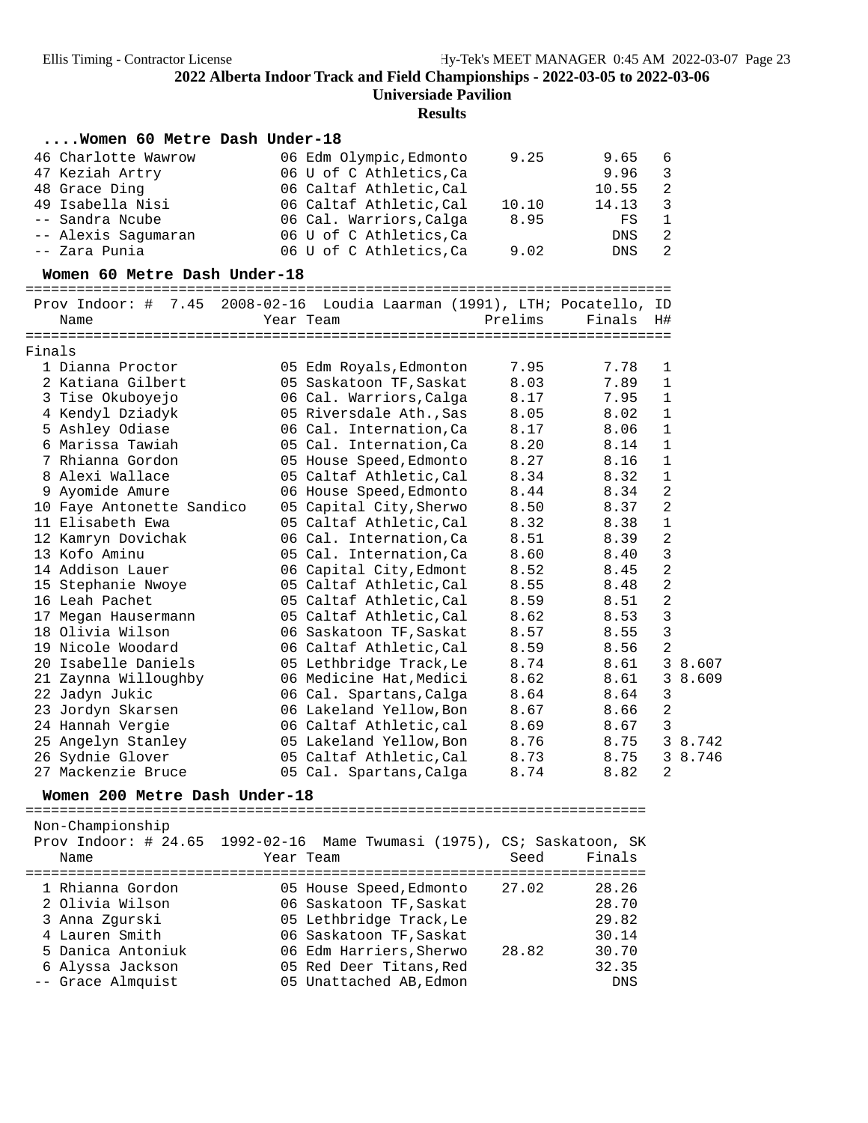| 46 Charlotte Wawrow<br>06 Edm Olympic, Edmonto<br>9.25<br>9.65<br>6<br>9.96<br>$\mathfrak{Z}$<br>06 U of C Athletics, Ca<br>47 Keziah Artry<br>48 Grace Ding<br>06 Caltaf Athletic, Cal<br>10.55<br>2<br>3<br>49 Isabella Nisi<br>06 Caltaf Athletic, Cal<br>10.10<br>14.13<br>-- Sandra Ncube<br>06 Cal. Warriors, Calga<br>8.95<br>$\mathbf{1}$<br>FS<br>06 U of C Athletics, Ca<br>2<br>-- Alexis Sagumaran<br>DNS<br>-- Zara Punia<br>2<br>06 U of C Athletics, Ca<br>9.02<br>DNS<br>Women 60 Metre Dash Under-18<br>Prov Indoor: # 7.45 2008-02-16 Loudia Laarman (1991), LTH; Pocatello, ID<br>Prelims<br>Finals<br>Year Team<br>H#<br>Name<br>7.95<br>1 Dianna Proctor<br>05 Edm Royals, Edmonton<br>7.78<br>1<br>7.89<br>2 Katiana Gilbert<br>05 Saskatoon TF, Saskat<br>8.03<br>$\mathbf{1}$<br>$\mathbf{1}$<br>3 Tise Okuboyejo<br>06 Cal. Warriors, Calga<br>8.17<br>7.95<br>$\mathbf{1}$<br>4 Kendyl Dziadyk<br>05 Riversdale Ath., Sas<br>8.05<br>8.02<br>5 Ashley Odiase<br>$\mathbf{1}$<br>06 Cal. Internation, Ca<br>8.17<br>8.06<br>$\mathbf{1}$<br>6 Marissa Tawiah<br>05 Cal. Internation, Ca<br>8.20<br>8.14<br>7 Rhianna Gordon<br>05 House Speed, Edmonto<br>8.27<br>8.16<br>$\mathbf{1}$<br>8 Alexi Wallace<br>$\mathbf{1}$<br>05 Caltaf Athletic, Cal<br>8.34<br>8.32<br>$\overline{2}$<br>9 Ayomide Amure<br>8.44<br>8.34<br>06 House Speed, Edmonto<br>2<br>8.37<br>10 Faye Antonette Sandico<br>05 Capital City, Sherwo<br>8.50<br>11 Elisabeth Ewa<br>8.32<br>8.38<br>$\mathbf{1}$<br>05 Caltaf Athletic, Cal<br>$\overline{2}$<br>12 Kamryn Dovichak<br>06 Cal. Internation, Ca<br>8.51<br>8.39<br>13 Kofo Aminu<br>3<br>05 Cal. Internation, Ca<br>8.60<br>8.40<br>14 Addison Lauer<br>2<br>06 Capital City, Edmont<br>8.52<br>8.45<br>$\overline{a}$<br>15 Stephanie Nwoye<br>05 Caltaf Athletic, Cal<br>8.55<br>8.48<br>2<br>16 Leah Pachet<br>05 Caltaf Athletic, Cal<br>8.59<br>8.51<br>$\mathbf{3}$<br>8.53<br>17 Megan Hausermann<br>05 Caltaf Athletic, Cal<br>8.62<br>$\mathsf 3$<br>18 Olivia Wilson<br>8.57<br>8.55<br>06 Saskatoon TF, Saskat<br>2<br>19 Nicole Woodard<br>06 Caltaf Athletic, Cal<br>8.59<br>8.56<br>20 Isabelle Daniels<br>05 Lethbridge Track, Le<br>8.74<br>8.61<br>3 8.607<br>21 Zaynna Willoughby<br>06 Medicine Hat, Medici<br>8.62<br>8.61<br>3<br>8.609<br>22 Jadyn Jukic<br>3<br>06 Cal. Spartans, Calga<br>8.64<br>8.64<br>$\overline{a}$<br>23 Jordyn Skarsen<br>06 Lakeland Yellow, Bon<br>8.67<br>8.66<br>3<br>24 Hannah Vergie<br>06 Caltaf Athletic, cal<br>8.69<br>8.67<br>3 8.742<br>25 Angelyn Stanley<br>05 Lakeland Yellow, Bon<br>8.76<br>8.75<br>26 Sydnie Glover<br>05 Caltaf Athletic, Cal<br>8.73<br>8.75<br>3 8.746<br>27 Mackenzie Bruce<br>05 Cal. Spartans, Calga<br>8.74<br>8.82<br>2<br>Women 200 Metre Dash Under-18<br>Non-Championship<br>Prov Indoor: $\#$ 24.65<br>1992-02-16<br>Mame Twumasi (1975), CS; Saskatoon, SK<br>Seed<br>Finals<br>Name<br>Year Team<br>======================<br>1 Rhianna Gordon<br>27.02<br>28.26<br>05 House Speed, Edmonto<br>2 Olivia Wilson<br>06 Saskatoon TF, Saskat<br>28.70<br>29.82<br>3 Anna Zgurski<br>05 Lethbridge Track, Le<br>4 Lauren Smith<br>06 Saskatoon TF, Saskat<br>30.14<br>5 Danica Antoniuk<br>06 Edm Harriers, Sherwo<br>30.70<br>28.82<br>32.35<br>6 Alyssa Jackson<br>05 Red Deer Titans, Red<br>-- Grace Almquist<br>05 Unattached AB, Edmon<br>DNS |        | Women 60 Metre Dash Under-18 |  |  |  |
|-------------------------------------------------------------------------------------------------------------------------------------------------------------------------------------------------------------------------------------------------------------------------------------------------------------------------------------------------------------------------------------------------------------------------------------------------------------------------------------------------------------------------------------------------------------------------------------------------------------------------------------------------------------------------------------------------------------------------------------------------------------------------------------------------------------------------------------------------------------------------------------------------------------------------------------------------------------------------------------------------------------------------------------------------------------------------------------------------------------------------------------------------------------------------------------------------------------------------------------------------------------------------------------------------------------------------------------------------------------------------------------------------------------------------------------------------------------------------------------------------------------------------------------------------------------------------------------------------------------------------------------------------------------------------------------------------------------------------------------------------------------------------------------------------------------------------------------------------------------------------------------------------------------------------------------------------------------------------------------------------------------------------------------------------------------------------------------------------------------------------------------------------------------------------------------------------------------------------------------------------------------------------------------------------------------------------------------------------------------------------------------------------------------------------------------------------------------------------------------------------------------------------------------------------------------------------------------------------------------------------------------------------------------------------------------------------------------------------------------------------------------------------------------------------------------------------------------------------------------------------------------------------------------------------------------------------------------------------------------------------------------------------------------------------------------------------------------------------------------------------------------------------------------------------------------------------------------------------------------------------------------------------------------------------------------------------------------------------------------------------------------------------------------|--------|------------------------------|--|--|--|
|                                                                                                                                                                                                                                                                                                                                                                                                                                                                                                                                                                                                                                                                                                                                                                                                                                                                                                                                                                                                                                                                                                                                                                                                                                                                                                                                                                                                                                                                                                                                                                                                                                                                                                                                                                                                                                                                                                                                                                                                                                                                                                                                                                                                                                                                                                                                                                                                                                                                                                                                                                                                                                                                                                                                                                                                                                                                                                                                                                                                                                                                                                                                                                                                                                                                                                                                                                                                             |        |                              |  |  |  |
|                                                                                                                                                                                                                                                                                                                                                                                                                                                                                                                                                                                                                                                                                                                                                                                                                                                                                                                                                                                                                                                                                                                                                                                                                                                                                                                                                                                                                                                                                                                                                                                                                                                                                                                                                                                                                                                                                                                                                                                                                                                                                                                                                                                                                                                                                                                                                                                                                                                                                                                                                                                                                                                                                                                                                                                                                                                                                                                                                                                                                                                                                                                                                                                                                                                                                                                                                                                                             |        |                              |  |  |  |
|                                                                                                                                                                                                                                                                                                                                                                                                                                                                                                                                                                                                                                                                                                                                                                                                                                                                                                                                                                                                                                                                                                                                                                                                                                                                                                                                                                                                                                                                                                                                                                                                                                                                                                                                                                                                                                                                                                                                                                                                                                                                                                                                                                                                                                                                                                                                                                                                                                                                                                                                                                                                                                                                                                                                                                                                                                                                                                                                                                                                                                                                                                                                                                                                                                                                                                                                                                                                             |        |                              |  |  |  |
|                                                                                                                                                                                                                                                                                                                                                                                                                                                                                                                                                                                                                                                                                                                                                                                                                                                                                                                                                                                                                                                                                                                                                                                                                                                                                                                                                                                                                                                                                                                                                                                                                                                                                                                                                                                                                                                                                                                                                                                                                                                                                                                                                                                                                                                                                                                                                                                                                                                                                                                                                                                                                                                                                                                                                                                                                                                                                                                                                                                                                                                                                                                                                                                                                                                                                                                                                                                                             |        |                              |  |  |  |
|                                                                                                                                                                                                                                                                                                                                                                                                                                                                                                                                                                                                                                                                                                                                                                                                                                                                                                                                                                                                                                                                                                                                                                                                                                                                                                                                                                                                                                                                                                                                                                                                                                                                                                                                                                                                                                                                                                                                                                                                                                                                                                                                                                                                                                                                                                                                                                                                                                                                                                                                                                                                                                                                                                                                                                                                                                                                                                                                                                                                                                                                                                                                                                                                                                                                                                                                                                                                             |        |                              |  |  |  |
|                                                                                                                                                                                                                                                                                                                                                                                                                                                                                                                                                                                                                                                                                                                                                                                                                                                                                                                                                                                                                                                                                                                                                                                                                                                                                                                                                                                                                                                                                                                                                                                                                                                                                                                                                                                                                                                                                                                                                                                                                                                                                                                                                                                                                                                                                                                                                                                                                                                                                                                                                                                                                                                                                                                                                                                                                                                                                                                                                                                                                                                                                                                                                                                                                                                                                                                                                                                                             |        |                              |  |  |  |
|                                                                                                                                                                                                                                                                                                                                                                                                                                                                                                                                                                                                                                                                                                                                                                                                                                                                                                                                                                                                                                                                                                                                                                                                                                                                                                                                                                                                                                                                                                                                                                                                                                                                                                                                                                                                                                                                                                                                                                                                                                                                                                                                                                                                                                                                                                                                                                                                                                                                                                                                                                                                                                                                                                                                                                                                                                                                                                                                                                                                                                                                                                                                                                                                                                                                                                                                                                                                             |        |                              |  |  |  |
|                                                                                                                                                                                                                                                                                                                                                                                                                                                                                                                                                                                                                                                                                                                                                                                                                                                                                                                                                                                                                                                                                                                                                                                                                                                                                                                                                                                                                                                                                                                                                                                                                                                                                                                                                                                                                                                                                                                                                                                                                                                                                                                                                                                                                                                                                                                                                                                                                                                                                                                                                                                                                                                                                                                                                                                                                                                                                                                                                                                                                                                                                                                                                                                                                                                                                                                                                                                                             |        |                              |  |  |  |
|                                                                                                                                                                                                                                                                                                                                                                                                                                                                                                                                                                                                                                                                                                                                                                                                                                                                                                                                                                                                                                                                                                                                                                                                                                                                                                                                                                                                                                                                                                                                                                                                                                                                                                                                                                                                                                                                                                                                                                                                                                                                                                                                                                                                                                                                                                                                                                                                                                                                                                                                                                                                                                                                                                                                                                                                                                                                                                                                                                                                                                                                                                                                                                                                                                                                                                                                                                                                             |        |                              |  |  |  |
|                                                                                                                                                                                                                                                                                                                                                                                                                                                                                                                                                                                                                                                                                                                                                                                                                                                                                                                                                                                                                                                                                                                                                                                                                                                                                                                                                                                                                                                                                                                                                                                                                                                                                                                                                                                                                                                                                                                                                                                                                                                                                                                                                                                                                                                                                                                                                                                                                                                                                                                                                                                                                                                                                                                                                                                                                                                                                                                                                                                                                                                                                                                                                                                                                                                                                                                                                                                                             |        |                              |  |  |  |
|                                                                                                                                                                                                                                                                                                                                                                                                                                                                                                                                                                                                                                                                                                                                                                                                                                                                                                                                                                                                                                                                                                                                                                                                                                                                                                                                                                                                                                                                                                                                                                                                                                                                                                                                                                                                                                                                                                                                                                                                                                                                                                                                                                                                                                                                                                                                                                                                                                                                                                                                                                                                                                                                                                                                                                                                                                                                                                                                                                                                                                                                                                                                                                                                                                                                                                                                                                                                             |        |                              |  |  |  |
|                                                                                                                                                                                                                                                                                                                                                                                                                                                                                                                                                                                                                                                                                                                                                                                                                                                                                                                                                                                                                                                                                                                                                                                                                                                                                                                                                                                                                                                                                                                                                                                                                                                                                                                                                                                                                                                                                                                                                                                                                                                                                                                                                                                                                                                                                                                                                                                                                                                                                                                                                                                                                                                                                                                                                                                                                                                                                                                                                                                                                                                                                                                                                                                                                                                                                                                                                                                                             |        |                              |  |  |  |
|                                                                                                                                                                                                                                                                                                                                                                                                                                                                                                                                                                                                                                                                                                                                                                                                                                                                                                                                                                                                                                                                                                                                                                                                                                                                                                                                                                                                                                                                                                                                                                                                                                                                                                                                                                                                                                                                                                                                                                                                                                                                                                                                                                                                                                                                                                                                                                                                                                                                                                                                                                                                                                                                                                                                                                                                                                                                                                                                                                                                                                                                                                                                                                                                                                                                                                                                                                                                             | Finals |                              |  |  |  |
|                                                                                                                                                                                                                                                                                                                                                                                                                                                                                                                                                                                                                                                                                                                                                                                                                                                                                                                                                                                                                                                                                                                                                                                                                                                                                                                                                                                                                                                                                                                                                                                                                                                                                                                                                                                                                                                                                                                                                                                                                                                                                                                                                                                                                                                                                                                                                                                                                                                                                                                                                                                                                                                                                                                                                                                                                                                                                                                                                                                                                                                                                                                                                                                                                                                                                                                                                                                                             |        |                              |  |  |  |
|                                                                                                                                                                                                                                                                                                                                                                                                                                                                                                                                                                                                                                                                                                                                                                                                                                                                                                                                                                                                                                                                                                                                                                                                                                                                                                                                                                                                                                                                                                                                                                                                                                                                                                                                                                                                                                                                                                                                                                                                                                                                                                                                                                                                                                                                                                                                                                                                                                                                                                                                                                                                                                                                                                                                                                                                                                                                                                                                                                                                                                                                                                                                                                                                                                                                                                                                                                                                             |        |                              |  |  |  |
|                                                                                                                                                                                                                                                                                                                                                                                                                                                                                                                                                                                                                                                                                                                                                                                                                                                                                                                                                                                                                                                                                                                                                                                                                                                                                                                                                                                                                                                                                                                                                                                                                                                                                                                                                                                                                                                                                                                                                                                                                                                                                                                                                                                                                                                                                                                                                                                                                                                                                                                                                                                                                                                                                                                                                                                                                                                                                                                                                                                                                                                                                                                                                                                                                                                                                                                                                                                                             |        |                              |  |  |  |
|                                                                                                                                                                                                                                                                                                                                                                                                                                                                                                                                                                                                                                                                                                                                                                                                                                                                                                                                                                                                                                                                                                                                                                                                                                                                                                                                                                                                                                                                                                                                                                                                                                                                                                                                                                                                                                                                                                                                                                                                                                                                                                                                                                                                                                                                                                                                                                                                                                                                                                                                                                                                                                                                                                                                                                                                                                                                                                                                                                                                                                                                                                                                                                                                                                                                                                                                                                                                             |        |                              |  |  |  |
|                                                                                                                                                                                                                                                                                                                                                                                                                                                                                                                                                                                                                                                                                                                                                                                                                                                                                                                                                                                                                                                                                                                                                                                                                                                                                                                                                                                                                                                                                                                                                                                                                                                                                                                                                                                                                                                                                                                                                                                                                                                                                                                                                                                                                                                                                                                                                                                                                                                                                                                                                                                                                                                                                                                                                                                                                                                                                                                                                                                                                                                                                                                                                                                                                                                                                                                                                                                                             |        |                              |  |  |  |
|                                                                                                                                                                                                                                                                                                                                                                                                                                                                                                                                                                                                                                                                                                                                                                                                                                                                                                                                                                                                                                                                                                                                                                                                                                                                                                                                                                                                                                                                                                                                                                                                                                                                                                                                                                                                                                                                                                                                                                                                                                                                                                                                                                                                                                                                                                                                                                                                                                                                                                                                                                                                                                                                                                                                                                                                                                                                                                                                                                                                                                                                                                                                                                                                                                                                                                                                                                                                             |        |                              |  |  |  |
|                                                                                                                                                                                                                                                                                                                                                                                                                                                                                                                                                                                                                                                                                                                                                                                                                                                                                                                                                                                                                                                                                                                                                                                                                                                                                                                                                                                                                                                                                                                                                                                                                                                                                                                                                                                                                                                                                                                                                                                                                                                                                                                                                                                                                                                                                                                                                                                                                                                                                                                                                                                                                                                                                                                                                                                                                                                                                                                                                                                                                                                                                                                                                                                                                                                                                                                                                                                                             |        |                              |  |  |  |
|                                                                                                                                                                                                                                                                                                                                                                                                                                                                                                                                                                                                                                                                                                                                                                                                                                                                                                                                                                                                                                                                                                                                                                                                                                                                                                                                                                                                                                                                                                                                                                                                                                                                                                                                                                                                                                                                                                                                                                                                                                                                                                                                                                                                                                                                                                                                                                                                                                                                                                                                                                                                                                                                                                                                                                                                                                                                                                                                                                                                                                                                                                                                                                                                                                                                                                                                                                                                             |        |                              |  |  |  |
|                                                                                                                                                                                                                                                                                                                                                                                                                                                                                                                                                                                                                                                                                                                                                                                                                                                                                                                                                                                                                                                                                                                                                                                                                                                                                                                                                                                                                                                                                                                                                                                                                                                                                                                                                                                                                                                                                                                                                                                                                                                                                                                                                                                                                                                                                                                                                                                                                                                                                                                                                                                                                                                                                                                                                                                                                                                                                                                                                                                                                                                                                                                                                                                                                                                                                                                                                                                                             |        |                              |  |  |  |
|                                                                                                                                                                                                                                                                                                                                                                                                                                                                                                                                                                                                                                                                                                                                                                                                                                                                                                                                                                                                                                                                                                                                                                                                                                                                                                                                                                                                                                                                                                                                                                                                                                                                                                                                                                                                                                                                                                                                                                                                                                                                                                                                                                                                                                                                                                                                                                                                                                                                                                                                                                                                                                                                                                                                                                                                                                                                                                                                                                                                                                                                                                                                                                                                                                                                                                                                                                                                             |        |                              |  |  |  |
|                                                                                                                                                                                                                                                                                                                                                                                                                                                                                                                                                                                                                                                                                                                                                                                                                                                                                                                                                                                                                                                                                                                                                                                                                                                                                                                                                                                                                                                                                                                                                                                                                                                                                                                                                                                                                                                                                                                                                                                                                                                                                                                                                                                                                                                                                                                                                                                                                                                                                                                                                                                                                                                                                                                                                                                                                                                                                                                                                                                                                                                                                                                                                                                                                                                                                                                                                                                                             |        |                              |  |  |  |
|                                                                                                                                                                                                                                                                                                                                                                                                                                                                                                                                                                                                                                                                                                                                                                                                                                                                                                                                                                                                                                                                                                                                                                                                                                                                                                                                                                                                                                                                                                                                                                                                                                                                                                                                                                                                                                                                                                                                                                                                                                                                                                                                                                                                                                                                                                                                                                                                                                                                                                                                                                                                                                                                                                                                                                                                                                                                                                                                                                                                                                                                                                                                                                                                                                                                                                                                                                                                             |        |                              |  |  |  |
|                                                                                                                                                                                                                                                                                                                                                                                                                                                                                                                                                                                                                                                                                                                                                                                                                                                                                                                                                                                                                                                                                                                                                                                                                                                                                                                                                                                                                                                                                                                                                                                                                                                                                                                                                                                                                                                                                                                                                                                                                                                                                                                                                                                                                                                                                                                                                                                                                                                                                                                                                                                                                                                                                                                                                                                                                                                                                                                                                                                                                                                                                                                                                                                                                                                                                                                                                                                                             |        |                              |  |  |  |
|                                                                                                                                                                                                                                                                                                                                                                                                                                                                                                                                                                                                                                                                                                                                                                                                                                                                                                                                                                                                                                                                                                                                                                                                                                                                                                                                                                                                                                                                                                                                                                                                                                                                                                                                                                                                                                                                                                                                                                                                                                                                                                                                                                                                                                                                                                                                                                                                                                                                                                                                                                                                                                                                                                                                                                                                                                                                                                                                                                                                                                                                                                                                                                                                                                                                                                                                                                                                             |        |                              |  |  |  |
|                                                                                                                                                                                                                                                                                                                                                                                                                                                                                                                                                                                                                                                                                                                                                                                                                                                                                                                                                                                                                                                                                                                                                                                                                                                                                                                                                                                                                                                                                                                                                                                                                                                                                                                                                                                                                                                                                                                                                                                                                                                                                                                                                                                                                                                                                                                                                                                                                                                                                                                                                                                                                                                                                                                                                                                                                                                                                                                                                                                                                                                                                                                                                                                                                                                                                                                                                                                                             |        |                              |  |  |  |
|                                                                                                                                                                                                                                                                                                                                                                                                                                                                                                                                                                                                                                                                                                                                                                                                                                                                                                                                                                                                                                                                                                                                                                                                                                                                                                                                                                                                                                                                                                                                                                                                                                                                                                                                                                                                                                                                                                                                                                                                                                                                                                                                                                                                                                                                                                                                                                                                                                                                                                                                                                                                                                                                                                                                                                                                                                                                                                                                                                                                                                                                                                                                                                                                                                                                                                                                                                                                             |        |                              |  |  |  |
|                                                                                                                                                                                                                                                                                                                                                                                                                                                                                                                                                                                                                                                                                                                                                                                                                                                                                                                                                                                                                                                                                                                                                                                                                                                                                                                                                                                                                                                                                                                                                                                                                                                                                                                                                                                                                                                                                                                                                                                                                                                                                                                                                                                                                                                                                                                                                                                                                                                                                                                                                                                                                                                                                                                                                                                                                                                                                                                                                                                                                                                                                                                                                                                                                                                                                                                                                                                                             |        |                              |  |  |  |
|                                                                                                                                                                                                                                                                                                                                                                                                                                                                                                                                                                                                                                                                                                                                                                                                                                                                                                                                                                                                                                                                                                                                                                                                                                                                                                                                                                                                                                                                                                                                                                                                                                                                                                                                                                                                                                                                                                                                                                                                                                                                                                                                                                                                                                                                                                                                                                                                                                                                                                                                                                                                                                                                                                                                                                                                                                                                                                                                                                                                                                                                                                                                                                                                                                                                                                                                                                                                             |        |                              |  |  |  |
|                                                                                                                                                                                                                                                                                                                                                                                                                                                                                                                                                                                                                                                                                                                                                                                                                                                                                                                                                                                                                                                                                                                                                                                                                                                                                                                                                                                                                                                                                                                                                                                                                                                                                                                                                                                                                                                                                                                                                                                                                                                                                                                                                                                                                                                                                                                                                                                                                                                                                                                                                                                                                                                                                                                                                                                                                                                                                                                                                                                                                                                                                                                                                                                                                                                                                                                                                                                                             |        |                              |  |  |  |
|                                                                                                                                                                                                                                                                                                                                                                                                                                                                                                                                                                                                                                                                                                                                                                                                                                                                                                                                                                                                                                                                                                                                                                                                                                                                                                                                                                                                                                                                                                                                                                                                                                                                                                                                                                                                                                                                                                                                                                                                                                                                                                                                                                                                                                                                                                                                                                                                                                                                                                                                                                                                                                                                                                                                                                                                                                                                                                                                                                                                                                                                                                                                                                                                                                                                                                                                                                                                             |        |                              |  |  |  |
|                                                                                                                                                                                                                                                                                                                                                                                                                                                                                                                                                                                                                                                                                                                                                                                                                                                                                                                                                                                                                                                                                                                                                                                                                                                                                                                                                                                                                                                                                                                                                                                                                                                                                                                                                                                                                                                                                                                                                                                                                                                                                                                                                                                                                                                                                                                                                                                                                                                                                                                                                                                                                                                                                                                                                                                                                                                                                                                                                                                                                                                                                                                                                                                                                                                                                                                                                                                                             |        |                              |  |  |  |
|                                                                                                                                                                                                                                                                                                                                                                                                                                                                                                                                                                                                                                                                                                                                                                                                                                                                                                                                                                                                                                                                                                                                                                                                                                                                                                                                                                                                                                                                                                                                                                                                                                                                                                                                                                                                                                                                                                                                                                                                                                                                                                                                                                                                                                                                                                                                                                                                                                                                                                                                                                                                                                                                                                                                                                                                                                                                                                                                                                                                                                                                                                                                                                                                                                                                                                                                                                                                             |        |                              |  |  |  |
|                                                                                                                                                                                                                                                                                                                                                                                                                                                                                                                                                                                                                                                                                                                                                                                                                                                                                                                                                                                                                                                                                                                                                                                                                                                                                                                                                                                                                                                                                                                                                                                                                                                                                                                                                                                                                                                                                                                                                                                                                                                                                                                                                                                                                                                                                                                                                                                                                                                                                                                                                                                                                                                                                                                                                                                                                                                                                                                                                                                                                                                                                                                                                                                                                                                                                                                                                                                                             |        |                              |  |  |  |
|                                                                                                                                                                                                                                                                                                                                                                                                                                                                                                                                                                                                                                                                                                                                                                                                                                                                                                                                                                                                                                                                                                                                                                                                                                                                                                                                                                                                                                                                                                                                                                                                                                                                                                                                                                                                                                                                                                                                                                                                                                                                                                                                                                                                                                                                                                                                                                                                                                                                                                                                                                                                                                                                                                                                                                                                                                                                                                                                                                                                                                                                                                                                                                                                                                                                                                                                                                                                             |        |                              |  |  |  |
|                                                                                                                                                                                                                                                                                                                                                                                                                                                                                                                                                                                                                                                                                                                                                                                                                                                                                                                                                                                                                                                                                                                                                                                                                                                                                                                                                                                                                                                                                                                                                                                                                                                                                                                                                                                                                                                                                                                                                                                                                                                                                                                                                                                                                                                                                                                                                                                                                                                                                                                                                                                                                                                                                                                                                                                                                                                                                                                                                                                                                                                                                                                                                                                                                                                                                                                                                                                                             |        |                              |  |  |  |
|                                                                                                                                                                                                                                                                                                                                                                                                                                                                                                                                                                                                                                                                                                                                                                                                                                                                                                                                                                                                                                                                                                                                                                                                                                                                                                                                                                                                                                                                                                                                                                                                                                                                                                                                                                                                                                                                                                                                                                                                                                                                                                                                                                                                                                                                                                                                                                                                                                                                                                                                                                                                                                                                                                                                                                                                                                                                                                                                                                                                                                                                                                                                                                                                                                                                                                                                                                                                             |        |                              |  |  |  |
|                                                                                                                                                                                                                                                                                                                                                                                                                                                                                                                                                                                                                                                                                                                                                                                                                                                                                                                                                                                                                                                                                                                                                                                                                                                                                                                                                                                                                                                                                                                                                                                                                                                                                                                                                                                                                                                                                                                                                                                                                                                                                                                                                                                                                                                                                                                                                                                                                                                                                                                                                                                                                                                                                                                                                                                                                                                                                                                                                                                                                                                                                                                                                                                                                                                                                                                                                                                                             |        |                              |  |  |  |
|                                                                                                                                                                                                                                                                                                                                                                                                                                                                                                                                                                                                                                                                                                                                                                                                                                                                                                                                                                                                                                                                                                                                                                                                                                                                                                                                                                                                                                                                                                                                                                                                                                                                                                                                                                                                                                                                                                                                                                                                                                                                                                                                                                                                                                                                                                                                                                                                                                                                                                                                                                                                                                                                                                                                                                                                                                                                                                                                                                                                                                                                                                                                                                                                                                                                                                                                                                                                             |        |                              |  |  |  |
|                                                                                                                                                                                                                                                                                                                                                                                                                                                                                                                                                                                                                                                                                                                                                                                                                                                                                                                                                                                                                                                                                                                                                                                                                                                                                                                                                                                                                                                                                                                                                                                                                                                                                                                                                                                                                                                                                                                                                                                                                                                                                                                                                                                                                                                                                                                                                                                                                                                                                                                                                                                                                                                                                                                                                                                                                                                                                                                                                                                                                                                                                                                                                                                                                                                                                                                                                                                                             |        |                              |  |  |  |
|                                                                                                                                                                                                                                                                                                                                                                                                                                                                                                                                                                                                                                                                                                                                                                                                                                                                                                                                                                                                                                                                                                                                                                                                                                                                                                                                                                                                                                                                                                                                                                                                                                                                                                                                                                                                                                                                                                                                                                                                                                                                                                                                                                                                                                                                                                                                                                                                                                                                                                                                                                                                                                                                                                                                                                                                                                                                                                                                                                                                                                                                                                                                                                                                                                                                                                                                                                                                             |        |                              |  |  |  |
|                                                                                                                                                                                                                                                                                                                                                                                                                                                                                                                                                                                                                                                                                                                                                                                                                                                                                                                                                                                                                                                                                                                                                                                                                                                                                                                                                                                                                                                                                                                                                                                                                                                                                                                                                                                                                                                                                                                                                                                                                                                                                                                                                                                                                                                                                                                                                                                                                                                                                                                                                                                                                                                                                                                                                                                                                                                                                                                                                                                                                                                                                                                                                                                                                                                                                                                                                                                                             |        |                              |  |  |  |
|                                                                                                                                                                                                                                                                                                                                                                                                                                                                                                                                                                                                                                                                                                                                                                                                                                                                                                                                                                                                                                                                                                                                                                                                                                                                                                                                                                                                                                                                                                                                                                                                                                                                                                                                                                                                                                                                                                                                                                                                                                                                                                                                                                                                                                                                                                                                                                                                                                                                                                                                                                                                                                                                                                                                                                                                                                                                                                                                                                                                                                                                                                                                                                                                                                                                                                                                                                                                             |        |                              |  |  |  |
|                                                                                                                                                                                                                                                                                                                                                                                                                                                                                                                                                                                                                                                                                                                                                                                                                                                                                                                                                                                                                                                                                                                                                                                                                                                                                                                                                                                                                                                                                                                                                                                                                                                                                                                                                                                                                                                                                                                                                                                                                                                                                                                                                                                                                                                                                                                                                                                                                                                                                                                                                                                                                                                                                                                                                                                                                                                                                                                                                                                                                                                                                                                                                                                                                                                                                                                                                                                                             |        |                              |  |  |  |
|                                                                                                                                                                                                                                                                                                                                                                                                                                                                                                                                                                                                                                                                                                                                                                                                                                                                                                                                                                                                                                                                                                                                                                                                                                                                                                                                                                                                                                                                                                                                                                                                                                                                                                                                                                                                                                                                                                                                                                                                                                                                                                                                                                                                                                                                                                                                                                                                                                                                                                                                                                                                                                                                                                                                                                                                                                                                                                                                                                                                                                                                                                                                                                                                                                                                                                                                                                                                             |        |                              |  |  |  |
|                                                                                                                                                                                                                                                                                                                                                                                                                                                                                                                                                                                                                                                                                                                                                                                                                                                                                                                                                                                                                                                                                                                                                                                                                                                                                                                                                                                                                                                                                                                                                                                                                                                                                                                                                                                                                                                                                                                                                                                                                                                                                                                                                                                                                                                                                                                                                                                                                                                                                                                                                                                                                                                                                                                                                                                                                                                                                                                                                                                                                                                                                                                                                                                                                                                                                                                                                                                                             |        |                              |  |  |  |
|                                                                                                                                                                                                                                                                                                                                                                                                                                                                                                                                                                                                                                                                                                                                                                                                                                                                                                                                                                                                                                                                                                                                                                                                                                                                                                                                                                                                                                                                                                                                                                                                                                                                                                                                                                                                                                                                                                                                                                                                                                                                                                                                                                                                                                                                                                                                                                                                                                                                                                                                                                                                                                                                                                                                                                                                                                                                                                                                                                                                                                                                                                                                                                                                                                                                                                                                                                                                             |        |                              |  |  |  |
|                                                                                                                                                                                                                                                                                                                                                                                                                                                                                                                                                                                                                                                                                                                                                                                                                                                                                                                                                                                                                                                                                                                                                                                                                                                                                                                                                                                                                                                                                                                                                                                                                                                                                                                                                                                                                                                                                                                                                                                                                                                                                                                                                                                                                                                                                                                                                                                                                                                                                                                                                                                                                                                                                                                                                                                                                                                                                                                                                                                                                                                                                                                                                                                                                                                                                                                                                                                                             |        |                              |  |  |  |
|                                                                                                                                                                                                                                                                                                                                                                                                                                                                                                                                                                                                                                                                                                                                                                                                                                                                                                                                                                                                                                                                                                                                                                                                                                                                                                                                                                                                                                                                                                                                                                                                                                                                                                                                                                                                                                                                                                                                                                                                                                                                                                                                                                                                                                                                                                                                                                                                                                                                                                                                                                                                                                                                                                                                                                                                                                                                                                                                                                                                                                                                                                                                                                                                                                                                                                                                                                                                             |        |                              |  |  |  |
|                                                                                                                                                                                                                                                                                                                                                                                                                                                                                                                                                                                                                                                                                                                                                                                                                                                                                                                                                                                                                                                                                                                                                                                                                                                                                                                                                                                                                                                                                                                                                                                                                                                                                                                                                                                                                                                                                                                                                                                                                                                                                                                                                                                                                                                                                                                                                                                                                                                                                                                                                                                                                                                                                                                                                                                                                                                                                                                                                                                                                                                                                                                                                                                                                                                                                                                                                                                                             |        |                              |  |  |  |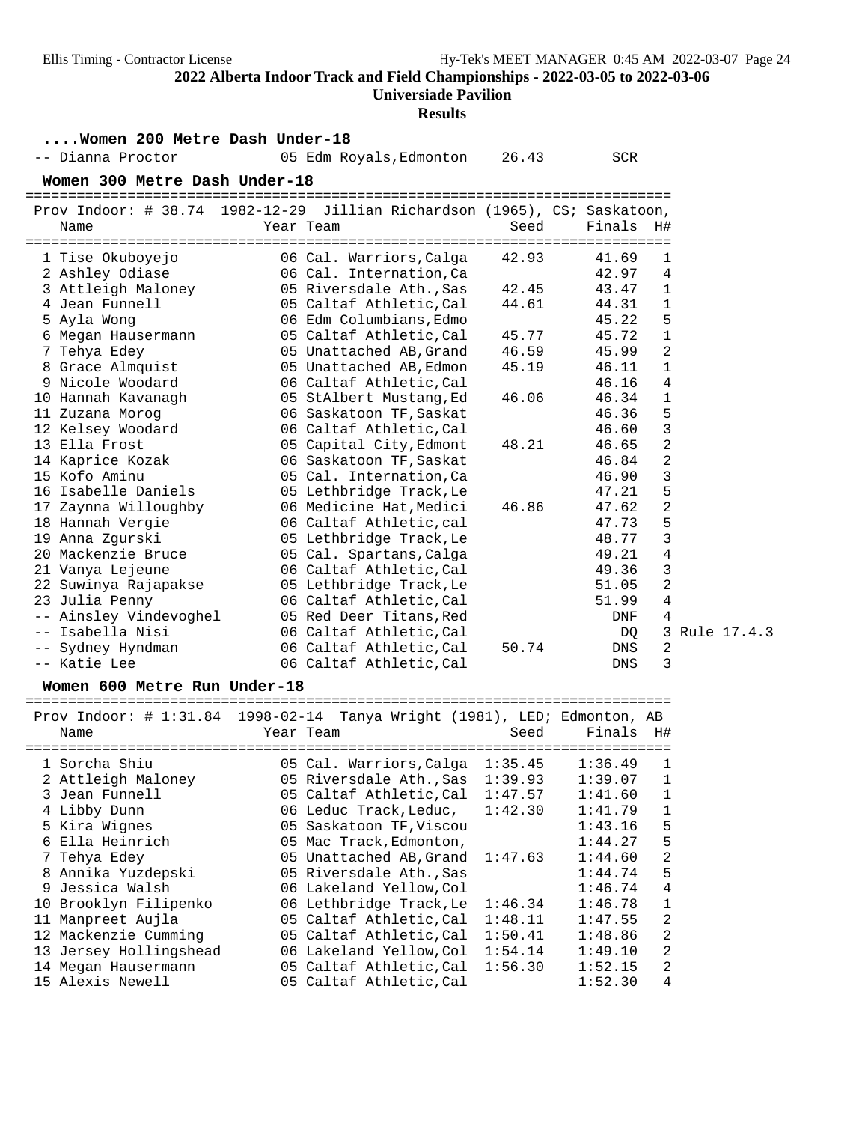### **Universiade Pavilion**

|                                       | <b>Results</b>                                                            |            |              |  |  |  |  |  |  |
|---------------------------------------|---------------------------------------------------------------------------|------------|--------------|--|--|--|--|--|--|
| Women 200 Metre Dash Under-18         |                                                                           |            |              |  |  |  |  |  |  |
| -- Dianna Proctor                     | 05 Edm Royals, Edmonton<br>26.43                                          | <b>SCR</b> |              |  |  |  |  |  |  |
|                                       |                                                                           |            |              |  |  |  |  |  |  |
| Women 300 Metre Dash Under-18         |                                                                           |            |              |  |  |  |  |  |  |
|                                       | Prov Indoor: # 38.74 1982-12-29 Jillian Richardson (1965), CS; Saskatoon, |            |              |  |  |  |  |  |  |
| Name                                  | Year Team<br>Seed                                                         | Finals     | H#           |  |  |  |  |  |  |
| ------------------------------------- | ==================================                                        |            |              |  |  |  |  |  |  |
| 1 Tise Okuboyejo                      | 06 Cal. Warriors, Calga<br>42.93                                          | 41.69      | 1            |  |  |  |  |  |  |
| 2 Ashley Odiase                       | 06 Cal. Internation, Ca                                                   | 42.97      | 4            |  |  |  |  |  |  |
| 3 Attleigh Maloney                    | 05 Riversdale Ath., Sas<br>42.45                                          | 43.47      | $\mathbf{1}$ |  |  |  |  |  |  |
| 4 Jean Funnell                        | 05 Caltaf Athletic, Cal<br>44.61                                          | 44.31      | 1            |  |  |  |  |  |  |
| 5 Ayla Wong                           | 06 Edm Columbians, Edmo                                                   | 45.22      | 5            |  |  |  |  |  |  |
| 6 Megan Hausermann                    | 05 Caltaf Athletic, Cal<br>45.77                                          | 45.72      | $\mathbf 1$  |  |  |  |  |  |  |
| 7 Tehya Edey                          | 05 Unattached AB, Grand<br>46.59                                          | 45.99      | 2            |  |  |  |  |  |  |
| 8 Grace Almquist                      | 05 Unattached AB, Edmon<br>45.19                                          | 46.11      | $\mathbf{1}$ |  |  |  |  |  |  |
| 9 Nicole Woodard                      | 06 Caltaf Athletic, Cal                                                   | 46.16      | 4            |  |  |  |  |  |  |
| 10 Hannah Kavanagh                    | 05 StAlbert Mustang, Ed<br>46.06                                          | 46.34      | $\mathbf 1$  |  |  |  |  |  |  |
| 11 Zuzana Morog                       | 06 Saskatoon TF, Saskat                                                   | 46.36      | 5            |  |  |  |  |  |  |
| 12 Kelsey Woodard                     | 06 Caltaf Athletic, Cal                                                   | 46.60      | 3            |  |  |  |  |  |  |
| 13 Ella Frost                         | 05 Capital City, Edmont<br>48.21                                          | 46.65      | 2            |  |  |  |  |  |  |
| 14 Kaprice Kozak                      | 06 Saskatoon TF, Saskat                                                   | 46.84      | 2            |  |  |  |  |  |  |
| 15 Kofo Aminu                         | 05 Cal. Internation, Ca                                                   | 46.90      | 3            |  |  |  |  |  |  |
| 16 Isabelle Daniels                   | 05 Lethbridge Track, Le                                                   | 47.21      | 5            |  |  |  |  |  |  |
| 17 Zaynna Willoughby                  | 06 Medicine Hat, Medici<br>46.86                                          | 47.62      | 2            |  |  |  |  |  |  |
| 18 Hannah Vergie                      | 06 Caltaf Athletic, cal                                                   | 47.73      | 5            |  |  |  |  |  |  |
| 19 Anna Zgurski                       | 05 Lethbridge Track, Le                                                   | 48.77      | $\mathbf{3}$ |  |  |  |  |  |  |
| 20 Mackenzie Bruce                    | 05 Cal. Spartans, Calga                                                   | 49.21      | 4            |  |  |  |  |  |  |
| 21 Vanya Lejeune                      | 06 Caltaf Athletic, Cal                                                   | 49.36      | 3            |  |  |  |  |  |  |
| 22 Suwinya Rajapakse                  | 05 Lethbridge Track, Le                                                   | 51.05      | 2            |  |  |  |  |  |  |
| 23 Julia Penny                        | 06 Caltaf Athletic, Cal                                                   | 51.99      | 4            |  |  |  |  |  |  |
| -- Ainsley Vindevoghel                | 05 Red Deer Titans, Red                                                   | DNF        | 4            |  |  |  |  |  |  |
| Isabella Nisi<br>$--$                 | 06 Caltaf Athletic, Cal                                                   | DQ         | 3            |  |  |  |  |  |  |
| -- Sydney Hyndman                     | 06 Caltaf Athletic, Cal<br>50.74                                          | DNS        | 2            |  |  |  |  |  |  |
| -- Katie Lee                          | 06 Caltaf Athletic, Cal                                                   | <b>DNS</b> | 3            |  |  |  |  |  |  |
|                                       |                                                                           |            |              |  |  |  |  |  |  |

Rule 17.4.3

**Women 600 Metre Run Under-18** ============================================================================

Prov Indoor: # 1:31.84 1998-02-14 Tanya Wright (1981), LED; Edmonton, AB<br>Name Seed Finals H# Seed Finals H#

| - 1 a c                |                                 |         |         | ---            |
|------------------------|---------------------------------|---------|---------|----------------|
| 1 Sorcha Shiu          | 05 Cal. Warriors, Calga         | 1:35.45 | 1:36.49 | 1              |
|                        |                                 |         |         |                |
| 2 Attleigh Maloney     | 05 Riversdale Ath., Sas         | 1:39.93 | 1:39.07 | 1              |
| 3 Jean Funnell         | 05 Caltaf Athletic, Cal         | 1:47.57 | 1:41.60 | $\mathbf{1}$   |
| 4 Libby Dunn           | 06 Leduc Track, Leduc,          | 1:42.30 | 1:41.79 | $\mathbf{1}$   |
| 5 Kira Wignes          | 05 Saskatoon TF, Viscou         |         | 1:43.16 | 5              |
| 6 Ella Heinrich        | 05 Mac Track, Edmonton,         |         | 1:44.27 | 5              |
| 7 Tehya Edey           | 05 Unattached AB, Grand 1:47.63 |         | 1:44.60 | $\overline{2}$ |
| 8 Annika Yuzdepski     | 05 Riversdale Ath., Sas         |         | 1:44.74 | 5              |
| 9 Jessica Walsh        | 06 Lakeland Yellow, Col         |         | 1:46.74 | $\overline{4}$ |
| 10 Brooklyn Filipenko  | 06 Lethbridge Track, Le         | 1:46.34 | 1:46.78 | $\mathbf{1}$   |
| 11 Manpreet Aujla      | 05 Caltaf Athletic, Cal         | 1:48.11 | 1:47.55 | $\overline{2}$ |
| 12 Mackenzie Cumming   | 05 Caltaf Athletic, Cal         | 1:50.41 | 1:48.86 | $\overline{2}$ |
| 13 Jersey Hollingshead | 06 Lakeland Yellow, Col         | 1:54.14 | 1:49.10 | $\overline{2}$ |
| 14 Megan Hausermann    | 05 Caltaf Athletic, Cal         | 1:56.30 | 1:52.15 | $\overline{2}$ |
| 15 Alexis Newell       | 05 Caltaf Athletic, Cal         |         | 1:52.30 | 4              |
|                        |                                 |         |         |                |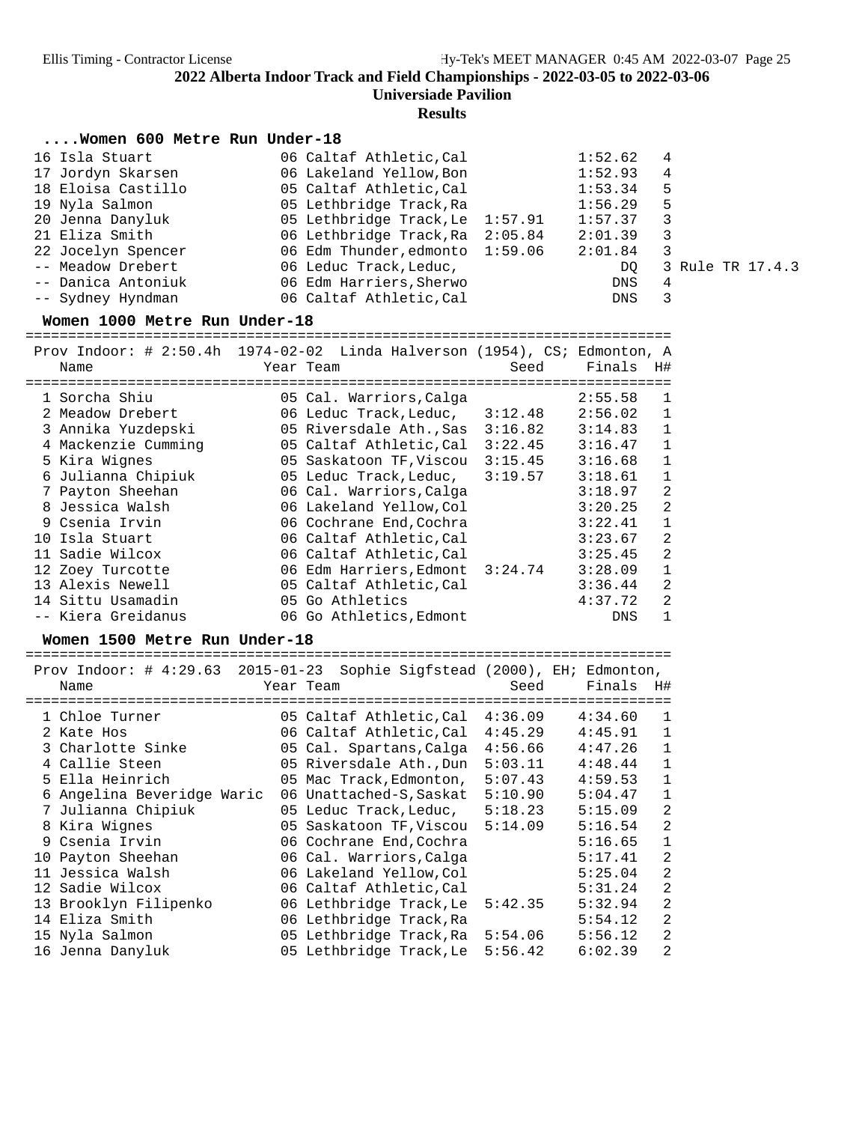**Universiade Pavilion**

**Results**

## **....Women 600 Metre Run Under-18**

| 16 Isla Stuart     | 06 Caltaf Athletic, Cal         | 1:52.62    | 4                |
|--------------------|---------------------------------|------------|------------------|
| 17 Jordyn Skarsen  | 06 Lakeland Yellow, Bon         | 1:52.93    | 4                |
| 18 Eloisa Castillo | 05 Caltaf Athletic, Cal         | 1:53.34    | 5                |
| 19 Nyla Salmon     | 05 Lethbridge Track, Ra         | 1:56.29    | 5                |
| 20 Jenna Danyluk   | 05 Lethbridge Track, Le 1:57.91 | 1:57.37    | 3                |
| 21 Eliza Smith     | 06 Lethbridge Track, Ra 2:05.84 | 2:01.39    | 3                |
| 22 Jocelyn Spencer | 06 Edm Thunder, edmonto 1:59.06 | 2:01.84    | 3                |
| -- Meadow Drebert  | 06 Leduc Track, Leduc,          | DO         | 3 Rule TR 17.4.3 |
| -- Danica Antoniuk | 06 Edm Harriers, Sherwo         | DNS.       | 4                |
| -- Sydney Hyndman  | 06 Caltaf Athletic, Cal         | <b>DNS</b> | 3                |
|                    |                                 |            |                  |

**Women 1000 Metre Run Under-18** ============================================================================

| Prov Indoor: $\#$ 2:50.4h 1974-02-02 Linda Halverson (1954), CS; Edmonton, A<br>Name | Year Team                       | Seed    | Finals  | H#           |
|--------------------------------------------------------------------------------------|---------------------------------|---------|---------|--------------|
|                                                                                      |                                 |         |         |              |
| 1 Sorcha Shiu                                                                        | 05 Cal. Warriors, Calga         |         | 2:55.58 | 1            |
| 2 Meadow Drebert                                                                     | 06 Leduc Track, Leduc,          | 3:12.48 | 2:56.02 | $\mathbf{1}$ |
| 3 Annika Yuzdepski                                                                   | 05 Riversdale Ath., Sas         | 3:16.82 | 3:14.83 | $\mathbf{1}$ |
| 4 Mackenzie Cumming                                                                  | 05 Caltaf Athletic, Cal         | 3:22.45 | 3:16.47 | $\mathbf{1}$ |
| 5 Kira Wignes                                                                        | 05 Saskatoon TF, Viscou         | 3:15.45 | 3:16.68 | $\mathbf{1}$ |
| 6 Julianna Chipiuk                                                                   | 05 Leduc Track, Leduc,          | 3:19.57 | 3:18.61 | $\mathbf{1}$ |
| 7 Payton Sheehan                                                                     | 06 Cal. Warriors, Calga         |         | 3:18.97 | 2            |
| 8 Jessica Walsh                                                                      | 06 Lakeland Yellow, Col         |         | 3:20.25 | 2            |
| 9 Csenia Irvin                                                                       | 06 Cochrane End, Cochra         |         | 3:22.41 | $\mathbf{1}$ |
| 10 Isla Stuart                                                                       | 06 Caltaf Athletic, Cal         |         | 3:23.67 | 2            |
| 11 Sadie Wilcox                                                                      | 06 Caltaf Athletic, Cal         |         | 3:25.45 | 2            |
| 12 Zoey Turcotte                                                                     | 06 Edm Harriers, Edmont 3:24.74 |         | 3:28.09 | $\mathbf{1}$ |
| 13 Alexis Newell                                                                     | 05 Caltaf Athletic, Cal         |         | 3:36.44 | 2            |
| 14 Sittu Usamadin                                                                    | 05 Go Athletics                 |         | 4:37.72 | 2            |
| -- Kiera Greidanus                                                                   | 06 Go Athletics, Edmont         |         | DNS     | $\mathbf{1}$ |

**Women 1500 Metre Run Under-18** ============================================================================

| Prov Indoor: $\#$ 4:29.63 2015-01-23<br>Name | Sophie Sigfstead (2000), EH; Edmonton,<br>Year Team | Seed    | Finals  | H#             |
|----------------------------------------------|-----------------------------------------------------|---------|---------|----------------|
|                                              |                                                     |         |         |                |
| 1 Chloe Turner                               | 05 Caltaf Athletic, Cal                             | 4:36.09 | 4:34.60 | 1              |
| 2 Kate Hos                                   | 06 Caltaf Athletic, Cal                             | 4:45.29 | 4:45.91 | 1              |
| 3 Charlotte Sinke                            | 05 Cal. Spartans, Calga                             | 4:56.66 | 4:47.26 | $\mathbf{1}$   |
| 4 Callie Steen                               | 05 Riversdale Ath., Dun                             | 5:03.11 | 4:48.44 | $\mathbf{1}$   |
| 5 Ella Heinrich                              | 05 Mac Track, Edmonton,                             | 5:07.43 | 4:59.53 | $\mathbf{1}$   |
| 6 Angelina Beveridge Waric                   | 06 Unattached-S, Saskat                             | 5:10.90 | 5:04.47 | 1              |
| 7 Julianna Chipiuk                           | 05 Leduc Track, Leduc,                              | 5:18.23 | 5:15.09 | $\overline{a}$ |
| 8 Kira Wignes                                | 05 Saskatoon TF, Viscou                             | 5:14.09 | 5:16.54 | $\overline{2}$ |
| 9 Csenia Irvin                               | 06 Cochrane End, Cochra                             |         | 5:16.65 | 1              |
| 10 Payton Sheehan                            | 06 Cal. Warriors, Calga                             |         | 5:17.41 | $\overline{2}$ |
| 11 Jessica Walsh                             | 06 Lakeland Yellow, Col                             |         | 5:25.04 | $\overline{2}$ |
| 12 Sadie Wilcox                              | 06 Caltaf Athletic, Cal                             |         | 5:31.24 | $\overline{2}$ |
| 13 Brooklyn Filipenko                        | 06 Lethbridge Track, Le                             | 5:42.35 | 5:32.94 | $\overline{2}$ |
| 14 Eliza Smith                               | 06 Lethbridge Track, Ra                             |         | 5:54.12 | $\overline{2}$ |
| 15 Nyla Salmon                               | 05 Lethbridge Track, Ra                             | 5:54.06 | 5:56.12 | $\overline{2}$ |
| 16 Jenna Danyluk                             | 05 Lethbridge Track, Le                             | 5:56.42 | 6:02.39 | $\overline{2}$ |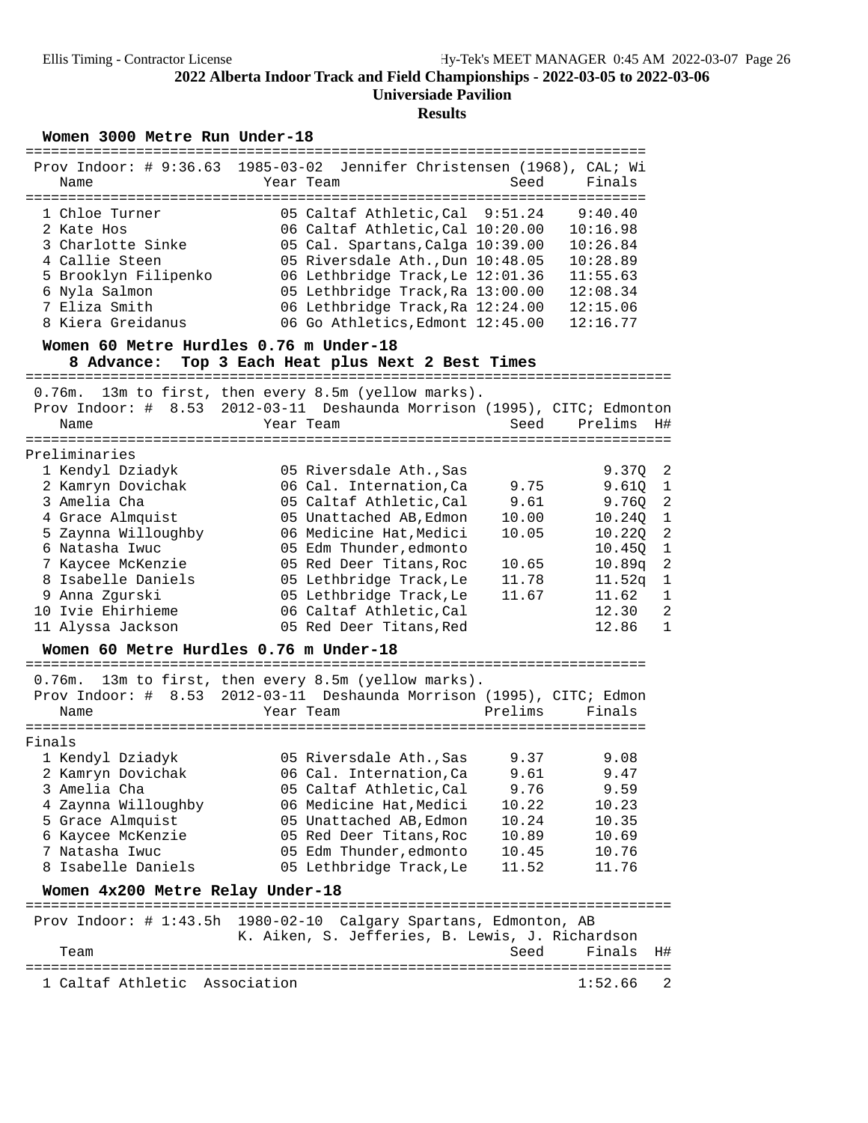# **Results**

Women 3000 Metre Run Under-18

| Name                                                                                                                                                                                                                                                                                 | Prov Indoor: # 9:36.63 1985-03-02 Jennifer Christensen (1968), CAL; Wi<br>Year Team                                                                                                                                                                                                                                                                                | Seed                                                                         | Finals                                                                                                                                                                                                                                                                                         |
|--------------------------------------------------------------------------------------------------------------------------------------------------------------------------------------------------------------------------------------------------------------------------------------|--------------------------------------------------------------------------------------------------------------------------------------------------------------------------------------------------------------------------------------------------------------------------------------------------------------------------------------------------------------------|------------------------------------------------------------------------------|------------------------------------------------------------------------------------------------------------------------------------------------------------------------------------------------------------------------------------------------------------------------------------------------|
| 1 Chloe Turner<br>2 Kate Hos<br>3 Charlotte Sinke<br>4 Callie Steen<br>5 Brooklyn Filipenko<br>6 Nyla Salmon<br>7 Eliza Smith<br>8 Kiera Greidanus                                                                                                                                   | 05 Caltaf Athletic, Cal 9:51.24<br>06 Caltaf Athletic, Cal 10:20.00<br>05 Cal. Spartans, Calga 10:39.00<br>05 Riversdale Ath., Dun 10:48.05<br>06 Lethbridge Track, Le 12:01.36<br>05 Lethbridge Track, Ra 13:00.00<br>06 Lethbridge Track, Ra 12:24.00<br>06 Go Athletics, Edmont 12:45.00                                                                        |                                                                              | 9:40.40<br>10:16.98<br>10:26.84<br>10:28.89<br>11:55.63<br>12:08.34<br>12:15.06<br>12:16.77                                                                                                                                                                                                    |
| Women 60 Metre Hurdles 0.76 m Under-18<br>8 Advance:                                                                                                                                                                                                                                 | Top 3 Each Heat plus Next 2 Best Times                                                                                                                                                                                                                                                                                                                             |                                                                              |                                                                                                                                                                                                                                                                                                |
| Name                                                                                                                                                                                                                                                                                 | 0.76m. 13m to first, then every 8.5m (yellow marks).<br>Prov Indoor: # 8.53 2012-03-11 Deshaunda Morrison (1995), CITC; Edmonton<br>Year Team                                                                                                                                                                                                                      | Seed                                                                         | H#<br>Prelims                                                                                                                                                                                                                                                                                  |
| Preliminaries<br>1 Kendyl Dziadyk<br>2 Kamryn Dovichak<br>3 Amelia Cha<br>4 Grace Almquist<br>5 Zaynna Willoughby<br>6 Natasha Iwuc<br>7 Kaycee McKenzie<br>8 Isabelle Daniels<br>9 Anna Zgurski<br>10 Ivie Ehirhieme<br>11 Alyssa Jackson<br>Women 60 Metre Hurdles 0.76 m Under-18 | 05 Riversdale Ath., Sas<br>06 Cal. Internation, Ca<br>05 Caltaf Athletic, Cal<br>05 Unattached AB, Edmon<br>06 Medicine Hat, Medici<br>05 Edm Thunder, edmonto<br>05 Red Deer Titans, Roc<br>05 Lethbridge Track, Le<br>05 Lethbridge Track, Le<br>06 Caltaf Athletic, Cal<br>05 Red Deer Titans, Red                                                              | 9.75<br>9.61<br>10.00<br>10.05<br>10.65<br>11.78<br>11.67                    | $\overline{2}$<br>9.370<br>9.61Q<br>$\mathbf{1}$<br>$\overline{a}$<br>9.76Q<br>$\mathbf{1}$<br>10.24Q<br>$\overline{2}$<br>10.220<br>$\mathbf{1}$<br>10.45Q<br>$\overline{a}$<br>10.89q<br>$\mathbf{1}$<br>11.52q<br>$\mathbf{1}$<br>11.62<br>$\overline{a}$<br>12.30<br>$\mathbf{1}$<br>12.86 |
| Name<br>Finals<br>1 Kendyl Dziadyk<br>2 Kamryn Dovichak<br>3 Amelia Cha<br>4 Zaynna Willoughby<br>5 Grace Almquist<br>6 Kaycee McKenzie<br>7 Natasha Iwuc<br>8 Isabelle Daniels<br>Women 4x200 Metre Relay Under-18<br>=====================================                         | 0.76m. 13m to first, then every 8.5m (yellow marks).<br>Prov Indoor: # 8.53 2012-03-11 Deshaunda Morrison (1995), CITC; Edmon<br>Year Team<br>05 Riversdale Ath., Sas<br>06 Cal. Internation, Ca<br>05 Caltaf Athletic, Cal<br>06 Medicine Hat, Medici<br>05 Unattached AB, Edmon<br>05 Red Deer Titans, Roc<br>05 Edm Thunder, edmonto<br>05 Lethbridge Track, Le | Prelims<br>9.37<br>9.61<br>9.76<br>10.22<br>10.24<br>10.89<br>10.45<br>11.52 | Finals<br>9.08<br>9.47<br>9.59<br>10.23<br>10.35<br>10.69<br>10.76<br>11.76                                                                                                                                                                                                                    |
| Team                                                                                                                                                                                                                                                                                 | Prov Indoor: # 1:43.5h 1980-02-10 Calgary Spartans, Edmonton, AB<br>K. Aiken, S. Jefferies, B. Lewis, J. Richardson                                                                                                                                                                                                                                                | Seed                                                                         | Finals<br>H#                                                                                                                                                                                                                                                                                   |
| 1 Caltaf Athletic                                                                                                                                                                                                                                                                    | Association                                                                                                                                                                                                                                                                                                                                                        |                                                                              | $\overline{2}$<br>1:52.66                                                                                                                                                                                                                                                                      |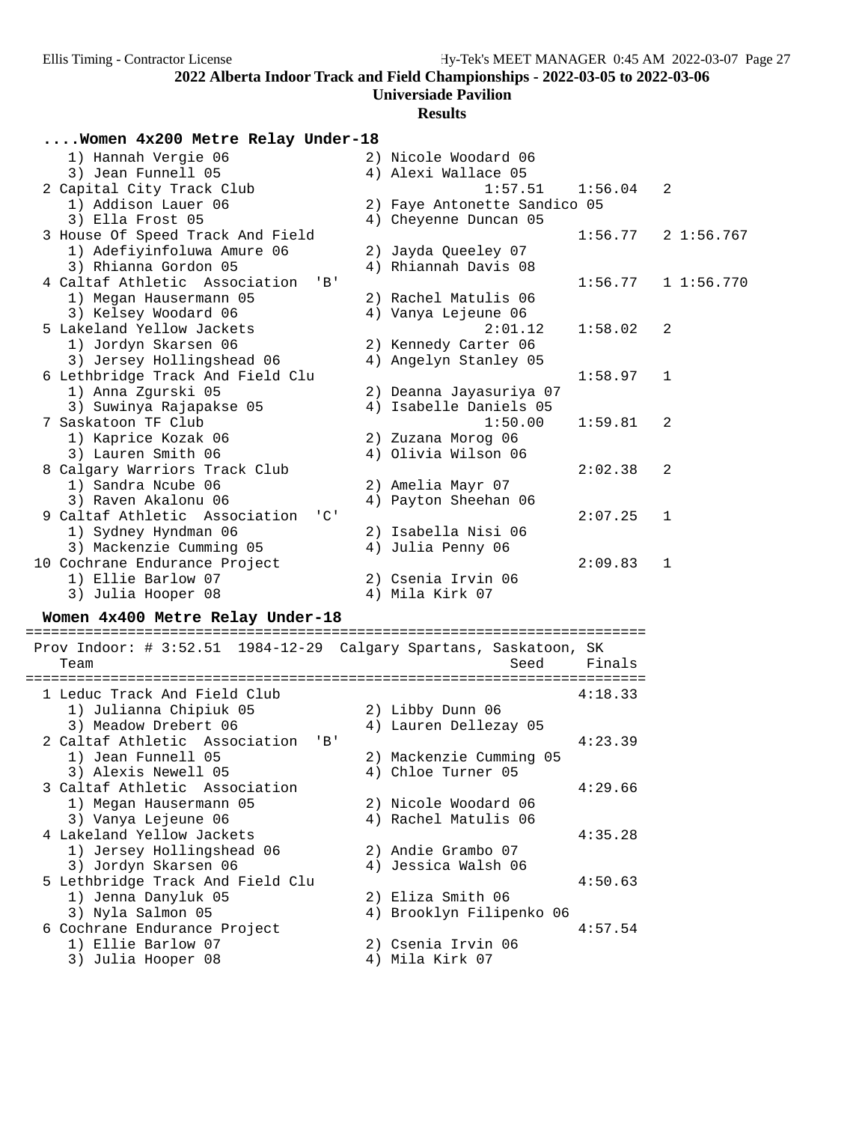**Universiade Pavilion**

### **Results**

| Women 4x200 Metre Relay Under-18                |                              |         |              |
|-------------------------------------------------|------------------------------|---------|--------------|
| 1) Hannah Vergie 06                             | 2) Nicole Woodard 06         |         |              |
| 3) Jean Funnell 05                              | 4) Alexi Wallace 05          |         |              |
| 2 Capital City Track Club                       | 1:57.51                      | 1:56.04 | 2            |
| 1) Addison Lauer 06                             | 2) Faye Antonette Sandico 05 |         |              |
| 3) Ella Frost 05                                | 4) Cheyenne Duncan 05        |         |              |
| 3 House Of Speed Track And Field                |                              | 1:56.77 | 21:56.767    |
| 1) Adefiyinfoluwa Amure 06                      | 2) Jayda Queeley 07          |         |              |
| 3) Rhianna Gordon 05                            | 4) Rhiannah Davis 08         |         |              |
| 4 Caltaf Athletic Association<br>$'$ B $'$      |                              | 1:56.77 | 11:56.770    |
| 1) Megan Hausermann 05                          | 2) Rachel Matulis 06         |         |              |
| 3) Kelsey Woodard 06                            | 4) Vanya Lejeune 06          |         |              |
| 5 Lakeland Yellow Jackets                       | 2:01.12                      | 1:58.02 | 2            |
| 1) Jordyn Skarsen 06                            | 2) Kennedy Carter 06         |         |              |
| 3) Jersey Hollingshead 06                       | 4) Angelyn Stanley 05        |         |              |
| 6 Lethbridge Track And Field Clu                |                              | 1:58.97 | 1            |
| 1) Anna Zgurski 05                              | 2) Deanna Jayasuriya 07      |         |              |
| 3) Suwinya Rajapakse 05                         | 4) Isabelle Daniels 05       |         |              |
| 7 Saskatoon TF Club                             | 1:50.00                      | 1:59.81 | 2            |
| 1) Kaprice Kozak 06                             | 2) Zuzana Morog 06           |         |              |
| 3) Lauren Smith 06                              | 4) Olivia Wilson 06          |         |              |
| 8 Calgary Warriors Track Club                   |                              | 2:02.38 | 2            |
| 1) Sandra Ncube 06                              | 2) Amelia Mayr 07            |         |              |
| 3) Raven Akalonu 06                             | 4) Payton Sheehan 06         |         |              |
| 9 Caltaf Athletic Association<br>$\overline{C}$ |                              | 2:07.25 | 1            |
| 1) Sydney Hyndman 06                            | 2) Isabella Nisi 06          |         |              |
| 3) Mackenzie Cumming 05                         | 4) Julia Penny 06            |         |              |
| 10 Cochrane Endurance Project                   |                              | 2:09.83 | $\mathbf{1}$ |
| 1) Ellie Barlow 07                              | 2) Csenia Irvin 06           |         |              |
| 3) Julia Hooper 08                              | 4) Mila Kirk 07              |         |              |

# **Women 4x400 Metre Relay Under-18** =========================================================================

 Prov Indoor: # 3:52.51 1984-12-29 Calgary Spartans, Saskatoon, SK Team Seed Finals ========================================================================= 1 Leduc Track And Field Club 4:18.33 1) Julianna Chipiuk 05 2) Libby Dunn 06 3) Meadow Drebert 06 4) Lauren Dellezay 05 2 Caltaf Athletic Association 'B' 4:23.39 1) Jean Funnell 05 2) Mackenzie Cumming 05 3) Alexis Newell 05 4) Chloe Turner 05 3 Caltaf Athletic Association 4:29.66 1) Megan Hausermann 05 2) Nicole Woodard 06 3) Vanya Lejeune 06 4) Rachel Matulis 06 4 Lakeland Yellow Jackets 4:35.28 1) Jersey Hollingshead 06 2) Andie Grambo 07 3) Jordyn Skarsen 06 4) Jessica Walsh 06 5 Journalise Cornelis Cornelis Cornelis Cornelis Cornelis Cornelis (Although At 150.63<br>1) Jenna Danyluk 05 (2) Eliza Smith 06 1) Jenna Danyluk 05 3) Nyla Salmon 05 <br>'ochrane Endurance Project 41 Brooklyn Filipenko 06 4:57.54 6 Cochrane Endurance Project 4:57.54 1) Ellie Barlow 07 (2) Csenia Irvin 06 3) Julia Hooper 08 4) Mila Kirk 07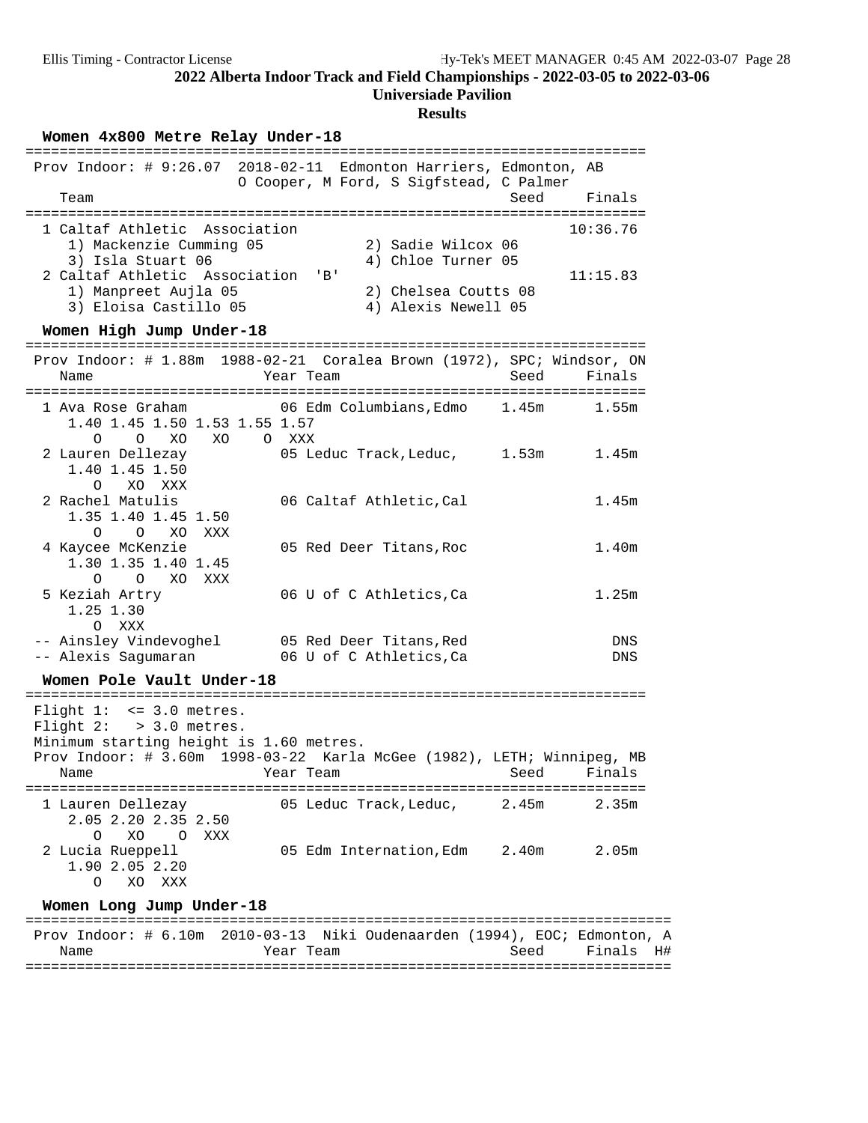## **Universiade Pavilion**

| Women 4x800 Metre Relay Under-18                                                                                                                                |                                                                                                                      |                      |
|-----------------------------------------------------------------------------------------------------------------------------------------------------------------|----------------------------------------------------------------------------------------------------------------------|----------------------|
| Team                                                                                                                                                            | Prov Indoor: # 9:26.07 2018-02-11 Edmonton Harriers, Edmonton, AB<br>O Cooper, M Ford, S Sigfstead, C Palmer<br>Seed | Finals               |
| 1 Caltaf Athletic Association<br>1) Mackenzie Cumming 05<br>3) Isla Stuart 06<br>2 Caltaf Athletic Association<br>1) Manpreet Aujla 05<br>3) Eloisa Castillo 05 | 2) Sadie Wilcox 06<br>4) Chloe Turner 05<br>$'$ B $'$<br>2) Chelsea Coutts 08<br>4) Alexis Newell 05                 | 10:36.76<br>11:15.83 |
| Women High Jump Under-18                                                                                                                                        |                                                                                                                      |                      |
| Name                                                                                                                                                            | Prov Indoor: # 1.88m 1988-02-21 Coralea Brown (1972), SPC; Windsor, ON<br>Year Team<br>Seed                          | Finals               |
| 1 Ava Rose Graham<br>1.40 1.45 1.50 1.53 1.55 1.57<br>O<br>XO<br>XO<br>$\Omega$                                                                                 | 06 Edm Columbians, Edmo 1.45m<br>O XXX                                                                               | 1.55m                |
| 2 Lauren Dellezay<br>1.40 1.45 1.50<br>$\Omega$<br>XO XXX                                                                                                       | 05 Leduc Track, Leduc, 1.53m                                                                                         | 1.45m                |
| 2 Rachel Matulis<br>1.35 1.40 1.45 1.50<br>$\circ$<br>$\circ$<br>XO<br>XXX                                                                                      | 06 Caltaf Athletic, Cal                                                                                              | 1.45m                |
| 4 Kaycee McKenzie<br>1.30 1.35 1.40 1.45<br>$\Omega$<br>$O$ XO<br>XXX                                                                                           | 05 Red Deer Titans, Roc                                                                                              | 1.40m                |
| 5 Keziah Artry<br>1.25 1.30<br>O XXX                                                                                                                            | 06 U of C Athletics, Ca                                                                                              | 1.25m                |
| -- Ainsley Vindevoghel<br>-- Alexis Sagumaran                                                                                                                   | 05 Red Deer Titans, Red<br>06 U of C Athletics, Ca                                                                   | DNS<br><b>DNS</b>    |
| Women Pole Vault Under-18                                                                                                                                       |                                                                                                                      |                      |
| Flight $1: < = 3.0$ metres.<br>Flight $2:$ > 3.0 metres.<br>Minimum starting height is 1.60 metres.<br>Name                                                     | Prov Indoor: # 3.60m 1998-03-22 Karla McGee (1982), LETH; Winnipeg, MB<br>Year Team<br>Seed                          | Finals               |
| 1 Lauren Dellezay<br>2.05 2.20 2.35 2.50<br>XO.<br>$\overline{O}$<br>XXX<br>O                                                                                   | 05 Leduc Track, Leduc,<br>2.45m                                                                                      | 2.35m                |
| 2 Lucia Rueppell<br>1.90 2.05 2.20<br>XO XXX<br>O                                                                                                               | 05 Edm Internation, Edm 2.40m                                                                                        | 2.05 <sub>m</sub>    |
| Women Long Jump Under-18                                                                                                                                        |                                                                                                                      |                      |
| Name                                                                                                                                                            | Prov Indoor: # 6.10m 2010-03-13 Niki Oudenaarden (1994), EOC; Edmonton, A<br>Year Team<br>Seed                       | Finals<br>H#         |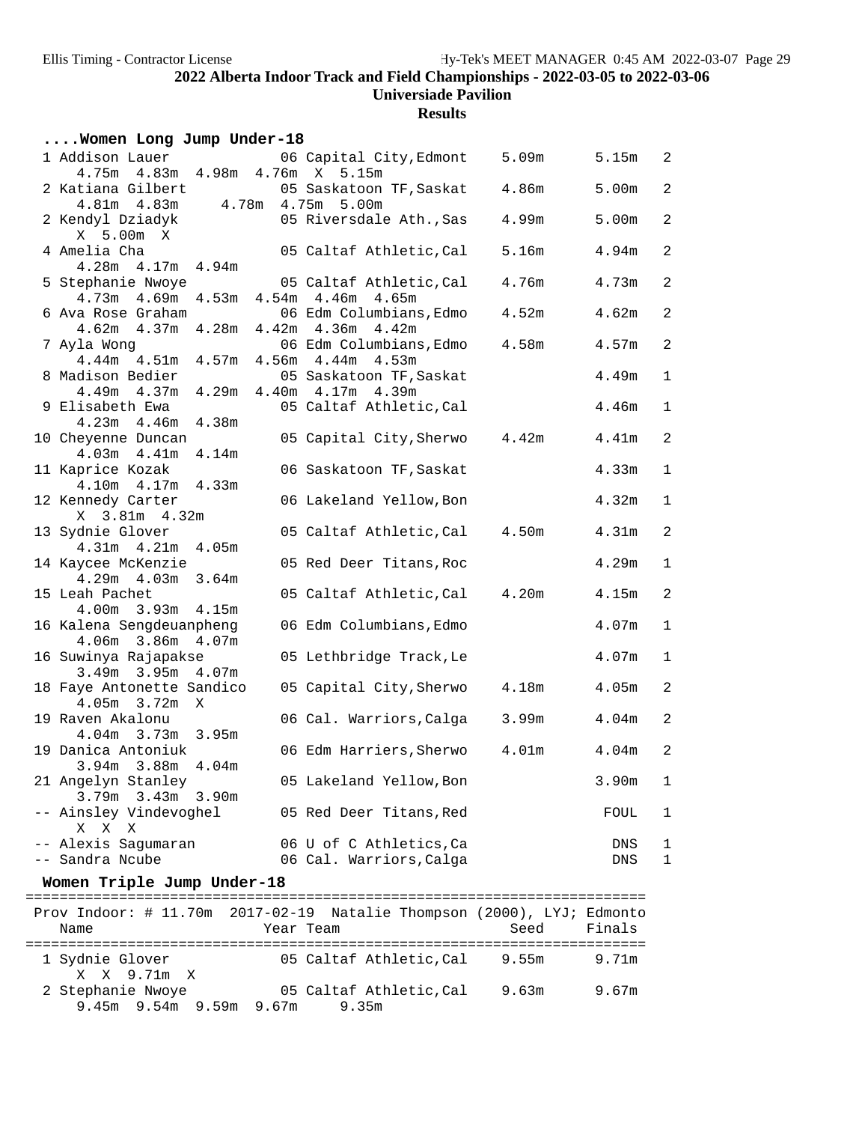## **Results**

#### **....Women Long Jump Under-18**

| 1 Addison Lauer<br>4.75m  4.83m  4.98m  4.76m  X  5.15m                    | 06 Capital City, Edmont                               | 5.09m             | 5.15m             | 2                |
|----------------------------------------------------------------------------|-------------------------------------------------------|-------------------|-------------------|------------------|
| 2 Katiana Gilbert<br>$4.81m$ $4.83m$                                       | 05 Saskatoon TF, Saskat<br>4.78m  4.75m  5.00m        | 4.86m             | 5.00m             | 2                |
| 2 Kendyl Dziadyk<br>X 5.00m X                                              | 05 Riversdale Ath., Sas                               | 4.99m             | 5.00m             | 2                |
| 4 Amelia Cha<br>$4.28m$ $4.17m$ $4.94m$                                    | 05 Caltaf Athletic, Cal                               | 5.16m             | 4.94m             | $\overline{a}$   |
| 5 Stephanie Nwoye<br>$4.73m$ $4.69m$<br>4.53m                              | 05 Caltaf Athletic,Cal<br>$4.54m$ $4.46m$ $4.65m$     | 4.76m             | 4.73m             | $\overline{a}$   |
| 6 Ava Rose Graham                                                          | 06 Edm Columbians, Edmo                               | 4.52m             | 4.62m             | 2                |
| $4.62m$ $4.37m$ $4.28m$<br>7 Ayla Wong<br>$4.44m$ $4.51m$                  | 4.42m 4.36m 4.42m<br>06 Edm Columbians, Edmo          | 4.58m             | 4.57m             | $\overline{a}$   |
| 8 Madison Bedier                                                           | 4.57m 4.56m 4.44m 4.53m<br>05 Saskatoon TF, Saskat    |                   | 4.49m             | $\mathbf{1}$     |
| $4.49m$ $4.37m$<br>9 Elisabeth Ewa                                         | 4.29m  4.40m  4.17m  4.39m<br>05 Caltaf Athletic, Cal |                   | 4.46m             | $\mathbf{1}$     |
| 4.38m<br>$4.23m$ $4.46m$<br>10 Cheyenne Duncan<br>$4.03m$ $4.41m$<br>4.14m | 05 Capital City, Sherwo                               | 4.42m             | 4.41m             | $\overline{a}$   |
| 11 Kaprice Kozak<br>4.33m<br>$4.10m$ $4.17m$                               | 06 Saskatoon TF, Saskat                               |                   | 4.33m             | $\mathbf{1}$     |
| 12 Kennedy Carter<br>X 3.81m 4.32m                                         | 06 Lakeland Yellow, Bon                               |                   | 4.32m             | $\mathbf{1}$     |
| 13 Sydnie Glover<br>4.31m  4.21m  4.05m                                    | 05 Caltaf Athletic, Cal                               | 4.50m             | 4.31m             | $\overline{a}$   |
| 14 Kaycee McKenzie<br>$4.29m$ $4.03m$<br>3.64m                             | 05 Red Deer Titans, Roc                               |                   | 4.29m             | $\mathbf{1}$     |
| 15 Leah Pachet<br>4.00m 3.93m 4.15m                                        | 05 Caltaf Athletic, Cal                               | 4.20m             | 4.15m             | 2                |
| 16 Kalena Sengdeuanpheng<br>4.06m 3.86m 4.07m                              | 06 Edm Columbians, Edmo                               |                   | 4.07m             | $\mathbf 1$      |
| 16 Suwinya Rajapakse<br>3.49m 3.95m 4.07m                                  | 05 Lethbridge Track, Le                               |                   | 4.07m             | $\mathbf{1}$     |
| 18 Faye Antonette Sandico<br>4.05m 3.72m X                                 | 05 Capital City, Sherwo                               | 4.18m             | 4.05m             | 2                |
| 19 Raven Akalonu<br>4.04m 3.73m 3.95m                                      | 06 Cal. Warriors, Calga                               | 3.99m             | 4.04 <sub>m</sub> | $\overline{a}$   |
| 19 Danica Antoniuk<br>3.94m 3.88m 4.04m                                    | 06 Edm Harriers,Sherwo                                | 4.01 <sub>m</sub> | 4.04 <sub>m</sub> | $\sqrt{2}$       |
| 21 Angelyn Stanley<br>3.79m 3.43m 3.90m                                    | 05 Lakeland Yellow, Bon                               |                   | $3.90m$ 1         |                  |
| -- Ainsley Vindevoghel<br>X X X                                            | 05 Red Deer Titans, Red                               |                   | FOUL              | 1                |
| -- Alexis Sagumaran<br>-- Sandra Ncube                                     | 06 U of C Athletics, Ca<br>06 Cal. Warriors, Calga    |                   | DNS<br>DNS        | ı<br>$\mathbf 1$ |
| Women Triple Jump Under-18                                                 |                                                       |                   |                   |                  |
| Prov Indoor: # 11.70m 2017-02-19 Natalie Thompson (2000), LYJ; Edmonto     |                                                       |                   |                   |                  |
|                                                                            |                                                       |                   |                   |                  |

 Name Year Team Seed Finals ========================================================================= 1 Sydnie Glover 05 Caltaf Athletic,Cal 9.55m 9.71m X X 9.71m X 2 Stephanie Nwoye 05 Caltaf Athletic,Cal 9.63m 9.67m 9.45m 9.54m 9.59m 9.67m 9.35m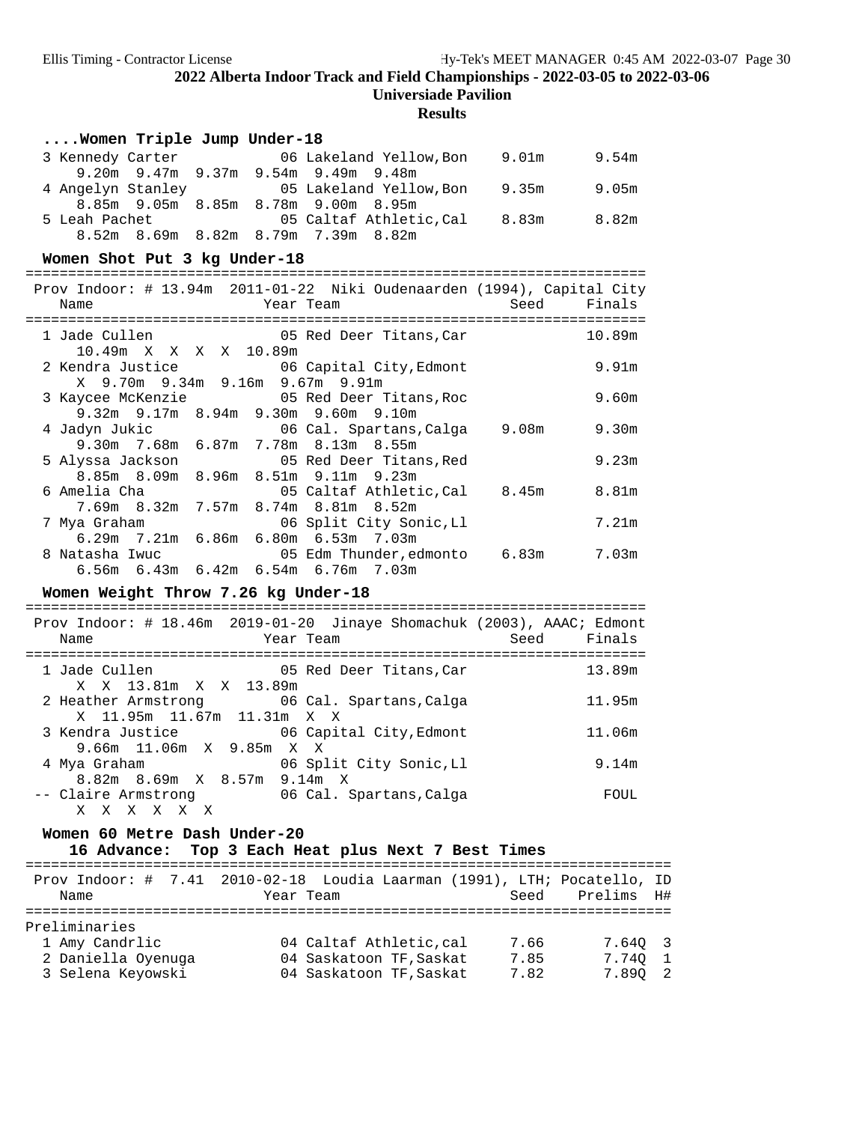**Universiade Pavilion**

| Women Triple Jump Under-18                                                             |      |                   |
|----------------------------------------------------------------------------------------|------|-------------------|
| 3 Kennedy Carter 6 06 Lakeland Yellow, Bon 9.01m 9.54m                                 |      |                   |
| 9.20m 9.47m 9.37m 9.54m 9.49m 9.48m                                                    |      |                   |
| 05 Lakeland Yellow, Bon 9.35m<br>4 Angelyn Stanley                                     |      | 9.05m             |
| 8.85m 9.05m 8.85m 8.78m 9.00m 8.95m                                                    |      |                   |
| 05 Caltaf Athletic, Cal 8.83m<br>5 Leah Pachet                                         |      | 8.82m             |
| 8.52m 8.69m 8.82m 8.79m 7.39m 8.82m                                                    |      |                   |
| Women Shot Put 3 kg Under-18                                                           |      |                   |
|                                                                                        |      |                   |
| Prov Indoor: # 13.94m 2011-01-22 Niki Oudenaarden (1994), Capital City                 |      |                   |
| Year Team<br>Name                                                                      | Seed | Finals            |
|                                                                                        |      |                   |
| 05 Red Deer Titans, Car<br>1 Jade Cullen                                               |      | 10.89m            |
| 10.49m X X X X 10.89m                                                                  |      |                   |
| 2 Kendra Justice<br>06 Capital City, Edmont<br>X 9.70m 9.34m 9.16m 9.67m 9.91m         |      | 9.91m             |
| 3 Kaycee McKenzie <b>6 COV 6 COVER</b> 05 Red Deer Titans, Roc                         |      | 9.60 <sub>m</sub> |
| 9.32m 9.17m 8.94m 9.30m 9.60m 9.10m                                                    |      |                   |
| 06 Cal. Spartans, Calga 9.08m<br>4 Jadyn Jukic                                         |      | 9.30 <sub>m</sub> |
| 9.30m 7.68m 6.87m 7.78m 8.13m 8.55m                                                    |      |                   |
| 5 Alyssa Jackson<br>05 Red Deer Titans, Red                                            |      | 9.23m             |
| 8.85m 8.09m<br>8.96m 8.51m 9.11m 9.23m                                                 |      |                   |
| 05 Caltaf Athletic, Cal 8.45m<br>6 Amelia Cha                                          |      | 8.81m             |
| 7.69m 8.32m 7.57m 8.74m 8.81m 8.52m                                                    |      |                   |
| 7 Mya Graham<br>06 Split City Sonic, Ll                                                |      | 7.21m             |
| 6.29m 7.21m 6.86m 6.80m 6.53m 7.03m<br>8 Natasha Iwuc<br>05 Edm Thunder, edmonto 6.83m |      | 7.03m             |
| 6.56m 6.43m 6.42m 6.54m 6.76m 7.03m                                                    |      |                   |
|                                                                                        |      |                   |
| Women Weight Throw 7.26 kg Under-18                                                    |      |                   |
| Prov Indoor: # 18.46m 2019-01-20 Jinaye Shomachuk (2003), AAAC; Edmont                 |      |                   |
| Name<br>Year Team                                                                      | Seed | Finals            |
|                                                                                        |      |                   |
| 05 Red Deer Titans, Car 13.89m<br>1 Jade Cullen                                        |      |                   |
| X X 13.81m X X 13.89m                                                                  |      |                   |
| 2 Heather Armstrong 66 Cal. Spartans, Calga                                            |      | 11.95m            |
| X 11.95m 11.67m 11.31m X X                                                             |      |                   |
| 3 Kendra Justice 66 06 Capital City, Edmont                                            |      | 11.06m            |
| 9.66m 11.06m X 9.85m X X<br>06 Split City Sonic, Ll                                    |      | 9.14m             |
| 4 Mya Graham<br>8.82m 8.69m X 8.57m 9.14m X                                            |      |                   |
| 06 Cal. Spartans, Calga<br>-- Claire Armstrong                                         |      | FOUL              |
| X X X X<br>X X                                                                         |      |                   |
| Women 60 Metre Dash Under-20                                                           |      |                   |
| 16 Advance: Top 3 Each Heat plus Next 7 Best Times                                     |      |                   |
|                                                                                        |      |                   |
| Prov Indoor: # 7.41 2010-02-18 Loudia Laarman (1991), LTH; Pocatello, ID               |      |                   |
| Name<br>Year Team                                                                      |      | Seed Prelims H#   |
|                                                                                        |      |                   |
| Preliminaries                                                                          |      |                   |

| t t e t tilltiidt t ep |                         |      |         |
|------------------------|-------------------------|------|---------|
| 1 Amy Candrlic         | 04 Caltaf Athletic, cal | 7.66 | 7.640 3 |
| 2 Daniella Oyenuga     | 04 Saskatoon TF, Saskat | 7.85 | 7.740 1 |
| 3 Selena Keyowski      | 04 Saskatoon TF, Saskat | 7.82 | 7.890 2 |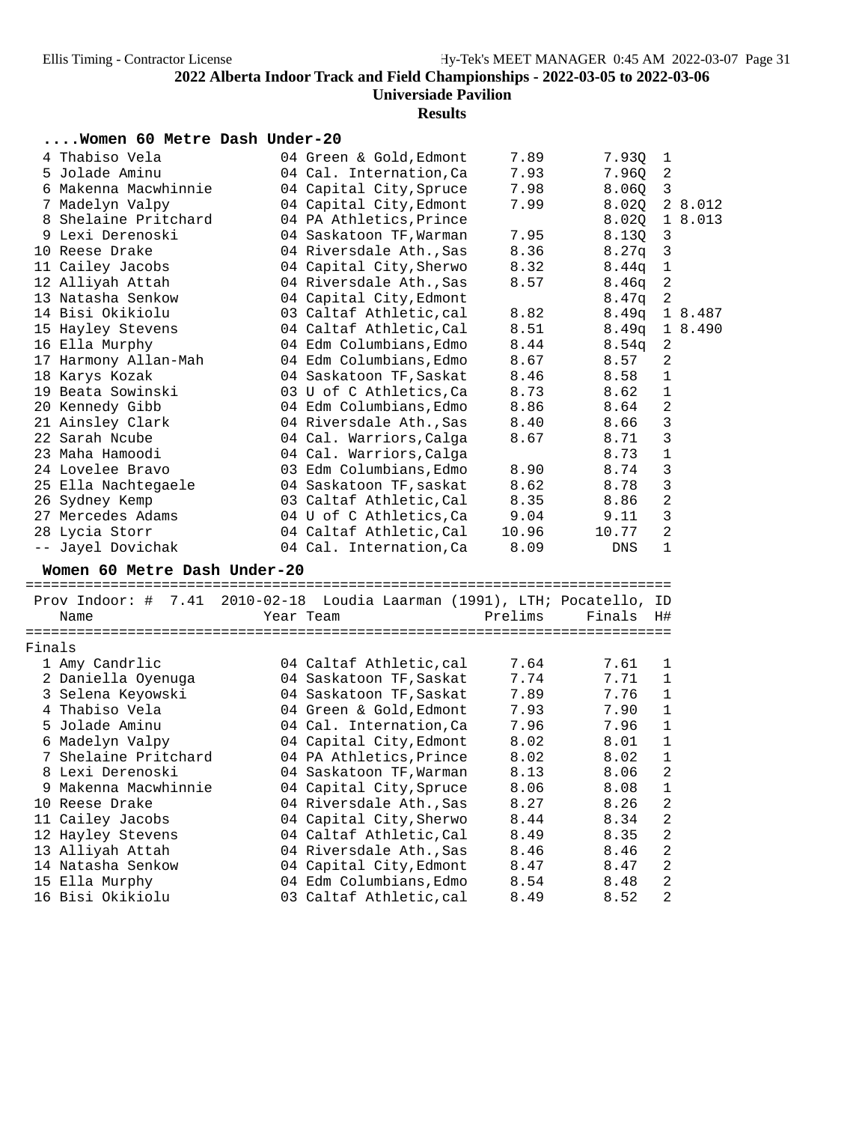| Women 60 Metre Dash Under-20                                             |                         |         |        |                         |         |
|--------------------------------------------------------------------------|-------------------------|---------|--------|-------------------------|---------|
| 4 Thabiso Vela                                                           | 04 Green & Gold, Edmont | 7.89    | 7.93Q  | $\mathbf{1}$            |         |
| 5 Jolade Aminu                                                           | 04 Cal. Internation, Ca | 7.93    | 7.96Q  | $\overline{2}$          |         |
| 6 Makenna Macwhinnie                                                     | 04 Capital City, Spruce | 7.98    | 8.060  | $\overline{\mathbf{3}}$ |         |
| 7 Madelyn Valpy                                                          | 04 Capital City, Edmont | 7.99    | 8.020  |                         | 2 8.012 |
| 8 Shelaine Pritchard                                                     | 04 PA Athletics, Prince |         | 8.02Q  |                         | 1 8.013 |
| 9 Lexi Derenoski                                                         | 04 Saskatoon TF, Warman | 7.95    | 8.13Q  | 3                       |         |
| 10 Reese Drake                                                           | 04 Riversdale Ath., Sas | 8.36    | 8.27q  | $\mathbf{3}$            |         |
| 11 Cailey Jacobs                                                         | 04 Capital City, Sherwo | 8.32    | 8.44q  | $\mathbf{1}$            |         |
| 12 Alliyah Attah                                                         | 04 Riversdale Ath., Sas | 8.57    | 8.46q  | 2                       |         |
| 13 Natasha Senkow                                                        | 04 Capital City, Edmont |         | 8.47q  | 2                       |         |
| 14 Bisi Okikiolu                                                         | 03 Caltaf Athletic, cal | 8.82    | 8.49q  |                         | 1 8.487 |
| 15 Hayley Stevens                                                        | 04 Caltaf Athletic, Cal | 8.51    | 8.49q  |                         | 1 8.490 |
| 16 Ella Murphy                                                           | 04 Edm Columbians, Edmo | 8.44    | 8.54q  | $\boldsymbol{2}$        |         |
| 17 Harmony Allan-Mah                                                     | 04 Edm Columbians, Edmo | 8.67    | 8.57   | 2                       |         |
| 18 Karys Kozak                                                           | 04 Saskatoon TF, Saskat | 8.46    | 8.58   | $\mathbf 1$             |         |
| 19 Beata Sowinski                                                        | 03 U of C Athletics, Ca | 8.73    | 8.62   | $\mathbf{1}$            |         |
| 20 Kennedy Gibb                                                          | 04 Edm Columbians, Edmo | 8.86    | 8.64   | 2                       |         |
| 21 Ainsley Clark                                                         | 04 Riversdale Ath., Sas | 8.40    | 8.66   | $\mathsf 3$             |         |
| 22 Sarah Ncube                                                           | 04 Cal. Warriors, Calga | 8.67    | 8.71   | $\mathbf{3}$            |         |
| 23 Maha Hamoodi                                                          | 04 Cal. Warriors, Calga |         | 8.73   | $\mathbf 1$             |         |
| 24 Lovelee Bravo                                                         | 03 Edm Columbians, Edmo | 8.90    | 8.74   | $\mathbf{3}$            |         |
| 25 Ella Nachtegaele                                                      | 04 Saskatoon TF, saskat | 8.62    | 8.78   | 3                       |         |
| 26 Sydney Kemp                                                           | 03 Caltaf Athletic, Cal | 8.35    | 8.86   | $\overline{2}$          |         |
| 27 Mercedes Adams                                                        | 04 U of C Athletics, Ca | 9.04    | 9.11   | $\mathbf{3}$            |         |
| 28 Lycia Storr                                                           | 04 Caltaf Athletic, Cal | 10.96   | 10.77  | 2                       |         |
| -- Jayel Dovichak                                                        | 04 Cal. Internation, Ca | 8.09    | DNS    | $1\,$                   |         |
| Women 60 Metre Dash Under-20                                             |                         |         |        |                         |         |
|                                                                          |                         |         |        |                         |         |
| Prov Indoor: # 7.41 2010-02-18 Loudia Laarman (1991), LTH; Pocatello, ID |                         |         |        |                         |         |
| Name                                                                     | Year Team               | Prelims | Finals | H#                      |         |
|                                                                          |                         |         |        |                         |         |
| Finals                                                                   |                         |         |        |                         |         |
| 1 Amy Candrlic                                                           | 04 Caltaf Athletic, cal | 7.64    | 7.61   | 1                       |         |
| 2 Daniella Oyenuga                                                       | 04 Saskatoon TF, Saskat | 7.74    | 7.71   | $\mathbf 1$             |         |
| 3 Selena Keyowski                                                        | 04 Saskatoon TF, Saskat | 7.89    | 7.76   | $\mathbf{1}$            |         |
| 4 Thabiso Vela                                                           | 04 Green & Gold, Edmont | 7.93    | 7.90   | $\mathbf 1$             |         |
| 5 Jolade Aminu                                                           | 04 Cal. Internation, Ca | 7.96    | 7.96   | $\mathbf{1}$            |         |
| 6 Madelyn Valpy                                                          | 04 Capital City, Edmont | 8.02    | 8.01   | $\mathbf 1$             |         |
| 7 Shelaine Pritchard                                                     | 04 PA Athletics, Prince | 8.02    | 8.02   | 1                       |         |
| 8 Lexi Derenoski                                                         | 04 Saskatoon TF, Warman | 8.13    | 8.06   | 2                       |         |
| 9 Makenna Macwhinnie                                                     | 04 Capital City, Spruce | 8.06    | 8.08   | 1                       |         |
| 10 Reese Drake                                                           | 04 Riversdale Ath., Sas | 8.27    | 8.26   | 2                       |         |
| 11 Cailey Jacobs                                                         | 04 Capital City, Sherwo | 8.44    | 8.34   | 2                       |         |
| 12 Hayley Stevens                                                        | 04 Caltaf Athletic, Cal | 8.49    | 8.35   | 2                       |         |
| 13 Alliyah Attah                                                         | 04 Riversdale Ath., Sas | 8.46    | 8.46   | 2                       |         |
| 14 Natasha Senkow                                                        | 04 Capital City, Edmont | 8.47    | 8.47   | 2                       |         |
| 15 Ella Murphy                                                           | 04 Edm Columbians, Edmo | 8.54    | 8.48   | 2                       |         |
| 16 Bisi Okikiolu                                                         | 03 Caltaf Athletic, cal | 8.49    | 8.52   | $\overline{c}$          |         |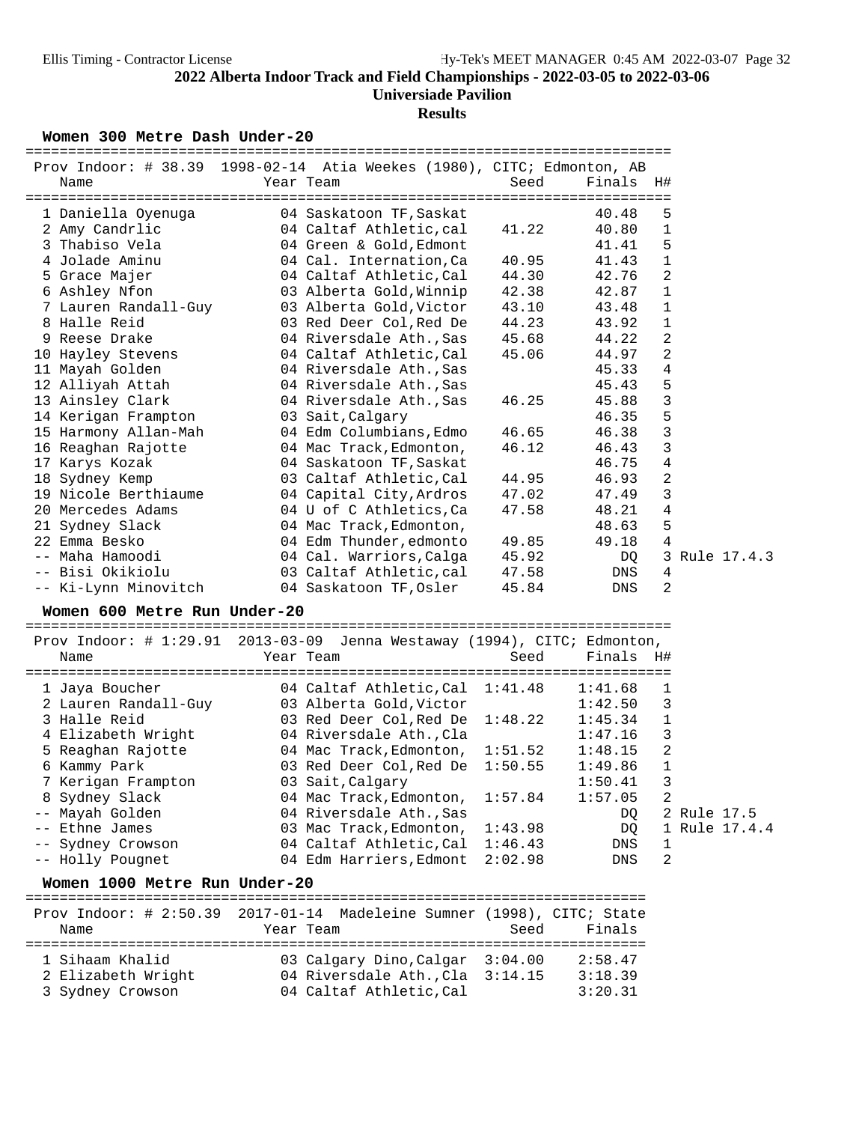# **Results**

Women 300 Metre Dash Under-20

| Prov Indoor: # 38.39 1998-02-14 Atia Weekes (1980), CITC; Edmonton, AB<br>Name | Year Team                                       | Seed    | Finals H# |                |             |               |
|--------------------------------------------------------------------------------|-------------------------------------------------|---------|-----------|----------------|-------------|---------------|
|                                                                                |                                                 |         |           |                |             |               |
| 1 Daniella Oyenuga                                                             | 04 Saskatoon TF, Saskat                         |         | 40.48     | 5              |             |               |
| 2 Amy Candrlic                                                                 | 04 Caltaf Athletic, cal                         | 41.22   | 40.80     | 1              |             |               |
| 3 Thabiso Vela                                                                 | 04 Green & Gold, Edmont                         |         | 41.41     | 5              |             |               |
| 4 Jolade Aminu                                                                 | 04 Cal. Internation, Ca                         | 40.95   | 41.43     | $\mathbf{1}$   |             |               |
| 5 Grace Majer                                                                  | 04 Caltaf Athletic, Cal                         | 44.30   | 42.76     | $\overline{a}$ |             |               |
| 6 Ashley Nfon                                                                  | 03 Alberta Gold, Winnip                         | 42.38   | 42.87     | 1              |             |               |
| 7 Lauren Randall-Guy                                                           | 03 Alberta Gold, Victor                         | 43.10   | 43.48     | 1              |             |               |
| 8 Halle Reid                                                                   | 03 Red Deer Col, Red De                         | 44.23   | 43.92     | 1              |             |               |
| 9 Reese Drake                                                                  | 04 Riversdale Ath., Sas                         | 45.68   | 44.22     | $\overline{2}$ |             |               |
| 10 Hayley Stevens                                                              | 04 Caltaf Athletic, Cal                         | 45.06   | 44.97     | $\overline{a}$ |             |               |
| 11 Mayah Golden                                                                | 04 Riversdale Ath., Sas                         |         | 45.33     | 4              |             |               |
| 12 Alliyah Attah                                                               | 04 Riversdale Ath., Sas                         |         | 45.43     | 5              |             |               |
| 13 Ainsley Clark                                                               | 04 Riversdale Ath., Sas                         | 46.25   | 45.88     | $\mathsf 3$    |             |               |
| 14 Kerigan Frampton                                                            | 03 Sait, Calgary                                |         | 46.35     | 5              |             |               |
| 15 Harmony Allan-Mah                                                           | 04 Edm Columbians, Edmo                         | 46.65   | 46.38     | $\mathbf{3}$   |             |               |
| 16 Reaghan Rajotte                                                             | 04 Mac Track, Edmonton,                         | 46.12   | 46.43     | $\mathsf 3$    |             |               |
| 17 Karys Kozak                                                                 | 04 Saskatoon TF, Saskat                         |         | 46.75     | $\overline{4}$ |             |               |
| 18 Sydney Kemp                                                                 | 03 Caltaf Athletic, Cal                         | 44.95   | 46.93     | $\sqrt{2}$     |             |               |
| 19 Nicole Berthiaume                                                           | 04 Capital City, Ardros                         | 47.02   | 47.49     | 3              |             |               |
| 20 Mercedes Adams                                                              | 04 U of C Athletics, Ca                         | 47.58   | 48.21     | 4              |             |               |
| 21 Sydney Slack                                                                | 04 Mac Track, Edmonton,                         |         | 48.63     | 5              |             |               |
| 22 Emma Besko                                                                  | 04 Edm Thunder, edmonto                         | 49.85   | 49.18     | $\overline{4}$ |             |               |
| -- Maha Hamoodi                                                                | 04 Cal. Warriors, Calga                         | 45.92   | DQ        |                |             | 3 Rule 17.4.3 |
| -- Bisi Okikiolu                                                               | 03 Caltaf Athletic, cal                         | 47.58   | DNS       | 4              |             |               |
| -- Ki-Lynn Minovitch                                                           | 04 Saskatoon TF, Osler                          | 45.84   | DNS       | 2              |             |               |
| Women 600 Metre Run Under-20                                                   |                                                 |         |           |                |             |               |
| Prov Indoor: # 1:29.91 2013-03-09 Jenna Westaway (1994), CITC; Edmonton,       |                                                 |         |           |                |             |               |
| Name                                                                           | Year Team                                       | Seed    | Finals    | H#             |             |               |
|                                                                                |                                                 |         |           |                |             |               |
| 1 Jaya Boucher                                                                 | 04 Caltaf Athletic,Cal                          | 1:41.48 | 1:41.68   | 1              |             |               |
| 2 Lauren Randall-Guy                                                           | 03 Alberta Gold, Victor                         |         | 1:42.50   | 3              |             |               |
| 3 Halle Reid                                                                   | 03 Red Deer Col, Red De                         | 1:48.22 | 1:45.34   | $\mathbf{1}$   |             |               |
| 4 Elizabeth Wright                                                             | 04 Riversdale Ath., Cla                         |         | 1:47.16   | 3              |             |               |
| 5 Reaghan Rajotte                                                              | 04 Mac Track, Edmonton,                         | 1:51.52 | 1:48.15   | 2              |             |               |
| 6 Kammy Park                                                                   | 03 Red Deer Col, Red De                         | 1:50.55 | 1:49.86   | 1              |             |               |
| 7 Kerigan Frampton                                                             | 03 Sait, Calgary                                |         | 1:50.41   | 3              |             |               |
| 8 Sydney Slack                                                                 | 04 Mac Track, Edmonton,                         | 1:57.84 | 1:57.05   | 2              |             |               |
| -- Mayah Golden                                                                | 04 Riversdale Ath., Sas                         |         | DQ        |                | 2 Rule 17.5 |               |
| -- Ethne James                                                                 | 03 Mac Track, Edmonton,                         | 1:43.98 | DQ        |                |             | 1 Rule 17.4.4 |
| -- Sydney Crowson                                                              | 04 Caltaf Athletic, Cal                         | 1:46.43 | DNS       | 1              |             |               |
| -- Holly Pougnet                                                               | 04 Edm Harriers, Edmont                         | 2:02.98 | DNS       | 2              |             |               |
| Women 1000 Metre Run Under-20                                                  |                                                 |         |           |                |             |               |
| Prov Indoor: $\#$ 2:50.39                                                      | 2017-01-14 Madeleine Sumner (1998), CITC; State |         |           |                |             |               |
| Name                                                                           | Year Team                                       | Seed    | Finals    |                |             |               |
|                                                                                |                                                 |         |           |                |             |               |
| 1 Sihaam Khalid                                                                | 03 Calgary Dino, Calgar                         | 3:04.00 | 2:58.47   |                |             |               |
| 2 Elizabeth Wright                                                             | 04 Riversdale Ath., Cla                         | 3:14.15 | 3:18.39   |                |             |               |

3 Sydney Crowson 04 Caltaf Athletic,Cal 3:20.31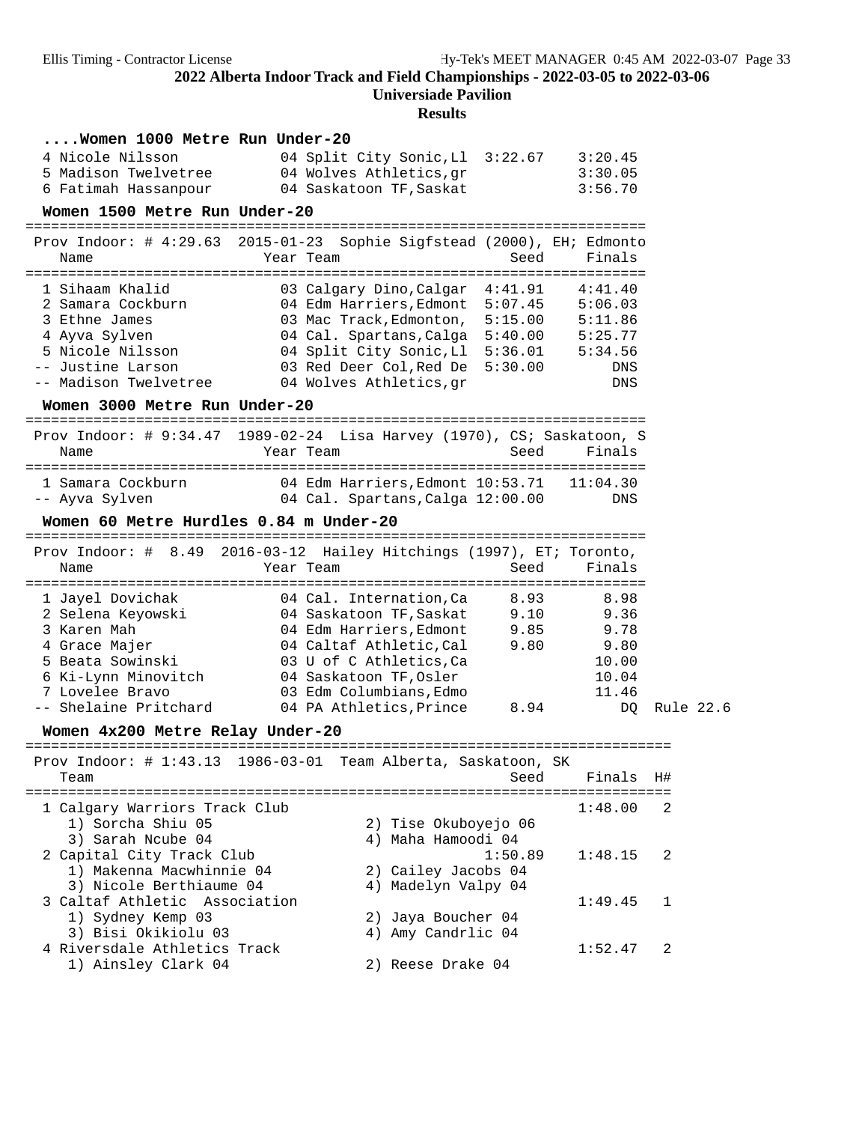**Universiade Pavilion**

#### **Results**

| Women 1000 Metre Run Under-20                       |                                                                        |         |            |    |           |
|-----------------------------------------------------|------------------------------------------------------------------------|---------|------------|----|-----------|
| 4 Nicole Nilsson                                    | 04 Split City Sonic, Ll 3:22.67                                        |         | 3:20.45    |    |           |
| 5 Madison Twelvetree                                | 04 Wolves Athletics, gr                                                |         | 3:30.05    |    |           |
| 6 Fatimah Hassanpour                                | 04 Saskatoon TF, Saskat                                                |         | 3:56.70    |    |           |
| Women 1500 Metre Run Under-20                       |                                                                        |         |            |    |           |
| Prov Indoor: $\#$ 4:29.63                           | 2015-01-23 Sophie Sigfstead (2000), EH; Edmonto                        |         |            |    |           |
| Name                                                | Year Team                                                              | Seed    | Finals     |    |           |
| 1 Sihaam Khalid                                     | 03 Calgary Dino, Calgar 4:41.91                                        |         | 4:41.40    |    |           |
| 2 Samara Cockburn                                   | 04 Edm Harriers, Edmont                                                | 5:07.45 | 5:06.03    |    |           |
| 3 Ethne James                                       | 03 Mac Track, Edmonton,                                                | 5:15.00 | 5:11.86    |    |           |
| 4 Ayva Sylven                                       | 04 Cal. Spartans, Calga 5:40.00                                        |         | 5:25.77    |    |           |
| 5 Nicole Nilsson                                    | 04 Split City Sonic, Ll 5:36.01                                        |         | 5:34.56    |    |           |
| -- Justine Larson<br>-- Madison Twelvetree          | 03 Red Deer Col,Red De<br>04 Wolves Athletics, gr                      | 5:30.00 | DNS<br>DNS |    |           |
| Women 3000 Metre Run Under-20                       |                                                                        |         |            |    |           |
|                                                     |                                                                        |         |            |    |           |
|                                                     | Prov Indoor: # 9:34.47 1989-02-24 Lisa Harvey (1970), CS; Saskatoon, S |         |            |    |           |
| Name                                                | Year Team                                                              | Seed    | Finals     |    |           |
| 1 Samara Cockburn                                   | 04 Edm Harriers, Edmont 10:53.71   11:04.30                            |         |            |    |           |
| -- Ayva Sylven                                      | 04 Cal. Spartans, Calga 12:00.00                                       |         | DNS        |    |           |
| Women 60 Metre Hurdles 0.84 m Under-20              |                                                                        |         |            |    |           |
|                                                     | Prov Indoor: # 8.49 2016-03-12 Hailey Hitchings (1997), ET; Toronto,   |         |            |    |           |
| Name                                                | Year Team                                                              | Seed    | Finals     |    |           |
|                                                     | 04 Cal. Internation, Ca                                                | 8.93    | 8.98       |    |           |
| 1 Jayel Dovichak<br>2 Selena Keyowski               | 04 Saskatoon TF,Saskat                                                 | 9.10    | 9.36       |    |           |
| 3 Karen Mah                                         | 04 Edm Harriers, Edmont                                                | 9.85    | 9.78       |    |           |
| 4 Grace Majer                                       | 04 Caltaf Athletic, Cal                                                | 9.80    | 9.80       |    |           |
| 5 Beata Sowinski                                    | 03 U of C Athletics, Ca                                                |         | 10.00      |    |           |
| 6 Ki-Lynn Minovitch                                 | 04 Saskatoon TF, Osler                                                 |         | 10.04      |    |           |
| 7 Lovelee Bravo                                     | 03 Edm Columbians, Edmo                                                |         | 11.46      |    |           |
| -- Shelaine Pritchard                               | 04 PA Athletics, Prince                                                | 8.94    | DQ         |    | Rule 22.6 |
| Women 4x200 Metre Relay Under-20                    |                                                                        |         |            |    |           |
|                                                     | Prov Indoor: # 1:43.13 1986-03-01 Team Alberta, Saskatoon, SK          |         |            |    |           |
| Team                                                |                                                                        | Seed    | Finals     | H# |           |
| 1 Calgary Warriors Track Club                       |                                                                        |         | 1:48.00    | 2  |           |
| 1) Sorcha Shiu 05                                   | 2) Tise Okuboyejo 06                                                   |         |            |    |           |
| 3) Sarah Ncube 04                                   | 4) Maha Hamoodi 04                                                     |         |            |    |           |
| 2 Capital City Track Club                           |                                                                        | 1:50.89 | 1:48.15    | 2  |           |
| 1) Makenna Macwhinnie 04                            | 2) Cailey Jacobs 04                                                    |         |            |    |           |
| 3) Nicole Berthiaume 04                             | 4) Madelyn Valpy 04                                                    |         |            |    |           |
| 3 Caltaf Athletic Association                       |                                                                        |         | 1:49.45    | 1  |           |
| 1) Sydney Kemp 03                                   |                                                                        |         |            |    |           |
|                                                     | 2) Jaya Boucher 04                                                     |         |            |    |           |
| 3) Bisi Okikiolu 03<br>4 Riversdale Athletics Track | 4) Amy Candrlic 04                                                     |         | 1:52.47    | 2  |           |

1) Ainsley Clark 04 2) Reese Drake 04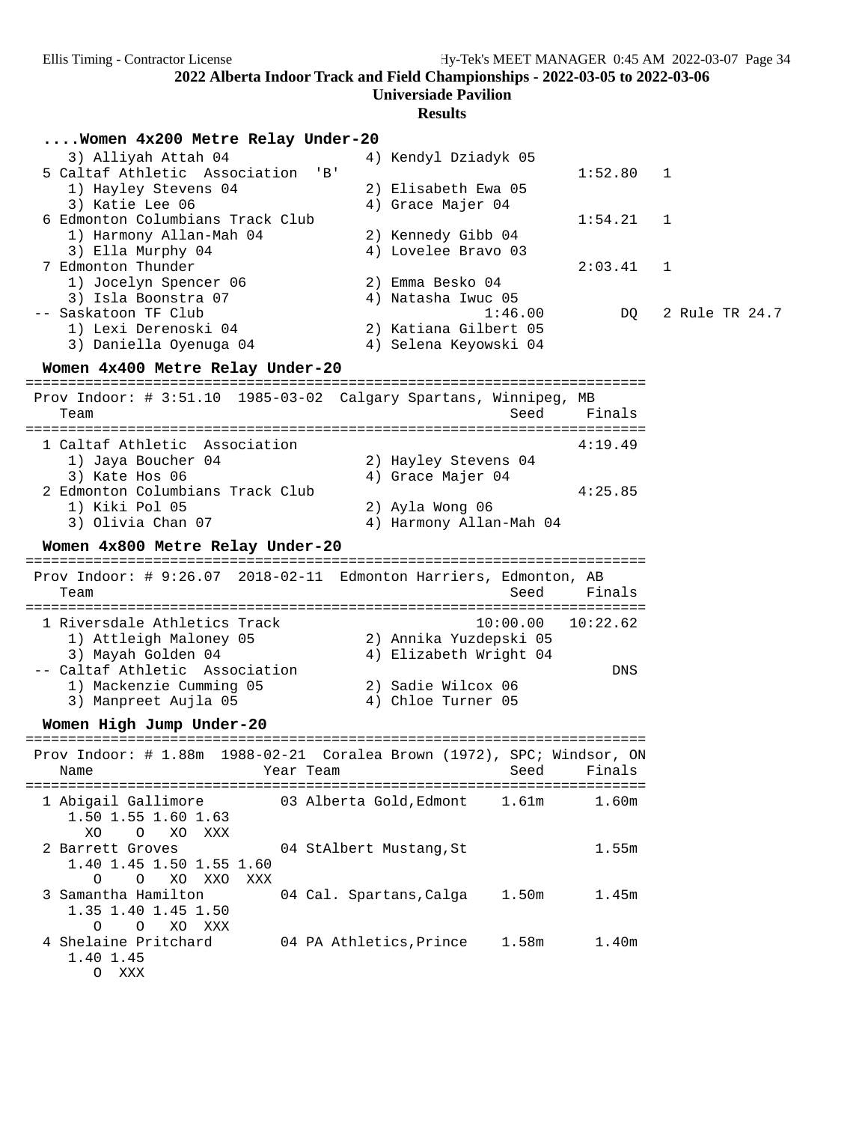| Women 4x200 Metre Relay Under-20                                                                               |                         |                                                |                   |                                      |                |
|----------------------------------------------------------------------------------------------------------------|-------------------------|------------------------------------------------|-------------------|--------------------------------------|----------------|
| 3) Alliyah Attah 04<br>5 Caltaf Athletic Association                                                           | 'B'                     | 4) Kendyl Dziadyk 05                           |                   | 1:52.80                              | 1              |
| 1) Hayley Stevens 04<br>3) Katie Lee 06                                                                        |                         | 2) Elisabeth Ewa 05<br>4) Grace Majer 04       |                   |                                      |                |
| 6 Edmonton Columbians Track Club<br>1) Harmony Allan-Mah 04                                                    |                         | 2) Kennedy Gibb 04                             |                   | 1:54.21                              | 1              |
| 3) Ella Murphy 04<br>7 Edmonton Thunder<br>1) Jocelyn Spencer 06                                               |                         | 4) Lovelee Bravo 03<br>2) Emma Besko 04        |                   | 2:03.41                              | 1              |
| 3) Isla Boonstra 07<br>-- Saskatoon TF Club                                                                    |                         | 4) Natasha Iwuc 05                             | 1:46.00           | DQ                                   | 2 Rule TR 24.7 |
| 1) Lexi Derenoski 04<br>3) Daniella Oyenuga 04                                                                 |                         | 2) Katiana Gilbert 05<br>4) Selena Keyowski 04 |                   |                                      |                |
| Women 4x400 Metre Relay Under-20                                                                               |                         |                                                |                   |                                      |                |
| Prov Indoor: # 3:51.10  1985-03-02  Calgary Spartans, Winnipeg, MB<br>Team                                     |                         |                                                | Seed              | Finals                               |                |
| 1 Caltaf Athletic Association                                                                                  |                         |                                                |                   | 4:19.49                              |                |
| 1) Jaya Boucher 04<br>3) Kate Hos 06<br>2 Edmonton Columbians Track Club                                       |                         | 2) Hayley Stevens 04<br>4) Grace Majer 04      |                   | 4:25.85                              |                |
| 1) Kiki Pol 05<br>3) Olivia Chan 07                                                                            |                         | 2) Ayla Wong 06<br>4) Harmony Allan-Mah 04     |                   |                                      |                |
|                                                                                                                |                         |                                                |                   |                                      |                |
| Women 4x800 Metre Relay Under-20                                                                               |                         |                                                |                   |                                      |                |
| Prov Indoor: # 9:26.07 2018-02-11 Edmonton Harriers, Edmonton, AB<br>Team                                      |                         |                                                | Seed              | Finals                               |                |
| 1 Riversdale Athletics Track<br>1) Attleigh Maloney 05                                                         |                         | 2) Annika Yuzdepski 05                         | 10:00.00          | ====================<br>10:22.62     |                |
| 3) Mayah Golden 04<br>-- Caltaf Athletic Association                                                           |                         | 4) Elizabeth Wright 04                         |                   | DNS                                  |                |
| 1) Mackenzie Cumming 05<br>3) Manpreet Aujla 05                                                                |                         | 2) Sadie Wilcox 06<br>4) Chloe Turner 05       |                   |                                      |                |
| Women High Jump Under-20                                                                                       |                         |                                                |                   |                                      |                |
| ----------------------------<br>Prov Indoor: # 1.88m 1988-02-21 Coralea Brown (1972), SPC; Windsor, ON<br>Name | Year Team               |                                                | Seed              | ==========================<br>Finals |                |
| 1 Abigail Gallimore<br>1.50 1.55 1.60 1.63                                                                     | 03 Alberta Gold, Edmont |                                                | 1.61 <sub>m</sub> | 1.60m                                |                |
| XO XXX<br>XO.<br>$\circ$<br>2 Barrett Groves<br>1.40 1.45 1.50 1.55 1.60                                       | 04 StAlbert Mustang, St |                                                |                   | 1.55m                                |                |
| O<br>XO XXO<br>XXX<br>$\circ$<br>3 Samantha Hamilton<br>1.35 1.40 1.45 1.50<br>$\circ$<br>XO XXX<br>$\circ$    | 04 Cal. Spartans, Calga |                                                | 1.50 <sub>m</sub> | 1.45m                                |                |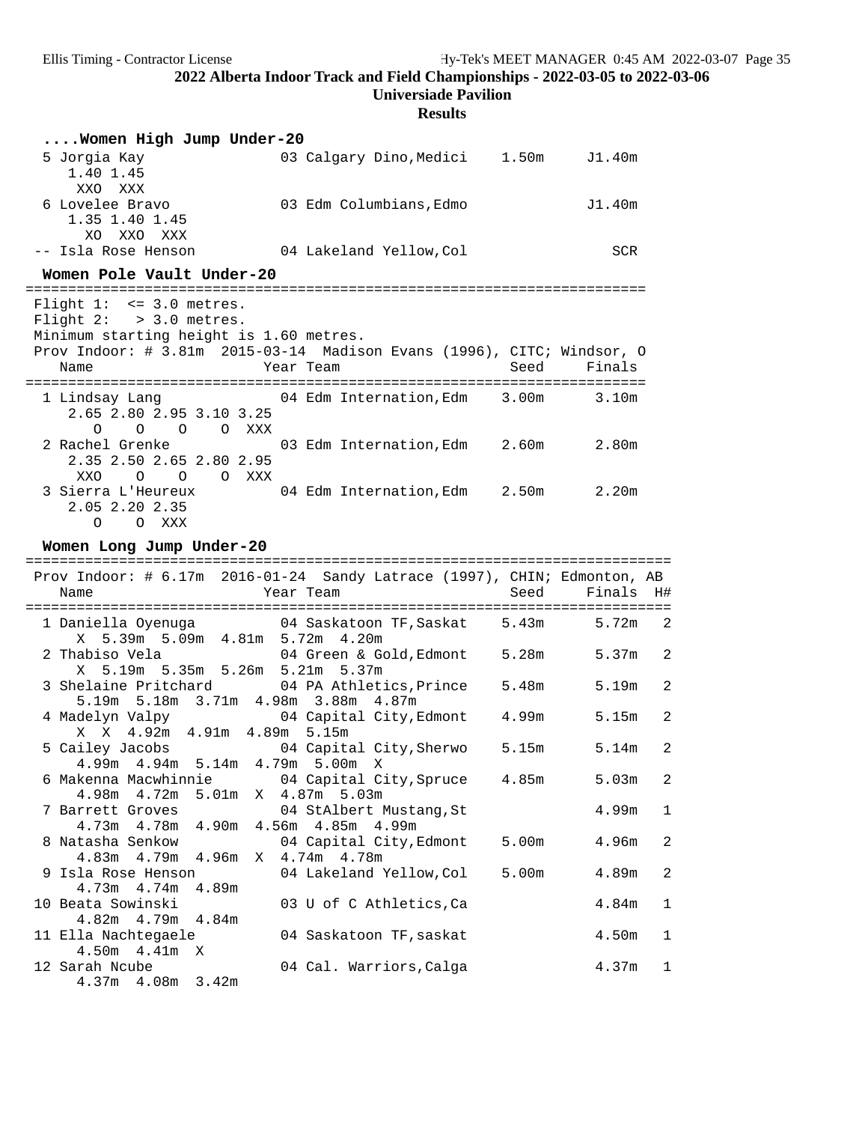**Universiade Pavilion**

| Women High Jump Under-20                                                                            |                                                                             |                |
|-----------------------------------------------------------------------------------------------------|-----------------------------------------------------------------------------|----------------|
| 5 Jorgia Kay<br>1.40 1.45<br>XXO XXX                                                                | 03 Calgary Dino, Medici 1.50m J1.40m                                        |                |
| 6 Lovelee Bravo<br>1.35 1.40 1.45<br>XO XXO XXX                                                     | 03 Edm Columbians, Edmo                                                     | J1.40m         |
| -- Isla Rose Henson                                                                                 | 04 Lakeland Yellow,Col                                                      | <b>SCR</b>     |
| Women Pole Vault Under-20                                                                           |                                                                             |                |
| Flight $1: < = 3.0$ metres.<br>Flight $2:$ > 3.0 metres.<br>Minimum starting height is 1.60 metres. | Prov Indoor: # 3.81m 2015-03-14 Madison Evans (1996), CITC; Windsor, O      |                |
| <b>Example 2</b> Year Team<br>Name                                                                  |                                                                             | Seed<br>Finals |
| 2.65 2.80 2.95 3.10 3.25<br>$O$ $O$ $O$ $O$ $XXX$                                                   | 1 Lindsay Lang 64 Edm Internation, Edm 3.00m 3.10m                          |                |
| 2 Rachel Grenke<br>2.35 2.50 2.65 2.80 2.95<br>XXO O O O XXX                                        | 03 Edm Internation, Edm 2.60m 2.80m                                         |                |
| 2.05 2.20 2.35<br>O O XXX                                                                           | 3 Sierra L'Heureux 04 Edm Internation, Edm 2.50m 2.20m                      |                |
| Women Long Jump Under-20                                                                            | $Prou\ Indoor: # 6 17m 2016-01-24$ Sandy Latrace (1997) CHIN: Edmonton $AR$ |                |

| Prov Indoor: # 6.17m 2016-01-24 Sandy Latrace (1997), CHIN; Edmonton, AB<br>Year Team No Seed Finals H#<br>Name  |       |           |              |
|------------------------------------------------------------------------------------------------------------------|-------|-----------|--------------|
| 1 Daniella Oyenuga (04 Saskatoon TF, Saskat 5.43m)<br>X 5.39m 5.09m 4.81m 5.72m 4.20m                            |       | $5.72m$ 2 |              |
| 2 Thabiso Vela 64 Green & Gold, Edmont 5.28m<br>X 5.19m 5.35m 5.26m 5.21m 5.37m                                  |       | $5.37m$ 2 |              |
| 3 Shelaine Pritchard 04 PA Athletics, Prince<br>5.19m 5.18m 3.71m 4.98m 3.88m 4.87m                              | 5.48m | 5.19m     | 2            |
| 4 Madelyn Valpy 64 Capital City, Edmont 4.99m<br>X X 4.92m 4.91m 4.89m 5.15m                                     |       | 5.15m     | 2            |
| 5 Cailey Jacobs 04 Capital City, Sherwo<br>4.99m 4.94m 5.14m 4.79m 5.00m X                                       | 5.15m | 5.14m     | 2            |
| 6 Makenna Macwhinnie                 04 Capital City, Spruce       4.85m<br>4.98m  4.72m  5.01m  X  4.87m  5.03m |       | 5.03m     | 2            |
| 7 Barrett Groves 64 StAlbert Mustang, St<br>4.73m  4.78m  4.90m  4.56m  4.85m  4.99m                             |       | 4.99m     | 1            |
| 8 Natasha Senkow 64 Capital City, Edmont 5.00m 4.96m<br>4.83m  4.79m  4.96m  X  4.74m  4.78m                     |       |           | 2            |
| 9 Isla Rose Henson 04 Lakeland Yellow, Col<br>$4.73m$ $4.74m$ $4.89m$                                            | 5.00m | 4.89m     | 2            |
| 10 Beata Sowinski 63 U of C Athletics, Ca<br>$4.82m$ $4.79m$ $4.84m$                                             |       | 4.84m     | $\mathbf{1}$ |
| 11 Ella Nachtegaele<br>04 Saskatoon TF, saskat                                                                   |       | 4.50m     | $\mathbf{1}$ |
| $4.50m$ $4.41m$ X<br>12 Sarah Ncube<br>04 Cal. Warriors, Calga<br>4.37m 4.08m 3.42m                              |       | $4.37m$ 1 |              |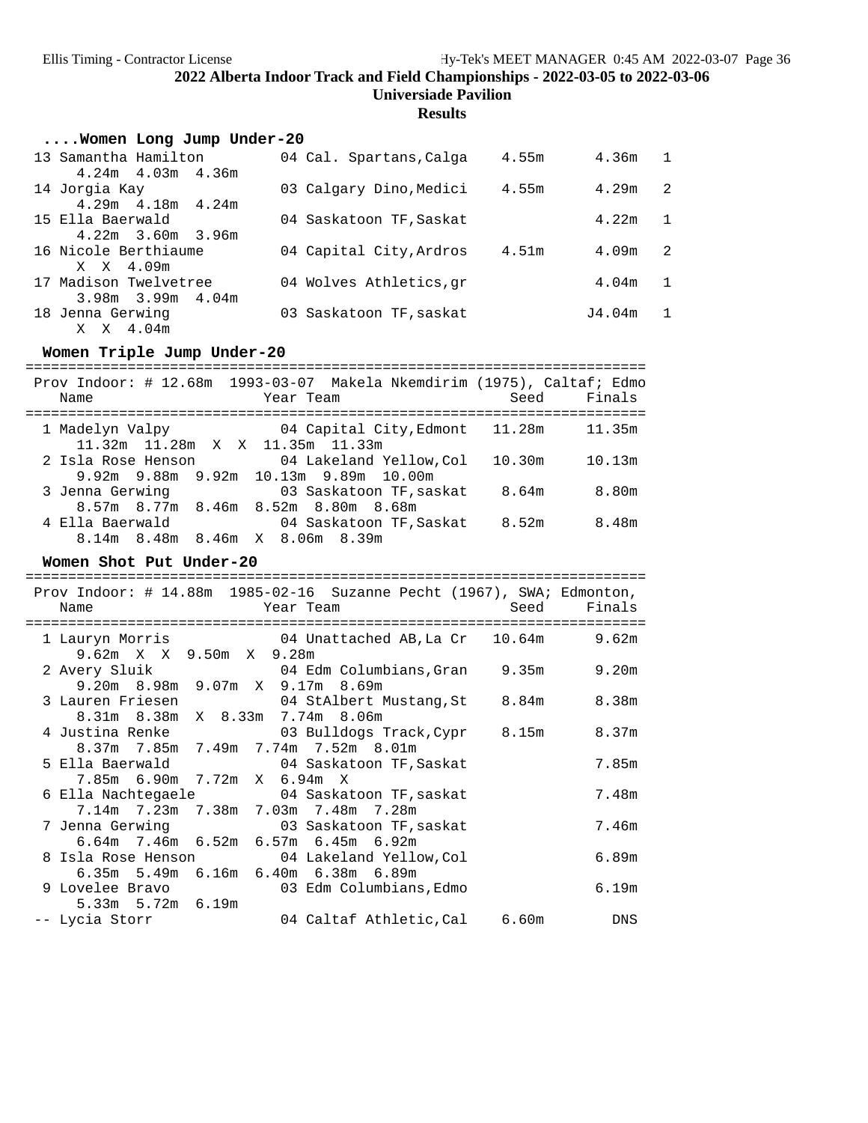# **Results**

| Women Long Jump Under-20 |                         |       |                   |              |
|--------------------------|-------------------------|-------|-------------------|--------------|
| 13 Samantha Hamilton     | 04 Cal. Spartans, Calga | 4.55m | 4.36m             | $\mathbf{1}$ |
| $4.24m$ $4.03m$ $4.36m$  |                         |       |                   |              |
| 14 Jorgia Kay            | 03 Calgary Dino, Medici | 4.55m | 4.29m             | 2            |
| $4.29m$ $4.18m$ $4.24m$  |                         |       |                   |              |
| 15 Ella Baerwald         | 04 Saskatoon TF, Saskat |       | 4.22m             | $\mathbf{1}$ |
| $4.22m$ 3.60m 3.96m      |                         |       |                   |              |
| 16 Nicole Berthiaume     | 04 Capital City, Ardros | 4.51m | 4.09m             | 2            |
| X X 4.09m                |                         |       |                   |              |
| 17 Madison Twelvetree    | 04 Wolves Athletics, qr |       | 4.04 <sub>m</sub> | $\mathbf{1}$ |
| $3.98m$ $3.99m$ $4.04m$  |                         |       |                   |              |
| 18 Jenna Gerwing         | 03 Saskatoon TF, saskat |       | J4.04m            | 1            |
| X X 4.04m                |                         |       |                   |              |
|                          |                         |       |                   |              |

# **Women Triple Jump Under-20**

| Name               |  | Year Team                                         |                                | Seed   | Prov Indoor: # 12.68m 1993-03-07 Makela Nkemdirim (1975), Caltaf; Edmo<br>Finals |
|--------------------|--|---------------------------------------------------|--------------------------------|--------|----------------------------------------------------------------------------------|
| 1 Madelyn Valpy    |  | 11.32m 11.28m X X 11.35m 11.33m                   | 04 Capital City, Edmont 11.28m |        | 11.35m                                                                           |
| 2 Isla Rose Henson |  | $9.92m$ $9.88m$ $9.92m$ $10.13m$ $9.89m$ $10.00m$ | 04 Lakeland Yellow.Col         | 10.30m | 10.13m                                                                           |
| 3 Jenna Gerwing    |  | 8.57m 8.77m 8.46m 8.52m 8.80m 8.68m               | 03 Saskatoon TF, saskat        | 8.64m  | 8.80m                                                                            |
| 4 Ella Baerwald    |  | 8.14m 8.48m 8.46m X 8.06m 8.39m                   | 04 Saskatoon TF, Saskat        | 8.52m  | 8.48m                                                                            |

# Women Shot Put Under-20

|                             | Prov Indoor: # 14.88m  1985-02-16  Suzanne Pecht (1967), SWA; Edmonton,              |       |
|-----------------------------|--------------------------------------------------------------------------------------|-------|
| Name                        | Year Team            Seed   Finals                                                   |       |
|                             |                                                                                      |       |
|                             | 1 Lauryn Morris                     04 Unattached AB, La Cr     10.64m               | 9.62m |
| 9.62m X X 9.50m X 9.28m     |                                                                                      |       |
|                             | 2 Avery Sluik                                     04 Edm Columbians,Gran       9.35m | 9.20m |
|                             | 9.20m 8.98m 9.07m X 9.17m 8.69m                                                      |       |
| 3 Lauren Friesen            | 04 StAlbert Mustang, St 8.84m 8.38m                                                  |       |
|                             | 8.31m 8.38m X 8.33m 7.74m 8.06m                                                      |       |
|                             | 4 Justina Renke                       03 Bulldogs Track, Cypr       8.15m            | 8.37m |
|                             | $8.37$ m 7.85m 7.49m 7.74m 7.52m 8.01m                                               |       |
|                             | 5 Ella Baerwald 64 Saskatoon TF, Saskat                                              | 7.85m |
| 7.85m 6.90m 7.72m X 6.94m X |                                                                                      |       |
|                             | 6 Ella Nachtegaele 6 04 Saskatoon TF, saskat                                         | 7.48m |
|                             | 7.14m 7.23m 7.38m 7.03m 7.48m 7.28m                                                  |       |
|                             | 7 Jenna Gerwing <a>&gt; 03 Saskatoon TF, saskat</a>                                  | 7.46m |
|                             | $6.64$ m 7.46m $6.52$ m $6.57$ m $6.45$ m $6.92$ m                                   |       |
|                             | 8 Isla Rose Henson 64 Lakeland Yellow, Col                                           | 6.89m |
|                             | 6.35m 5.49m 6.16m 6.40m 6.38m 6.89m                                                  |       |
|                             | 9 Lovelee Bravo 603 Edm Columbians, Edmo                                             | 6.19m |
| $5.33m$ $5.72m$ $6.19m$     |                                                                                      |       |
| -- Lycia Storr              | 04 Caltaf Athletic,Cal 6.60m                                                         | DNS   |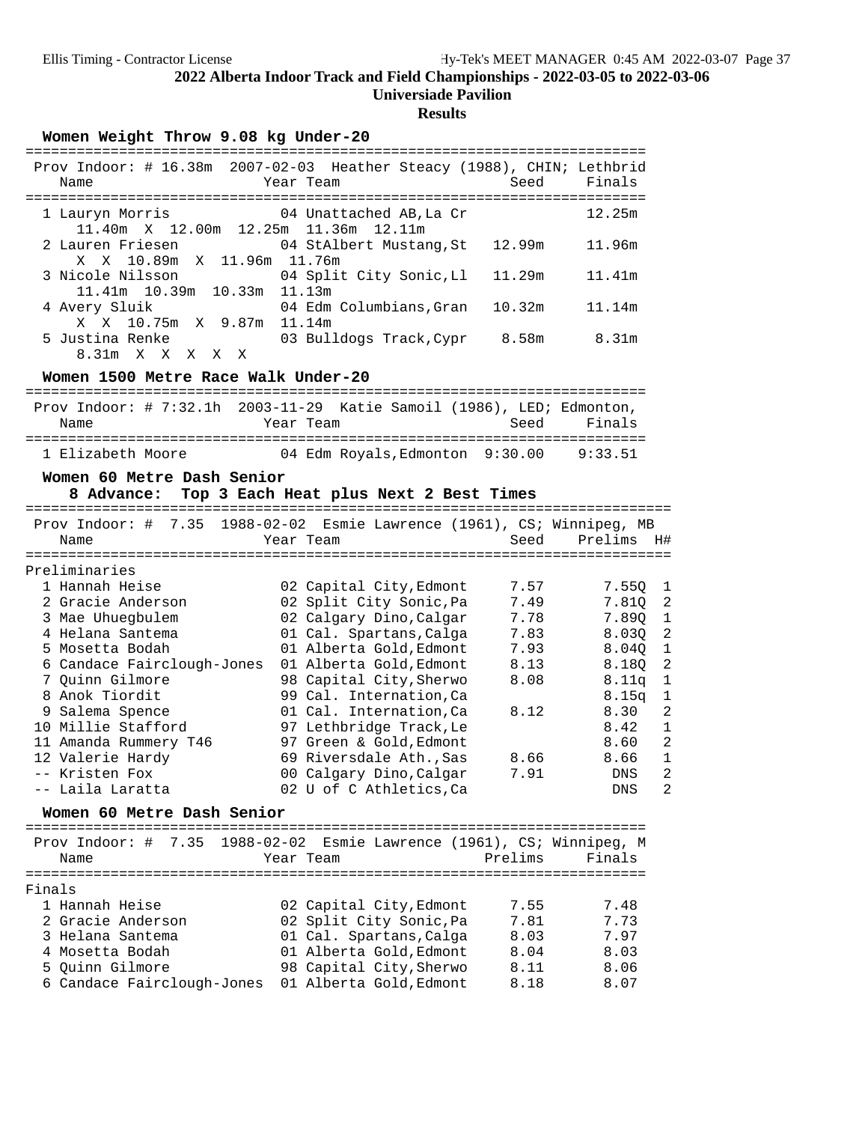# **Universiade Pavilion**

# **Results**

Women Weight Throw 9.08 kg Under-20

| Prov Indoor: # 16.38m 2007-02-03 Heather Steacy (1988), CHIN; Lethbrid<br>Name | Year Team               | Seed   | Finals |
|--------------------------------------------------------------------------------|-------------------------|--------|--------|
| 1 Lauryn Morris<br>11.40m X 12.00m 12.25m 11.36m 12.11m                        | 04 Unattached AB,La Cr  |        | 12.25m |
| 2 Lauren Friesen                                                               | 04 StAlbert Mustang, St | 12.99m | 11.96m |
| X X 10.89m X 11.96m 11.76m<br>3 Nicole Nilsson                                 | 04 Split City Sonic, Ll | 11.29m | 11.41m |
| 11.41m 10.39m 10.33m 11.13m                                                    |                         |        |        |
| 4 Avery Sluik                                                                  | 04 Edm Columbians.Gran  | 10.32m | 11.14m |
| X X 10.75m X 9.87m 11.14m<br>5 Justina Renke                                   | 03 Bulldogs Track, Cypr | 8.58m  | 8.31m  |
| 8.31m<br>X<br>X<br>X<br>X.<br>X                                                |                         |        |        |

#### Women 1500 Metre Race Walk Under-20

|                   |           | Prov Indoor: # $7:32.1h$ 2003-11-29 Katie Samoil (1986), LED; Edmonton, |             |
|-------------------|-----------|-------------------------------------------------------------------------|-------------|
| Name              | Year Team |                                                                         | Seed Finals |
| 1 Elizabeth Moore |           | 04 Edm Royals, Edmonton 9:30.00                                         | 9:33.51     |

### **Women 60 Metre Dash Senior**

|        | Top 3 Each Heat plus Next 2 Best Times<br>8 Advance: |             |                         |  |         |                                                                  |                |
|--------|------------------------------------------------------|-------------|-------------------------|--|---------|------------------------------------------------------------------|----------------|
|        | 7.35<br>Prov Indoor: $\#$<br>Name                    |             | Year Team               |  | Seed    | 1988-02-02 Esmie Lawrence (1961), CS; Winnipeg, MB<br>Prelims    | H#             |
|        | .                                                    | ----------- |                         |  |         |                                                                  |                |
|        | Preliminaries                                        |             |                         |  |         |                                                                  |                |
|        | 1 Hannah Heise                                       |             | 02 Capital City, Edmont |  | 7.57    | 7.550                                                            | 1              |
|        | 2 Gracie Anderson                                    |             | 02 Split City Sonic, Pa |  | 7.49    | 7.810                                                            | 2              |
|        | 3 Mae Uhuegbulem                                     |             | 02 Calgary Dino, Calgar |  | 7.78    | 7.890                                                            | $\mathbf{1}$   |
|        | 4 Helana Santema                                     |             | 01 Cal. Spartans, Calga |  | 7.83    | 8.030                                                            | $\overline{2}$ |
|        | 5 Mosetta Bodah                                      |             | 01 Alberta Gold, Edmont |  | 7.93    | 8.04Q                                                            | $\mathbf 1$    |
|        | 6 Candace Fairclough-Jones                           |             | 01 Alberta Gold, Edmont |  | 8.13    | 8.180                                                            | $\overline{2}$ |
|        | 7 Ouinn Gilmore                                      |             | 98 Capital City, Sherwo |  | 8.08    | 8.11q                                                            | $\mathbf 1$    |
|        | 8 Anok Tiordit                                       |             | 99 Cal. Internation, Ca |  |         | 8.15q                                                            | 1              |
|        | 9 Salema Spence                                      |             | 01 Cal. Internation, Ca |  | 8.12    | 8.30                                                             | 2              |
|        | 10 Millie Stafford                                   |             | 97 Lethbridge Track, Le |  |         | 8.42                                                             | $1\,$          |
|        | 11 Amanda Rummery T46                                |             | 97 Green & Gold, Edmont |  |         | 8.60                                                             | $\overline{a}$ |
|        | 12 Valerie Hardy                                     |             | 69 Riversdale Ath., Sas |  | 8.66    | 8.66                                                             | $\mathbf{1}$   |
|        | -- Kristen Fox                                       |             | 00 Calgary Dino, Calgar |  | 7.91    | <b>DNS</b>                                                       | $\sqrt{2}$     |
|        | -- Laila Laratta                                     |             | 02 U of C Athletics, Ca |  |         | <b>DNS</b>                                                       | 2              |
|        | Women 60 Metre Dash Senior                           |             |                         |  |         |                                                                  |                |
|        |                                                      |             |                         |  |         |                                                                  |                |
|        | Prov Indoor: #<br>Name                               |             | Year Team               |  | Prelims | 7.35 1988-02-02 Esmie Lawrence (1961), CS; Winnipeg, M<br>Finals |                |
| Finals |                                                      |             |                         |  |         |                                                                  |                |
|        | 1 Hannah Heise                                       |             | 02 Capital City, Edmont |  | 7.55    | 7.48                                                             |                |
|        | 2 Gracie Anderson                                    |             | 02 Split City Sonic, Pa |  | 7.81    | 7.73                                                             |                |
|        | 3 Helana Santema                                     |             | 01 Cal. Spartans, Calga |  | 8.03    | 7.97                                                             |                |
|        | 4 Mosetta Bodah                                      |             | 01 Alberta Gold, Edmont |  | 8.04    | 8.03                                                             |                |
|        | 5 Quinn Gilmore                                      |             | 98 Capital City, Sherwo |  | 8.11    | 8.06                                                             |                |
|        | 6 Candace Fairclough-Jones                           |             | 01 Alberta Gold, Edmont |  | 8.18    | 8.07                                                             |                |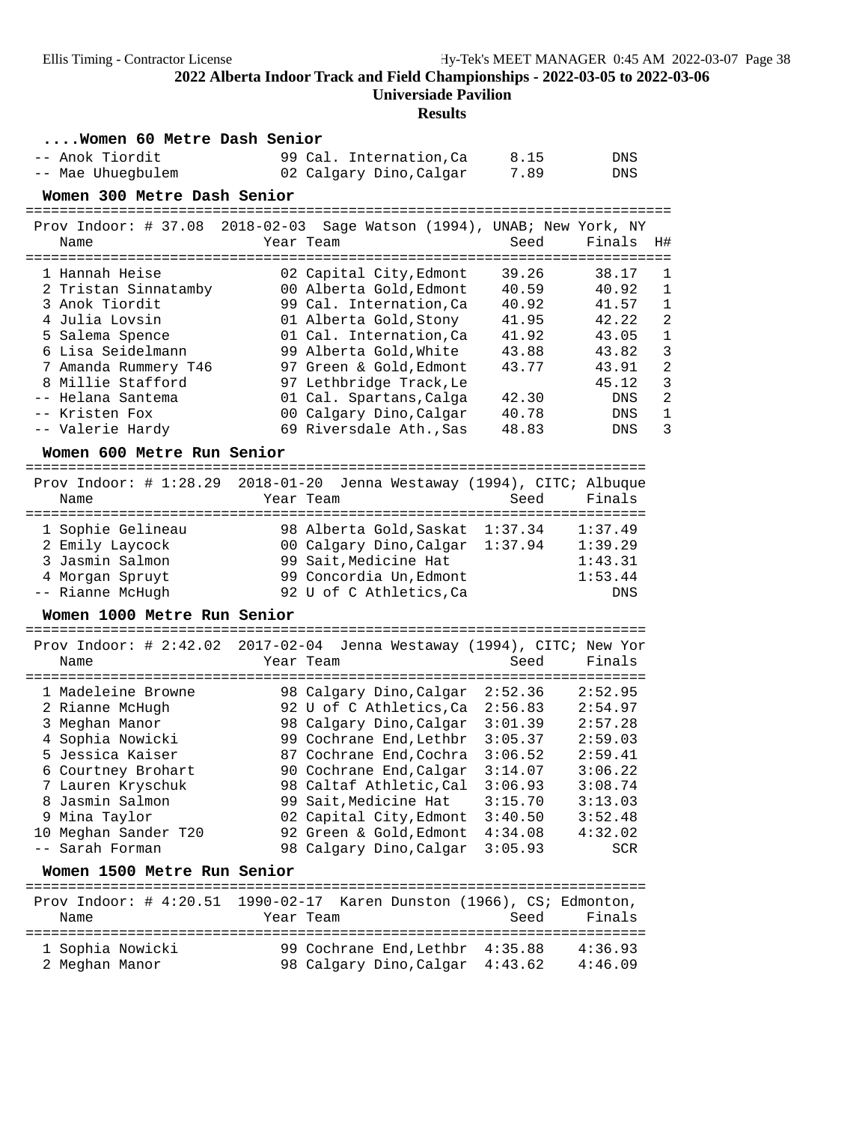### **Universiade Pavilion**

| Women 60 Metre Dash Senior                                                                                                                                                                                                                                                            |                                                                                                                                                                                                                                                                                                                                                      |                                                                                                                       |                                                                                                                                                                                                                                |
|---------------------------------------------------------------------------------------------------------------------------------------------------------------------------------------------------------------------------------------------------------------------------------------|------------------------------------------------------------------------------------------------------------------------------------------------------------------------------------------------------------------------------------------------------------------------------------------------------------------------------------------------------|-----------------------------------------------------------------------------------------------------------------------|--------------------------------------------------------------------------------------------------------------------------------------------------------------------------------------------------------------------------------|
| -- Anok Tiordit<br>-- Mae Uhuegbulem                                                                                                                                                                                                                                                  | 99 Cal. Internation, Ca<br>02 Calgary Dino, Calgar                                                                                                                                                                                                                                                                                                   | 8.15<br>7.89                                                                                                          | DNS<br>DNS                                                                                                                                                                                                                     |
| Women 300 Metre Dash Senior                                                                                                                                                                                                                                                           |                                                                                                                                                                                                                                                                                                                                                      |                                                                                                                       |                                                                                                                                                                                                                                |
| ======================================<br>Prov Indoor: # 37.08 2018-02-03 Sage Watson (1994), UNAB; New York, NY<br>Name                                                                                                                                                              | Year Team                                                                                                                                                                                                                                                                                                                                            | -------------------<br>Seed                                                                                           | Finals<br>H#                                                                                                                                                                                                                   |
| 1 Hannah Heise<br>2 Tristan Sinnatamby<br>3 Anok Tiordit<br>4 Julia Lovsin<br>5 Salema Spence<br>6 Lisa Seidelmann<br>7 Amanda Rummery T46<br>8 Millie Stafford<br>-- Helana Santema<br>-- Kristen Fox<br>-- Valerie Hardy<br>Women 600 Metre Run Senior                              | 02 Capital City, Edmont<br>00 Alberta Gold, Edmont<br>99 Cal. Internation, Ca<br>01 Alberta Gold, Stony<br>01 Cal. Internation, Ca<br>99 Alberta Gold, White<br>97 Green & Gold, Edmont<br>97 Lethbridge Track, Le<br>01 Cal. Spartans, Calga<br>00 Calgary Dino, Calgar<br>69 Riversdale Ath., Sas                                                  | 39.26<br>40.59<br>40.92<br>41.95<br>41.92<br>43.88<br>43.77<br>42.30<br>40.78<br>48.83                                | 38.17<br>$\mathbf 1$<br>40.92<br>1<br>41.57<br>1<br>$\overline{2}$<br>42.22<br>$\mathbf{1}$<br>43.05<br>3<br>43.82<br>$\overline{a}$<br>43.91<br>3<br>45.12<br>$\overline{2}$<br>DNS<br>$\mathbf{1}$<br>DNS<br>3<br><b>DNS</b> |
| Prov Indoor: # 1:28.29 2018-01-20 Jenna Westaway (1994), CITC; Albuque<br>Name<br>1 Sophie Gelineau<br>2 Emily Laycock<br>3 Jasmin Salmon<br>4 Morgan Spruyt<br>-- Rianne McHugh                                                                                                      | Year Team<br>98 Alberta Gold, Saskat<br>00 Calgary Dino, Calgar<br>99 Sait, Medicine Hat<br>99 Concordia Un, Edmont<br>92 U of C Athletics, Ca                                                                                                                                                                                                       | Seed<br>1:37.34<br>1:37.94                                                                                            | Finals<br>1:37.49<br>1:39.29<br>1:43.31<br>1:53.44<br>DNS                                                                                                                                                                      |
| Women 1000 Metre Run Senior<br>Prov Indoor: # 2:42.02 2017-02-04 Jenna Westaway (1994), CITC; New Yor<br>Name                                                                                                                                                                         | Year Team                                                                                                                                                                                                                                                                                                                                            | Seed                                                                                                                  | Finals                                                                                                                                                                                                                         |
| 1 Madeleine Browne<br>2 Rianne McHugh<br>3 Meghan Manor<br>4 Sophia Nowicki<br>5 Jessica Kaiser<br>6 Courtney Brohart<br>7 Lauren Kryschuk<br>8 Jasmin Salmon<br>9 Mina Taylor<br>10 Meghan Sander T20<br>-- Sarah Forman<br>Women 1500 Metre Run Senior<br>Prov Indoor: $\#$ 4:20.51 | 98 Calgary Dino, Calgar<br>92 U of C Athletics,Ca<br>98 Calgary Dino, Calgar<br>99 Cochrane End, Lethbr<br>87 Cochrane End, Cochra<br>90 Cochrane End, Calgar<br>98 Caltaf Athletic, Cal<br>99 Sait, Medicine Hat<br>02 Capital City, Edmont<br>92 Green & Gold, Edmont<br>98 Calgary Dino, Calgar<br>1990-02-17 Karen Dunston (1966), CS; Edmonton, | 2:52.36<br>2:56.83<br>3:01.39<br>3:05.37<br>3:06.52<br>3:14.07<br>3:06.93<br>3:15.70<br>3:40.50<br>4:34.08<br>3:05.93 | 2:52.95<br>2:54.97<br>2:57.28<br>2:59.03<br>2:59.41<br>3:06.22<br>3:08.74<br>3:13.03<br>3:52.48<br>4:32.02<br><b>SCR</b>                                                                                                       |
| Name                                                                                                                                                                                                                                                                                  | Year Team                                                                                                                                                                                                                                                                                                                                            | Seed                                                                                                                  | Finals                                                                                                                                                                                                                         |
| 1 Sophia Nowicki<br>2 Meghan Manor                                                                                                                                                                                                                                                    | 99 Cochrane End.Lethbr 4:35.88<br>98 Calgary Dino, Calgar                                                                                                                                                                                                                                                                                            | 4:43.62                                                                                                               | 4:36.93<br>4:46.09                                                                                                                                                                                                             |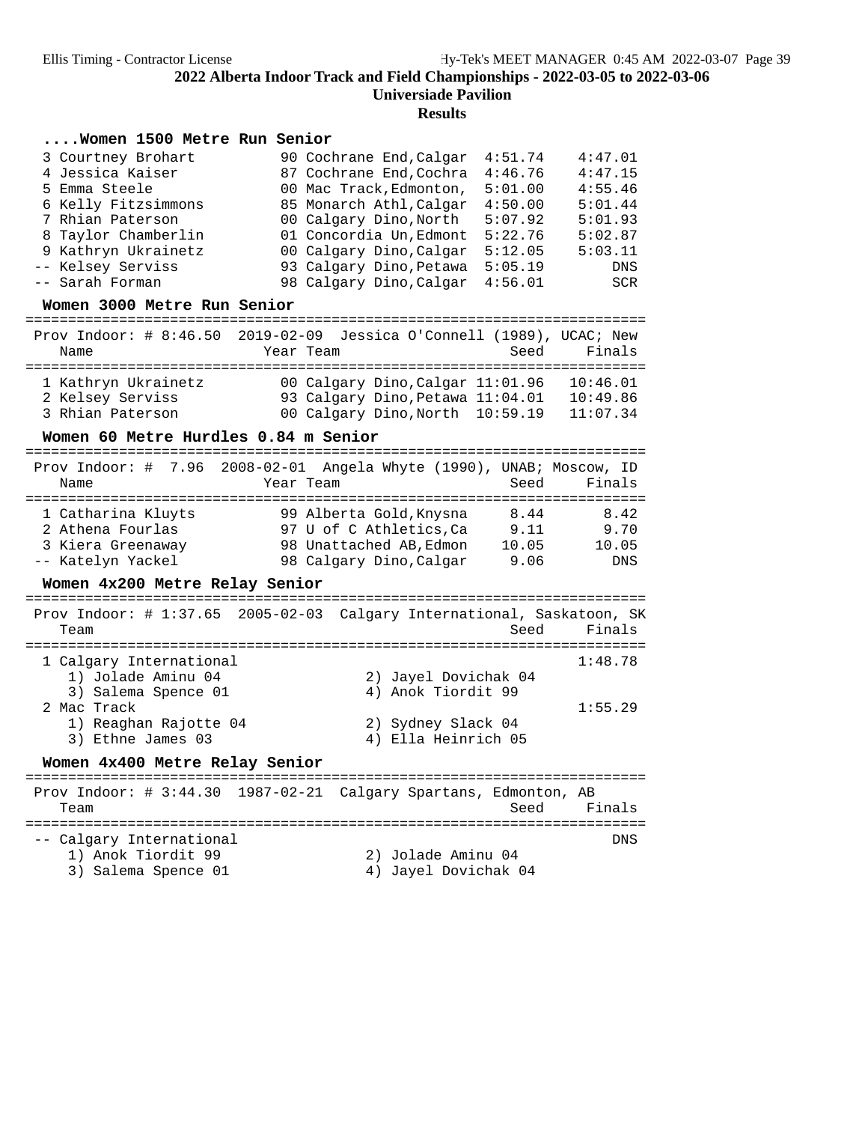**Results**

### **....Women 1500 Metre Run Senior**

| 3 Courtney Brohart  | 90 Cochrane End, Calgar | 4:51.74 | 4:47.01 |
|---------------------|-------------------------|---------|---------|
|                     |                         |         |         |
| 4 Jessica Kaiser    | 87 Cochrane End, Cochra | 4:46.76 | 4:47.15 |
| 5 Emma Steele       | 00 Mac Track, Edmonton, | 5:01.00 | 4:55.46 |
| 6 Kelly Fitzsimmons | 85 Monarch Athl, Calgar | 4:50.00 | 5:01.44 |
| 7 Rhian Paterson    | 00 Calgary Dino, North  | 5:07.92 | 5:01.93 |
| 8 Taylor Chamberlin | 01 Concordia Un, Edmont | 5:22.76 | 5:02.87 |
| 9 Kathryn Ukrainetz | 00 Calgary Dino, Calgar | 5:12.05 | 5:03.11 |
| -- Kelsey Serviss   | 93 Calgary Dino, Petawa | 5:05.19 | DNS     |
| -- Sarah Forman     | 98 Calgary Dino, Calgar | 4:56.01 | SCR     |

**Women 3000 Metre Run Senior** =========================================================================

|                     | Prov Indoor: # $8:46.50$ 2019-02-09 Jessica O'Connell (1989), UCAC; New |                |
|---------------------|-------------------------------------------------------------------------|----------------|
| Name                | Year Team                                                               | Finals<br>Seed |
|                     |                                                                         |                |
| 1 Kathryn Ukrainetz | 00 Calgary Dino, Calgar 11:01.96                                        | 10:46.01       |
| 2 Kelsey Serviss    | 93 Calgary Dino, Petawa 11:04.01                                        | 10:49.86       |
| 3 Rhian Paterson    | 00 Calgary Dino, North 10:59.19                                         | 11:07.34       |

# **Women 60 Metre Hurdles 0.84 m Senior** =========================================================================

 Prov Indoor: # 7.96 2008-02-01 Angela Whyte (1990), UNAB; Moscow, ID Name Year Team Seed Finals ========================================================================= 1 Catharina Kluyts 99 Alberta Gold,Knysna 8.44 8.42 2 Athena Fourlas 97 U of C Athletics,Ca 9.11 9.70 3 Kiera Greenaway 98 Unattached AB,Edmon 10.05 10.05 -- Katelyn Yackel 98 Calgary Dino,Calgar 9.06 DNS

**Women 4x200 Metre Relay Senior** ========================================================================= Prov Indoor: # 1:37.65 2005-02-03 Calgary International, Saskatoon, SK Team Seed Finals ========================================================================= 1 Calgary International 1:48.78 1) Jolade Aminu 04 2) Jayel Dovichak 04 3) Salema Spence 01 <a>
4) Anok Tiordit 99 2 Mac Track 1:55.29 1) Reaghan Rajotte 04 2) Sydney Slack 04 3) Ethne James 03 4) Ella Heinrich 05 **Women 4x400 Metre Relay Senior** =========================================================================

 Prov Indoor: # 3:44.30 1987-02-21 Calgary Spartans, Edmonton, AB Team Seed Finals ========================================================================= -- Calgary International DNS 1) Anok Tiordit 99 2) Jolade Aminu 04 3) Salema Spence 01 (4) Jayel Dovichak 04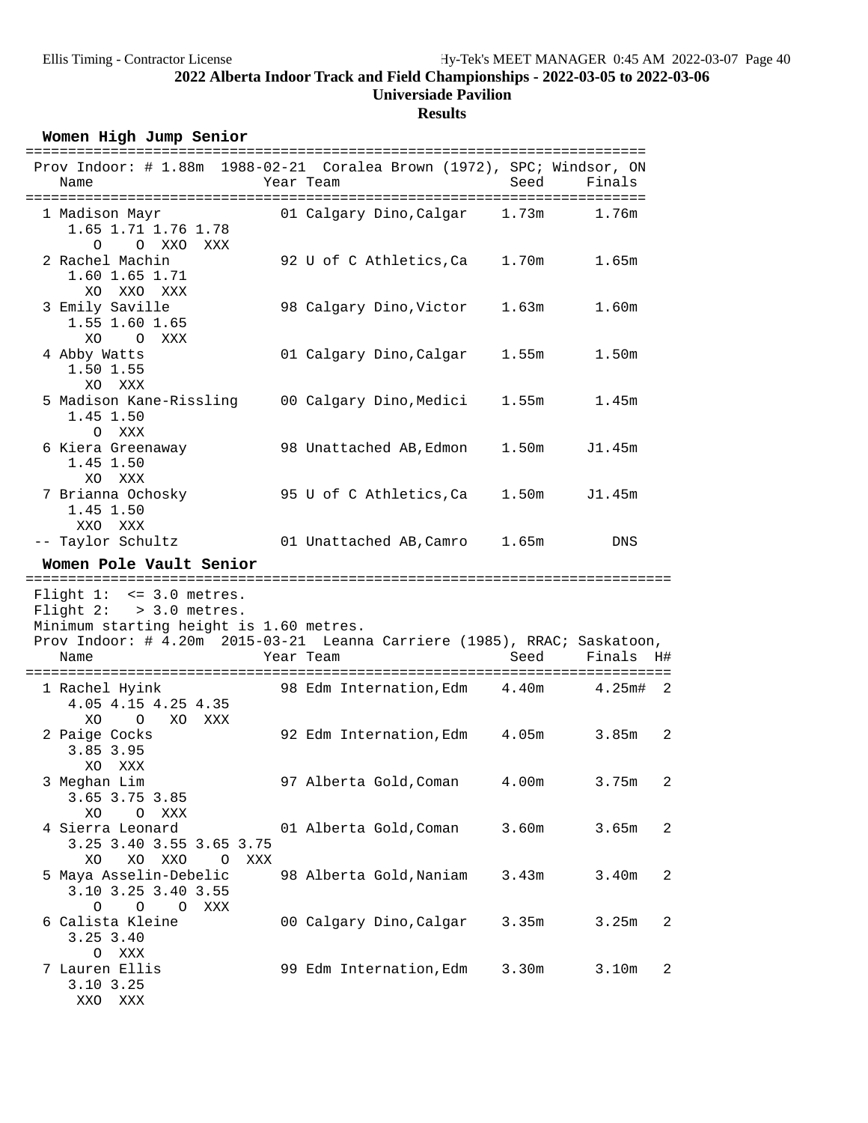## **Results**

Women High Jump Senior

| Prov Indoor: # 1.88m 1988-02-21 Coralea Brown (1972), SPC; Windsor, ON<br>Name                                                                                                  | Year Team                     | Seed  | Finals                  |
|---------------------------------------------------------------------------------------------------------------------------------------------------------------------------------|-------------------------------|-------|-------------------------|
| 1 Madison Mayr<br>1.65 1.71 1.76 1.78<br>O O XXO XXX                                                                                                                            | 01 Calgary Dino, Calgar 1.73m |       | 1.76m                   |
| 2 Rachel Machin<br>1.60 1.65 1.71<br>XO XXO XXX                                                                                                                                 | 92 U of C Athletics, Ca 1.70m |       | 1.65m                   |
| 3 Emily Saville<br>1.55 1.60 1.65<br>XO<br>O XXX                                                                                                                                | 98 Calgary Dino, Victor       | 1.63m | 1.60m                   |
| 4 Abby Watts<br>1.50 1.55<br>XO XXX                                                                                                                                             | 01 Calgary Dino, Calgar 1.55m |       | 1.50m                   |
| 5 Madison Kane-Rissling 00 Calgary Dino, Medici<br>1.45 1.50<br>O XXX                                                                                                           |                               | 1.55m | 1.45m                   |
| 6 Kiera Greenaway<br>1.45 1.50<br>XO XXX                                                                                                                                        | 98 Unattached AB, Edmon       | 1.50m | J1.45m                  |
| 7 Brianna Ochosky<br>1.45 1.50<br>XXO XXX                                                                                                                                       | 95 U of C Athletics,Ca        |       | 1.50m J1.45m            |
| -- Taylor Schultz                                                                                                                                                               | 01 Unattached AB, Camro 1.65m |       | DNS                     |
| Women Pole Vault Senior                                                                                                                                                         |                               |       |                         |
| Flight $1: < = 3.0$ metres.<br>Flight $2:$ > 3.0 metres.<br>Minimum starting height is 1.60 metres.<br>Prov Indoor: # 4.20m 2015-03-21 Leanna Carriere (1985), RRAC; Saskatoon, |                               |       |                         |
| Name                                                                                                                                                                            | Year Team                     | Seed  | Finals H#               |
|                                                                                                                                                                                 |                               |       |                         |
| 1 Rachel Hyink 98 Edm Internation, Edm 4.40m 4.25m# 2<br>4.05 4.15 4.25 4.35<br>XO O XO XXX                                                                                     |                               |       |                         |
| 2 Paige Cocks<br>3.85 3.95<br>XO XXX                                                                                                                                            | 92 Edm Internation, Edm 4.05m |       | 3.85m<br>$\overline{c}$ |
| 3 Meghan Lim<br>3.65 3.75 3.85<br>XO<br>$\circ$<br>XXX                                                                                                                          | 97 Alberta Gold, Coman        | 4.00m | 3.75m<br>2              |
| 4 Sierra Leonard<br>3.25 3.40 3.55 3.65 3.75<br>XXO<br>XO.<br>XO<br>XXX<br>0                                                                                                    | 01 Alberta Gold, Coman        | 3.60m | 3.65m<br>$\overline{c}$ |
| 5 Maya Asselin-Debelic<br>3.10 3.25 3.40 3.55<br>0<br>$O$ 0<br>XXX                                                                                                              | 98 Alberta Gold, Naniam       | 3.43m | 3.40m<br>$\overline{2}$ |
| 6 Calista Kleine<br>3.25 3.40                                                                                                                                                   | 00 Calgary Dino, Calgar       | 3.35m | 3.25m<br>$\overline{c}$ |
| XXX<br>$\circ$<br>7 Lauren Ellis<br>3.10 3.25<br>XXO XXX                                                                                                                        | 99 Edm Internation, Edm       | 3.30m | 3.10m<br>$\overline{2}$ |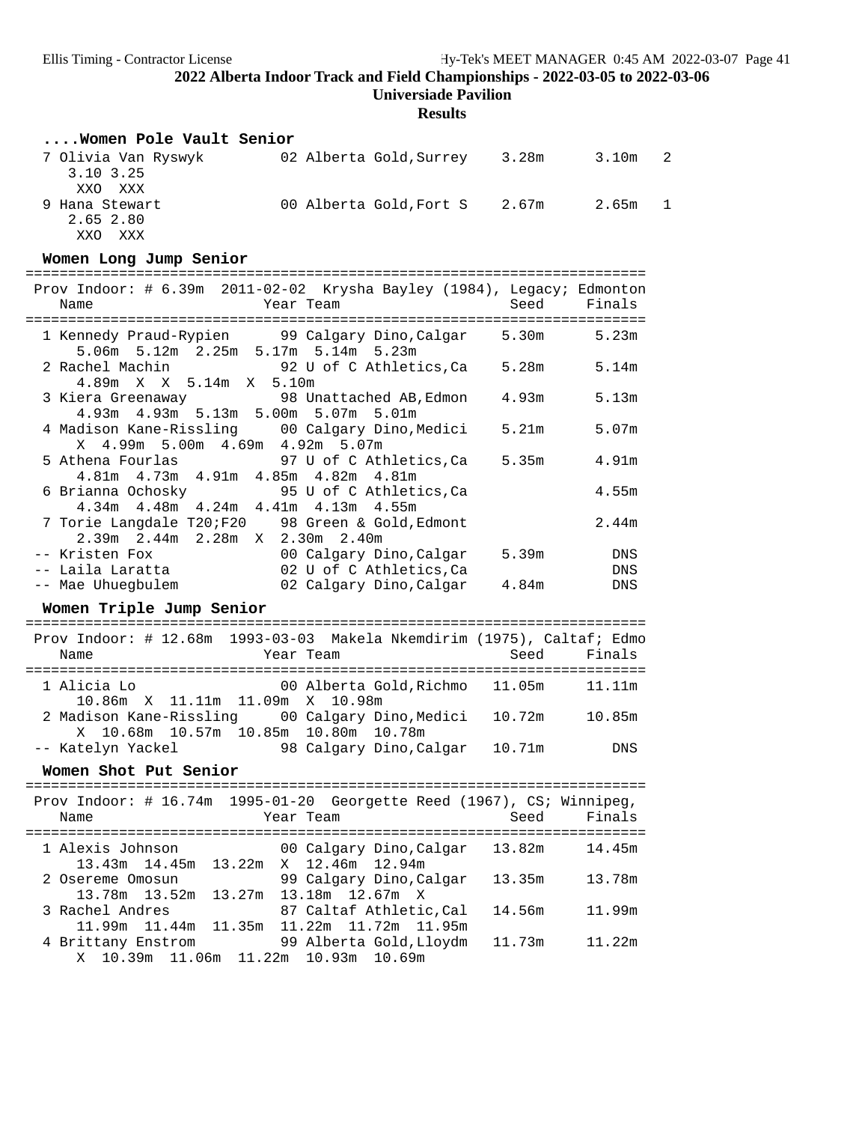**Universiade Pavilion**

| Women Pole Vault Senior                                                                              |        |        |   |
|------------------------------------------------------------------------------------------------------|--------|--------|---|
| 02 Alberta Gold, Surrey 3.28m 3.10m<br>7 Olivia Van Ryswyk<br>3.10 3.25<br>XXO XXX                   |        |        | 2 |
| 9 Hana Stewart<br>00 Alberta Gold, Fort S 2.67m 2.65m<br>2.65 2.80                                   |        |        | 1 |
| XXO XXX<br>Women Long Jump Senior                                                                    |        |        |   |
|                                                                                                      |        |        |   |
| Prov Indoor: # 6.39m 2011-02-02 Krysha Bayley (1984), Legacy; Edmonton<br>Year Team<br>Name          | Seed   | Finals |   |
| 1 Kennedy Praud-Rypien 99 Calgary Dino, Calgar<br>5.06m 5.12m 2.25m 5.17m 5.14m 5.23m                | 5.30m  | 5.23m  |   |
| 92 U of C Athletics, Ca 5.28m<br>2 Rachel Machin<br>4.89m X X 5.14m X 5.10m                          |        | 5.14m  |   |
| 3 Kiera Greenaway 68 Unattached AB, Edmon<br>4.93m  4.93m  5.13m  5.00m  5.07m  5.01m                | 4.93m  | 5.13m  |   |
| 4 Madison Kane-Rissling<br>00 Calgary Dino,Medici<br>X 4.99m 5.00m 4.69m 4.92m 5.07m                 | 5.21m  | 5.07m  |   |
| 5 Athena Fourlas<br>97 U of C Athletics, Ca<br>4.81m  4.73m  4.91m  4.85m  4.82m  4.81m              | 5.35m  | 4.91m  |   |
| 6 Brianna Ochosky<br>95 U of C Athletics, Ca<br>4.34m 4.48m 4.24m 4.41m 4.13m 4.55m                  |        | 4.55m  |   |
| 7 Torie Langdale T20;F20 98 Green & Gold, Edmont<br>2.39m 2.44m 2.28m X 2.30m 2.40m                  |        | 2.44m  |   |
| -- Kristen Fox<br>00 Calgary Dino, Calgar                                                            | 5.39m  | DNS    |   |
| 02 U of C Athletics, Ca<br>-- Laila Laratta                                                          |        | DNS    |   |
| -- Mae Uhuegbulem<br>02 Calgary Dino, Calgar 4.84m                                                   |        | DNS    |   |
| Women Triple Jump Senior                                                                             |        |        |   |
| Prov Indoor: # 12.68m 1993-03-03 Makela Nkemdirim (1975), Caltaf; Edmo                               |        |        |   |
| Year Team<br>Name                                                                                    | Seed   | Finals |   |
| 1 Alicia Lo<br>00 Alberta Gold,Richmo<br>10.86m X 11.11m 11.09m                                      | 11.05m | 11.11m |   |
| X 10.98m<br>2 Madison Kane-Rissling<br>00 Calgary Dino,Medici<br>X                                   | 10.72m | 10.85m |   |
| 10.68m  10.57m  10.85m  10.80m  10.78m<br>-- Katelyn Yackel<br>98 Calgary Dino,Calgar                | 10.71m | DNS    |   |
| Women Shot Put Senior                                                                                |        |        |   |
| Prov Indoor: # 16.74m 1995-01-20 Georgette Reed (1967), CS; Winnipeg,                                |        |        |   |
| Name<br>Year Team                                                                                    | Seed   | Finals |   |
|                                                                                                      |        |        |   |
| 1 Alexis Johnson<br>00 Calgary Dino, Calgar<br>13.43m  14.45m<br>12.46m 12.94m<br>13.22m<br>X        | 13.82m | 14.45m |   |
| 99 Calgary Dino, Calgar<br>2 Osereme Omosun<br>13.78m 13.52m<br>13.27m<br>13.18m 12.67m X            | 13.35m | 13.78m |   |
| 3 Rachel Andres<br>87 Caltaf Athletic, Cal<br>11.99m   11.44m<br>11.35m<br>11.22m  11.72m  11.95m    | 14.56m | 11.99m |   |
| 4 Brittany Enstrom<br>99 Alberta Gold, Lloydm<br>10.39m<br>11.06m<br>11.22m<br>10.93m<br>10.69m<br>Χ | 11.73m | 11.22m |   |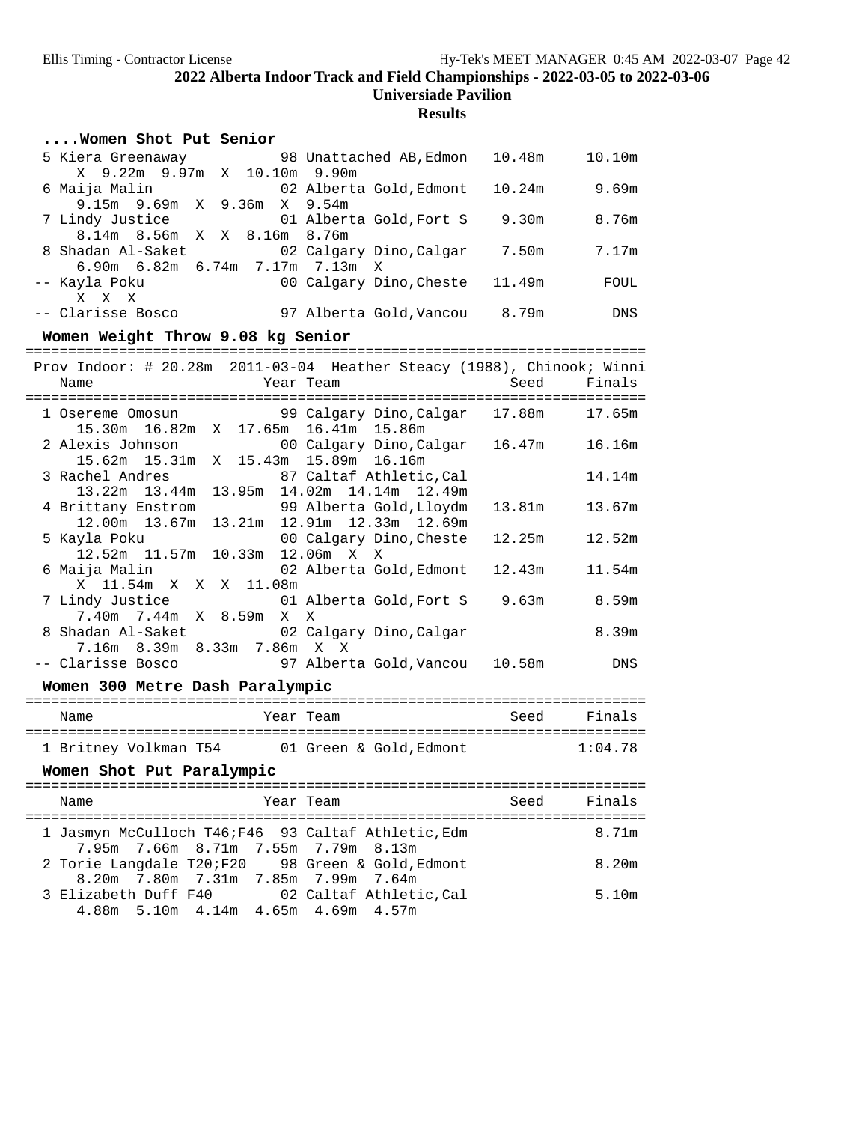| Women Shot Put Senior                                                                                           |        |                       |  |  |  |  |
|-----------------------------------------------------------------------------------------------------------------|--------|-----------------------|--|--|--|--|
| 5 Kiera Greenaway 98 Unattached AB, Edmon<br>X 9.22m 9.97m X 10.10m 9.90m                                       |        | 10.48m   10.10m       |  |  |  |  |
| 6 Maija Malin<br>02 Alberta Gold,Edmont                                                                         | 10.24m | 9.69m                 |  |  |  |  |
| 9.15m 9.69m X 9.36m X<br>9.54m                                                                                  |        |                       |  |  |  |  |
| 01 Alberta Gold, Fort S 9.30m<br>7 Lindy Justice<br>8.14m 8.56m X X 8.16m 8.76m                                 |        | 8.76m                 |  |  |  |  |
| 8 Shadan Al-Saket<br>02 Calgary Dino, Calgar 7.50m                                                              |        | 7.17m                 |  |  |  |  |
| 6.90m 6.82m 6.74m 7.17m 7.13m<br>X                                                                              |        |                       |  |  |  |  |
| -- Kayla Poku<br>00 Calgary Dino, Cheste<br>X X X                                                               | 11.49m | FOUL                  |  |  |  |  |
| -- Clarisse Bosco 97 Alberta Gold, Vancou 8.79m                                                                 |        | <b>Example 19 DNS</b> |  |  |  |  |
| Women Weight Throw 9.08 kg Senior                                                                               |        |                       |  |  |  |  |
| Prov Indoor: # 20.28m 2011-03-04 Heather Steacy (1988), Chinook; Winni                                          |        |                       |  |  |  |  |
| Year Team<br>Name                                                                                               | Seed   | Finals                |  |  |  |  |
| 1 Osereme Omosun<br>99 Calgary Dino,Calgar 17.88m                                                               |        | 17.65m                |  |  |  |  |
| 15.30m  16.82m  X  17.65m<br>16.41m 15.86m                                                                      |        |                       |  |  |  |  |
| 2 Alexis Johnson 00 Calgary Dino, Calgar 16.47m 16.16m<br>15.62m 15.31m x 15.43m 15.89m 16.16m                  |        |                       |  |  |  |  |
| 3 Rachel Andres<br>87 Caltaf Athletic, Cal                                                                      |        | 14.14m                |  |  |  |  |
| ichel Andres                           87 Caltaf Athletic,Cal<br>13.22m  13.44m  13.95m  14.02m  14.14m  12.49m |        |                       |  |  |  |  |
| 99 Alberta Gold, Lloydm<br>4 Brittany Enstrom                                                                   | 13.81m | 13.67m                |  |  |  |  |
| 13.21m  12.91m  12.33m  12.69m<br>12.00m  13.67m<br>5 Kayla Poku<br>00 Calgary Dino,Cheste                      | 12.25m | 12.52m                |  |  |  |  |
| 12.52m 11.57m 10.33m 12.06m X X                                                                                 |        |                       |  |  |  |  |
| 6 Maija Malin<br>02 Alberta Gold, Edmont                                                                        | 12.43m | 11.54m                |  |  |  |  |
| X 11.54m X X X 11.08m<br>7 Lindy Justice<br>01 Alberta Gold, Fort S 9.63m                                       |        | 8.59m                 |  |  |  |  |
| 7.40m 7.44m X 8.59m X<br>Χ                                                                                      |        |                       |  |  |  |  |
| 8 Shadan Al-Saket 02 Calgary Dino, Calgar<br>7.16m 8.39m 8.33m 7.86m X X                                        |        | 8.39m                 |  |  |  |  |
| -- Clarisse Bosco<br>97 Alberta Gold, Vancou 10.58m                                                             |        | DNS                   |  |  |  |  |
| Women 300 Metre Dash Paralympic                                                                                 |        |                       |  |  |  |  |
|                                                                                                                 |        |                       |  |  |  |  |
| Name<br>Year Team                                                                                               |        | Seed Finals           |  |  |  |  |
| 1 Britney Volkman T54 01 Green & Gold, Edmont                                                                   |        | 1:04.78               |  |  |  |  |
| Women Shot Put Paralympic                                                                                       |        |                       |  |  |  |  |
| Year Team<br>Name                                                                                               | Seed   | Finals                |  |  |  |  |
|                                                                                                                 |        |                       |  |  |  |  |
| 1 Jasmyn McCulloch T46; F46 93 Caltaf Athletic, Edm<br>7.66m 8.71m 7.55m 7.79m 8.13m<br>7.95m                   |        | 8.71m                 |  |  |  |  |
| 2 Torie Langdale T20;F20<br>98 Green & Gold, Edmont                                                             |        | 8.20m                 |  |  |  |  |
| 8.20m 7.80m 7.31m 7.85m 7.99m 7.64m<br>3 Elizabeth Duff F40<br>02 Caltaf Athletic, Cal                          |        | 5.10m                 |  |  |  |  |
| 4.88m 5.10m 4.14m 4.65m 4.69m 4.57m                                                                             |        |                       |  |  |  |  |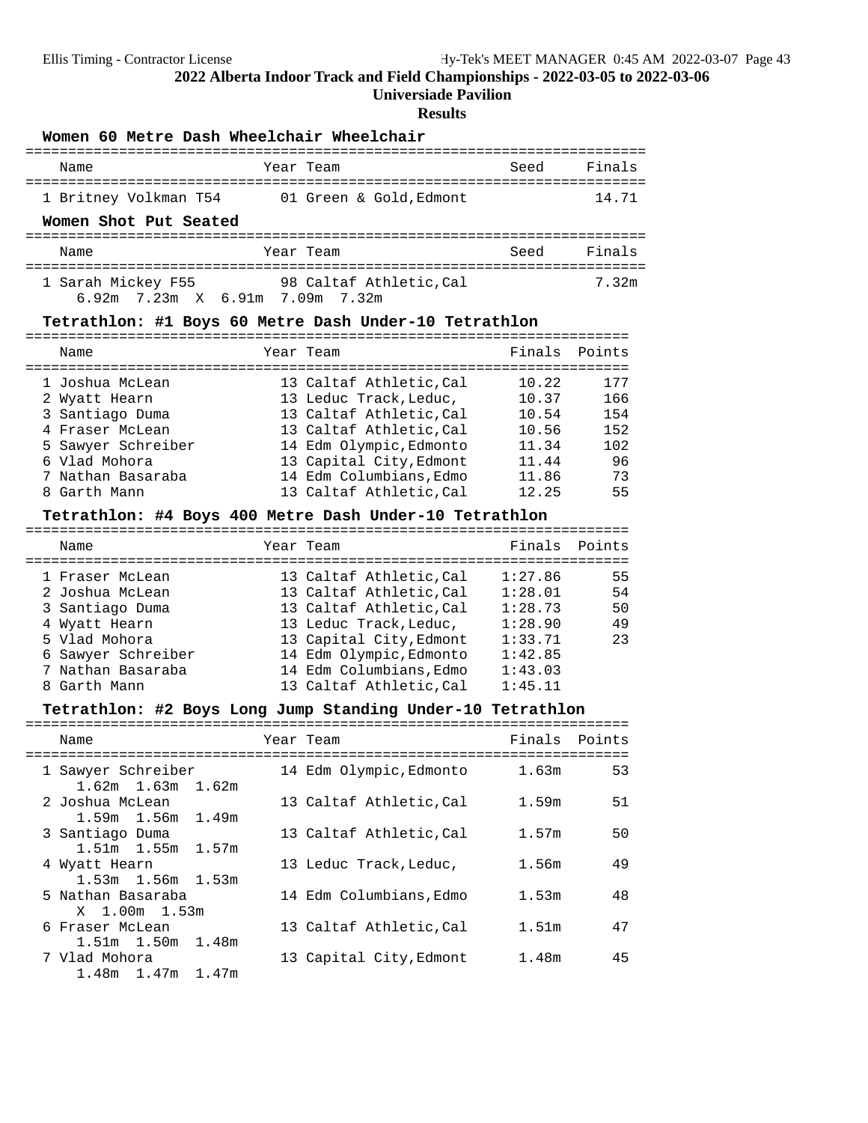### **Universiade Pavilion**

| Women 60 Metre Dash Wheelchair Wheelchair                                                                                                          |                                                                                                                                                                                                                     |                                                                                      |                            |  |  |
|----------------------------------------------------------------------------------------------------------------------------------------------------|---------------------------------------------------------------------------------------------------------------------------------------------------------------------------------------------------------------------|--------------------------------------------------------------------------------------|----------------------------|--|--|
| Name                                                                                                                                               | Year Team                                                                                                                                                                                                           | Seed                                                                                 | Finals                     |  |  |
|                                                                                                                                                    | 1 Britney Volkman T54 01 Green & Gold, Edmont                                                                                                                                                                       |                                                                                      | 14.71                      |  |  |
| Women Shot Put Seated                                                                                                                              |                                                                                                                                                                                                                     |                                                                                      |                            |  |  |
| Name                                                                                                                                               | Year Team                                                                                                                                                                                                           | Seed                                                                                 | Finals                     |  |  |
| 1 Sarah Mickey F55<br>6.92m 7.23m X 6.91m 7.09m 7.32m                                                                                              | 98 Caltaf Athletic,Cal                                                                                                                                                                                              |                                                                                      | 7.32m                      |  |  |
|                                                                                                                                                    | Tetrathlon: #1 Boys 60 Metre Dash Under-10 Tetrathlon                                                                                                                                                               |                                                                                      |                            |  |  |
| ==============<br>Name                                                                                                                             | ----------------------------<br>Year Team                                                                                                                                                                           | ==============================<br>Finals                                             | Points                     |  |  |
| ===================================<br>1 Joshua McLean<br>2 Wyatt Hearn<br>3 Santiago Duma<br>4 Fraser McLean                                      | =====================================<br>13 Caltaf Athletic, Cal<br>13 Leduc Track, Leduc,<br>13 Caltaf Athletic, Cal<br>13 Caltaf Athletic, Cal                                                                    | 10.22<br>10.37<br>10.54<br>10.56                                                     | 177<br>166<br>154<br>152   |  |  |
| 5 Sawyer Schreiber<br>6 Vlad Mohora<br>7 Nathan Basaraba<br>8 Garth Mann                                                                           | 14 Edm Olympic, Edmonto<br>13 Capital City, Edmont<br>14 Edm Columbians, Edmo<br>13 Caltaf Athletic, Cal                                                                                                            | 11.34<br>11.44<br>11.86<br>12.25                                                     | 102<br>96<br>73<br>55      |  |  |
|                                                                                                                                                    | Tetrathlon: #4 Boys 400 Metre Dash Under-10 Tetrathlon                                                                                                                                                              |                                                                                      |                            |  |  |
| Name                                                                                                                                               | Year Team                                                                                                                                                                                                           | Finals                                                                               | Points                     |  |  |
| 1 Fraser McLean<br>2 Joshua McLean<br>3 Santiago Duma<br>4 Wyatt Hearn<br>5 Vlad Mohora<br>6 Sawyer Schreiber<br>7 Nathan Basaraba<br>8 Garth Mann | 13 Caltaf Athletic, Cal<br>13 Caltaf Athletic, Cal<br>13 Caltaf Athletic, Cal<br>13 Leduc Track, Leduc,<br>13 Capital City, Edmont<br>14 Edm Olympic, Edmonto<br>14 Edm Columbians, Edmo<br>13 Caltaf Athletic, Cal | 1:27.86<br>1:28.01<br>1:28.73<br>1:28.90<br>1:33.71<br>1:42.85<br>1:43.03<br>1:45.11 | 55<br>54<br>50<br>49<br>23 |  |  |
|                                                                                                                                                    | Tetrathlon: #2 Boys Long Jump Standing Under-10 Tetrathlon                                                                                                                                                          |                                                                                      |                            |  |  |
| Name                                                                                                                                               | Year Team                                                                                                                                                                                                           | Finals                                                                               | Points                     |  |  |
| 1 Sawyer Schreiber<br>1.62m<br>1.63m<br>1.62m                                                                                                      | 14 Edm Olympic, Edmonto                                                                                                                                                                                             | 1.63m                                                                                | 53                         |  |  |
| 2 Joshua McLean<br>1.59m<br>1.56m<br>1.49m                                                                                                         | 13 Caltaf Athletic, Cal                                                                                                                                                                                             | 1.59m                                                                                | 51                         |  |  |
| 3 Santiago Duma<br>1.51m 1.55m<br>1.57m                                                                                                            | 13 Caltaf Athletic, Cal                                                                                                                                                                                             | 1.57m                                                                                | 50                         |  |  |
| 4 Wyatt Hearn<br>1.53 <sub>m</sub><br>1.56m<br>1.53m                                                                                               | 13 Leduc Track, Leduc,                                                                                                                                                                                              | 1.56m                                                                                | 49                         |  |  |
| 5 Nathan Basaraba<br>1.00 <sub>m</sub><br>X<br>1.53m                                                                                               | 14 Edm Columbians, Edmo                                                                                                                                                                                             | 1.53m                                                                                | 48                         |  |  |
| 6 Fraser McLean<br>1.51m 1.50m<br>1.48m                                                                                                            | 13 Caltaf Athletic, Cal                                                                                                                                                                                             | 1.51m                                                                                | 47                         |  |  |
| 7 Vlad Mohora<br>1.48m<br>1.47m<br>1.47m                                                                                                           | 13 Capital City, Edmont                                                                                                                                                                                             | 1.48m                                                                                | 45                         |  |  |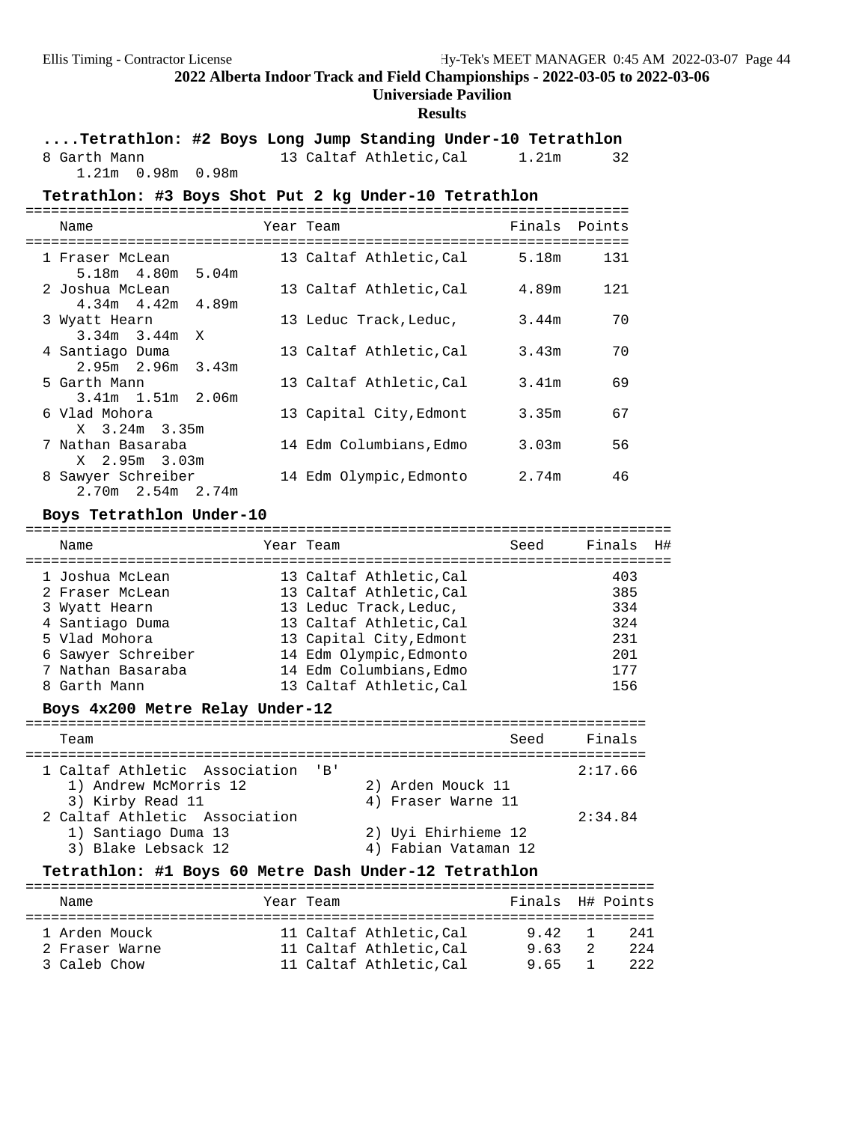### **Universiade Pavilion**

### **Results**

**....Tetrathlon: #2 Boys Long Jump Standing Under-10 Tetrathlon** 8 Garth Mann 13 Caltaf Athletic,Cal 1.21m 32

1.21m 0.98m 0.98m

#### Tetrathlon: #3 Boys Shot Put 2 kg Under-10 Tetrathlon

| Name                                                           |  | Year Team               | Finals Points |     |  |  |  |
|----------------------------------------------------------------|--|-------------------------|---------------|-----|--|--|--|
| 1 Fraser McLean                                                |  | 13 Caltaf Athletic, Cal | 5.18m         | 131 |  |  |  |
| 5.18m  4.80m  5.04m<br>2 Joshua McLean                         |  | 13 Caltaf Athletic, Cal | 4.89m         | 121 |  |  |  |
| $4.34m$ $4.42m$ $4.89m$                                        |  |                         |               |     |  |  |  |
| 3 Wyatt Hearn                                                  |  | 13 Leduc Track, Leduc,  | 3.44m         | 70  |  |  |  |
| $3.34m$ $3.44m$ X<br>4 Santiago Duma                           |  | 13 Caltaf Athletic, Cal | 3.43m         | 70  |  |  |  |
| $2.95m$ 2.96m 3.43m                                            |  |                         |               |     |  |  |  |
| 5 Garth Mann                                                   |  | 13 Caltaf Athletic, Cal | 3.41m         | 69  |  |  |  |
| $3.41m$ 1.51m 2.06m<br>6 Vlad Mohora                           |  | 13 Capital City, Edmont | 3.35m         | 67  |  |  |  |
| X 3.24m 3.35m<br>7 Nathan Basaraba                             |  | 14 Edm Columbians, Edmo | 3.03m         | 56  |  |  |  |
| X 2.95m 3.03m<br>8 Sawyer Schreiber<br>$2.70m$ $2.54m$ $2.74m$ |  | 14 Edm Olympic, Edmonto | 2.74m         | 46  |  |  |  |

# **Boys Tetrathlon Under-10** ============================================================================

Name Team Year Team Seed Finals H# ============================================================================ 1 Joshua McLean 13 Caltaf Athletic,Cal 403 2 Fraser McLean 13 Caltaf Athletic,Cal 385 3 Wyatt Hearn 13 Leduc Track,Leduc, 334 4 Santiago Duma 13 Caltaf Athletic,Cal 324 5 Vlad Mohora 13 Capital City,Edmont 231 6 Sawyer Schreiber 14 Edm Olympic,Edmonto 201 7 Nathan Basaraba 14 Edm Columbians,Edmo 177 8 Garth Mann 13 Caltaf Athletic,Cal 156

#### Boys  $4x200$  Metre Relay Under-12

| Team                                                                           | Seed                                        | Finals  |
|--------------------------------------------------------------------------------|---------------------------------------------|---------|
| 1 Caltaf Athletic Association 'B'<br>1) Andrew McMorris 12<br>3) Kirby Read 11 | 2) Arden Mouck 11<br>4) Fraser Warne 11     | 2:17.66 |
| 2 Caltaf Athletic Association<br>1) Santiago Duma 13<br>3) Blake Lebsack 12    | 2) Uyi Ehirhieme 12<br>4) Fabian Vataman 12 | 2:34.84 |

#### Tetrathlon: #1 Boys 60 Metre Dash Under-12 Tetrathlon

| Name                                            | Year Team |                                                                            | Finals H# Points  |                     |
|-------------------------------------------------|-----------|----------------------------------------------------------------------------|-------------------|---------------------|
| 1 Arden Mouck<br>2 Fraser Warne<br>3 Caleb Chow |           | 11 Caltaf Athletic.Cal<br>11 Caltaf Athletic.Cal<br>11 Caltaf Athletic.Cal | 942<br>963<br>965 | 241<br>2.2.4<br>222 |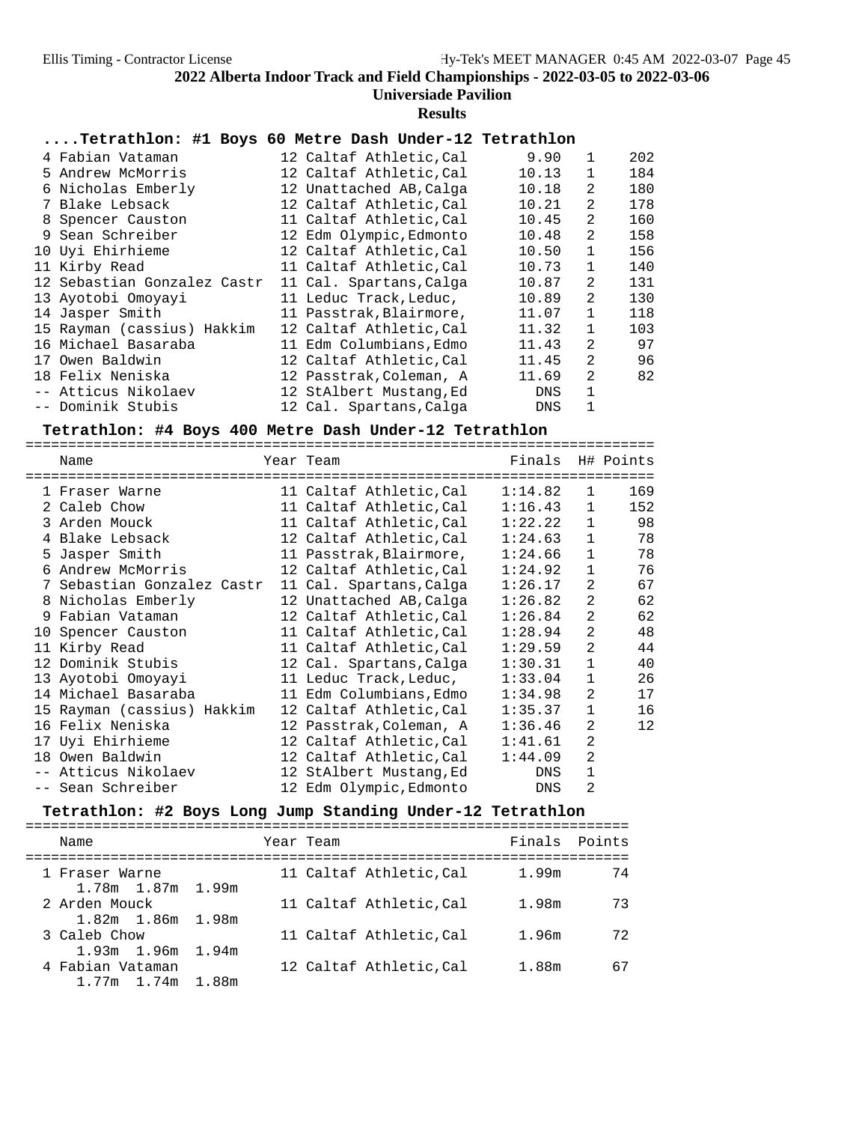# **Universiade Pavilion**

**Results**

# **....Tetrathlon: #1 Boys 60 Metre Dash Under-12 Tetrathlon**

| 4 Fabian Vataman            | 12 Caltaf Athletic, Cal | 9.90  | 1            | 202 |
|-----------------------------|-------------------------|-------|--------------|-----|
| 5 Andrew McMorris           | 12 Caltaf Athletic, Cal | 10.13 | 1            | 184 |
| 6 Nicholas Emberly          | 12 Unattached AB, Calga | 10.18 | 2            | 180 |
| 7 Blake Lebsack             | 12 Caltaf Athletic.Cal  | 10.21 | 2            | 178 |
| 8 Spencer Causton           | 11 Caltaf Athletic, Cal | 10.45 | 2            | 160 |
| 9 Sean Schreiber            | 12 Edm Olympic, Edmonto | 10.48 | 2            | 158 |
| 10 Uyi Ehirhieme            | 12 Caltaf Athletic, Cal | 10.50 | $\mathbf{1}$ | 156 |
| 11 Kirby Read               | 11 Caltaf Athletic, Cal | 10.73 | 1            | 140 |
| 12 Sebastian Gonzalez Castr | 11 Cal. Spartans, Calga | 10.87 | 2            | 131 |
| 13 Ayotobi Omoyayi          | 11 Leduc Track, Leduc,  | 10.89 | 2            | 130 |
| 14 Jasper Smith             | 11 Passtrak, Blairmore, | 11.07 | $\mathbf{1}$ | 118 |
| 15 Rayman (cassius) Hakkim  | 12 Caltaf Athletic.Cal  | 11.32 | $\mathbf{1}$ | 103 |
| 16 Michael Basaraba         | 11 Edm Columbians, Edmo | 11.43 | 2            | 97  |
| 17 Owen Baldwin             | 12 Caltaf Athletic,Cal  | 11.45 | 2            | 96  |
| 18 Felix Neniska            | 12 Passtrak, Coleman, A | 11.69 | 2            | 82  |
| -- Atticus Nikolaev         | 12 StAlbert Mustang, Ed | DNS   | 1            |     |
| -- Dominik Stubis           | 12 Cal. Spartans, Calga | DNS   |              |     |

# **Tetrathlon: #4 Boys 400 Metre Dash Under-12 Tetrathlon** ==========================================================================

| Name                       | Year Team               | Finals H# Points |                |     |
|----------------------------|-------------------------|------------------|----------------|-----|
| 1 Fraser Warne             | 11 Caltaf Athletic,Cal  | 1:14.82          | $\mathbf{1}$   | 169 |
| 2 Caleb Chow               | 11 Caltaf Athletic,Cal  | 1:16.43          | $\mathbf{1}$   | 152 |
| 3 Arden Mouck              | 11 Caltaf Athletic,Cal  | 1:22.22          | $\mathbf{1}$   | 98  |
| 4 Blake Lebsack            | 12 Caltaf Athletic,Cal  | 1:24.63          | $\mathbf{1}$   | 78  |
| 5 Jasper Smith             | 11 Passtrak, Blairmore, | 1:24.66          | $\mathbf{1}$   | 78  |
| 6 Andrew McMorris          | 12 Caltaf Athletic,Cal  | 1:24.92          | $\mathbf{1}$   | 76  |
| 7 Sebastian Gonzalez Castr | 11 Cal. Spartans, Calga | 1:26.17          | 2              | 67  |
| 8 Nicholas Emberly         | 12 Unattached AB,Calga  | 1:26.82          | 2              | 62  |
| 9 Fabian Vataman           | 12 Caltaf Athletic,Cal  | 1:26.84          | 2              | 62  |
| 10 Spencer Causton         | 11 Caltaf Athletic,Cal  | 1:28.94          | 2              | 48  |
| 11 Kirby Read              | 11 Caltaf Athletic,Cal  | 1:29.59          | $\mathfrak{D}$ | 44  |
| 12 Dominik Stubis          | 12 Cal. Spartans,Calga  | 1:30.31          | $\mathbf{1}$   | 40  |
| 13 Ayotobi Omoyayi         | 11 Leduc Track, Leduc,  | 1:33.04          | $\mathbf{1}$   | 26  |
| 14 Michael Basaraba        | 11 Edm Columbians,Edmo  | 1:34.98          | 2              | 17  |
| 15 Rayman (cassius) Hakkim | 12 Caltaf Athletic,Cal  | 1:35.37          | $\mathbf{1}$   | 16  |
| 16 Felix Neniska           | 12 Passtrak, Coleman, A | 1:36.46          | 2              | 12  |
| 17 Uyi Ehirhieme           | 12 Caltaf Athletic,Cal  | 1:41.61          | $\overline{2}$ |     |
| 18 Owen Baldwin            | 12 Caltaf Athletic,Cal  | 1:44.09          | 2              |     |
| -- Atticus Nikolaev        | 12 StAlbert Mustang, Ed | DNS              | $\mathbf{1}$   |     |
| -- Sean Schreiber          | 12 Edm Olympic, Edmonto | <b>DNS</b>       | 2              |     |

# **Tetrathlon: #2 Boys Long Jump Standing Under-12 Tetrathlon** =======================================================================

| Name                                    |  | Year Team |                         |       | Finals Points |
|-----------------------------------------|--|-----------|-------------------------|-------|---------------|
| 1 Fraser Warne<br>1.78m 1.87m 1.99m     |  |           | 11 Caltaf Athletic, Cal | 1.99m | 74            |
| 2 Arden Mouck                           |  |           | 11 Caltaf Athletic, Cal | 1.98m | 73            |
| $1.82m$ $1.86m$ $1.98m$<br>3 Caleb Chow |  |           | 11 Caltaf Athletic.Cal  | 1.96m | 72            |
| 1.93m 1.96m 1.94m<br>4 Fabian Vataman   |  |           | 12 Caltaf Athletic.Cal  | 1.88m | 67            |
| 1.77m 1.74m 1.88m                       |  |           |                         |       |               |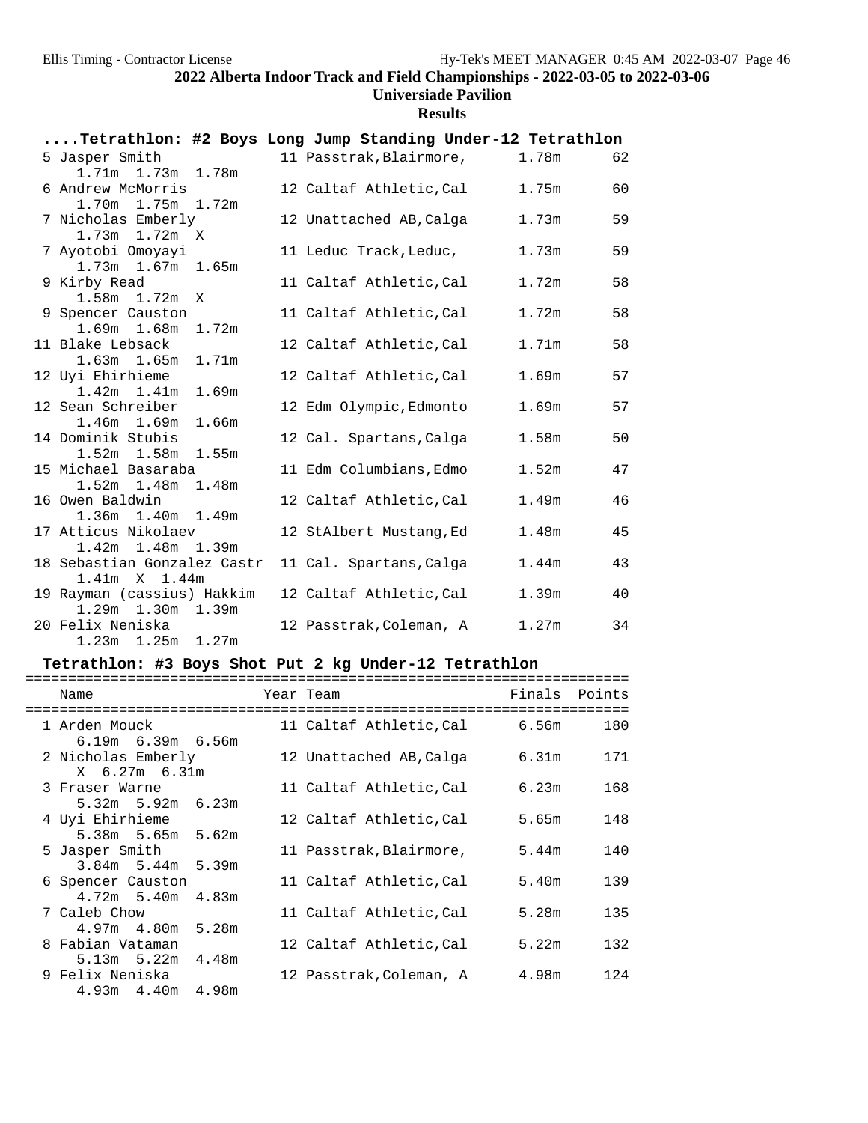# **Universiade Pavilion**

**Results**

| Tetrathlon: #2 Boys Long Jump Standing Under-12 Tetrathlon |  |                         |                   |    |
|------------------------------------------------------------|--|-------------------------|-------------------|----|
| 5 Jasper Smith                                             |  | 11 Passtrak, Blairmore, | 1.78m             | 62 |
| 1.71m 1.73m 1.78m                                          |  |                         |                   |    |
| 6 Andrew McMorris                                          |  | 12 Caltaf Athletic,Cal  | 1.75m             | 60 |
| 1.70m 1.75m 1.72m                                          |  |                         |                   |    |
| 7 Nicholas Emberly                                         |  | 12 Unattached AB, Calga | 1.73m             | 59 |
| $1.73m$ $1.72m$ X                                          |  |                         |                   |    |
| 7 Ayotobi Omoyayi                                          |  | 11 Leduc Track, Leduc,  | 1.73m             | 59 |
| 1.73m 1.67m 1.65m<br>9 Kirby Read                          |  | 11 Caltaf Athletic, Cal | 1.72m             | 58 |
| $1.58m$ $1.72m$ X                                          |  |                         |                   |    |
| 9 Spencer Causton                                          |  | 11 Caltaf Athletic, Cal | 1.72m             | 58 |
| 1.69m 1.68m 1.72m                                          |  |                         |                   |    |
| 11 Blake Lebsack                                           |  | 12 Caltaf Athletic, Cal | 1.71m             | 58 |
| 1.63m 1.65m 1.71m                                          |  |                         |                   |    |
| 12 Uyi Ehirhieme                                           |  | 12 Caltaf Athletic, Cal | 1.69m             | 57 |
| 1.42m 1.41m 1.69m                                          |  |                         |                   |    |
| 12 Sean Schreiber                                          |  | 12 Edm Olympic, Edmonto | 1.69m             | 57 |
| 1.46m 1.69m 1.66m                                          |  |                         |                   |    |
| 14 Dominik Stubis                                          |  | 12 Cal. Spartans, Calga | 1.58 <sub>m</sub> | 50 |
| 1.52m 1.58m 1.55m                                          |  |                         |                   |    |
| 15 Michael Basaraba                                        |  | 11 Edm Columbians, Edmo | 1.52m             | 47 |
| $1.52m$ $1.48m$ $1.48m$                                    |  |                         |                   | 46 |
| 16 Owen Baldwin<br>1.36m 1.40m 1.49m                       |  | 12 Caltaf Athletic, Cal | 1.49m             |    |
| 17 Atticus Nikolaev                                        |  | 12 StAlbert Mustang, Ed | 1.48m             | 45 |
| 1.42m 1.48m 1.39m                                          |  |                         |                   |    |
| 18 Sebastian Gonzalez Castr 11 Cal. Spartans, Calga        |  |                         | $1.44$ m          | 43 |
| $1.41m \times 1.44m$                                       |  |                         |                   |    |
| 19 Rayman (cassius) Hakkim                                 |  | 12 Caltaf Athletic,Cal  | 1.39m             | 40 |
| 1.29m 1.30m 1.39m                                          |  |                         |                   |    |
| 20 Felix Neniska                                           |  | 12 Passtrak,Coleman, A  | 1.27m             | 34 |
| $1.23m$ $1.25m$ $1.27m$                                    |  |                         |                   |    |

# **Tetrathlon: #3 Boys Shot Put 2 kg Under-12 Tetrathlon** =======================================================================

| Name                                                           |  | Year Team                    |       | Finals Points |
|----------------------------------------------------------------|--|------------------------------|-------|---------------|
| -------------------------<br>1 Arden Mouck                     |  | 11 Caltaf Athletic,Cal 6.56m |       | 180           |
| $6.19m$ $6.39m$ $6.56m$<br>2 Nicholas Emberly<br>X 6.27m 6.31m |  | 12 Unattached AB,Calga       | 6.31m | 171           |
| 3 Fraser Warne                                                 |  | 11 Caltaf Athletic,Cal       | 6.23m | 168           |
| $5.32m$ $5.92m$ $6.23m$<br>4 Uyi Ehirhieme                     |  | 12 Caltaf Athletic,Cal       | 5.65m | 148           |
| 5.38m 5.65m 5.62m                                              |  |                              |       |               |
| 5 Jasper Smith<br>$3.84m$ 5.44m 5.39m                          |  | 11 Passtrak, Blairmore,      | 5.44m | 140           |
| 6 Spencer Causton                                              |  | 11 Caltaf Athletic, Cal      | 5.40m | 139           |
| $4.72m$ 5.40m $4.83m$<br>7 Caleb Chow                          |  | 11 Caltaf Athletic,Cal       | 5.28m | 135           |
| $4.97m$ $4.80m$ $5.28m$                                        |  |                              | 5.22m | 132           |
| 8 Fabian Vataman<br>$5.13m$ $5.22m$ $4.48m$                    |  | 12 Caltaf Athletic,Cal       |       |               |
| 9 Felix Neniska<br>$4.93m$ $4.40m$ $4.98m$                     |  | 12 Passtrak, Coleman, A      | 4.98m | 124           |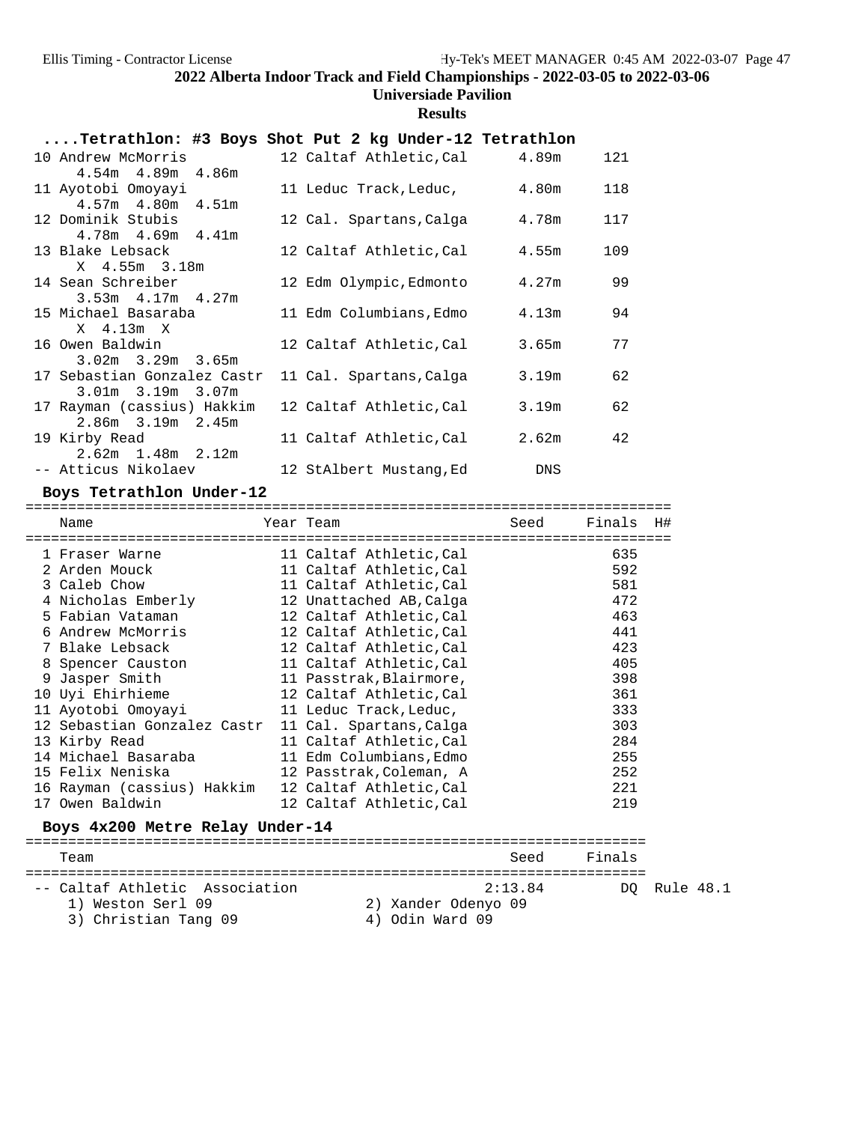# **Universiade Pavilion**

# **Results**

| Tetrathlon: #3 Boys Shot Put 2 kg Under-12 Tetrathlon  |                               |       |     |
|--------------------------------------------------------|-------------------------------|-------|-----|
| 10 Andrew McMorris                                     | 12 Caltaf Athletic, Cal 4.89m |       | 121 |
| $4.54m$ $4.89m$ $4.86m$<br>11 Ayotobi Omoyayi          | 11 Leduc Track, Leduc,        | 4.80m | 118 |
| $4.57m$ $4.80m$ $4.51m$<br>12 Dominik Stubis           | 12 Cal. Spartans,Calga        | 4.78m | 117 |
| $4.78m$ $4.69m$ $4.41m$                                |                               |       |     |
| 13 Blake Lebsack<br>X 4.55m 3.18m                      | 12 Caltaf Athletic,Cal        | 4.55m | 109 |
| 14 Sean Schreiber                                      | 12 Edm Olympic,Edmonto        | 4.27m | 99  |
| $3.53m$ 4.17m 4.27m<br>15 Michael Basaraba             | 11 Edm Columbians,Edmo        | 4.13m | 94  |
| X 4.13m X<br>16 Owen Baldwin                           | 12 Caltaf Athletic,Cal        | 3.65m | 77  |
| $3.02m$ $3.29m$ $3.65m$<br>17 Sebastian Gonzalez Castr | 11 Cal. Spartans, Calga       | 3.19m | 62  |
| $3.01m$ $3.19m$ $3.07m$                                |                               |       |     |
| 17 Rayman (cassius) Hakkim<br>$2.86m$ $3.19m$ $2.45m$  | 12 Caltaf Athletic,Cal        | 3.19m | 62  |
| 19 Kirby Read                                          | 11 Caltaf Athletic,Cal        | 2.62m | 42  |
| $2.62m$ 1.48m $2.12m$<br>-- Atticus Nikolaev           | 12 StAlbert Mustang, Ed DNS   |       |     |

**Boys Tetrathlon Under-12** ============================================================================ Name Tear Team Seed Finals H# ============================================================================ 1 Fraser Warne 11 Caltaf Athletic,Cal 635 2 Arden Mouck 11 Caltaf Athletic,Cal 592 3 Caleb Chow 11 Caltaf Athletic,Cal 581 4 Nicholas Emberly 12 Unattached AB,Calga 472 5 Fabian Vataman 12 Caltaf Athletic,Cal 463 6 Andrew McMorris 12 Caltaf Athletic,Cal 441 7 Blake Lebsack 12 Caltaf Athletic,Cal 423 8 Spencer Causton 11 Caltaf Athletic,Cal 405 9 Jasper Smith 11 Passtrak,Blairmore, 398 10 Uyi Ehirhieme 12 Caltaf Athletic,Cal 361 11 Ayotobi Omoyayi 11 Leduc Track,Leduc, 333 12 Sebastian Gonzalez Castr 11 Cal. Spartans,Calga 303 13 Kirby Read 11 Caltaf Athletic,Cal 284 14 Michael Basaraba 11 Edm Columbians,Edmo 255 15 Felix Neniska 12 Passtrak,Coleman, A 252 16 Rayman (cassius) Hakkim 12 Caltaf Athletic,Cal 221 17 Owen Baldwin 12 Caltaf Athletic,Cal 219

**Boys 4x200 Metre Relay Under-14** ========================================================================= Seed Finals ========================================================================= -- Caltaf Athletic Association 2:13.84 DQ Rule 48.1 1) Weston Serl 09 2) Xander Odenyo 09 3) Christian Tang 09  $\qquad \qquad$  4) Odin Ward 09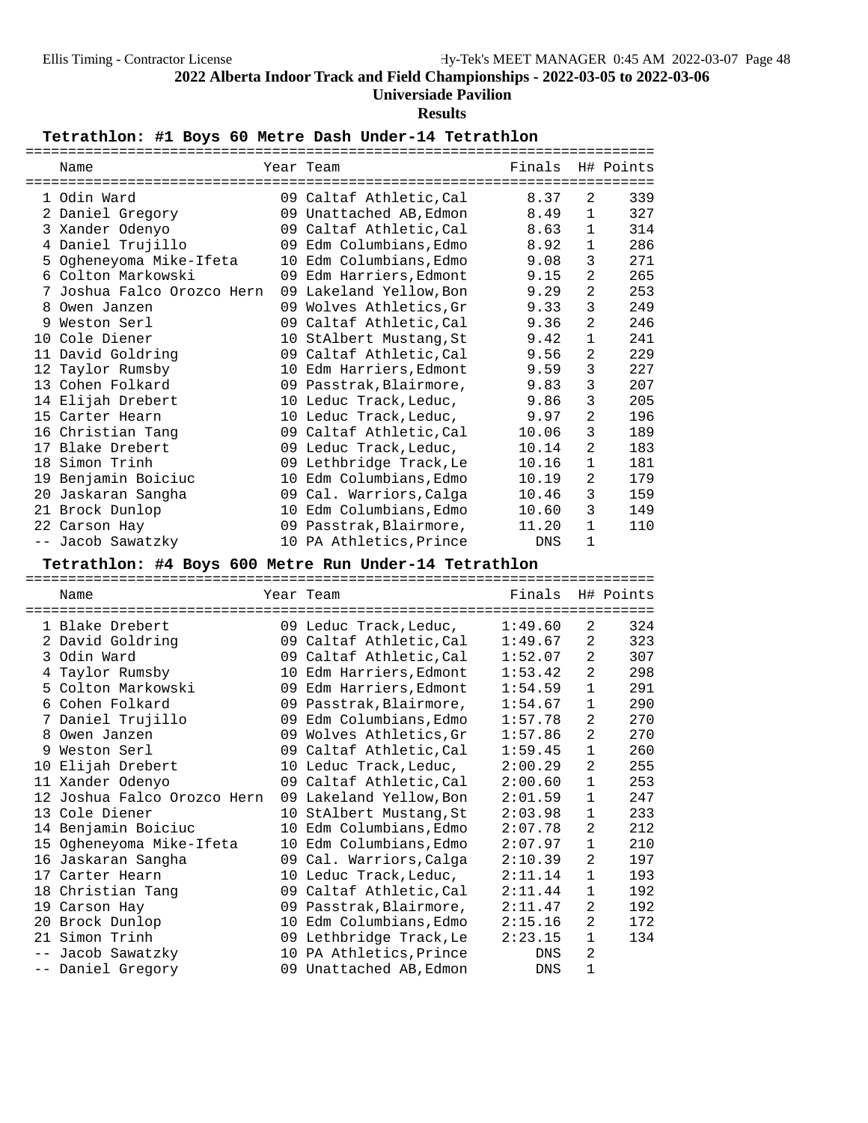# **Universiade Pavilion**

## **Results**

# Tetrathlon: #1 Boys 60 Metre Dash Under-14 Tetrathlon

|    | ===========              |    |                         |            |                |           |
|----|--------------------------|----|-------------------------|------------|----------------|-----------|
|    | Name                     |    | Year Team               | Finals     |                | H# Points |
|    | 1 Odin Ward              |    | 09 Caltaf Athletic, Cal | 8.37       | 2              | 339       |
|    | 2 Daniel Gregory         |    | 09 Unattached AB, Edmon | 8.49       | 1              | 327       |
|    | 3 Xander Odenyo          |    | 09 Caltaf Athletic, Cal | 8.63       | 1              | 314       |
| 4  | Daniel Trujillo          |    | 09 Edm Columbians, Edmo | 8.92       | 1              | 286       |
|    | 5 Ogheneyoma Mike-Ifeta  |    | 10 Edm Columbians, Edmo | 9.08       | 3              | 271       |
|    | 6 Colton Markowski       | 09 | Edm Harriers, Edmont    | 9.15       | 2              | 265       |
| 7  | Joshua Falco Orozco Hern |    | 09 Lakeland Yellow, Bon | 9.29       | 2              | 253       |
| 8  | Owen Janzen              |    | 09 Wolves Athletics, Gr | 9.33       | 3              | 249       |
| 9  | Weston Serl              |    | 09 Caltaf Athletic, Cal | 9.36       | $\overline{a}$ | 246       |
|    | 10 Cole Diener           |    | 10 StAlbert Mustang, St | 9.42       | 1              | 241       |
| 11 | David Goldring           |    | 09 Caltaf Athletic, Cal | 9.56       | 2              | 229       |
|    | 12 Taylor Rumsby         |    | 10 Edm Harriers, Edmont | 9.59       | 3              | 227       |
|    | 13 Cohen Folkard         |    | 09 Passtrak, Blairmore, | 9.83       | 3              | 207       |
|    | 14 Elijah Drebert        |    | 10 Leduc Track, Leduc,  | 9.86       | 3              | 205       |
|    | 15 Carter Hearn          |    | 10 Leduc Track, Leduc,  | 9.97       | 2              | 196       |
|    | 16 Christian Tang        |    | 09 Caltaf Athletic, Cal | 10.06      | 3              | 189       |
|    | 17 Blake Drebert         |    | 09 Leduc Track, Leduc,  | 10.14      | $\overline{2}$ | 183       |
|    | 18 Simon Trinh           |    | 09 Lethbridge Track, Le | 10.16      | 1              | 181       |
|    | 19 Benjamin Boiciuc      |    | 10 Edm Columbians, Edmo | 10.19      | 2              | 179       |
| 20 | Jaskaran Sangha          |    | 09 Cal. Warriors, Calga | 10.46      | 3              | 159       |
|    | 21 Brock Dunlop          |    | 10 Edm Columbians, Edmo | 10.60      | 3              | 149       |
|    | 22 Carson Hay            |    | 09 Passtrak, Blairmore, | 11.20      | 1              | 110       |
|    | -- Jacob Sawatzky        |    | 10 PA Athletics, Prince | <b>DNS</b> | 1              |           |

# Tetrathlon: #4 Boys 600 Metre Run Under-14 Tetrathlon

|   | Name                        | Year Team               | Finals H# Points |                |     |
|---|-----------------------------|-------------------------|------------------|----------------|-----|
|   |                             | -----------------       | ==========       |                |     |
|   | 1 Blake Drebert             | 09 Leduc Track, Leduc,  | 1:49.60          | 2              | 324 |
|   | 2 David Goldring            | 09 Caltaf Athletic, Cal | 1:49.67          | 2              | 323 |
|   | 3 Odin Ward                 | 09 Caltaf Athletic, Cal | 1:52.07          | 2              | 307 |
|   | 4 Taylor Rumsby             | 10 Edm Harriers, Edmont | 1:53.42          | $\overline{2}$ | 298 |
|   | 5 Colton Markowski          | 09 Edm Harriers, Edmont | 1:54.59          | $\mathbf{1}$   | 291 |
|   | 6 Cohen Folkard             | 09 Passtrak, Blairmore, | 1:54.67          | $\mathbf{1}$   | 290 |
|   | 7 Daniel Trujillo           | 09 Edm Columbians, Edmo | 1:57.78          | 2              | 270 |
|   | 8 Owen Janzen               | 09 Wolves Athletics, Gr | 1:57.86          | 2              | 270 |
| 9 | Weston Serl                 | 09 Caltaf Athletic, Cal | 1:59.45          | $\mathbf{1}$   | 260 |
|   | 10 Elijah Drebert           | 10 Leduc Track, Leduc,  | 2:00.29          | $\overline{2}$ | 255 |
|   | 11 Xander Odenyo            | 09 Caltaf Athletic, Cal | 2:00.60          | 1              | 253 |
|   | 12 Joshua Falco Orozco Hern | 09 Lakeland Yellow, Bon | 2:01.59          | $\mathbf{1}$   | 247 |
|   | 13 Cole Diener              | 10 StAlbert Mustang, St | 2:03.98          | $\mathbf{1}$   | 233 |
|   | 14 Benjamin Boiciuc         | 10 Edm Columbians, Edmo | 2:07.78          | $\overline{2}$ | 212 |
|   | 15 Ogheneyoma Mike-Ifeta    | 10 Edm Columbians, Edmo | 2:07.97          | 1              | 210 |
|   | 16 Jaskaran Sangha          | 09 Cal. Warriors, Calga | 2:10.39          | $\overline{2}$ | 197 |
|   | 17 Carter Hearn             | 10 Leduc Track, Leduc,  | 2:11.14          | $\mathbf{1}$   | 193 |
|   | 18 Christian Tang           | 09 Caltaf Athletic, Cal | 2:11.44          | 1              | 192 |
|   | 19 Carson Hay               | 09 Passtrak, Blairmore, | 2:11.47          | $\overline{2}$ | 192 |
|   | 20 Brock Dunlop             | 10 Edm Columbians, Edmo | 2:15.16          | 2              | 172 |
|   | 21 Simon Trinh              | 09 Lethbridge Track, Le | 2:23.15          | 1              | 134 |
|   | Jacob Sawatzky              | 10 PA Athletics, Prince | DNS              | 2              |     |
|   | -- Daniel Gregory           | 09 Unattached AB, Edmon | DNS              | $\mathbf{1}$   |     |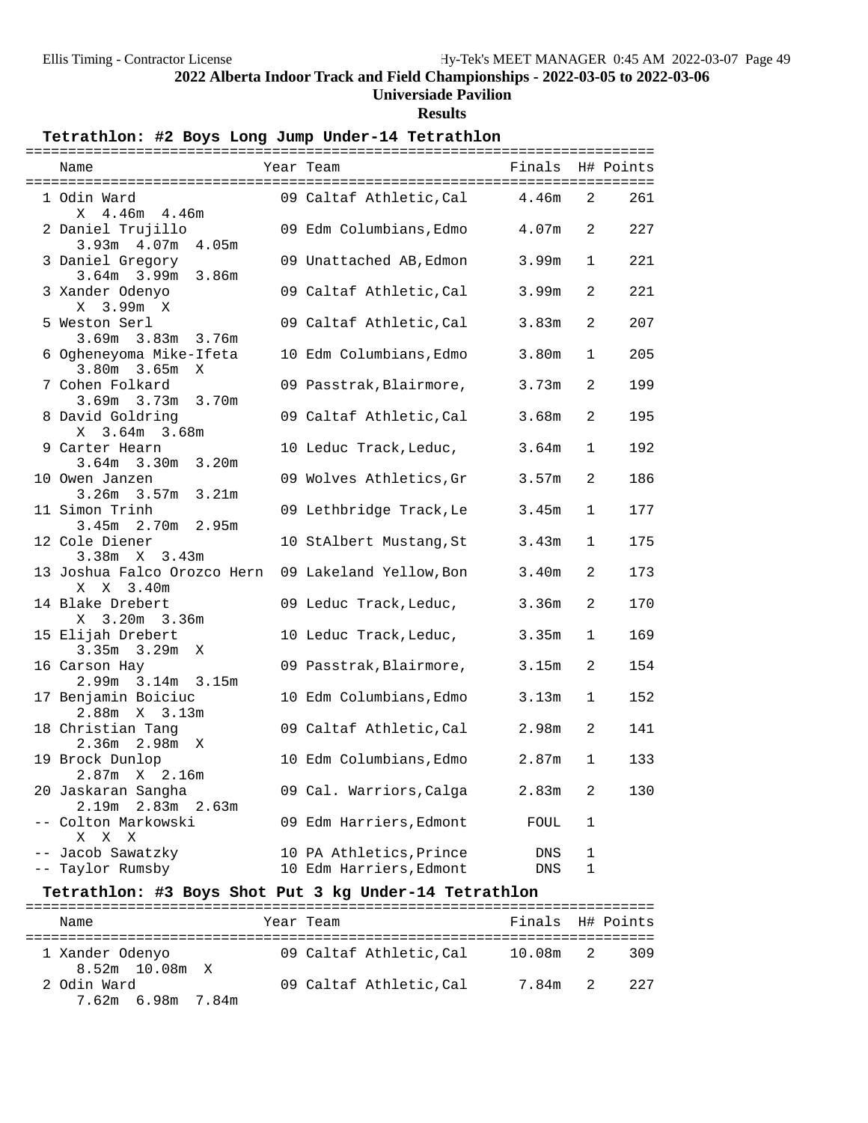# **Universiade Pavilion**

# **Results**

Tetrathlon: #2 Boys Long Jump Under-14 Tetrathlon

| Name                        | Year Team               | Finals H# Points  |              |     |
|-----------------------------|-------------------------|-------------------|--------------|-----|
| 1 Odin Ward                 | 09 Caltaf Athletic, Cal | 4.46m             | 2            | 261 |
| X 4.46m 4.46m               |                         |                   |              |     |
| 2 Daniel Trujillo           |                         | 4.07m             | 2            | 227 |
|                             | 09 Edm Columbians, Edmo |                   |              |     |
| $3.93m + 4.07m$<br>4.05m    |                         |                   |              |     |
| 3 Daniel Gregory            | 09 Unattached AB, Edmon | 3.99m             | $\mathbf{1}$ | 221 |
| $3.64m$ $3.99m$<br>3.86m    |                         |                   |              |     |
| 3 Xander Odenyo             | 09 Caltaf Athletic,Cal  | 3.99m             | 2            | 221 |
| X 3.99m X                   |                         |                   |              |     |
| 5 Weston Serl               | 09 Caltaf Athletic, Cal | 3.83m             | 2            | 207 |
| 3.69m 3.83m 3.76m           |                         |                   |              |     |
| 6 Ogheneyoma Mike-Ifeta     | 10 Edm Columbians, Edmo | 3.80 <sub>m</sub> | $\mathbf{1}$ | 205 |
| $3.80m$ $3.65m$<br>X        |                         |                   |              |     |
| 7 Cohen Folkard             | 09 Passtrak, Blairmore, | 3.73m             | 2            | 199 |
| 3.69m 3.73m 3.70m           |                         |                   |              |     |
| 8 David Goldring            | 09 Caltaf Athletic, Cal | 3.68m             | 2            | 195 |
| $X = 3.64m$ 3.68m           |                         |                   |              |     |
| 9 Carter Hearn              | 10 Leduc Track, Leduc,  | 3.64m             | $\mathbf{1}$ | 192 |
| $3.64m$ $3.30m$ $3.20m$     |                         |                   |              |     |
| 10 Owen Janzen              | 09 Wolves Athletics, Gr | 3.57m             | 2            | 186 |
| $3.26m$ $3.57m$<br>3.21m    |                         |                   |              |     |
| 11 Simon Trinh              | 09 Lethbridge Track, Le | 3.45m             | $\mathbf{1}$ | 177 |
| $3.45m$ $2.70m$<br>2.95m    |                         |                   |              |     |
| 12 Cole Diener              | 10 StAlbert Mustang, St | 3.43m             | $\mathbf 1$  | 175 |
| $3.38m \times 3.43m$        |                         |                   |              |     |
| 13 Joshua Falco Orozco Hern | 09 Lakeland Yellow,Bon  | 3.40m             | 2            | 173 |
| $X = 3.40m$<br>X            |                         |                   |              |     |
| 14 Blake Drebert            | 09 Leduc Track, Leduc,  | 3.36m             | 2            | 170 |
| X 3.20m 3.36m               |                         |                   |              |     |
| 15 Elijah Drebert           | 10 Leduc Track, Leduc,  | 3.35 <sub>m</sub> | $\mathbf{1}$ | 169 |
| $3.35m$ $3.29m$ X           |                         |                   |              |     |
| 16 Carson Hay               | 09 Passtrak, Blairmore, | 3.15m             | 2            | 154 |
| 2.99m 3.14m 3.15m           |                         |                   |              |     |
| 17 Benjamin Boiciuc         | 10 Edm Columbians, Edmo | 3.13m             | $\mathbf{1}$ | 152 |
| 2.88m X 3.13m               |                         |                   |              |     |
| 18 Christian Tang           | 09 Caltaf Athletic, Cal | 2.98m             | 2            | 141 |
| $2.36m$ $2.98m$ X           |                         |                   |              |     |
| 19 Brock Dunlop             | 10 Edm Columbians, Edmo | 2.87 <sub>m</sub> | $\mathbf{1}$ | 133 |
| $2.87m \t X \t 2.16m$       |                         |                   |              |     |
| 20 Jaskaran Sangha          | 09 Cal. Warriors, Calga | 2.83m             | 2            | 130 |
| 2.19m 2.83m 2.63m           |                         |                   |              |     |
| -- Colton Markowski         | 09 Edm Harriers, Edmont | FOUL              | $\mathbf{1}$ |     |
| X X X                       |                         |                   |              |     |
| -- Jacob Sawatzky           | 10 PA Athletics, Prince | DNS               | 1            |     |
| -- Taylor Rumsby            | 10 Edm Harriers, Edmont | ${\rm DNS}$       | $\mathbf{1}$ |     |

# **Tetrathlon: #3 Boys Shot Put 3 kg Under-14 Tetrathlon** ==========================================================================

| Name                              | Year Team              | Finals H# Points |     |
|-----------------------------------|------------------------|------------------|-----|
| 1 Xander Odenyo<br>8.52m 10.08m X | 09 Caltaf Athletic.Cal | 10.08m 2         | 309 |
| 2 Odin Ward<br>7.62m 6.98m 7.84m  | 09 Caltaf Athletic.Cal | 7.84m 2.         | 227 |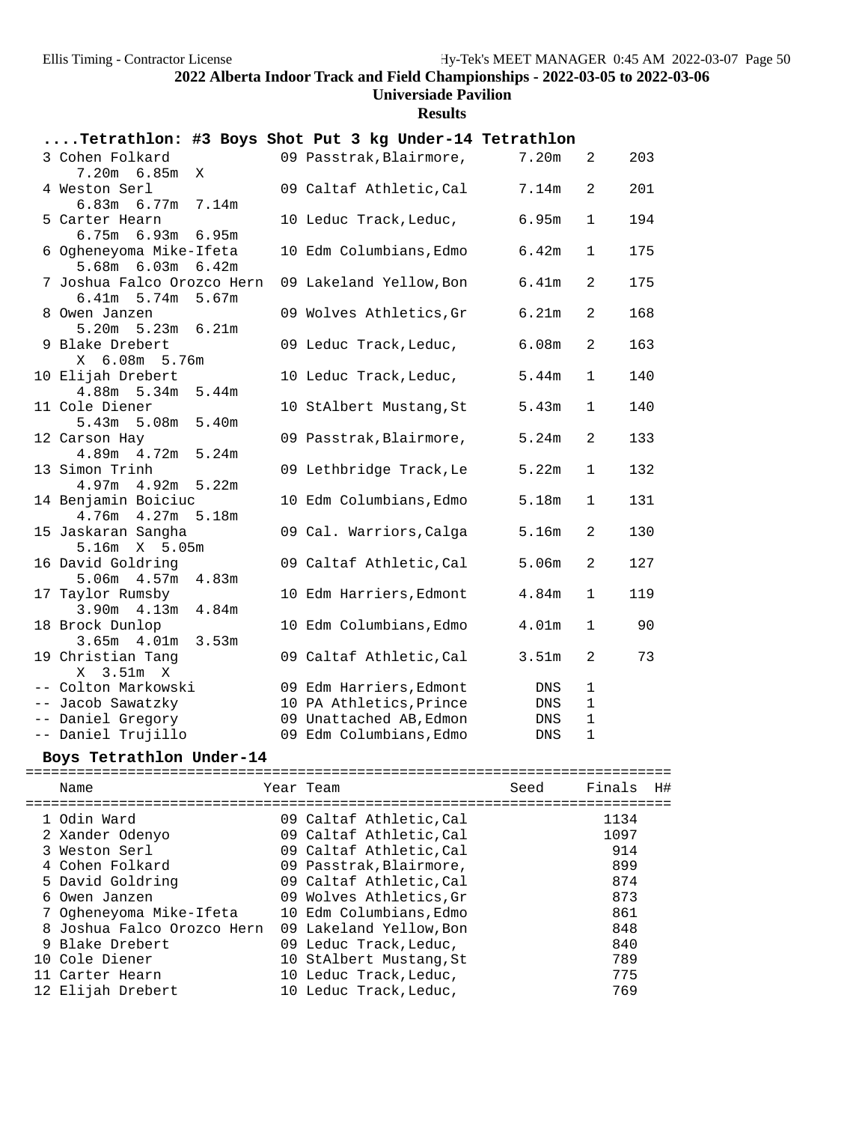## **Universiade Pavilion**

**Results**

|                                                        |                   | Tetrathlon: #3 Boys Shot Put 3 kg Under-14 Tetrathlon |                   |                |     |
|--------------------------------------------------------|-------------------|-------------------------------------------------------|-------------------|----------------|-----|
| 3 Cohen Folkard<br>7.20m 6.85m<br>X                    |                   | 09 Passtrak, Blairmore,                               | 7.20m             | 2              | 203 |
| 4 Weston Serl<br>$6.83m$ $6.77m$                       | 7.14m             | 09 Caltaf Athletic, Cal                               | 7.14m             | 2              | 201 |
| 5 Carter Hearn<br>$6.75m$ $6.93m$                      | 6.95m             | 10 Leduc Track, Leduc,                                | 6.95m             | 1              | 194 |
| 6 Ogheneyoma Mike-Ifeta                                |                   | 10 Edm Columbians, Edmo                               | 6.42m             | 1              | 175 |
| 5.68m 6.03m<br>7 Joshua Falco Orozco Hern              | 6.42m             | 09 Lakeland Yellow, Bon                               | 6.41m             | $\overline{a}$ | 175 |
| $6.41m$ 5.74m<br>8 Owen Janzen                         | 5.67m             | 09 Wolves Athletics, Gr                               | 6.21m             | 2              | 168 |
| $5.20m$ $5.23m$<br>9 Blake Drebert                     | 6.21m             | 09 Leduc Track, Leduc,                                | 6.08m             | $\mathbf{2}$   | 163 |
| X 6.08m 5.76m<br>10 Elijah Drebert                     |                   | 10 Leduc Track, Leduc,                                | 5.44m             | 1              | 140 |
| $4.88m$ 5.34m<br>11 Cole Diener                        | 5.44m             | 10 StAlbert Mustang, St                               | 5.43m             | 1              | 140 |
| $5.43m$ $5.08m$<br>12 Carson Hay                       | 5.40 <sub>m</sub> | 09 Passtrak, Blairmore,                               | 5.24m             | 2              | 133 |
| $4.89m$ $4.72m$<br>13 Simon Trinh                      | 5.24m             | 09 Lethbridge Track, Le                               | 5.22m             | $\mathbf 1$    | 132 |
| $4.97m$ $4.92m$<br>14 Benjamin Boiciuc                 | 5.22m             | 10 Edm Columbians, Edmo                               | 5.18m             | $\mathbf{1}$   | 131 |
| $4.76m$ $4.27m$<br>15 Jaskaran Sangha<br>5.16m X 5.05m | 5.18m             | 09 Cal. Warriors, Calga                               | 5.16m             | 2              | 130 |
| 16 David Goldring<br>$5.06m$ 4.57m                     | 4.83m             | 09 Caltaf Athletic, Cal                               | 5.06 <sub>m</sub> | 2              | 127 |
| 17 Taylor Rumsby                                       | 4.84m             | 10 Edm Harriers, Edmont                               | 4.84m             | $\mathbf{1}$   | 119 |
| $3.90m$ 4.13m<br>18 Brock Dunlop<br>$3.65m$ 4.01m      | 3.53m             | 10 Edm Columbians, Edmo                               | 4.01 <sub>m</sub> | $\mathbf{1}$   | 90  |
| 19 Christian Tang<br>X 3.51m X                         |                   | 09 Caltaf Athletic, Cal                               | 3.51 <sub>m</sub> | 2              | 73  |
| -- Colton Markowski                                    |                   | 09 Edm Harriers, Edmont                               | DNS               | $\mathbf 1$    |     |
| -- Jacob Sawatzky                                      |                   | 10 PA Athletics, Prince                               | DNS               | $\mathbf{1}$   |     |
| -- Daniel Gregory                                      |                   | 09 Unattached AB, Edmon                               | DNS               | $\mathbf 1$    |     |
| -- Daniel Trujillo                                     |                   | 09 Edm Columbians, Edmo                               | <b>DNS</b>        | $\mathbf{1}$   |     |

# **Boys Tetrathlon Under-14** ============================================================================

| Name                       | Year Team               | Seed | Finals | H# |
|----------------------------|-------------------------|------|--------|----|
| 1 Odin Ward                | 09 Caltaf Athletic, Cal |      | 1134   |    |
| 2 Xander Odenyo            | 09 Caltaf Athletic.Cal  |      | 1097   |    |
| 3 Weston Serl              | 09 Caltaf Athletic, Cal |      | 914    |    |
| 4 Cohen Folkard            | 09 Passtrak, Blairmore, |      | 899    |    |
| 5 David Goldring           | 09 Caltaf Athletic.Cal  |      | 874    |    |
| 6 Owen Janzen              | 09 Wolves Athletics, Gr |      | 873    |    |
| 7 Ogheneyoma Mike-Ifeta    | 10 Edm Columbians, Edmo |      | 861    |    |
| 8 Joshua Falco Orozco Hern | 09 Lakeland Yellow, Bon |      | 848    |    |
| 9 Blake Drebert            | 09 Leduc Track, Leduc,  |      | 840    |    |
| 10 Cole Diener             | 10 StAlbert Mustang, St |      | 789    |    |
| 11 Carter Hearn            | 10 Leduc Track, Leduc,  |      | 775    |    |
| 12 Elijah Drebert          | 10 Leduc Track, Leduc,  |      | 769    |    |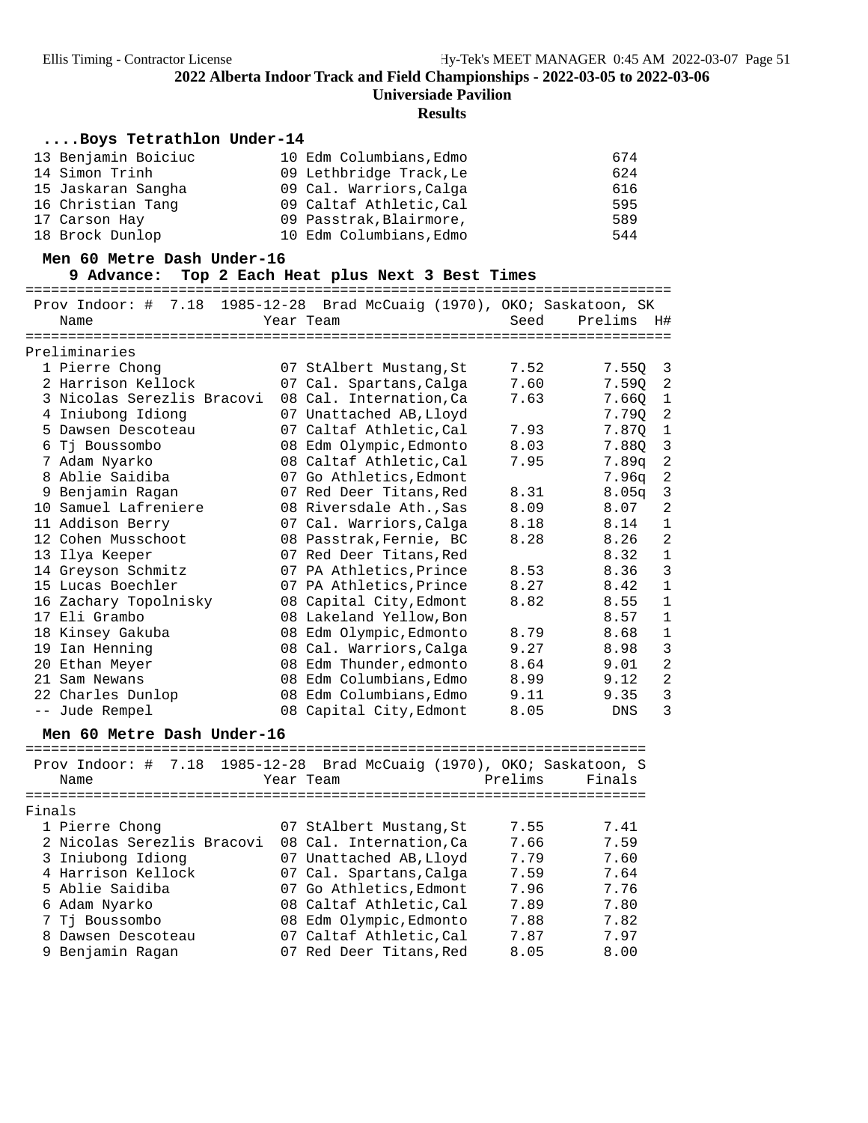### **Results**

## **....Boys Tetrathlon Under-14**

| 13 Benjamin Boiciuc | 10 Edm Columbians, Edmo | 674 |
|---------------------|-------------------------|-----|
| 14 Simon Trinh      | 09 Lethbridge Track, Le | 624 |
| 15 Jaskaran Sangha  | 09 Cal. Warriors, Calga | 616 |
| 16 Christian Tang   | 09 Caltaf Athletic, Cal | 595 |
| 17 Carson Hay       | 09 Passtrak, Blairmore, | 589 |
| 18 Brock Dunlop     | 10 Edm Columbians, Edmo | 544 |

# Men 60 Metre Dash Under-16<br>9 Advance: Top 2 Each Heat plus Next 3 Best Times

**9 Advance: Top 2 Each Heat plus Next 3 Best Times** ============================================================================ Prov Indoor: # 7.18 1985-12-28 Brad McCuaig (1970), OKO; Saskatoon, SK Name Team Year Team Seed Prelims H#

| Preliminaries              |                         |      |                   |                         |
|----------------------------|-------------------------|------|-------------------|-------------------------|
| 1 Pierre Chong             | 07 StAlbert Mustang, St | 7.52 | 7.550             | $\overline{\mathbf{3}}$ |
| 2 Harrison Kellock         | 07 Cal. Spartans, Calga | 7.60 | 7.59Q             | 2                       |
| 3 Nicolas Serezlis Bracovi | 08 Cal. Internation, Ca | 7.63 | 7.66Q             | $\mathbf{1}$            |
| 4 Iniubong Idiong          | 07 Unattached AB, Lloyd |      | 7.79Q             | 2                       |
| 5 Dawsen Descoteau         | 07 Caltaf Athletic, Cal | 7.93 | 7.870             | $1\,$                   |
| 6 Tj Boussombo             | 08 Edm Olympic, Edmonto | 8.03 | 7.88Q             | $\overline{3}$          |
| 7 Adam Nyarko              | 08 Caltaf Athletic, Cal | 7.95 | 7.89q             | 2                       |
| 8 Ablie Saidiba            | 07 Go Athletics, Edmont |      | 7.96a             | 2                       |
| 9 Benjamin Ragan           | 07 Red Deer Titans, Red | 8.31 | 8.05 <sub>q</sub> | 3                       |
| 10 Samuel Lafreniere       | 08 Riversdale Ath., Sas | 8.09 | 8.07              | 2                       |
| 11 Addison Berry           | 07 Cal. Warriors, Calga | 8.18 | 8.14              | $\mathbf 1$             |
| 12 Cohen Musschoot         | 08 Passtrak, Fernie, BC | 8.28 | 8.26              | $\overline{a}$          |
| 13 Ilya Keeper             | 07 Red Deer Titans, Red |      | 8.32              | $\mathbf{1}$            |
| 14 Greyson Schmitz         | 07 PA Athletics, Prince | 8.53 | 8.36              | 3                       |
| 15 Lucas Boechler          | 07 PA Athletics, Prince | 8.27 | 8.42              | $\mathbf 1$             |
| 16 Zachary Topolnisky      | 08 Capital City, Edmont | 8.82 | 8.55              | $\mathbf{1}$            |
| 17 Eli Grambo              | 08 Lakeland Yellow, Bon |      | 8.57              | $\mathbf{1}$            |
| 18 Kinsey Gakuba           | 08 Edm Olympic, Edmonto | 8.79 | 8.68              | $\mathbf 1$             |
| 19 Ian Henning             | 08 Cal. Warriors, Calga | 9.27 | 8.98              | 3                       |
| 20 Ethan Meyer             | 08 Edm Thunder, edmonto | 8.64 | 9.01              | $\overline{a}$          |
| 21 Sam Newans              | 08 Edm Columbians, Edmo | 8.99 | 9.12              | $\overline{2}$          |
| 22 Charles Dunlop          | 08 Edm Columbians, Edmo | 9.11 | 9.35              | 3                       |
| -- Jude Rempel             | 08 Capital City, Edmont | 8.05 | <b>DNS</b>        | 3                       |

## Men 60 Metre Dash Under-16

| Name                       | Prov Indoor: # 7.18 1985-12-28 Brad McCuaig (1970), OKO; Saskatoon, S<br>Prelims<br>Year Team | Finals |
|----------------------------|-----------------------------------------------------------------------------------------------|--------|
| Finals                     |                                                                                               |        |
| 1 Pierre Chong             | 07 StAlbert Mustang, St<br>7.55                                                               | 7.41   |
| 2 Nicolas Serezlis Bracovi | 08 Cal. Internation, Ca<br>7.66                                                               | 7.59   |
| 3 Iniubong Idiong          | 07 Unattached AB, Lloyd<br>7.79                                                               | 7.60   |
| 4 Harrison Kellock         | 07 Cal. Spartans, Calga<br>7.59                                                               | 7.64   |
| 5 Ablie Saidiba            | 07 Go Athletics, Edmont<br>7.96                                                               | 7.76   |
| 6 Adam Nyarko              | 08 Caltaf Athletic, Cal<br>7.89                                                               | 7.80   |
| 7 Tj Boussombo             | 08 Edm Olympic, Edmonto<br>7.88                                                               | 7.82   |
| 8 Dawsen Descoteau         | 07 Caltaf Athletic.Cal<br>7.87                                                                | 7.97   |
| 9 Benjamin Ragan           | 07 Red Deer Titans, Red<br>8.05                                                               | 8.00   |
|                            |                                                                                               |        |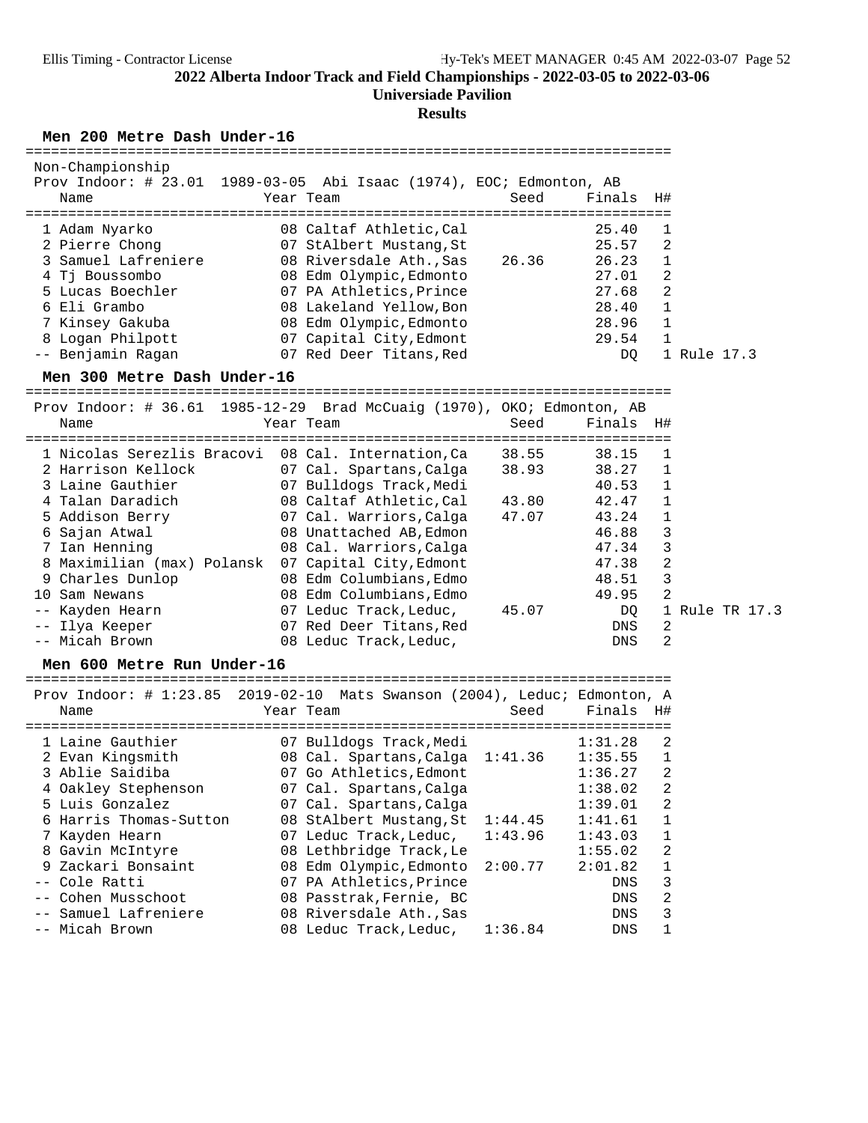**Universiade Pavilion**

### **Results**

**Men 200 Metre Dash Under-16** ============================================================================

| Non-Championship    | Prov Indoor: # 23.01 1989-03-05 Abi Isaac (1974), EOC; Edmonton, AB |       |        |                |
|---------------------|---------------------------------------------------------------------|-------|--------|----------------|
| Name                | Year Team                                                           | Seed  | Finals | H#             |
| 1 Adam Nyarko       | 08 Caltaf Athletic, Cal                                             |       | 25.40  |                |
| 2 Pierre Chong      | 07 StAlbert Mustang, St                                             |       | 25.57  | 2              |
| 3 Samuel Lafreniere | 08 Riversdale Ath.,Sas                                              | 26.36 | 26.23  |                |
| 4 Tj Boussombo      | 08 Edm Olympic, Edmonto                                             |       | 27.01  | -2             |
| 5 Lucas Boechler    | 07 PA Athletics, Prince                                             |       | 27.68  | -2             |
| 6 Eli Grambo        | 08 Lakeland Yellow, Bon                                             |       | 28.40  | $\mathbf{1}$   |
| 7 Kinsey Gakuba     | 08 Edm Olympic, Edmonto                                             |       | 28.96  | $\overline{1}$ |
| 8 Logan Philpott    | 07 Capital City, Edmont                                             |       | 29.54  |                |
| -- Benjamin Ragan   | 07 Red Deer Titans, Red                                             |       | DO.    | 1 Rule 17.3    |

**Men 300 Metre Dash Under-16** ============================================================================

| Name                       | Prov Indoor: # 36.61 1985-12-29 Brad McCuaig (1970), OKO; Edmonton, AB<br>Year Team<br>=============================== | Seed           | Finals H#             |
|----------------------------|------------------------------------------------------------------------------------------------------------------------|----------------|-----------------------|
|                            | 1 Nicolas Serezlis Bracovi 08 Cal. Internation, Ca                                                                     | 38.55<br>38.15 |                       |
| 2 Harrison Kellock         | 07 Cal. Spartans,Calga                                                                                                 | 38.93<br>38.27 |                       |
| 3 Laine Gauthier           | 07 Bulldogs Track, Medi                                                                                                | 40.53          | 1                     |
| 4 Talan Daradich           | 08 Caltaf Athletic,Cal                                                                                                 | 42.47<br>43.80 |                       |
| 5 Addison Berry            | 07 Cal. Warriors,Calga                                                                                                 | 47.07<br>43.24 |                       |
| 6 Sajan Atwal              | 08 Unattached AB, Edmon                                                                                                | 46.88          | 3                     |
| 7 Ian Henning              | 08 Cal. Warriors, Calga                                                                                                | 47.34          | 3                     |
| 8 Maximilian (max) Polansk | 07 Capital City, Edmont                                                                                                | 47.38          | 2                     |
| 9 Charles Dunlop           | 08 Edm Columbians, Edmo                                                                                                | 48.51          | 3                     |
| 10 Sam Newans              | 08 Edm Columbians, Edmo                                                                                                | 49.95          | $\mathfrak{D}$        |
| -- Kayden Hearn            | 07 Leduc Track,Leduc,                                                                                                  | 45.07          | DQ<br>1 Rule TR 17.3  |
| -- Ilya Keeper             | 07 Red Deer Titans,Red                                                                                                 |                | 2<br>DNS              |
| -- Micah Brown             | 08 Leduc Track, Leduc,                                                                                                 |                | $\mathfrak{D}$<br>DNS |

**Men 600 Metre Run Under-16** ============================================================================ Prov Indoor: # 1:23.85 2019-02-10 Mats Swanson (2004), Leduc; Edmonton, A

| PLOV INQUOL. $\#$ 1.23.03 2019-02-10 Mats Swanson (2004), BeQUOT EQMONTON, A |                                 |         |            |              |
|------------------------------------------------------------------------------|---------------------------------|---------|------------|--------------|
| Name                                                                         | Year Team                       | Seed    | Finals     | H#           |
|                                                                              |                                 |         |            |              |
| 1 Laine Gauthier                                                             | 07 Bulldogs Track, Medi         |         | 1:31.28    | -2           |
| 2 Evan Kingsmith                                                             | 08 Cal. Spartans, Calga 1:41.36 |         | 1:35.55    | $\mathbf{1}$ |
| 3 Ablie Saidiba                                                              | 07 Go Athletics, Edmont         |         | 1:36.27    | 2            |
| 4 Oakley Stephenson                                                          | 07 Cal. Spartans, Calga         |         | 1:38.02    | 2            |
| 5 Luis Gonzalez                                                              | 07 Cal. Spartans, Calga         |         | 1:39.01    | -2           |
| 6 Harris Thomas-Sutton                                                       | 08 StAlbert Mustang, St         | 1:44.45 | 1:41.61    | $\mathbf{1}$ |
| 7 Kayden Hearn                                                               | 07 Leduc Track, Leduc,          | 1:43.96 | 1:43.03    | $\mathbf{1}$ |
| 8 Gavin McIntyre                                                             | 08 Lethbridge Track, Le         |         | 1:55.02    | -2           |
| 9 Zackari Bonsaint                                                           | 08 Edm Olympic, Edmonto         | 2:00.77 | 2:01.82    | $\mathbf{1}$ |
| -- Cole Ratti                                                                | 07 PA Athletics. Prince         |         | DNS        | 3            |
| -- Cohen Musschoot                                                           | 08 Passtrak, Fernie, BC         |         | DNS        | 2            |
| -- Samuel Lafreniere                                                         | 08 Riversdale Ath., Sas         |         | DNS        | 3            |
| -- Micah Brown                                                               | 08 Leduc Track, Leduc,          | 1:36.84 | <b>DNS</b> | 1            |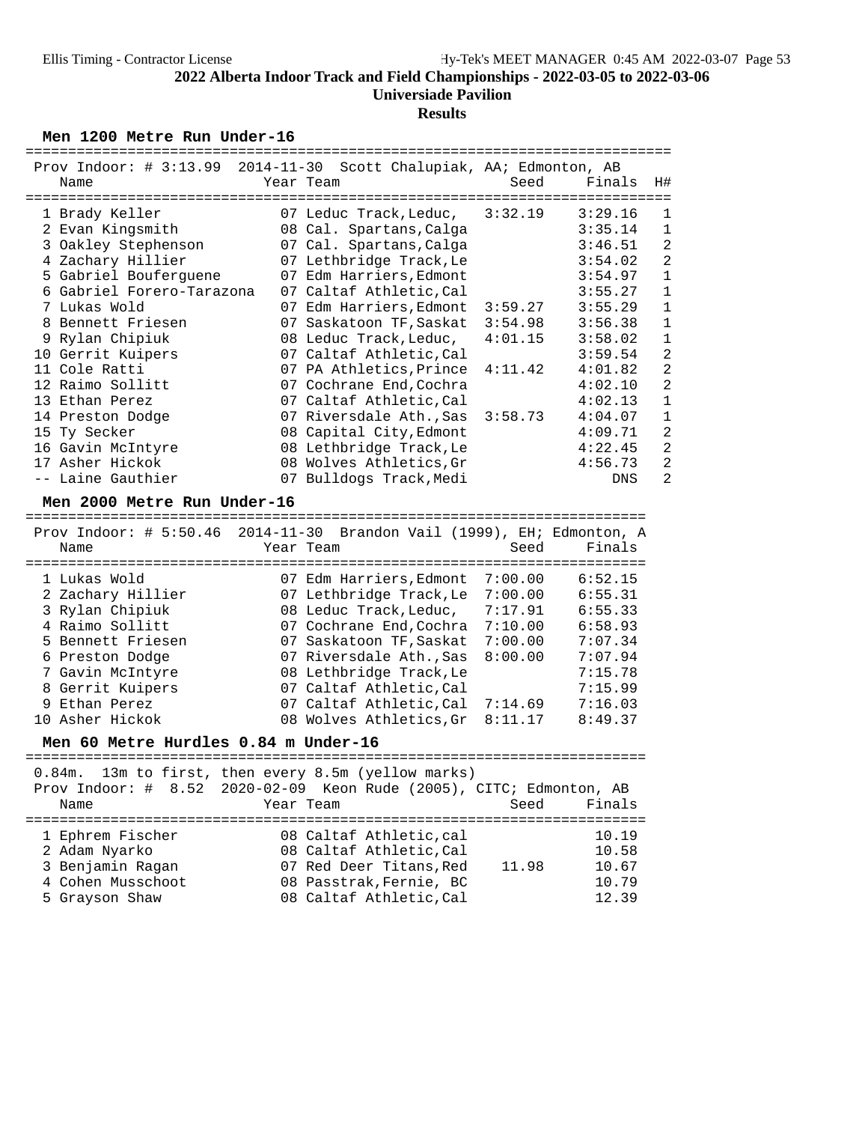# **Results**

Men 1200 Metre Run Under-16

| Prov Indoor: # 3:13.99 2014-11-30 Scott Chalupiak, AA; Edmonton, AB |                                  |         |            |                |
|---------------------------------------------------------------------|----------------------------------|---------|------------|----------------|
| Name                                                                | Year Team                        | Seed    | Finals     | H#             |
|                                                                     |                                  |         |            |                |
| 1 Brady Keller                                                      | 07 Leduc Track, Leduc, $3:32.19$ |         | 3:29.16    | 1              |
| 2 Evan Kingsmith                                                    | 08 Cal. Spartans, Calga          |         | 3:35.14    | $\mathbf 1$    |
| 3 Oakley Stephenson                                                 | 07 Cal. Spartans, Calga          |         | 3:46.51    | $\overline{a}$ |
| 4 Zachary Hillier                                                   | 07 Lethbridge Track, Le          |         | 3:54.02    | $\overline{a}$ |
| 5 Gabriel Bouferguene                                               | 07 Edm Harriers, Edmont          |         | 3:54.97    | $\mathbf{1}$   |
| 6 Gabriel Forero-Tarazona                                           | 07 Caltaf Athletic, Cal          |         | 3:55.27    | $\mathbf 1$    |
| 7 Lukas Wold                                                        | 07 Edm Harriers, Edmont 3:59.27  |         | 3:55.29    | $\mathbf{1}$   |
| 8 Bennett Friesen                                                   | 07 Saskatoon TF, Saskat 3:54.98  |         | 3:56.38    | $\mathbf{1}$   |
| 9 Rylan Chipiuk                                                     | 08 Leduc Track, Leduc,           | 4:01.15 | 3:58.02    | $\mathbf{1}$   |
| 10 Gerrit Kuipers                                                   | 07 Caltaf Athletic, Cal          |         | 3:59.54    | $\overline{a}$ |
| 11 Cole Ratti                                                       | 07 PA Athletics, Prince 4:11.42  |         | 4:01.82    | $\overline{2}$ |
| 12 Raimo Sollitt                                                    | 07 Cochrane End, Cochra          |         | 4:02.10    | $\overline{a}$ |
| 13 Ethan Perez                                                      | 07 Caltaf Athletic, Cal          |         | 4:02.13    | $\mathbf{1}$   |
| 14 Preston Dodge                                                    | 07 Riversdale Ath., Sas 3:58.73  |         | 4:04.07    | $\mathbf 1$    |
| 15 Ty Secker                                                        | 08 Capital City, Edmont          |         | 4:09.71    | $\overline{a}$ |
| 16 Gavin McIntyre                                                   | 08 Lethbridge Track, Le          |         | 4:22.45    | $\overline{2}$ |
| 17 Asher Hickok                                                     | 08 Wolves Athletics, Gr          |         | 4:56.73    | $\overline{a}$ |
| -- Laine Gauthier                                                   | 07 Bulldogs Track, Medi          |         | <b>DNS</b> | $\overline{2}$ |

**Men 2000 Metre Run Under-16** ========================================================================= Prov Indoor: # 5:50.46 2014-11-30 Brandon Vail (1999), EH; Edmonton, A

| Name |                                                                                                                                                                                             | Seed                                                                                                                                                                                                  | Finals                                                                                                                                                                    |
|------|---------------------------------------------------------------------------------------------------------------------------------------------------------------------------------------------|-------------------------------------------------------------------------------------------------------------------------------------------------------------------------------------------------------|---------------------------------------------------------------------------------------------------------------------------------------------------------------------------|
|      |                                                                                                                                                                                             |                                                                                                                                                                                                       |                                                                                                                                                                           |
|      |                                                                                                                                                                                             | 7:00.00                                                                                                                                                                                               | 6:52.15                                                                                                                                                                   |
|      |                                                                                                                                                                                             | 7:00.00                                                                                                                                                                                               | 6:55.31                                                                                                                                                                   |
|      |                                                                                                                                                                                             | 7:17.91                                                                                                                                                                                               | 6:55.33                                                                                                                                                                   |
|      |                                                                                                                                                                                             | 7:10.00                                                                                                                                                                                               | 6:58.93                                                                                                                                                                   |
|      |                                                                                                                                                                                             | 7:00.00                                                                                                                                                                                               | 7:07.34                                                                                                                                                                   |
|      |                                                                                                                                                                                             | 8:00.00                                                                                                                                                                                               | 7:07.94                                                                                                                                                                   |
|      |                                                                                                                                                                                             |                                                                                                                                                                                                       | 7:15.78                                                                                                                                                                   |
|      |                                                                                                                                                                                             |                                                                                                                                                                                                       | 7:15.99                                                                                                                                                                   |
|      |                                                                                                                                                                                             |                                                                                                                                                                                                       | 7:16.03                                                                                                                                                                   |
|      |                                                                                                                                                                                             |                                                                                                                                                                                                       | 8:49.37                                                                                                                                                                   |
|      | 1 Lukas Wold<br>2 Zachary Hillier<br>3 Rylan Chipiuk<br>4 Raimo Sollitt<br>5 Bennett Friesen<br>6 Preston Dodge<br>7 Gavin McIntyre<br>8 Gerrit Kuipers<br>9 Ethan Perez<br>10 Asher Hickok | Year Team<br>07 Edm Harriers, Edmont<br>08 Leduc Track, Leduc,<br>07 Cochrane End, Cochra<br>07 Saskatoon TF, Saskat<br>07 Riversdale Ath., Sas<br>08 Lethbridge Track, Le<br>07 Caltaf Athletic, Cal | FIOV INQUOI: # J.JU.IU ZUII II JU DIANQUN VAII (IJJJ) , BNI BQMUNICUN, A<br>07 Lethbridge Track, Le<br>07 Caltaf Athletic, Cal 7:14.69<br>08 Wolves Athletics, Gr 8:11.17 |

**Men 60 Metre Hurdles 0.84 m Under-16** =========================================================================

|                   | 0.84m. 13m to first, then every 8.5m (yellow marks)                 |                |
|-------------------|---------------------------------------------------------------------|----------------|
|                   | Prov Indoor: # 8.52 2020-02-09 Keon Rude (2005), CITC; Edmonton, AB |                |
| Name              | Year Team                                                           | Finals<br>Seed |
|                   |                                                                     |                |
| 1 Ephrem Fischer  | 08 Caltaf Athletic, cal                                             | 10.19          |
| 2 Adam Nyarko     | 08 Caltaf Athletic, Cal                                             | 10.58          |
| 3 Benjamin Ragan  | 07 Red Deer Titans, Red                                             | 10.67<br>11.98 |
| 4 Cohen Musschoot | 08 Passtrak, Fernie, BC                                             | 10.79          |
| 5 Grayson Shaw    | 08 Caltaf Athletic, Cal                                             | 12.39          |
|                   |                                                                     |                |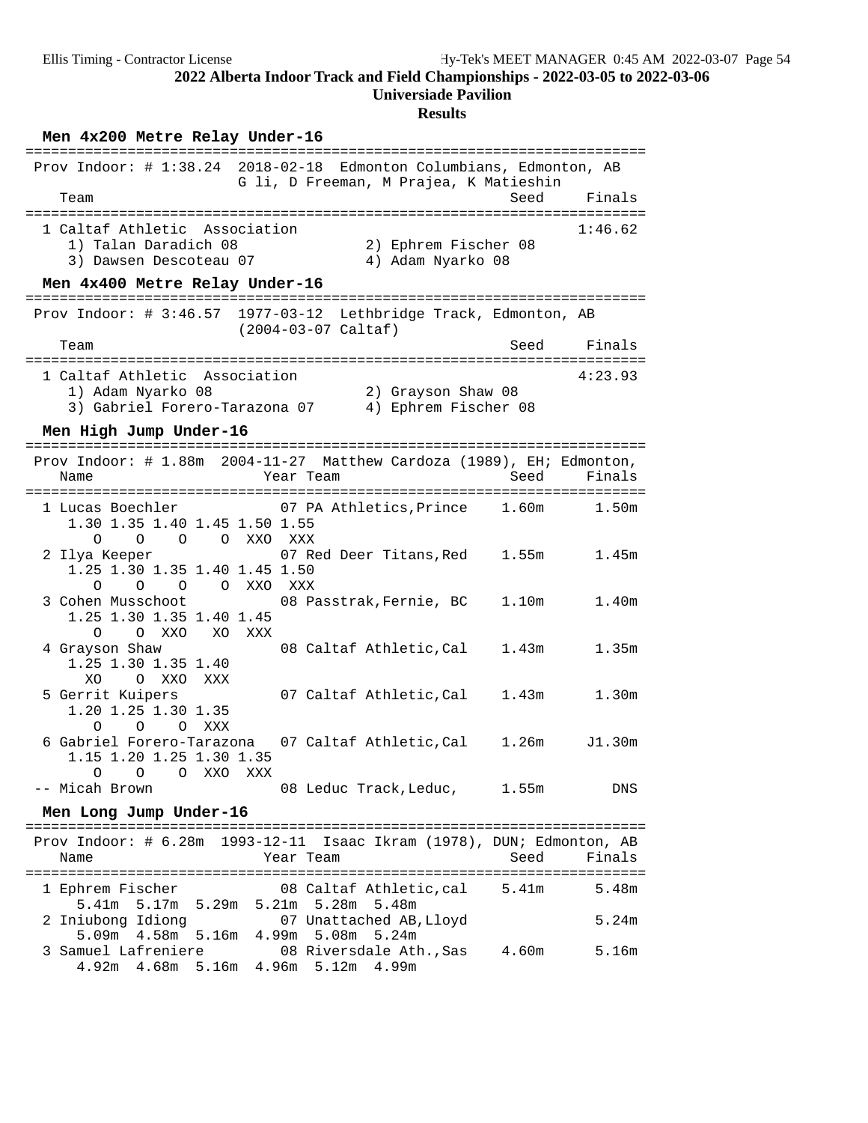| Men 4x200 Metre Relay Under-16                                                                                                        |                   |
|---------------------------------------------------------------------------------------------------------------------------------------|-------------------|
| Prov Indoor: # 1:38.24 2018-02-18 Edmonton Columbians, Edmonton, AB<br>G li, D Freeman, M Prajea, K Matieshin<br>Team                 | Finals<br>Seed    |
|                                                                                                                                       |                   |
| 1 Caltaf Athletic Association<br>2) Ephrem Fischer 08<br>1) Talan Daradich 08<br>4) Adam Nyarko 08<br>3) Dawsen Descoteau 07          | 1:46.62           |
| Men 4x400 Metre Relay Under-16                                                                                                        |                   |
| Prov Indoor: # 3:46.57 1977-03-12 Lethbridge Track, Edmonton, AB<br>$(2004-03-07$ Caltaf)                                             |                   |
| Team                                                                                                                                  | Finals<br>Seed    |
| 1 Caltaf Athletic Association<br>1) Adam Nyarko 08<br>2) Grayson Shaw 08<br>3) Gabriel Forero-Tarazona 07<br>4) Ephrem Fischer 08     | 4:23.93           |
| Men High Jump Under-16                                                                                                                |                   |
| 2004-11-27 Matthew Cardoza (1989), EH; Edmonton,<br>Prov Indoor: $\#$ 1.88m<br>Name<br>Year Team                                      | Seed<br>Finals    |
| 07 PA Athletics, Prince 1.60m<br>1 Lucas Boechler<br>1.30 1.35 1.40 1.45 1.50 1.55<br>O<br>O<br>$\circ$<br>O XXO XXX                  | 1.50m             |
| 1.55m<br>2 Ilya Keeper<br>07 Red Deer Titans,Red<br>1.25 1.30 1.35 1.40 1.45 1.50<br>$\circ$<br>$\circ$<br>OOXXOXXX                   | 1.45m             |
| 3 Cohen Musschoot<br>08 Passtrak, Fernie, BC<br>1.10 <sub>m</sub><br>1.25 1.30 1.35 1.40 1.45<br>0<br>O XXO<br>XO<br>XXX              | 1.40 <sub>m</sub> |
| 08 Caltaf Athletic, Cal<br>4 Grayson Shaw<br>1.43m<br>1.25 1.30 1.35 1.40<br>XO.<br>O XXO<br>XXX                                      | 1.35m             |
| 5 Gerrit Kuipers<br>07 Caltaf Athletic, Cal<br>1.43m<br>1.20 1.25 1.30 1.35<br>$\Omega$<br>$\Omega$<br>O XXX                          | 1.30 <sub>m</sub> |
| 6 Gabriel Forero-Tarazona<br>07 Caltaf Athletic,Cal<br>1.26m<br>1.15 1.20 1.25 1.30 1.35<br>O XXO<br>XXX<br>0<br>O                    | J1.30m            |
| -- Micah Brown<br>08 Leduc Track, Leduc, 1.55m                                                                                        | DNS               |
| Men Long Jump Under-16                                                                                                                |                   |
| Prov Indoor: # 6.28m 1993-12-11 Isaac Ikram (1978), DUN; Edmonton, AB<br>Name<br>Year Team                                            | Seed<br>Finals    |
| 1 Ephrem Fischer<br>08 Caltaf Athletic,cal<br>5.41m                                                                                   | 5.48m             |
| 5.17m 5.29m 5.21m 5.28m<br>5.41m<br>5.48m<br>2 Iniubong Idiong<br>07 Unattached AB, Lloyd<br>5.09m  4.58m  5.16m  4.99m  5.08m  5.24m | 5.24m             |
| 3 Samuel Lafreniere<br>08 Riversdale Ath., Sas<br>4.60m<br>4.92m  4.68m  5.16m  4.96m  5.12m  4.99m                                   | 5.16m             |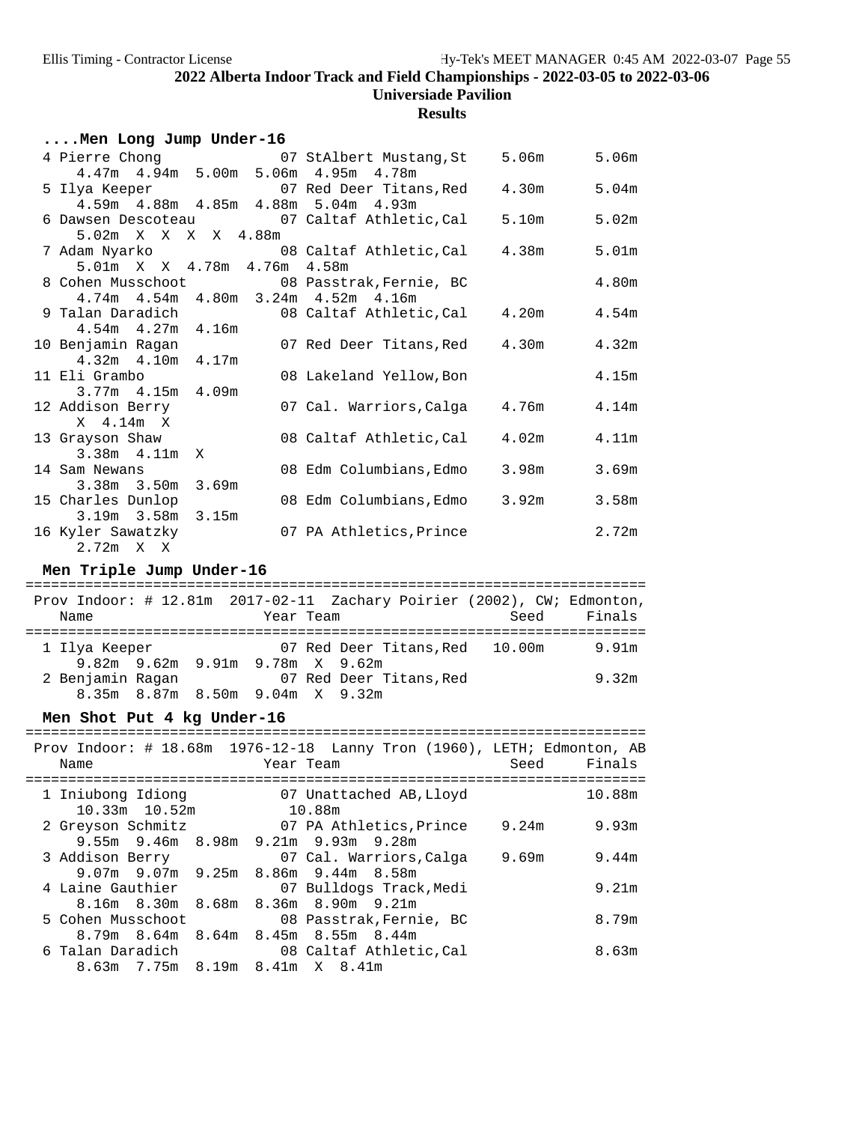**Results**

## **....Men Long Jump Under-16**

|                                          |  | 4 Pierre Chong 67 StAlbert Mustang, St                                                | 5.06m | 5.06m             |
|------------------------------------------|--|---------------------------------------------------------------------------------------|-------|-------------------|
| 4.47m 4.94m 5.00m 5.06m 4.95m 4.78m      |  |                                                                                       |       |                   |
|                                          |  | 5 Ilya Keeper 67 Red Deer Titans, Red                                                 | 4.30m | 5.04 <sub>m</sub> |
| 4.59m  4.88m  4.85m  4.88m  5.04m  4.93m |  |                                                                                       |       |                   |
|                                          |  | 6 Dawsen Descoteau 67 Caltaf Athletic, Cal                                            | 5.10m | 5.02m             |
| 5.02m X X X X 4.88m                      |  |                                                                                       |       |                   |
|                                          |  | 7 Adam Nyarko                                     08 Caltaf Athletic, Cal       4.38m |       | 5.01 <sub>m</sub> |
| 5.01m X X 4.78m 4.76m 4.58m              |  |                                                                                       |       |                   |
|                                          |  | 8 Cohen Musschoot 608 Passtrak, Fernie, BC                                            |       | 4.80m             |
| 4.74m  4.54m  4.80m  3.24m  4.52m  4.16m |  |                                                                                       |       |                   |
|                                          |  | 9 Talan Daradich (8 Caltaf Athletic, Cal (4.20m (4.54m)                               |       |                   |
| $4.54m$ $4.27m$ $4.16m$                  |  |                                                                                       |       |                   |
| 10 Benjamin Ragan                        |  | 07 Red Deer Titans, Red 4.30m                                                         |       | 4.32m             |
| $4.32m$ $4.10m$ $4.17m$                  |  |                                                                                       |       |                   |
| 11 Eli Grambo                            |  | 08 Lakeland Yellow, Bon                                                               |       | 4.15m             |
| $3.77m$ 4.15m 4.09m                      |  |                                                                                       |       |                   |
| 12 Addison Berry                         |  | 07 Cal. Warriors, Calga 4.76m                                                         |       | 4.14m             |
| $X = 4.14m X$                            |  |                                                                                       |       |                   |
| 13 Grayson Shaw                          |  | 08 Caltaf Athletic,Cal                                                                | 4.02m | 4.11m             |
| $3.38m + 4.11m \times$                   |  |                                                                                       |       |                   |
| 14 Sam Newans                            |  | 08 Edm Columbians, Edmo                                                               | 3.98m | 3.69m             |
| 3.38m 3.50m 3.69m                        |  |                                                                                       |       |                   |
| 15 Charles Dunlop                        |  | 08 Edm Columbians, Edmo                                                               | 3.92m | 3.58m             |
| $3.19m$ $3.58m$ $3.15m$                  |  |                                                                                       |       |                   |
| 16 Kyler Sawatzky                        |  | 07 PA Athletics, Prince                                                               |       | 2.72m             |
| $2.72m \times X$                         |  |                                                                                       |       |                   |

**Men Triple Jump Under-16** ========================================================================= Prov Indoor: # 12.81m 2017-02-11 Zachary Poirier (2002), CW; Edmonton, Name Tear Team Seed Finals ========================================================================= 1 Ilya Keeper 07 Red Deer Titans,Red 10.00m 9.91m 9.82m 9.62m 9.91m 9.78m X 9.62m 07 Red Deer Titans, Red 9.32m 8.35m 8.87m 8.50m 9.04m X 9.32m

# **Men Shot Put 4 kg Under-16** =========================================================================

| Name                                                         |                   | Year Team |                                                               |  | Seed  | Prov Indoor: # 18.68m 1976-12-18 Lanny Tron (1960), LETH; Edmonton, AB<br>Finals |
|--------------------------------------------------------------|-------------------|-----------|---------------------------------------------------------------|--|-------|----------------------------------------------------------------------------------|
| 1 Iniubong Idiong                                            | $10.33m$ $10.52m$ |           | 07 Unattached AB,Lloyd<br>10.88m                              |  |       | 10.88m                                                                           |
| 2 Greyson Schmitz                                            |                   |           | 07 PA Athletics, Prince                                       |  | 9.24m | 9.93m                                                                            |
| 3 Addison Berry                                              |                   |           | 9.55m 9.46m 8.98m 9.21m 9.93m 9.28m<br>07 Cal. Warriors,Calga |  | 9.69m | 9.44m                                                                            |
| 4 Laine Gauthier                                             |                   |           | 9.07m 9.07m 9.25m 8.86m 9.44m 8.58m<br>07 Bulldogs Track,Medi |  |       | 9.21m                                                                            |
| 5 Cohen Musschoot                                            |                   |           | 8.16m 8.30m 8.68m 8.36m 8.90m 9.21m<br>08 Passtrak,Fernie, BC |  |       | 8.79m                                                                            |
|                                                              |                   |           | 8.79m 8.64m 8.64m 8.45m 8.55m 8.44m                           |  |       |                                                                                  |
| 6 Talan Daradich                     08 Caltaf Athletic, Cal |                   |           | 8.63m 7.75m 8.19m 8.41m X 8.41m                               |  |       | 8.63m                                                                            |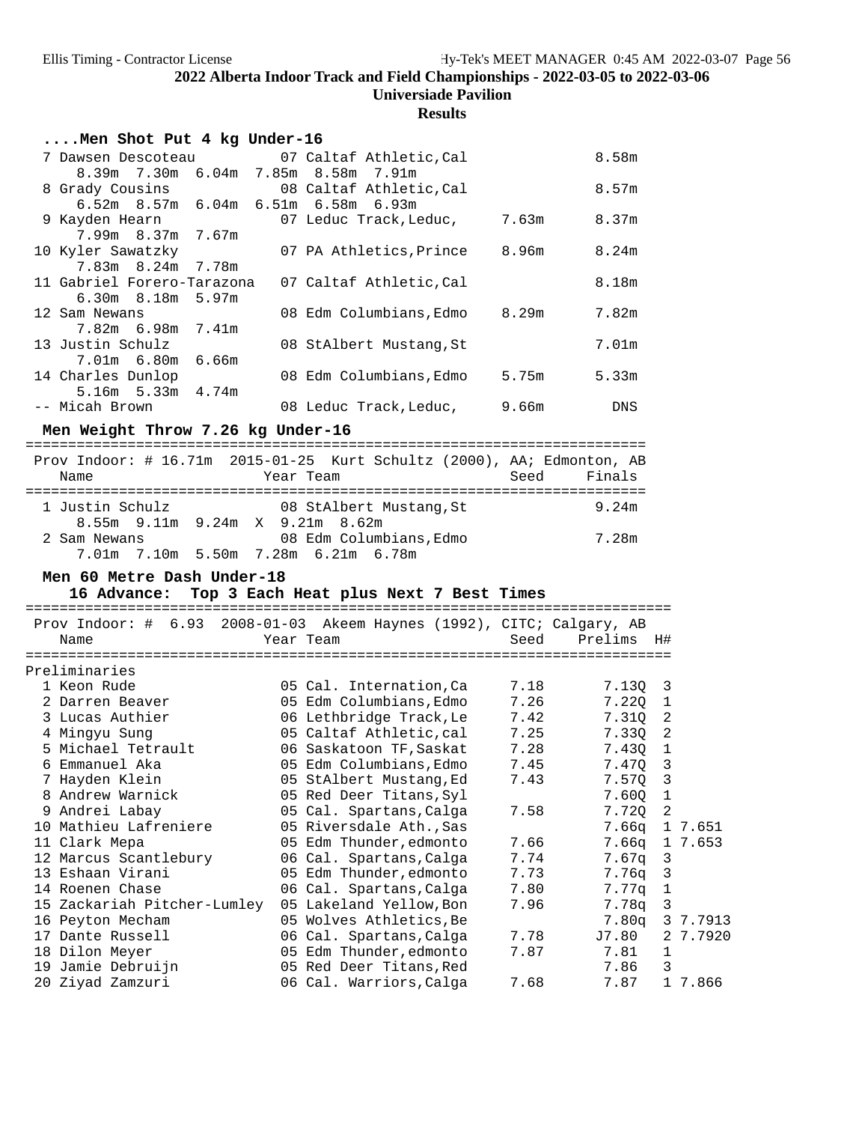### **Results**

| Men Shot Put 4 kg Under-16 |  |                                            |       |            |
|----------------------------|--|--------------------------------------------|-------|------------|
|                            |  | 7 Dawsen Descoteau 67 Caltaf Athletic, Cal |       | 8.58m      |
|                            |  | 8.39m 7.30m 6.04m 7.85m 8.58m 7.91m        |       |            |
|                            |  | 8 Grady Cousins 68 Caltaf Athletic, Cal    |       | 8.57m      |
|                            |  | $6.52m$ 8.57m $6.04m$ 6.51m $6.58m$ 6.93m  |       |            |
| 9 Kayden Hearn             |  | 07 Leduc Track, Leduc, 7.63m               |       | 8.37m      |
| 7.99m 8.37m 7.67m          |  |                                            |       |            |
| 10 Kyler Sawatzky          |  | 07 PA Athletics, Prince 8.96m              |       | 8.24m      |
| 7.83m 8.24m 7.78m          |  |                                            |       |            |
| 11 Gabriel Forero-Tarazona |  | 07 Caltaf Athletic, Cal                    |       | 8.18m      |
| $6.30m$ $8.18m$ $5.97m$    |  |                                            |       |            |
| 12 Sam Newans              |  | 08 Edm Columbians, Edmo 8.29m              |       | 7.82m      |
| 7.82m 6.98m 7.41m          |  |                                            |       |            |
| 13 Justin Schulz           |  | 08 StAlbert Mustang, St                    |       | 7.01m      |
| 7.01m 6.80m 6.66m          |  |                                            |       |            |
| 14 Charles Dunlop          |  | 08 Edm Columbians,Edmo                     | 5.75m | 5.33m      |
| $5.16m$ $5.33m$ $4.74m$    |  |                                            |       |            |
| -- Micah Brown             |  | 08 Leduc Track, Leduc, 9.66m               |       | <b>DNS</b> |
|                            |  |                                            |       |            |

# **Men Weight Throw 7.26 kg Under-16** =========================================================================

| Name            | Prov Indoor: # $16.71m$ 2015-01-25 Kurt Schultz (2000), AA; Edmonton, AB<br>Year Team |                         | Seed | Finals |
|-----------------|---------------------------------------------------------------------------------------|-------------------------|------|--------|
| 1 Justin Schulz | 8.55m 9.11m 9.24m X 9.21m 8.62m                                                       | 08 StAlbert Mustang, St |      | 9.24m  |
| 2 Sam Newans    | 7.01m 7.10m 5.50m 7.28m 6.21m 6.78m                                                   | 08 Edm Columbians.Edmo  |      | 7.28m  |

### **Men 60 Metre Dash Under-18**

# **16 Advance: Top 3 Each Heat plus Next 7 Best Times** ============================================================================

| Prov Indoor: # 6.93 2008-01-03 Akeem Haynes (1992), CITC; Calgary, AB |                         |      |                   |              |          |
|-----------------------------------------------------------------------|-------------------------|------|-------------------|--------------|----------|
| Name                                                                  | Year Team               | Seed | Prelims           | H#           |          |
| Preliminaries                                                         |                         |      |                   |              |          |
| 1 Keon Rude                                                           | 05 Cal. Internation, Ca | 7.18 | 7.130             | 3            |          |
| 2 Darren Beaver                                                       | 05 Edm Columbians, Edmo | 7.26 | 7.220             | 1            |          |
| 3 Lucas Authier                                                       | 06 Lethbridge Track,Le  | 7.42 | 7.310             | 2            |          |
| 4 Mingyu Sung                                                         | 05 Caltaf Athletic, cal | 7.25 | 7.330             | 2            |          |
| 5 Michael Tetrault                                                    | 06 Saskatoon TF, Saskat | 7.28 | 7.430             | 1            |          |
| 6 Emmanuel Aka                                                        | 05 Edm Columbians, Edmo | 7.45 | 7.470             | 3            |          |
| 7 Hayden Klein                                                        | 05 StAlbert Mustang, Ed | 7.43 | 7.570             | 3            |          |
| 8 Andrew Warnick                                                      | 05 Red Deer Titans, Syl |      | 7.600             | 1            |          |
| 9 Andrei Labay                                                        | 05 Cal. Spartans, Calga | 7.58 | 7.720             | 2            |          |
| 10 Mathieu Lafreniere                                                 | 05 Riversdale Ath., Sas |      | 7.66a             |              | 1 7.651  |
| 11 Clark Mepa                                                         | 05 Edm Thunder, edmonto | 7.66 | 7.66q             |              | 1 7.653  |
| 12 Marcus Scantlebury                                                 | 06 Cal. Spartans, Calga | 7.74 | 7.67q             | 3            |          |
| 13 Eshaan Virani                                                      | 05 Edm Thunder, edmonto | 7.73 | 7.76q             | 3            |          |
| 14 Roenen Chase                                                       | 06 Cal. Spartans, Calga | 7.80 | 7.77q             | $\mathbf{1}$ |          |
| 15 Zackariah Pitcher-Lumley                                           | 05 Lakeland Yellow, Bon | 7.96 | 7.78a             | 3            |          |
| 16 Peyton Mecham                                                      | 05 Wolves Athletics, Be |      | 7.80 <sub>q</sub> |              | 3 7.7913 |
| 17 Dante Russell                                                      | 06 Cal. Spartans, Calga | 7.78 | J7.80             |              | 2 7.7920 |
| 18 Dilon Meyer                                                        | 05 Edm Thunder, edmonto | 7.87 | 7.81              | $\mathbf{1}$ |          |
| 19 Jamie Debruijn                                                     | 05 Red Deer Titans, Red |      | 7.86              | 3            |          |
| 20 Ziyad Zamzuri                                                      | 06 Cal. Warriors, Calga | 7.68 | 7.87              |              | 1 7.866  |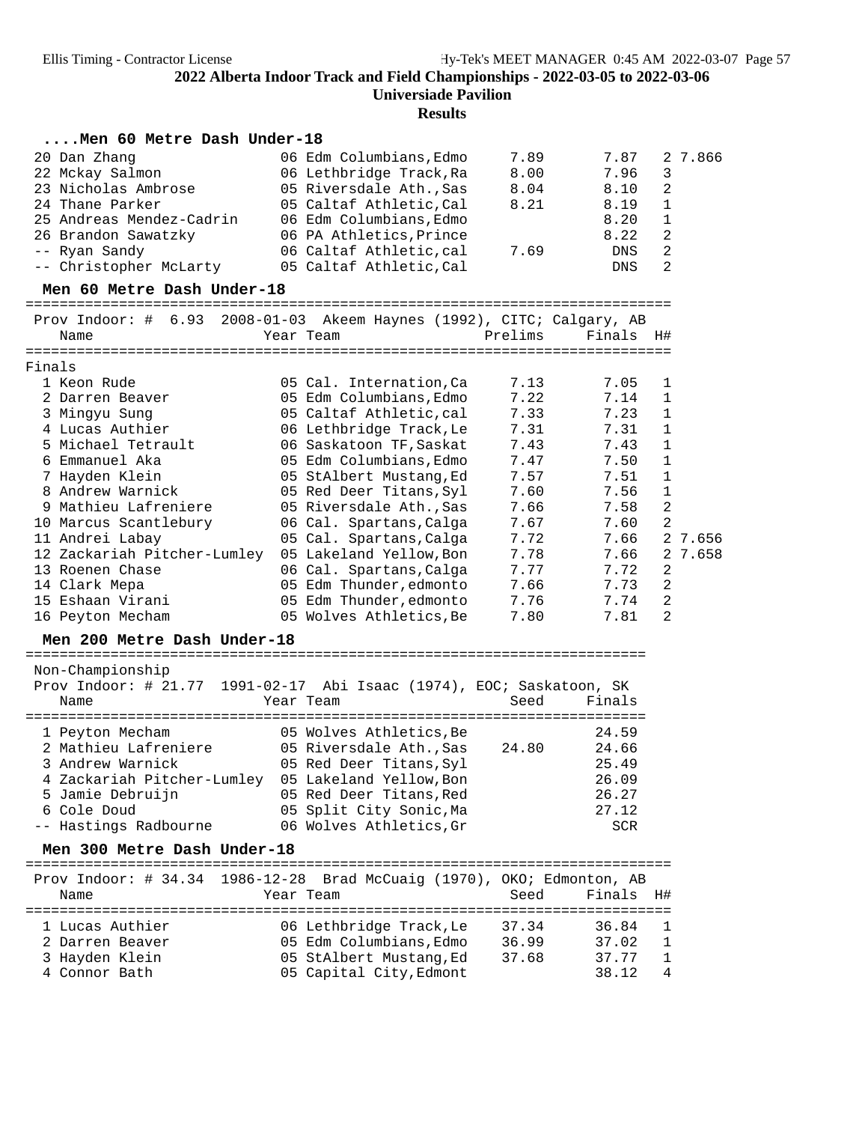**Results**

### **....Men 60 Metre Dash Under-18**

| 20 Dan Zhang             | 06 Edm Columbians, Edmo | 7.89 | 7.87       | 27.866                  |
|--------------------------|-------------------------|------|------------|-------------------------|
| 22 Mckay Salmon          | 06 Lethbridge Track, Ra | 8.00 | 7.96       | $\overline{\mathbf{3}}$ |
| 23 Nicholas Ambrose      | 05 Riversdale Ath., Sas | 8.04 | 8.10       | 2                       |
| 24 Thane Parker          | 05 Caltaf Athletic, Cal | 8.21 | 8.19       | $\overline{1}$          |
| 25 Andreas Mendez-Cadrin | 06 Edm Columbians, Edmo |      | 8.20       |                         |
| 26 Brandon Sawatzky      | 06 PA Athletics, Prince |      | 8.22       | - 2                     |
| -- Ryan Sandy            | 06 Caltaf Athletic, cal | 7.69 | <b>DNS</b> | 2                       |
| -- Christopher McLarty   | 05 Caltaf Athletic, Cal |      | <b>DNS</b> |                         |

# **Men 60 Metre Dash Under-18** ============================================================================ Prov Indoor: # 6.93 2008-01-03 Akeem Haynes (1992), CITC; Calgary, AB

| Name                        | Year Team and the control of the control of the control of the control of the control of the control of the co | Prelims | Finals H# |                |
|-----------------------------|----------------------------------------------------------------------------------------------------------------|---------|-----------|----------------|
| Finals                      |                                                                                                                |         |           |                |
| 1 Keon Rude                 | 05 Cal. Internation, Ca                                                                                        | 7.13    | 7.05 1    |                |
| 2 Darren Beaver             | 05 Edm Columbians,Edmo                                                                                         | 7.22    | 7.14 1    |                |
| 3 Mingyu Sung               | 05 Caltaf Athletic.cal                                                                                         | 7.33    | 7.23      | $\mathbf{1}$   |
| 4 Lucas Authier             | 06 Lethbridge Track, Le                                                                                        | 7.31    | 7.31      | $\mathbf{1}$   |
| 5 Michael Tetrault          | 06 Saskatoon TF,Saskat                                                                                         | 7.43    | 7.43      | 1              |
| 6 Emmanuel Aka              | 05 Edm Columbians, Edmo                                                                                        | 7.47    | 7.50      | $\mathbf{1}$   |
| 7 Hayden Klein              | 05 StAlbert Mustang,Ed                                                                                         | 7.57    | 7.51      | $\mathbf{1}$   |
| 8 Andrew Warnick            | 05 Red Deer Titans, Syl                                                                                        | 7.60    | 7.56      | $\mathbf{1}$   |
| 9 Mathieu Lafreniere        | 05 Riversdale Ath.,Sas                                                                                         | 7.66    | 7.58      | 2              |
| 10 Marcus Scantlebury       | 06 Cal. Spartans, Calga                                                                                        | 7.67    | 7.60      | 2              |
| 11 Andrei Labay             | 05 Cal. Spartans, Calga                                                                                        | 7.72    | 7.66      | 2 7.656        |
| 12 Zackariah Pitcher-Lumley | 05 Lakeland Yellow, Bon                                                                                        | 7.78    | 7.66      | 2 7.658        |
| 13 Roenen Chase             | 06 Cal. Spartans, Calga                                                                                        | 7.77    | 7.72      | $\overline{2}$ |
| 14 Clark Mepa               | 05 Edm Thunder, edmonto                                                                                        | 7.66    | 7.73      | 2              |
| 15 Eshaan Virani            | 05 Edm Thunder,edmonto                                                                                         | 7.76    | 7.74      | 2              |
| 16 Peyton Mecham            | 05 Wolves Athletics, Be                                                                                        | 7.80    | 7.81      | 2              |
|                             |                                                                                                                |         |           |                |

## **Men 200 Metre Dash Under-18** ========================================================================= Non-Championship

| MOIT-CHRIIIDTOHSHTD<br>Prov Indoor: # 21.77 1991-02-17 Abi Isaac (1974), EOC; Saskatoon, SK |                         |       |        |
|---------------------------------------------------------------------------------------------|-------------------------|-------|--------|
| Name                                                                                        | Year Team               | Seed  | Finals |
| 1 Peyton Mecham                                                                             | 05 Wolves Athletics, Be |       | 24.59  |
| 2 Mathieu Lafreniere                                                                        | 05 Riversdale Ath., Sas | 24.80 | 24.66  |
|                                                                                             |                         |       |        |
| 3 Andrew Warnick                                                                            | 05 Red Deer Titans, Syl |       | 25.49  |
| 4 Zackariah Pitcher-Lumley                                                                  | 05 Lakeland Yellow, Bon |       | 26.09  |
| 5 Jamie Debruijn                                                                            | 05 Red Deer Titans, Red |       | 26.27  |
| 6 Cole Doud                                                                                 | 05 Split City Sonic, Ma |       | 27.12  |
| -- Hastings Radbourne                                                                       | 06 Wolves Athletics, Gr |       | SCR    |

**Men 300 Metre Dash Under-18** ============================================================================ Prov Indoor: # 34.34 1986-12-28 Brad McCuaig (1970), OKO; Edmonton, AB Name Tear Team Seed Finals H# ============================================================================ 1 Lucas Authier 06 Lethbridge Track,Le 37.34 36.84 1 2 Darren Beaver 05 Edm Columbians,Edmo 36.99 37.02 1 3 Hayden Klein 05 StAlbert Mustang,Ed 37.68 37.77 1 4 Connor Bath 05 Capital City,Edmont 38.12 4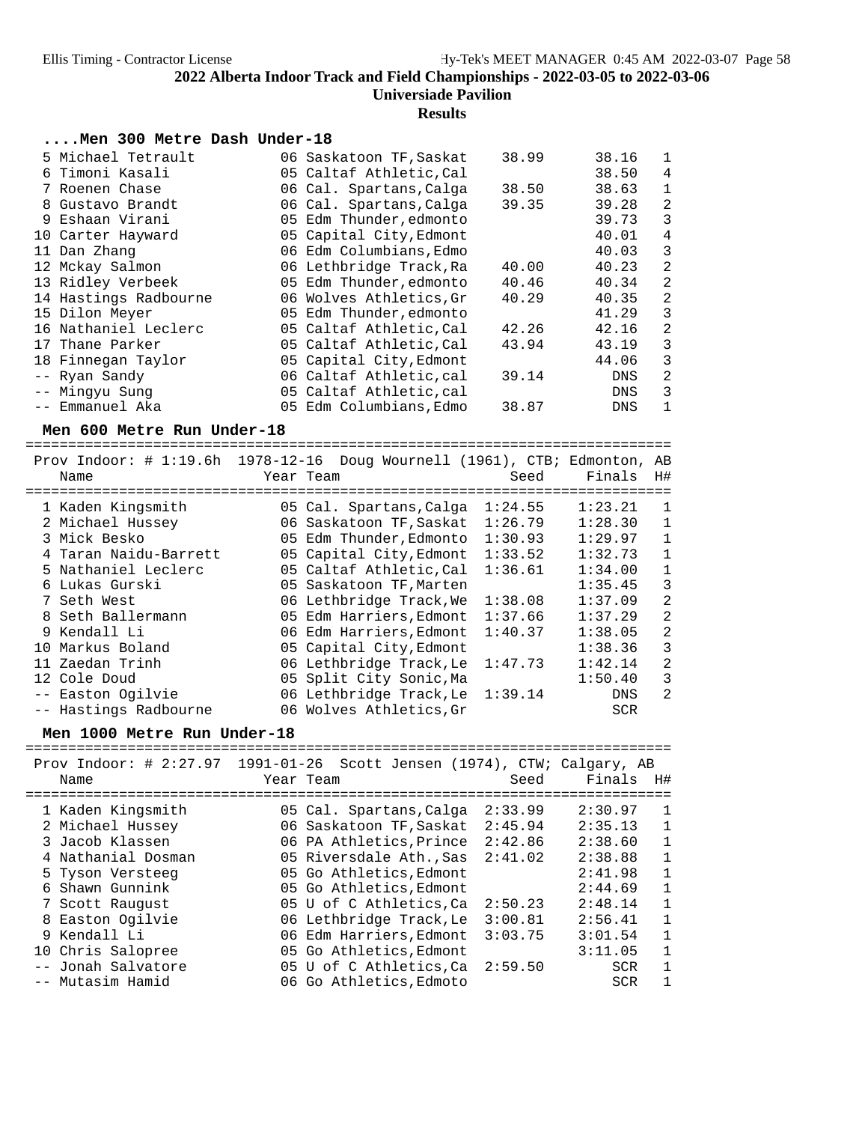## **Results**

### **....Men 300 Metre Dash Under-18**

| 5 Michael Tetrault    | 06 Saskatoon TF, Saskat | 38.99 | 38.16      | 1              |
|-----------------------|-------------------------|-------|------------|----------------|
| 6 Timoni Kasali       | 05 Caltaf Athletic, Cal |       | 38.50      | 4              |
| 7 Roenen Chase        | 06 Cal. Spartans, Calga | 38.50 | 38.63      | $\mathbf{1}$   |
| 8 Gustavo Brandt      | 06 Cal. Spartans, Calga | 39.35 | 39.28      | $\overline{2}$ |
| 9 Eshaan Virani       | 05 Edm Thunder, edmonto |       | 39.73      | 3              |
| 10 Carter Hayward     | 05 Capital City, Edmont |       | 40.01      | $\overline{4}$ |
| 11 Dan Zhang          | 06 Edm Columbians, Edmo |       | 40.03      | 3              |
| 12 Mckay Salmon       | 06 Lethbridge Track, Ra | 40.00 | 40.23      | $\overline{2}$ |
| 13 Ridley Verbeek     | 05 Edm Thunder, edmonto | 40.46 | 40.34      | $\overline{2}$ |
| 14 Hastings Radbourne | 06 Wolves Athletics, Gr | 40.29 | 40.35      | $\overline{2}$ |
| 15 Dilon Meyer        | 05 Edm Thunder, edmonto |       | 41.29      | 3              |
| 16 Nathaniel Leclerc  | 05 Caltaf Athletic.Cal  | 42.26 | 42.16      | $\overline{2}$ |
| 17 Thane Parker       | 05 Caltaf Athletic, Cal | 43.94 | 43.19      | 3              |
| 18 Finnegan Taylor    | 05 Capital City, Edmont |       | 44.06      | 3              |
| -- Ryan Sandy         | 06 Caltaf Athletic, cal | 39.14 | <b>DNS</b> | 2              |
| -- Mingyu Sung        | 05 Caltaf Athletic, cal |       | <b>DNS</b> | 3              |
| -- Emmanuel Aka       | 05 Edm Columbians, Edmo | 38.87 | <b>DNS</b> | 1              |

### Men 600 Metre Run Under-18

|                       | Prov Indoor: # 1:19.6h 1978-12-16 Doug Wournell (1961), CTB; Edmonton, | AB              |
|-----------------------|------------------------------------------------------------------------|-----------------|
| Name                  | Seed<br>Year Team                                                      | Finals<br>H#    |
|                       |                                                                        |                 |
| 1 Kaden Kingsmith     | 1:24.55<br>05 Cal. Spartans, Calga                                     | 1:23.21<br>1    |
| 2 Michael Hussey      | 1:26.79<br>06 Saskatoon TF, Saskat                                     | 1:28.30<br>1    |
| 3 Mick Besko          | 1:30.93<br>05 Edm Thunder, Edmonto                                     | 1:29.97<br>1    |
| 4 Taran Naidu-Barrett | 1:33.52<br>05 Capital City, Edmont                                     | 1:32.73<br>1    |
| 5 Nathaniel Leclerc   | 05 Caltaf Athletic, Cal<br>1:36.61                                     | 1:34.00<br>1    |
| 6 Lukas Gurski        | 05 Saskatoon TF, Marten                                                | 3<br>1:35.45    |
| 7 Seth West           | 06 Lethbridge Track, We<br>1:38.08                                     | 2<br>1:37.09    |
| 8 Seth Ballermann     | 05 Edm Harriers, Edmont<br>1:37.66                                     | 2<br>1:37.29    |
| 9 Kendall Li          | 06 Edm Harriers, Edmont<br>1:40.37                                     | 2<br>1:38.05    |
| 10 Markus Boland      | 05 Capital City, Edmont                                                | 3<br>1:38.36    |
| 11 Zaedan Trinh       | 06 Lethbridge Track, Le<br>1:47.73                                     | 2<br>1:42.14    |
| 12 Cole Doud          | 05 Split City Sonic, Ma                                                | 1:50.40<br>3    |
| -- Easton Ogilvie     | 06 Lethbridge Track, Le<br>1:39.14                                     | 2<br><b>DNS</b> |
| -- Hastings Radbourne | 06 Wolves Athletics, Gr                                                | <b>SCR</b>      |

**Men 1000 Metre Run Under-18** ============================================================================ Prov Indoor: # 2:27.97 1991-01-26 Scott Jensen (1974), CTW; Calgary, AB  $Finals$  H#

|  | NQULC              |                                 | 55 Cu   | 1. THUTP   | <b>IIH</b>   |
|--|--------------------|---------------------------------|---------|------------|--------------|
|  | 1 Kaden Kingsmith  | 05 Cal. Spartans, Calga         | 2:33.99 | 2:30.97    | $\mathbf{1}$ |
|  | 2 Michael Hussey   | 06 Saskatoon TF, Saskat         | 2:45.94 | 2:35.13    | $\mathbf{1}$ |
|  | 3 Jacob Klassen    | 06 PA Athletics, Prince         | 2:42.86 | 2:38.60    | $\mathbf{1}$ |
|  | 4 Nathanial Dosman | 05 Riversdale Ath., Sas         | 2:41.02 | 2:38.88    | $\mathbf{1}$ |
|  | 5 Tyson Versteeg   | 05 Go Athletics, Edmont         |         | 2:41.98    | $\mathbf{1}$ |
|  | 6 Shawn Gunnink    | 05 Go Athletics, Edmont         |         | 2:44.69    | $\mathbf{1}$ |
|  | 7 Scott Raugust    | 05 U of C Athletics, Ca         | 2:50.23 | 2:48.14    | $\mathbf{1}$ |
|  | 8 Easton Ogilvie   | 06 Lethbridge Track, Le         | 3:00.81 | 2:56.41    | $\mathbf{1}$ |
|  | 9 Kendall Li       | 06 Edm Harriers, Edmont         | 3:03.75 | 3:01.54    | $\mathbf{1}$ |
|  | 10 Chris Salopree  | 05 Go Athletics, Edmont         |         | 3:11.05    | $\mathbf{1}$ |
|  | -- Jonah Salvatore | 05 U of C Athletics, Ca 2:59.50 |         | <b>SCR</b> | 1            |
|  | -- Mutasim Hamid   | 06 Go Athletics, Edmoto         |         | <b>SCR</b> | 1            |
|  |                    |                                 |         |            |              |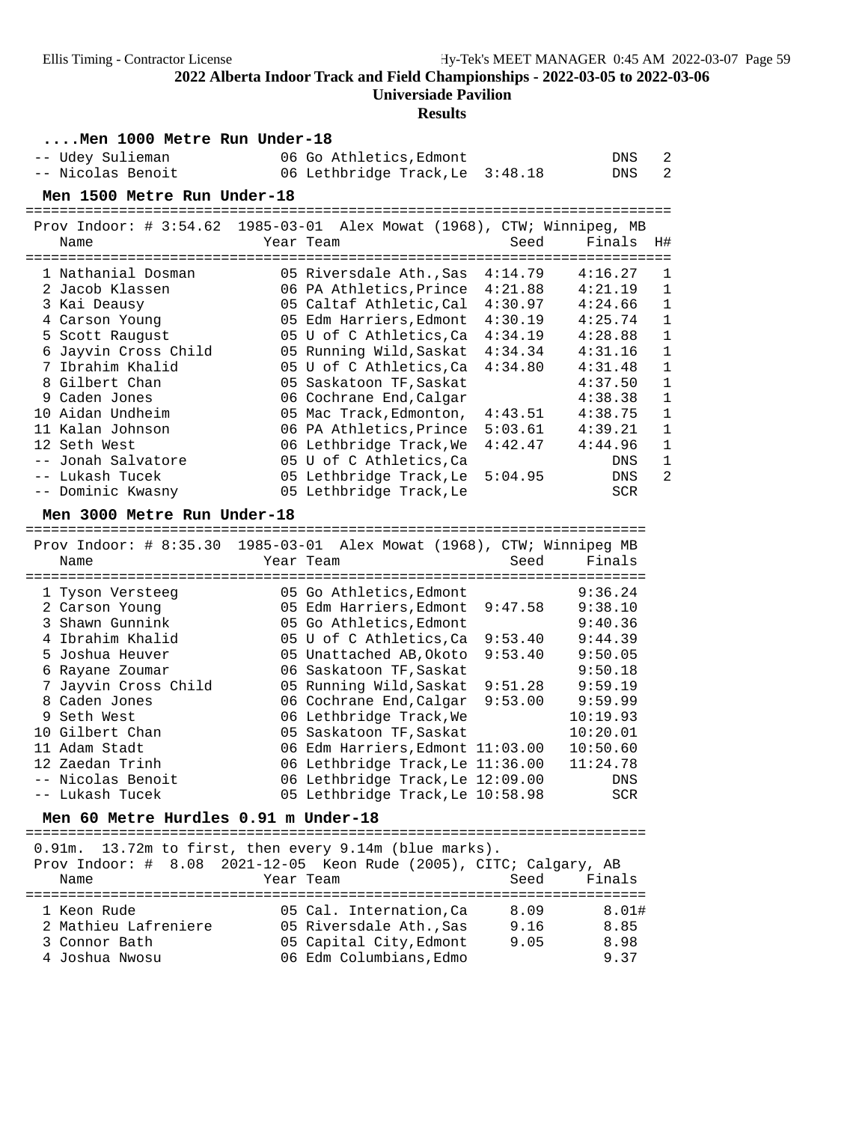### **Universiade Pavilion**

# **Results**

| Men 1000 Metre Run Under-18                                               |           |                                                    |                              |                    |                               |
|---------------------------------------------------------------------------|-----------|----------------------------------------------------|------------------------------|--------------------|-------------------------------|
| -- Udey Sulieman                                                          |           | 06 Go Athletics, Edmont                            |                              | DNS                | $\overline{c}$                |
| -- Nicolas Benoit                                                         |           | 06 Lethbridge Track, Le                            | 3:48.18                      | DNS                | 2                             |
| Men 1500 Metre Run Under-18                                               |           |                                                    |                              |                    |                               |
|                                                                           |           |                                                    | ============================ |                    |                               |
| Prov Indoor: $\#$ 3:54.62 1985-03-01 Alex Mowat (1968), CTW; Winnipeg, MB |           |                                                    |                              |                    |                               |
| Name                                                                      | Year Team |                                                    | Seed                         | Finals             | H#                            |
|                                                                           |           |                                                    |                              |                    |                               |
| 1 Nathanial Dosman                                                        |           | 05 Riversdale Ath., Sas                            | 4:14.79                      | 4:16.27            | $\mathbf 1$                   |
| 2 Jacob Klassen                                                           |           | 06 PA Athletics, Prince                            | 4:21.88                      | 4:21.19            | 1                             |
| 3 Kai Deausy                                                              |           | 05 Caltaf Athletic, Cal                            | 4:30.97                      | 4:24.66            | $\mathbf{1}$                  |
| 4 Carson Young                                                            |           | 05 Edm Harriers, Edmont                            | 4:30.19                      | 4:25.74            | $\mathbf{1}$                  |
| 5 Scott Raugust                                                           |           | 05 U of C Athletics, Ca                            | 4:34.19                      | 4:28.88            | $\mathbf{1}$                  |
| 6 Jayvin Cross Child                                                      |           | 05 Running Wild, Saskat                            | 4:34.34                      | 4:31.16            | $\mathbf{1}$                  |
| 7 Ibrahim Khalid                                                          |           | 05 U of C Athletics, Ca                            | 4:34.80                      | 4:31.48            | $\mathbf{1}$                  |
| 8 Gilbert Chan                                                            |           | 05 Saskatoon TF, Saskat                            |                              | 4:37.50            | $\mathbf 1$                   |
| 9 Caden Jones                                                             |           | 06 Cochrane End, Calgar                            |                              | 4:38.38            | $\mathbf{1}$                  |
| 10 Aidan Undheim                                                          |           | 05 Mac Track, Edmonton,                            | 4:43.51                      | 4:38.75            | $\mathbf{1}$                  |
| 11 Kalan Johnson                                                          |           | 06 PA Athletics, Prince                            | 5:03.61                      | 4:39.21            | $\mathbf{1}$                  |
| 12 Seth West                                                              |           | 06 Lethbridge Track, We                            | 4:42.47                      | 4:44.96            | $\mathbf{1}$                  |
| -- Jonah Salvatore<br>-- Lukash Tucek                                     |           | 05 U of C Athletics, Ca<br>05 Lethbridge Track, Le | 5:04.95                      | DNS<br><b>DNS</b>  | $\mathbf 1$<br>$\overline{2}$ |
| -- Dominic Kwasny                                                         |           | 05 Lethbridge Track, Le                            |                              | <b>SCR</b>         |                               |
|                                                                           |           |                                                    |                              |                    |                               |
| Men 3000 Metre Run Under-18                                               |           |                                                    |                              |                    |                               |
|                                                                           |           |                                                    |                              |                    |                               |
| Prov Indoor: $\#$ 8:35.30 1985-03-01 Alex Mowat (1968), CTW; Winnipeg MB  |           |                                                    |                              |                    |                               |
|                                                                           |           |                                                    |                              |                    |                               |
| Name                                                                      |           | Year Team                                          | Seed                         | Finals             |                               |
|                                                                           |           |                                                    |                              |                    |                               |
| 1 Tyson Versteeg                                                          |           | 05 Go Athletics, Edmont                            |                              | 9:36.24            |                               |
| 2 Carson Young                                                            |           | 05 Edm Harriers, Edmont                            | 9:47.58                      | 9:38.10            |                               |
| 3 Shawn Gunnink                                                           |           | 05 Go Athletics, Edmont                            | 9:53.40                      | 9:40.36<br>9:44.39 |                               |
| 4 Ibrahim Khalid<br>5 Joshua Heuver                                       |           | 05 U of C Athletics, Ca                            |                              |                    |                               |
|                                                                           |           | 05 Unattached AB, Okoto                            | 9:53.40                      | 9:50.05            |                               |
| 6 Rayane Zoumar                                                           |           | 06 Saskatoon TF, Saskat                            | 9:51.28                      | 9:50.18<br>9:59.19 |                               |
| 7 Jayvin Cross Child<br>8 Caden Jones                                     |           | 05 Running Wild, Saskat<br>06 Cochrane End, Calgar | 9:53.00                      | 9:59.99            |                               |
| 9 Seth West                                                               |           | 06 Lethbridge Track, We                            |                              | 10:19.93           |                               |
| 10 Gilbert Chan                                                           |           | 05 Saskatoon TF, Saskat                            |                              | 10:20.01           |                               |
| 11 Adam Stadt                                                             |           | 06 Edm Harriers, Edmont 11:03.00                   |                              | 10:50.60           |                               |
| 12 Zaedan Trinh                                                           |           | 06 Lethbridge Track, Le 11:36.00                   |                              | 11:24.78           |                               |
| -- Nicolas Benoit                                                         |           | 06 Lethbridge Track, Le 12:09.00                   |                              | DNS                |                               |
| -- Lukash Tucek                                                           |           | 05 Lethbridge Track, Le 10:58.98                   |                              | SCR                |                               |
|                                                                           |           |                                                    |                              |                    |                               |
| Men 60 Metre Hurdles 0.91 m Under-18                                      |           |                                                    |                              |                    |                               |
| $0.91m$ .                                                                 |           | 13.72m to first, then every 9.14m (blue marks).    |                              |                    |                               |
| Prov Indoor: $\#$ 8.08                                                    |           | 2021-12-05 Keon Rude (2005), CITC; Calgary, AB     |                              |                    |                               |
| Name                                                                      |           | Year Team                                          | Seed                         | Finals             |                               |
| =======================                                                   |           |                                                    |                              |                    |                               |
| 1 Keon Rude                                                               |           | 05 Cal. Internation, Ca                            | 8.09                         | 8.01#              |                               |
| 2 Mathieu Lafreniere                                                      |           | 05 Riversdale Ath., Sas                            | 9.16                         | 8.85               |                               |
| 3 Connor Bath<br>4 Joshua Nwosu                                           |           | 05 Capital City, Edmont<br>06 Edm Columbians, Edmo | 9.05                         | 8.98<br>9.37       |                               |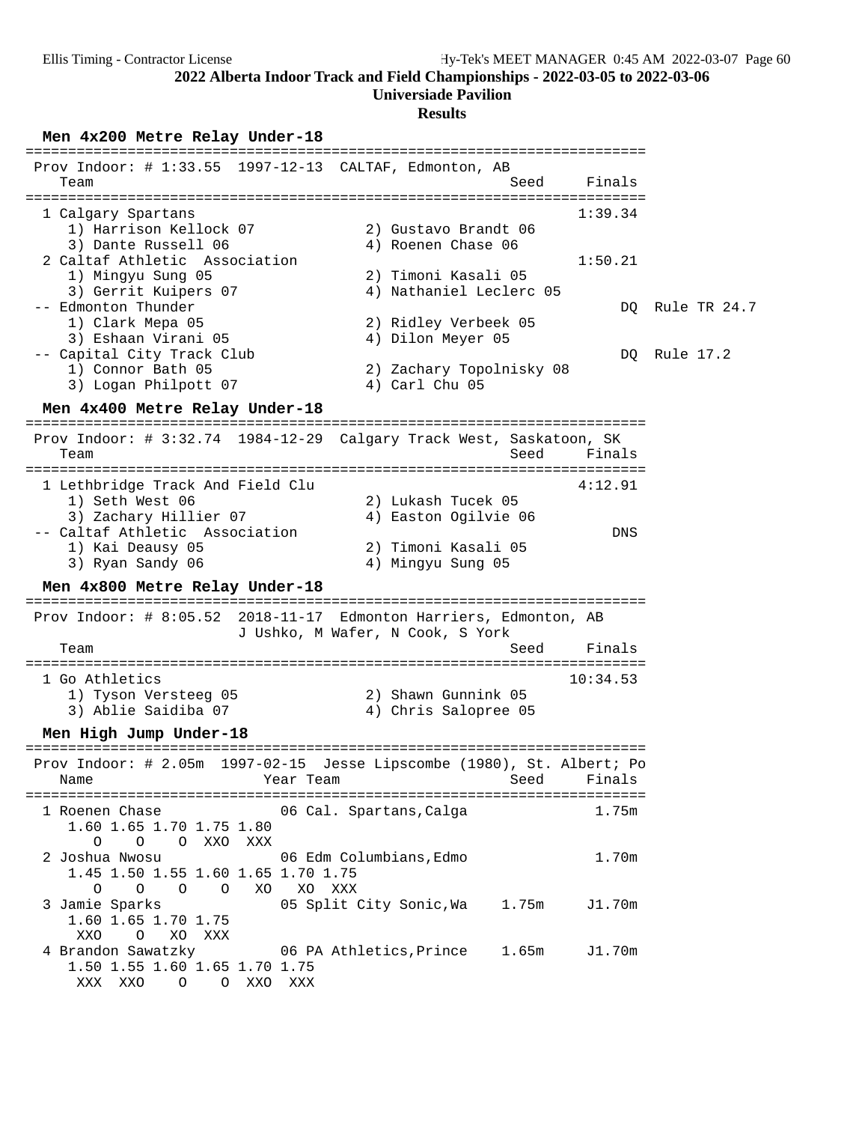**Universiade Pavilion**

### **Results**

Men  $4x200$  Metre Relay Under-18

| Prov Indoor: $\#$ 1:33.55 1997-12-13 CALTAF, Edmonton, AB<br>Finals<br>Team<br>Seed<br>========================<br>1:39.34<br>1 Calgary Spartans<br>1) Harrison Kellock 07<br>2) Gustavo Brandt 06<br>3) Dante Russell 06<br>4) Roenen Chase 06<br>2 Caltaf Athletic Association<br>1:50.21<br>1) Mingyu Sung 05<br>2) Timoni Kasali 05<br>3) Gerrit Kuipers 07<br>4) Nathaniel Leclerc 05<br>-- Edmonton Thunder<br>Rule TR 24.7<br>DO.<br>1) Clark Mepa 05<br>2) Ridley Verbeek 05<br>3) Eshaan Virani 05<br>4) Dilon Meyer 05<br>-- Capital City Track Club<br>Rule 17.2<br>DQ<br>1) Connor Bath 05<br>2) Zachary Topolnisky 08<br>3) Logan Philpott 07<br>4) Carl Chu 05<br>Men 4x400 Metre Relay Under-18<br>Prov Indoor: # 3:32.74 1984-12-29 Calgary Track West, Saskatoon, SK<br>Finals<br>Team<br>Seed<br>==========================<br>1 Lethbridge Track And Field Clu<br>4:12.91<br>1) Seth West 06<br>2) Lukash Tucek 05<br>3) Zachary Hillier 07<br>4) Easton Ogilvie 06<br>-- Caltaf Athletic Association<br><b>DNS</b><br>1) Kai Deausy 05<br>2) Timoni Kasali 05<br>3) Ryan Sandy 06<br>4) Mingyu Sung 05<br>Men 4x800 Metre Relay Under-18<br>Prov Indoor: # 8:05.52 2018-11-17 Edmonton Harriers, Edmonton, AB<br>J Ushko, M Wafer, N Cook, S York<br>Seed<br>Finals<br>Team<br>1 Go Athletics<br>10:34.53<br>1) Tyson Versteeg 05<br>2) Shawn Gunnink 05<br>3) Ablie Saidiba 07<br>4) Chris Salopree 05<br>Men High Jump Under-18<br>Prov Indoor: # 2.05m 1997-02-15 Jesse Lipscombe (1980), St. Albert; Po<br>Name Near Team Seed Finals<br>1 Roenen Chase<br>06 Cal. Spartans,Calga<br>1.75m<br>1.60 1.65 1.70 1.75 1.80<br>O O XXO XXX<br>$\circ$<br>06 Edm Columbians, Edmo<br>1.70m<br>2 Joshua Nwosu<br>1.45 1.50 1.55 1.60 1.65 1.70 1.75<br>O<br>$\circ$<br>$\circ$ $\circ$<br>XO XO XXX<br>3 Jamie Sparks<br>05 Split City Sonic, Wa 1.75m<br>J1.70m<br>1.60 1.65 1.70 1.75<br>XXO<br>$\overline{O}$<br>XO XXX<br>4 Brandon Sawatzky 66 PA Athletics, Prince 1.65m<br>J1.70m<br>1.50 1.55 1.60 1.65 1.70 1.75<br>O O XXO XXX<br>XXX XXO |  |  |
|----------------------------------------------------------------------------------------------------------------------------------------------------------------------------------------------------------------------------------------------------------------------------------------------------------------------------------------------------------------------------------------------------------------------------------------------------------------------------------------------------------------------------------------------------------------------------------------------------------------------------------------------------------------------------------------------------------------------------------------------------------------------------------------------------------------------------------------------------------------------------------------------------------------------------------------------------------------------------------------------------------------------------------------------------------------------------------------------------------------------------------------------------------------------------------------------------------------------------------------------------------------------------------------------------------------------------------------------------------------------------------------------------------------------------------------------------------------------------------------------------------------------------------------------------------------------------------------------------------------------------------------------------------------------------------------------------------------------------------------------------------------------------------------------------------------------------------------------------------------------------------------------------------------------------------------------------------------------------------------------------------------------------------------------------------------------|--|--|
|                                                                                                                                                                                                                                                                                                                                                                                                                                                                                                                                                                                                                                                                                                                                                                                                                                                                                                                                                                                                                                                                                                                                                                                                                                                                                                                                                                                                                                                                                                                                                                                                                                                                                                                                                                                                                                                                                                                                                                                                                                                                      |  |  |
|                                                                                                                                                                                                                                                                                                                                                                                                                                                                                                                                                                                                                                                                                                                                                                                                                                                                                                                                                                                                                                                                                                                                                                                                                                                                                                                                                                                                                                                                                                                                                                                                                                                                                                                                                                                                                                                                                                                                                                                                                                                                      |  |  |
|                                                                                                                                                                                                                                                                                                                                                                                                                                                                                                                                                                                                                                                                                                                                                                                                                                                                                                                                                                                                                                                                                                                                                                                                                                                                                                                                                                                                                                                                                                                                                                                                                                                                                                                                                                                                                                                                                                                                                                                                                                                                      |  |  |
|                                                                                                                                                                                                                                                                                                                                                                                                                                                                                                                                                                                                                                                                                                                                                                                                                                                                                                                                                                                                                                                                                                                                                                                                                                                                                                                                                                                                                                                                                                                                                                                                                                                                                                                                                                                                                                                                                                                                                                                                                                                                      |  |  |
|                                                                                                                                                                                                                                                                                                                                                                                                                                                                                                                                                                                                                                                                                                                                                                                                                                                                                                                                                                                                                                                                                                                                                                                                                                                                                                                                                                                                                                                                                                                                                                                                                                                                                                                                                                                                                                                                                                                                                                                                                                                                      |  |  |
|                                                                                                                                                                                                                                                                                                                                                                                                                                                                                                                                                                                                                                                                                                                                                                                                                                                                                                                                                                                                                                                                                                                                                                                                                                                                                                                                                                                                                                                                                                                                                                                                                                                                                                                                                                                                                                                                                                                                                                                                                                                                      |  |  |
|                                                                                                                                                                                                                                                                                                                                                                                                                                                                                                                                                                                                                                                                                                                                                                                                                                                                                                                                                                                                                                                                                                                                                                                                                                                                                                                                                                                                                                                                                                                                                                                                                                                                                                                                                                                                                                                                                                                                                                                                                                                                      |  |  |
|                                                                                                                                                                                                                                                                                                                                                                                                                                                                                                                                                                                                                                                                                                                                                                                                                                                                                                                                                                                                                                                                                                                                                                                                                                                                                                                                                                                                                                                                                                                                                                                                                                                                                                                                                                                                                                                                                                                                                                                                                                                                      |  |  |
|                                                                                                                                                                                                                                                                                                                                                                                                                                                                                                                                                                                                                                                                                                                                                                                                                                                                                                                                                                                                                                                                                                                                                                                                                                                                                                                                                                                                                                                                                                                                                                                                                                                                                                                                                                                                                                                                                                                                                                                                                                                                      |  |  |
|                                                                                                                                                                                                                                                                                                                                                                                                                                                                                                                                                                                                                                                                                                                                                                                                                                                                                                                                                                                                                                                                                                                                                                                                                                                                                                                                                                                                                                                                                                                                                                                                                                                                                                                                                                                                                                                                                                                                                                                                                                                                      |  |  |
|                                                                                                                                                                                                                                                                                                                                                                                                                                                                                                                                                                                                                                                                                                                                                                                                                                                                                                                                                                                                                                                                                                                                                                                                                                                                                                                                                                                                                                                                                                                                                                                                                                                                                                                                                                                                                                                                                                                                                                                                                                                                      |  |  |
|                                                                                                                                                                                                                                                                                                                                                                                                                                                                                                                                                                                                                                                                                                                                                                                                                                                                                                                                                                                                                                                                                                                                                                                                                                                                                                                                                                                                                                                                                                                                                                                                                                                                                                                                                                                                                                                                                                                                                                                                                                                                      |  |  |
|                                                                                                                                                                                                                                                                                                                                                                                                                                                                                                                                                                                                                                                                                                                                                                                                                                                                                                                                                                                                                                                                                                                                                                                                                                                                                                                                                                                                                                                                                                                                                                                                                                                                                                                                                                                                                                                                                                                                                                                                                                                                      |  |  |
|                                                                                                                                                                                                                                                                                                                                                                                                                                                                                                                                                                                                                                                                                                                                                                                                                                                                                                                                                                                                                                                                                                                                                                                                                                                                                                                                                                                                                                                                                                                                                                                                                                                                                                                                                                                                                                                                                                                                                                                                                                                                      |  |  |
|                                                                                                                                                                                                                                                                                                                                                                                                                                                                                                                                                                                                                                                                                                                                                                                                                                                                                                                                                                                                                                                                                                                                                                                                                                                                                                                                                                                                                                                                                                                                                                                                                                                                                                                                                                                                                                                                                                                                                                                                                                                                      |  |  |
|                                                                                                                                                                                                                                                                                                                                                                                                                                                                                                                                                                                                                                                                                                                                                                                                                                                                                                                                                                                                                                                                                                                                                                                                                                                                                                                                                                                                                                                                                                                                                                                                                                                                                                                                                                                                                                                                                                                                                                                                                                                                      |  |  |
|                                                                                                                                                                                                                                                                                                                                                                                                                                                                                                                                                                                                                                                                                                                                                                                                                                                                                                                                                                                                                                                                                                                                                                                                                                                                                                                                                                                                                                                                                                                                                                                                                                                                                                                                                                                                                                                                                                                                                                                                                                                                      |  |  |
|                                                                                                                                                                                                                                                                                                                                                                                                                                                                                                                                                                                                                                                                                                                                                                                                                                                                                                                                                                                                                                                                                                                                                                                                                                                                                                                                                                                                                                                                                                                                                                                                                                                                                                                                                                                                                                                                                                                                                                                                                                                                      |  |  |
|                                                                                                                                                                                                                                                                                                                                                                                                                                                                                                                                                                                                                                                                                                                                                                                                                                                                                                                                                                                                                                                                                                                                                                                                                                                                                                                                                                                                                                                                                                                                                                                                                                                                                                                                                                                                                                                                                                                                                                                                                                                                      |  |  |
|                                                                                                                                                                                                                                                                                                                                                                                                                                                                                                                                                                                                                                                                                                                                                                                                                                                                                                                                                                                                                                                                                                                                                                                                                                                                                                                                                                                                                                                                                                                                                                                                                                                                                                                                                                                                                                                                                                                                                                                                                                                                      |  |  |
|                                                                                                                                                                                                                                                                                                                                                                                                                                                                                                                                                                                                                                                                                                                                                                                                                                                                                                                                                                                                                                                                                                                                                                                                                                                                                                                                                                                                                                                                                                                                                                                                                                                                                                                                                                                                                                                                                                                                                                                                                                                                      |  |  |
|                                                                                                                                                                                                                                                                                                                                                                                                                                                                                                                                                                                                                                                                                                                                                                                                                                                                                                                                                                                                                                                                                                                                                                                                                                                                                                                                                                                                                                                                                                                                                                                                                                                                                                                                                                                                                                                                                                                                                                                                                                                                      |  |  |
|                                                                                                                                                                                                                                                                                                                                                                                                                                                                                                                                                                                                                                                                                                                                                                                                                                                                                                                                                                                                                                                                                                                                                                                                                                                                                                                                                                                                                                                                                                                                                                                                                                                                                                                                                                                                                                                                                                                                                                                                                                                                      |  |  |
|                                                                                                                                                                                                                                                                                                                                                                                                                                                                                                                                                                                                                                                                                                                                                                                                                                                                                                                                                                                                                                                                                                                                                                                                                                                                                                                                                                                                                                                                                                                                                                                                                                                                                                                                                                                                                                                                                                                                                                                                                                                                      |  |  |
|                                                                                                                                                                                                                                                                                                                                                                                                                                                                                                                                                                                                                                                                                                                                                                                                                                                                                                                                                                                                                                                                                                                                                                                                                                                                                                                                                                                                                                                                                                                                                                                                                                                                                                                                                                                                                                                                                                                                                                                                                                                                      |  |  |
|                                                                                                                                                                                                                                                                                                                                                                                                                                                                                                                                                                                                                                                                                                                                                                                                                                                                                                                                                                                                                                                                                                                                                                                                                                                                                                                                                                                                                                                                                                                                                                                                                                                                                                                                                                                                                                                                                                                                                                                                                                                                      |  |  |
|                                                                                                                                                                                                                                                                                                                                                                                                                                                                                                                                                                                                                                                                                                                                                                                                                                                                                                                                                                                                                                                                                                                                                                                                                                                                                                                                                                                                                                                                                                                                                                                                                                                                                                                                                                                                                                                                                                                                                                                                                                                                      |  |  |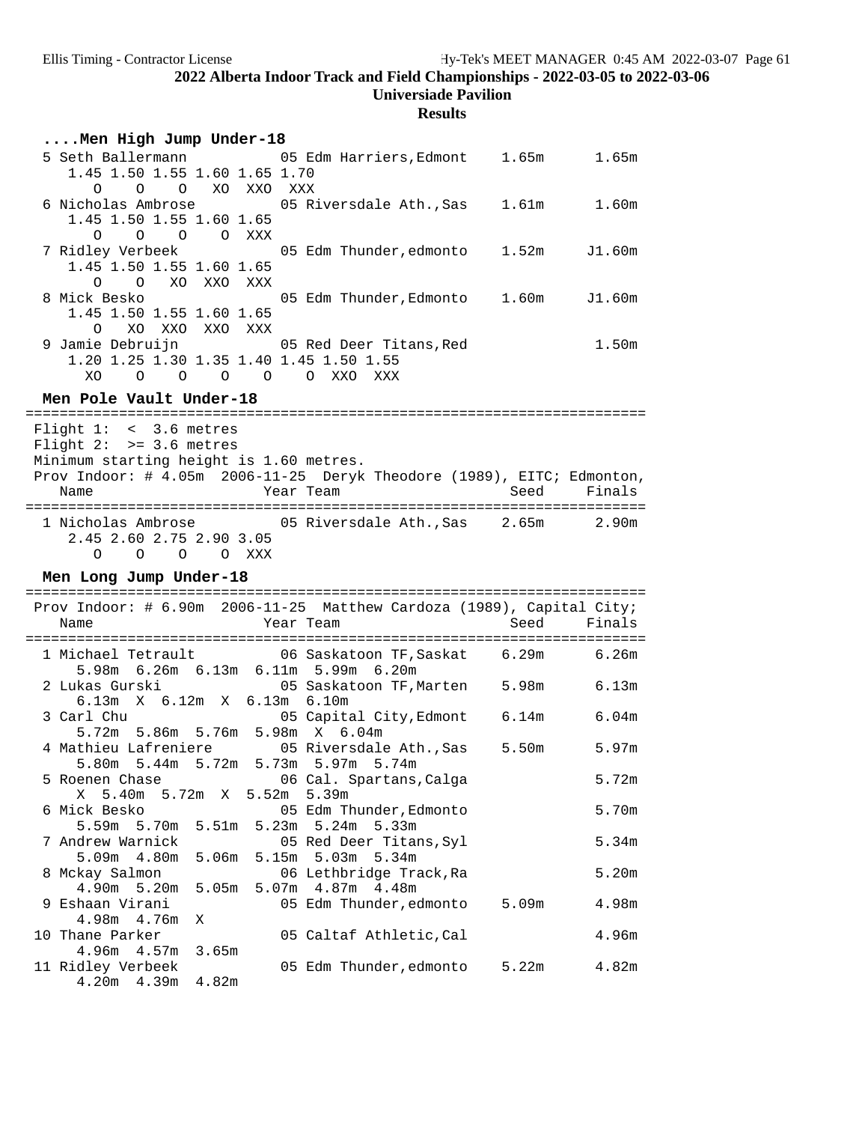# **Results**

| Men High Jump Under-18                                                                                                                                                             |                                                    |             |        |
|------------------------------------------------------------------------------------------------------------------------------------------------------------------------------------|----------------------------------------------------|-------------|--------|
| 5 Seth Ballermann<br>1.45 1.50 1.55 1.60 1.65 1.70<br>O O XO XXO XXX<br>$\circ$                                                                                                    | 05 Edm Harriers, Edmont 1.65m 1.65m                |             |        |
| 6 Nicholas Ambrose 6 15 Riversdale Ath., Sas 1.61m 1.60m<br>1.45 1.50 1.55 1.60 1.65<br>0<br>$\circ$<br>O O XXX                                                                    |                                                    |             |        |
| 1.45 1.50 1.55 1.60 1.65<br>$\Omega$<br>O XO XXO XXX                                                                                                                               |                                                    | 1.52m       | J1.60m |
| 8 Mick Besko<br>1.45 1.50 1.55 1.60 1.65<br>$\Omega$<br>XO XXO XXO XXX                                                                                                             | 05 Edm Thunder, Edmonto 1.60m                      |             | J1.60m |
| 9 Jamie Debruijn<br>1.20 1.25 1.30 1.35 1.40 1.45 1.50 1.55<br>O O O O O XXO XXX<br>XO.                                                                                            | 05 Red Deer Titans, Red                            |             | 1.50m  |
| Men Pole Vault Under-18                                                                                                                                                            |                                                    |             |        |
| Flight $1: < 3.6$ metres<br>Flight $2:$ >= 3.6 metres<br>Minimum starting height is 1.60 metres.<br>Prov Indoor: # 4.05m 2006-11-25 Deryk Theodore (1989), EITC; Edmonton,<br>Name | Year Team                                          | Seed        | Finals |
| 1 Nicholas Ambrose 65 Niversdale Ath., Sas 2.65m 2.90m<br>2.45 2.60 2.75 2.90 3.05                                                                                                 |                                                    |             |        |
| O O O O XXX<br>Men Long Jump Under-18                                                                                                                                              |                                                    |             |        |
| Prov Indoor: # 6.90m 2006-11-25 Matthew Cardoza (1989), Capital City;<br>Name                                                                                                      | Year Team                                          | Seed        | Finals |
| 1 Michael Tetrault 6.26m 06 Saskatoon TF, Saskat 6.29m 6.26m                                                                                                                       |                                                    |             |        |
| 5.98m 6.26m 6.13m 6.11m 5.99m 6.20m<br>2 Lukas Gurski<br>6.13m X 6.12m X 6.13m 6.10m                                                                                               | 05 Saskatoon TF, Marten                            | 5.98m 6.13m |        |
| 3 Carl Chu<br>5.72m 5.86m 5.76m 5.98m X 6.04m                                                                                                                                      | 05 Capital City, Edmont                            | 6.14m 6.04m |        |
| 4 Mathieu Lafreniere 05 Riversdale Ath., Sas<br>5.80m 5.44m 5.72m 5.73m 5.97m 5.74m                                                                                                |                                                    | 5.50m       | 5.97m  |
| 5 Roenen Chase<br>X 5.40m 5.72m X 5.52m 5.39m                                                                                                                                      | 06 Cal. Spartans, Calga                            |             | 5.72m  |
| 6 Mick Besko<br>5.51m<br>5.59m 5.70m                                                                                                                                               | 05 Edm Thunder, Edmonto<br>5.23m 5.24m 5.33m       |             | 5.70m  |
| 7 Andrew Warnick<br>5.06m<br>5.09m<br>4.80m                                                                                                                                        | 05 Red Deer Titans, Syl<br>5.34m<br>5.15m<br>5.03m |             | 5.34m  |
| 8 Mckay Salmon<br>4.90m 5.20m<br>5.05 <sub>m</sub>                                                                                                                                 | 06 Lethbridge Track, Ra<br>4.87m 4.48m<br>5.07m    |             | 5.20m  |
| 9 Eshaan Virani<br>4.98m 4.76m<br>Χ                                                                                                                                                | 05 Edm Thunder, edmonto                            | 5.09m       | 4.98m  |
| 10 Thane Parker<br>$4.96m$ $4.57m$<br>3.65m                                                                                                                                        | 05 Caltaf Athletic, Cal                            |             | 4.96m  |

4.20m 4.39m 4.82m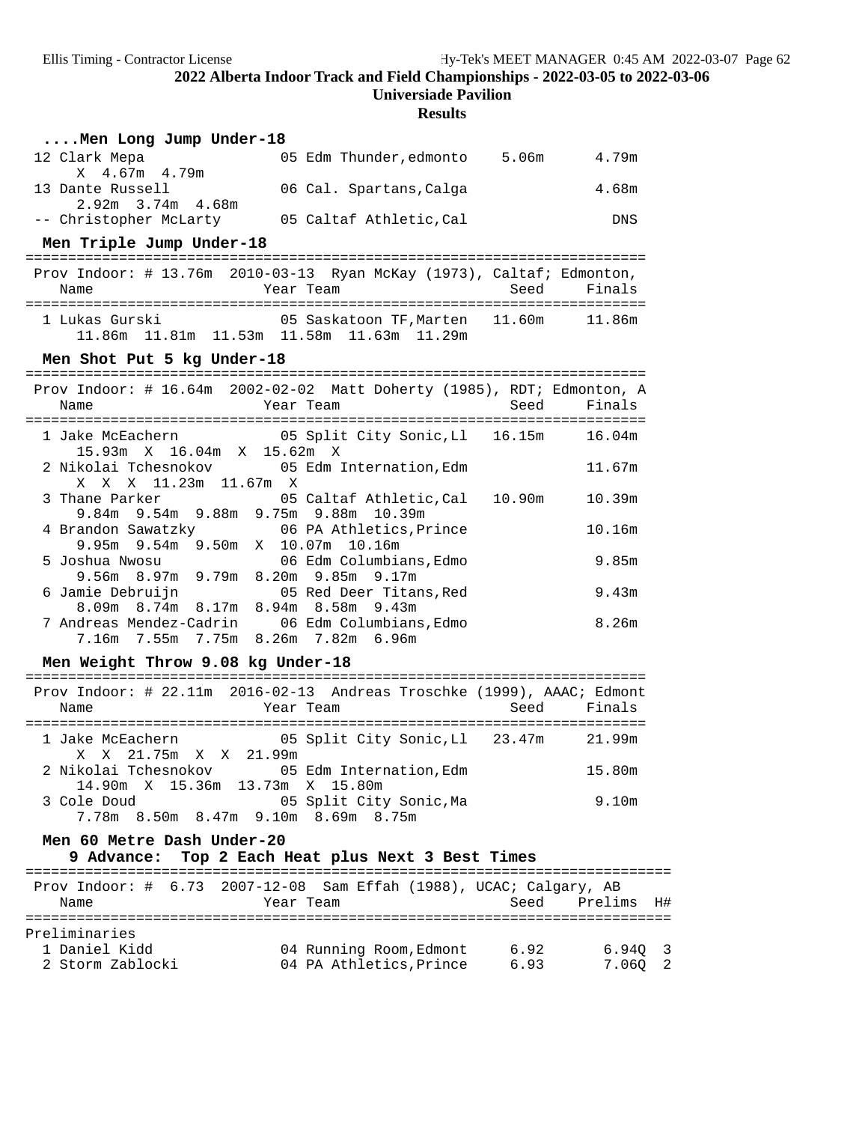**Universiade Pavilion**

### **Results**

| Men Long Jump Under-18                                                                      |      |                   |
|---------------------------------------------------------------------------------------------|------|-------------------|
| 05 Edm Thunder, edmonto 5.06m<br>12 Clark Mepa<br>X 4.67m 4.79m                             |      | 4.79m             |
| 13 Dante Russell<br>06 Cal. Spartans, Calga                                                 |      | 4.68m             |
| 2.92m 3.74m 4.68m<br>-- Christopher McLarty 05 Caltaf Athletic, Cal                         |      | DNS               |
| Men Triple Jump Under-18                                                                    |      |                   |
| Prov Indoor: # 13.76m 2010-03-13 Ryan McKay (1973), Caltaf; Edmonton,<br>Year Team<br>Name  | Seed | Finals            |
|                                                                                             |      |                   |
| Men Shot Put 5 kg Under-18                                                                  |      |                   |
| Prov Indoor: # 16.64m 2002-02-02 Matt Doherty (1985), RDT; Edmonton, A<br>Year Team<br>Name | Seed | Finals            |
| 1 Jake McEachern 65 Split City Sonic, Ll 16.15m 16.04m<br>15.93m X 16.04m X 15.62m X        |      |                   |
| 2 Nikolai Tchesnokov           05 Edm Internation, Edm<br>X X X 11.23m 11.67m X             |      | 11.67m            |
| 05 Caltaf Athletic, Cal 10.90m<br>3 Thane Parker<br>9.84m 9.54m 9.88m 9.75m 9.88m 10.39m    |      | 10.39m            |
| 4 Brandon Sawatzky 66 PA Athletics, Prince<br>9.95m 9.54m 9.50m X 10.07m 10.16m             |      | 10.16m            |
| 5 Joshua Nwosu<br>06 Edm Columbians, Edmo<br>9.56m 8.97m 9.79m 8.20m 9.85m 9.17m            |      | 9.85m             |
| 6 Jamie Debruijn 1997 05 Red Deer Titans, Red<br>8.09m 8.74m 8.17m 8.94m 8.58m 9.43m        |      | 9.43m             |
| 7 Andreas Mendez-Cadrin 06 Edm Columbians, Edmo<br>7.16m 7.55m 7.75m 8.26m 7.82m 6.96m      |      | 8.26m             |
| Men Weight Throw 9.08 kg Under-18                                                           |      |                   |
| Prov Indoor: # 22.11m 2016-02-13 Andreas Troschke (1999), AAAC; Edmont<br>Year Team<br>Name |      | Seed Finals       |
| 1 Jake McEachern 65 Split City Sonic, Ll 23.47m 21.99m<br>X X 21.75m X X 21.99m             |      |                   |
| 2 Nikolai Tchesnokov 05 Edm Internation, Edm 15.80m<br>14.90m X 15.36m 13.73m X 15.80m      |      |                   |
| 3 Cole Doud<br>05 Split City Sonic, Ma<br>7.78m 8.50m 8.47m 9.10m 8.69m 8.75m               |      | 9.10 <sub>m</sub> |
| Men 60 Metre Dash Under-20<br>Top 2 Each Heat plus Next 3 Best Times<br>9 Advance:          |      |                   |
| Prov Indoor: # 6.73 2007-12-08 Sam Effah (1988), UCAC; Calgary, AB<br>Name<br>Year Team     | Seed | Prelims<br>H#     |

| Preliminaries    |                         |      |         |  |
|------------------|-------------------------|------|---------|--|
| 1 Daniel Kidd    | 04 Running Room, Edmont | 6.92 | 6.940 3 |  |
| 2 Storm Zablocki | 04 PA Athletics, Prince | 6.93 | 7.060 2 |  |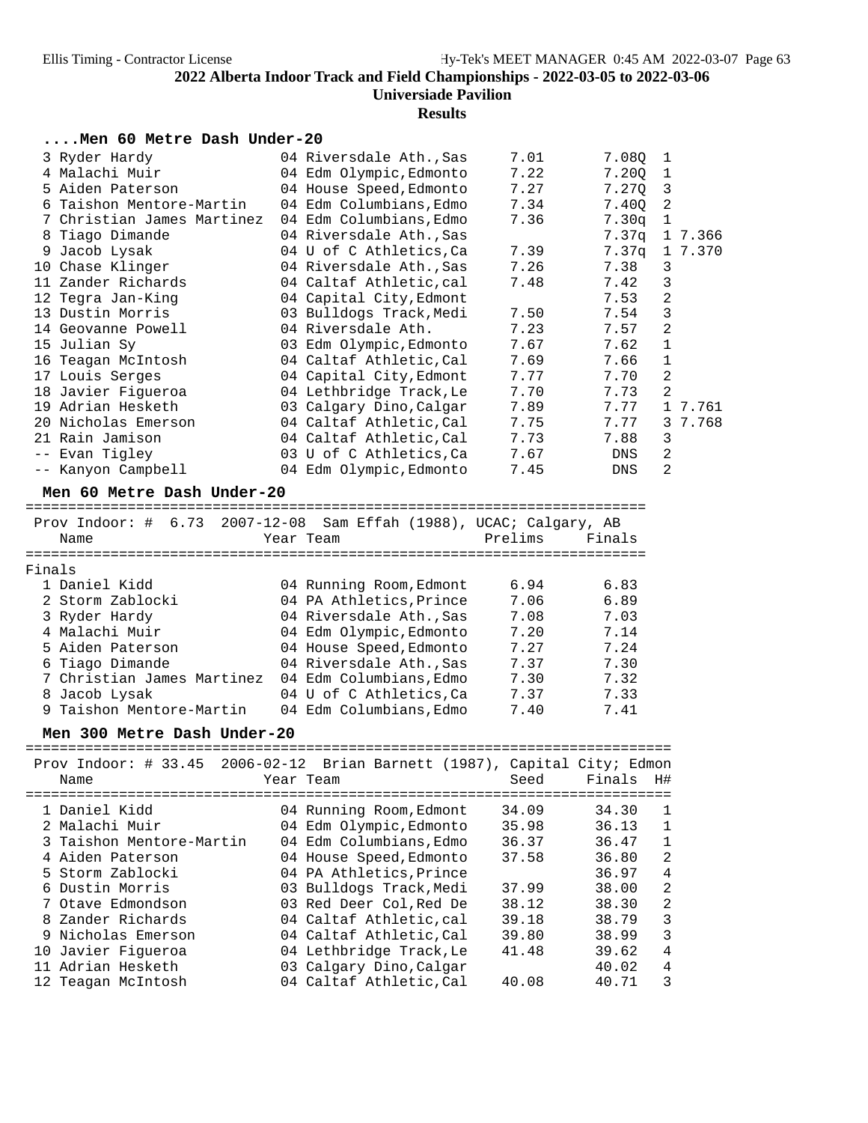## **Results**

### **....Men 60 Metre Dash Under-20**

| 3 Ryder Hardy              | 04 Riversdale Ath., Sas | 7.01 | 7.080             | $\mathbf{1}$ |
|----------------------------|-------------------------|------|-------------------|--------------|
| 4 Malachi Muir             | 04 Edm Olympic,Edmonto  | 7.22 | 7.200             | 1            |
| 5 Aiden Paterson           | 04 House Speed, Edmonto | 7.27 | 7.270             | 3            |
| 6 Taishon Mentore-Martin   | 04 Edm Columbians,Edmo  | 7.34 | 7.400             | 2            |
| 7 Christian James Martinez | 04 Edm Columbians, Edmo | 7.36 | 7.30 <sub>q</sub> | 1            |
| 8 Tiago Dimande            | 04 Riversdale Ath., Sas |      | 7.37q             | 1 7.366      |
| 9 Jacob Lysak              | 04 U of C Athletics,Ca  | 7.39 | 7.37q             | 1 7.370      |
| 10 Chase Klinger           | 04 Riversdale Ath.,Sas  | 7.26 | 7.38              | 3            |
| 11 Zander Richards         | 04 Caltaf Athletic,cal  | 7.48 | 7.42              | 3            |
| 12 Tegra Jan-King          | 04 Capital City, Edmont |      | 7.53              | 2            |
| 13 Dustin Morris           | 03 Bulldogs Track, Medi | 7.50 | 7.54              | 3            |
| 14 Geovanne Powell         | 04 Riversdale Ath.      | 7.23 | 7.57              | 2            |
| 15 Julian Sy               | 03 Edm Olympic, Edmonto | 7.67 | 7.62              | $\mathbf{1}$ |
| 16 Teagan McIntosh         | 04 Caltaf Athletic,Cal  | 7.69 | 7.66              | 1            |
| 17 Louis Serges            | 04 Capital City, Edmont | 7.77 | 7.70              | 2            |
| 18 Javier Figueroa         | 04 Lethbridge Track, Le | 7.70 | 7.73              | 2            |
| 19 Adrian Hesketh          | 03 Calgary Dino,Calgar  | 7.89 | 7.77              | 1 7.761      |
| 20 Nicholas Emerson        | 04 Caltaf Athletic,Cal  | 7.75 | 7.77              | 3 7.768      |
| 21 Rain Jamison            | 04 Caltaf Athletic,Cal  | 7.73 | 7.88              | 3            |
| -- Evan Tigley             | 03 U of C Athletics, Ca | 7.67 | DNS               | 2            |
| -- Kanyon Campbell         | 04 Edm Olympic, Edmonto | 7.45 | DNS               | 2            |

**Men 60 Metre Dash Under-20** =========================================================================

|        | Prov Indoor: # 6.73 2007-12-08 Sam Effah (1988), UCAC; Calgary, AB |                         |         |        |
|--------|--------------------------------------------------------------------|-------------------------|---------|--------|
|        | Name                                                               | Year Team               | Prelims | Finals |
|        |                                                                    |                         |         |        |
| Finals |                                                                    |                         |         |        |
|        | 1 Daniel Kidd                                                      | 04 Running Room, Edmont | 6.94    | 6.83   |
|        | 2 Storm Zablocki                                                   | 04 PA Athletics, Prince | 7.06    | 6.89   |
|        | 3 Ryder Hardy                                                      | 04 Riversdale Ath., Sas | 7.08    | 7.03   |
|        | 4 Malachi Muir                                                     | 04 Edm Olympic, Edmonto | 7.20    | 7.14   |
|        | 5 Aiden Paterson                                                   | 04 House Speed, Edmonto | 7.27    | 7.24   |
|        | 6 Tiago Dimande                                                    | 04 Riversdale Ath., Sas | 7.37    | 7.30   |
|        | 7 Christian James Martinez                                         | 04 Edm Columbians, Edmo | 7.30    | 7.32   |
|        | 8 Jacob Lysak                                                      | 04 U of C Athletics, Ca | 7.37    | 7.33   |
|        | 9 Taishon Mentore-Martin                                           | 04 Edm Columbians.Edmo  | 7.40    | 7.41   |

### Men 300 Metre Dash Under-20

|                          | Prov Indoor: # 33.45 2006-02-12 Brian Barnett (1987), Capital City; Edmon |                         |
|--------------------------|---------------------------------------------------------------------------|-------------------------|
| Name                     | Seed<br>Year Team                                                         | Finals<br>H#            |
|                          |                                                                           |                         |
| 1 Daniel Kidd            | 04 Running Room, Edmont<br>34.09                                          | 34.30                   |
| 2 Malachi Muir           | 04 Edm Olympic, Edmonto<br>35.98                                          | 36.13                   |
| 3 Taishon Mentore-Martin | 04 Edm Columbians, Edmo<br>36.37                                          | 1<br>36.47              |
| 4 Aiden Paterson         | 04 House Speed, Edmonto<br>37.58                                          | $\mathfrak{D}$<br>36.80 |
| 5 Storm Zablocki         | 04 PA Athletics, Prince                                                   | 4<br>36.97              |
| 6 Dustin Morris          | 03 Bulldogs Track, Medi<br>37.99                                          | 2<br>38.00              |
| 7 Otave Edmondson        | 03 Red Deer Col. Red De<br>38.12                                          | $\mathfrak{D}$<br>38.30 |
| 8 Zander Richards        | 04 Caltaf Athletic.cal<br>39.18                                           | 3<br>38.79              |
| 9 Nicholas Emerson       | 04 Caltaf Athletic, Cal<br>39.80                                          | 3<br>38.99              |
| 10 Javier Figueroa       | 04 Lethbridge Track, Le<br>41.48                                          | 4<br>39.62              |
| 11 Adrian Hesketh        | 03 Calgary Dino, Calgar                                                   | 4<br>40.02              |
| 12 Teagan McIntosh       | 04 Caltaf Athletic, Cal<br>40.08                                          | 3<br>40.71              |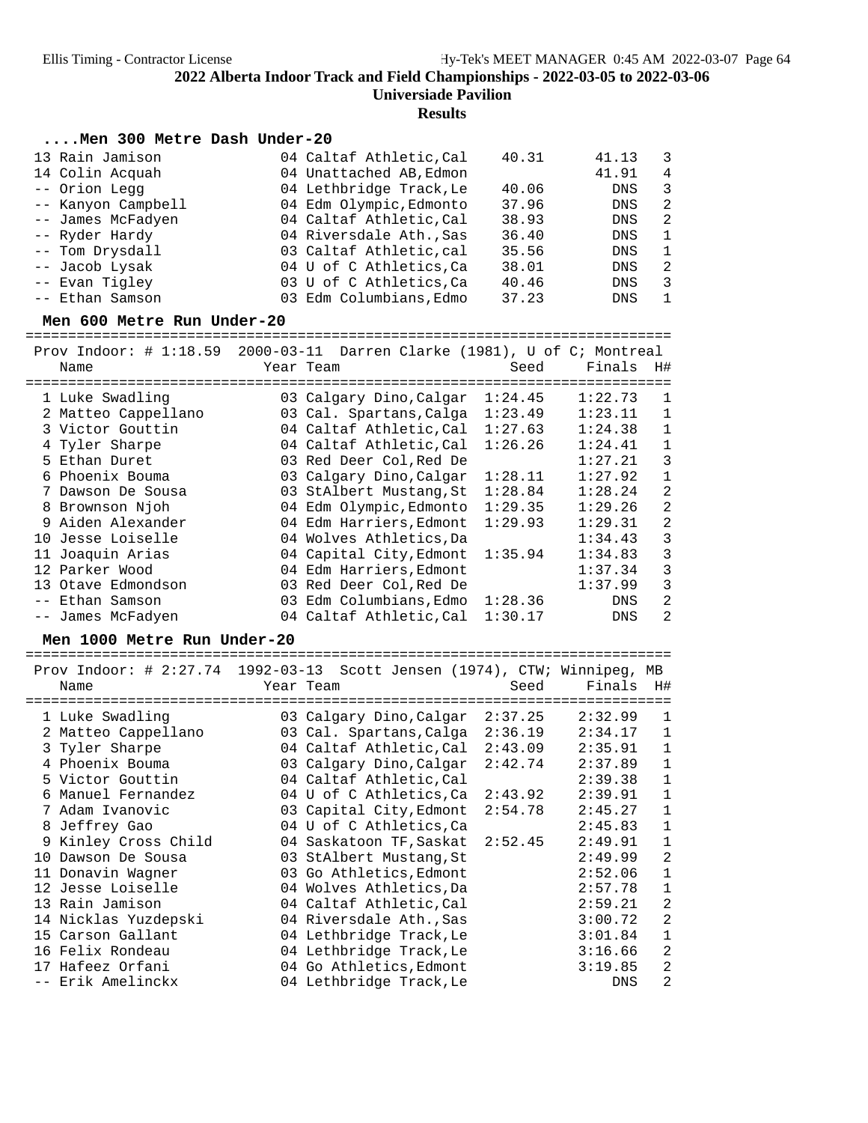**Results**

### **....Men 300 Metre Dash Under-20**

| 13 Rain Jamison    | 04 Caltaf Athletic, Cal | 40.31 | 41.13      | - 3            |
|--------------------|-------------------------|-------|------------|----------------|
| 14 Colin Acquah    | 04 Unattached AB, Edmon |       | 41.91      | $\overline{4}$ |
| -- Orion Legg      | 04 Lethbridge Track, Le | 40.06 | DNS        | 3              |
| -- Kanyon Campbell | 04 Edm Olympic, Edmonto | 37.96 | DNS        | 2              |
| -- James McFadyen  | 04 Caltaf Athletic, Cal | 38.93 | DNS        | -2             |
| -- Ryder Hardy     | 04 Riversdale Ath., Sas | 36.40 | <b>DNS</b> | 1              |
| -- Tom Drysdall    | 03 Caltaf Athletic, cal | 35.56 | DNS        | $\mathbf{1}$   |
| -- Jacob Lysak     | 04 U of C Athletics, Ca | 38.01 | <b>DNS</b> | -2             |
| -- Evan Tigley     | 03 U of C Athletics, Ca | 40.46 | <b>DNS</b> | 3              |
| -- Ethan Samson    | 03 Edm Columbians, Edmo | 37.23 | <b>DNS</b> | $\overline{1}$ |

**Men 600 Metre Run Under-20** ============================================================================

| Prov Indoor: $\#$ 1:18.59 |           | 2000-03-11 Darren Clarke (1981), U of C; Montreal |         |            |                |
|---------------------------|-----------|---------------------------------------------------|---------|------------|----------------|
| Name                      | Year Team |                                                   | Seed    | Finals     | H#             |
|                           |           | =========================                         |         |            |                |
| 1 Luke Swadling           |           | 03 Calgary Dino, Calgar                           | 1:24.45 | 1:22.73    | 1              |
| 2 Matteo Cappellano       |           | 03 Cal. Spartans, Calga                           | 1:23.49 | 1:23.11    | 1              |
| 3 Victor Gouttin          |           | 04 Caltaf Athletic, Cal                           | 1:27.63 | 1:24.38    | $\mathbf{1}$   |
| 4 Tyler Sharpe            |           | 04 Caltaf Athletic, Cal                           | 1:26.26 | 1:24.41    | $\mathbf 1$    |
| 5 Ethan Duret             |           | 03 Red Deer Col, Red De                           |         | 1:27.21    | 3              |
| 6 Phoenix Bouma           |           | 03 Calgary Dino, Calgar                           | 1:28.11 | 1:27.92    | $\mathbf 1$    |
| 7 Dawson De Sousa         |           | 03 StAlbert Mustang, St                           | 1:28.84 | 1:28.24    | $\overline{2}$ |
| 8 Brownson Njoh           |           | 04 Edm Olympic, Edmonto                           | 1:29.35 | 1:29.26    | $\overline{2}$ |
| 9 Aiden Alexander         |           | 04 Edm Harriers, Edmont                           | 1:29.93 | 1:29.31    | $\overline{2}$ |
| 10 Jesse Loiselle         |           | 04 Wolves Athletics, Da                           |         | 1:34.43    | 3              |
| 11 Joaquin Arias          |           | 04 Capital City, Edmont                           | 1:35.94 | 1:34.83    | 3              |
| 12 Parker Wood            |           | 04 Edm Harriers, Edmont                           |         | 1:37.34    | 3              |
| 13 Otave Edmondson        |           | 03 Red Deer Col, Red De                           |         | 1:37.99    | 3              |
| -- Ethan Samson           |           | 03 Edm Columbians, Edmo                           | 1:28.36 | <b>DNS</b> | $\overline{2}$ |
| -- James McFadyen         |           | 04 Caltaf Athletic, Cal                           | 1:30.17 | <b>DNS</b> | 2              |
|                           |           |                                                   |         |            |                |

**Men 1000 Metre Run Under-20** ============================================================================  $\Gamma$ rdoor: # 2:27.74 1992-03-13 Scott Jonsen (1974), CTW; Winnipeg, MB

|     | Prov Indoor: # 2:27.74 $\pm$ 1992-03-13 Scott Jensen (1974), CTW; Winnipeg,<br>Name | Year Team<br>================   | Seed    | Finals<br>======= | MВ<br>H#     |
|-----|-------------------------------------------------------------------------------------|---------------------------------|---------|-------------------|--------------|
|     | 1 Luke Swadling                                                                     | 03 Calgary Dino,Calgar          | 2:37.25 | 2:32.99           | 1            |
|     | 2 Matteo Cappellano                                                                 | 03 Cal. Spartans, Calga         | 2:36.19 | 2:34.17           | 1            |
|     | 3 Tyler Sharpe                                                                      | 04 Caltaf Athletic,Cal          | 2:43.09 | 2:35.91           | $\mathbf 1$  |
|     | 4 Phoenix Bouma                                                                     | 03 Calgary Dino, Calgar         | 2:42.74 | 2:37.89           | $\mathbf 1$  |
|     | 5 Victor Gouttin                                                                    | 04 Caltaf Athletic, Cal         |         | 2:39.38           | $\mathbf 1$  |
|     | 6 Manuel Fernandez                                                                  | 04 U of C Athletics,Ca          | 2:43.92 | 2:39.91           | $\mathbf 1$  |
|     | 7 Adam Ivanovic                                                                     | 03 Capital City, Edmont         | 2:54.78 | 2:45.27           | $\mathbf{1}$ |
|     | 8 Jeffrey Gao                                                                       | 04 U of C Athletics, Ca         |         | 2:45.83           | $\mathbf 1$  |
|     | 9 Kinley Cross Child                                                                | 04 Saskatoon TF, Saskat 2:52.45 |         | 2:49.91           | $\mathbf 1$  |
| 1 O | Dawson De Sousa                                                                     | 03 StAlbert Mustang, St         |         | 2:49.99           | $\sqrt{2}$   |
|     | 11 Donavin Wagner                                                                   | 03 Go Athletics, Edmont         |         | 2:52.06           | $\mathbf 1$  |
|     | 12 Jesse Loiselle                                                                   | 04 Wolves Athletics, Da         |         | 2:57.78           | $\mathbf{1}$ |
|     | 13 Rain Jamison                                                                     | 04 Caltaf Athletic, Cal         |         | 2:59.21           | 2            |
|     | 14 Nicklas Yuzdepski                                                                | 04 Riversdale Ath., Sas         |         | 3:00.72           | 2            |
|     | 15 Carson Gallant                                                                   | 04 Lethbridge Track, Le         |         | 3:01.84           | $\mathbf 1$  |
|     | 16 Felix Rondeau                                                                    | 04 Lethbridge Track, Le         |         | 3:16.66           | 2            |
|     | 17 Hafeez Orfani                                                                    | 04 Go Athletics, Edmont         |         | 3:19.85           | 2            |
|     | -- Erik Amelinckx                                                                   | 04 Lethbridge Track, Le         |         | <b>DNS</b>        | 2            |
|     |                                                                                     |                                 |         |                   |              |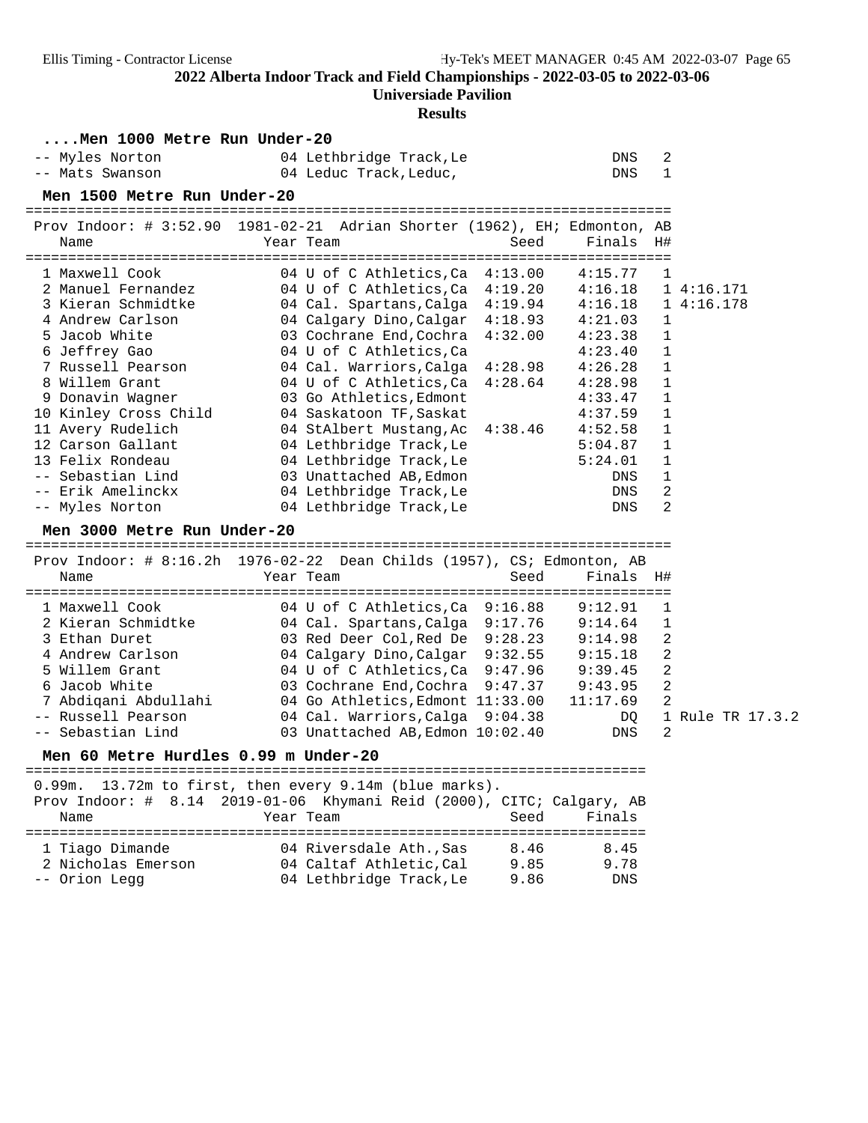### **Universiade Pavilion**

### **Results**

| Men 1000 Metre Run Under-20                                                                                                                                                                                                                                                                                                     |                                                                                                                                                                                                                                                                                                                                                                                                                                                                                                                 |                                                                                                                                                                         |                                                                                                                 |                        |
|---------------------------------------------------------------------------------------------------------------------------------------------------------------------------------------------------------------------------------------------------------------------------------------------------------------------------------|-----------------------------------------------------------------------------------------------------------------------------------------------------------------------------------------------------------------------------------------------------------------------------------------------------------------------------------------------------------------------------------------------------------------------------------------------------------------------------------------------------------------|-------------------------------------------------------------------------------------------------------------------------------------------------------------------------|-----------------------------------------------------------------------------------------------------------------|------------------------|
| -- Myles Norton<br>-- Mats Swanson                                                                                                                                                                                                                                                                                              | 04 Lethbridge Track, Le<br>04 Leduc Track, Leduc,                                                                                                                                                                                                                                                                                                                                                                                                                                                               | DNS<br><b>DNS</b>                                                                                                                                                       | 2<br>$\mathbf{1}$                                                                                               |                        |
| Men 1500 Metre Run Under-20                                                                                                                                                                                                                                                                                                     |                                                                                                                                                                                                                                                                                                                                                                                                                                                                                                                 |                                                                                                                                                                         |                                                                                                                 |                        |
| Name                                                                                                                                                                                                                                                                                                                            | Prov Indoor: # 3:52.90 1981-02-21 Adrian Shorter (1962), EH; Edmonton, AB<br>Year Team                                                                                                                                                                                                                                                                                                                                                                                                                          | Finals<br>Seed                                                                                                                                                          | H#                                                                                                              |                        |
| 1 Maxwell Cook<br>2 Manuel Fernandez<br>3 Kieran Schmidtke<br>4 Andrew Carlson<br>5 Jacob White<br>6 Jeffrey Gao<br>7 Russell Pearson<br>8 Willem Grant<br>9 Donavin Wagner<br>10 Kinley Cross Child<br>11 Avery Rudelich<br>12 Carson Gallant<br>13 Felix Rondeau<br>-- Sebastian Lind<br>-- Erik Amelinckx<br>-- Myles Norton | 04 U of C Athletics, Ca 4:13.00<br>04 U of C Athletics, Ca $4:19.20$<br>04 Cal. Spartans, Calga 4:19.94<br>04 Calgary Dino,Calgar 4:18.93<br>03 Cochrane End, Cochra 4:32.00<br>04 U of C Athletics, Ca<br>04 Cal. Warriors, Calga 4:28.98<br>04 U of C Athletics, Ca $4:28.64$<br>03 Go Athletics, Edmont<br>04 Saskatoon TF, Saskat<br>04 StAlbert Mustang, Ac 4:38.46<br>04 Lethbridge Track, Le<br>04 Lethbridge Track, Le<br>03 Unattached AB, Edmon<br>04 Lethbridge Track, Le<br>04 Lethbridge Track, Le | 4:15.77<br>4:16.18<br>4:16.18<br>4:21.03<br>4:23.38<br>4:23.40<br>4:26.28<br>4:28.98<br>4:33.47<br>4:37.59<br>4:52.58<br>5:04.87<br>5:24.01<br>DNS<br>DNS<br><b>DNS</b> | 1<br>1<br>1<br>1<br>$\mathbf{1}$<br>1<br>1<br>1<br>1<br>1<br>$\mathbf{1}$<br>$\mathbf 1$<br>2<br>$\overline{a}$ | 14:16.171<br>14:16.178 |
| Men 3000 Metre Run Under-20                                                                                                                                                                                                                                                                                                     | Prov Indoor: # 8:16.2h 1976-02-22 Dean Childs (1957), CS; Edmonton, AB                                                                                                                                                                                                                                                                                                                                                                                                                                          |                                                                                                                                                                         |                                                                                                                 |                        |
| Name                                                                                                                                                                                                                                                                                                                            | Year Team                                                                                                                                                                                                                                                                                                                                                                                                                                                                                                       | Seed<br>Finals                                                                                                                                                          | - H#                                                                                                            |                        |
| 1 Maxwell Cook<br>2 Kieran Schmidtke<br>3 Ethan Duret<br>4 Andrew Carlson<br>5 Willem Grant<br>6 Jacob White<br>7 Abdiqani Abdullahi<br>-- Russell Pearson<br>-- Sebastian Lind                                                                                                                                                 | 04 U of C Athletics, Ca $9:16.88$<br>04 Cal. Spartans, Calga 9:17.76<br>03 Red Deer Col, Red De 9:28.23<br>04 Calgary Dino, Calgar 9:32.55<br>04 U of C Athletics, Ca $9:47.96$<br>03 Cochrane End, Cochra 9:47.37<br>04 Go Athletics, Edmont 11:33.00<br>04 Cal. Warriors, Calga 9:04.38<br>03 Unattached AB, Edmon 10:02.40                                                                                                                                                                                   | 9:12.91<br>9:14.64<br>9:14.98<br>9:15.18<br>9:39.45<br>9:43.95<br>11:17.69<br>DQ<br>DNS                                                                                 | 1<br>1<br>$\overline{2}$<br>$\overline{2}$<br>$\overline{2}$<br>2<br>2<br>2                                     | 1 Rule TR 17.3.2       |
| Men 60 Metre Hurdles 0.99 m Under-20                                                                                                                                                                                                                                                                                            |                                                                                                                                                                                                                                                                                                                                                                                                                                                                                                                 |                                                                                                                                                                         |                                                                                                                 |                        |
| 0.99m.<br>Name                                                                                                                                                                                                                                                                                                                  | 13.72m to first, then every 9.14m (blue marks).<br>Prov Indoor: # 8.14 2019-01-06 Khymani Reid (2000), CITC; Calgary, AB<br>Year Team                                                                                                                                                                                                                                                                                                                                                                           | Finals<br>Seed                                                                                                                                                          |                                                                                                                 |                        |

| 1 Tiago Dimande    | 04 Riversdale Ath., Sas | 8.46 | 8.45 |
|--------------------|-------------------------|------|------|
| 2 Nicholas Emerson | 04 Caltaf Athletic.Cal  | 9.85 | 9.78 |
| -- Orion Legg      | 04 Lethbridge Track, Le | 9.86 | DNS  |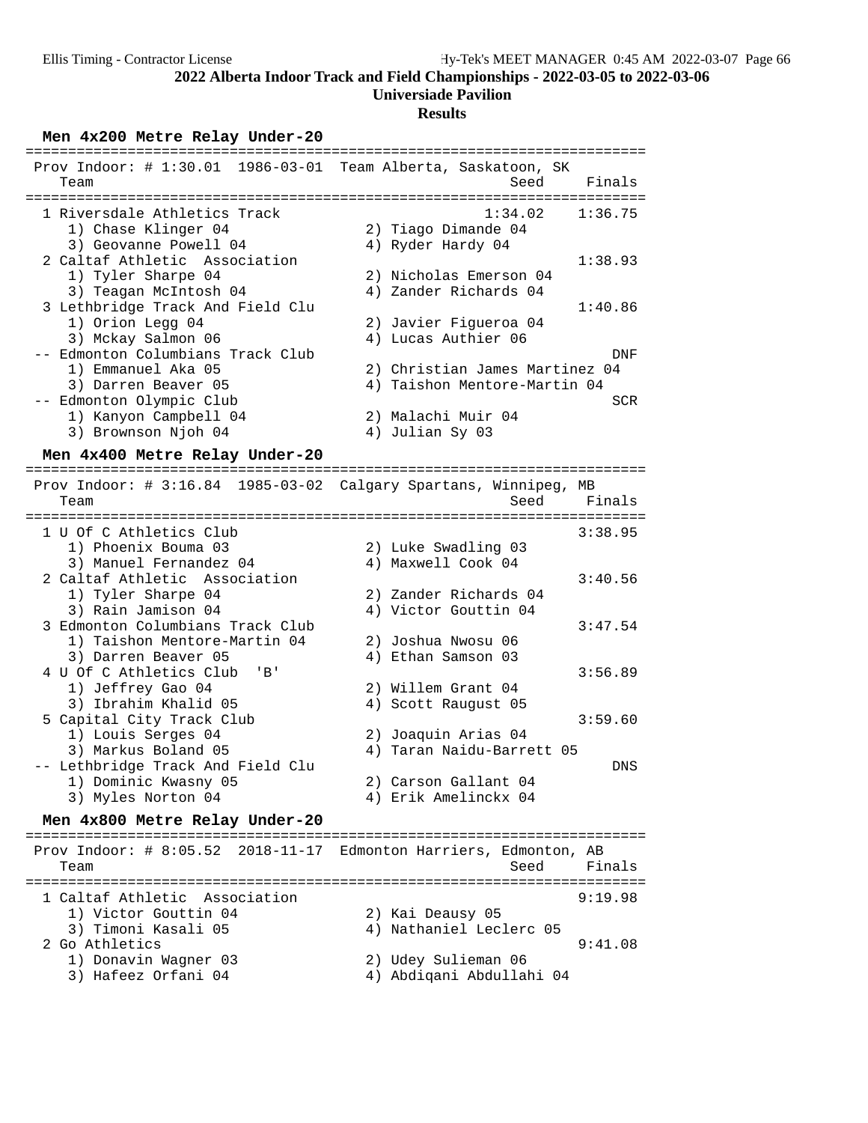### **Universiade Pavilion**

### **Results**

Men 4x200 Metre Relay Under-20

| Prov Indoor: # 1:30.01 1986-03-01 Team Alberta, Saskatoon, SK |                                |
|---------------------------------------------------------------|--------------------------------|
| Team                                                          | Finals<br>Seed                 |
|                                                               |                                |
| 1 Riversdale Athletics Track                                  | 1:34.02<br>1:36.75             |
| 1) Chase Klinger 04                                           | 2) Tiago Dimande 04            |
| 3) Geovanne Powell 04                                         | 4) Ryder Hardy 04              |
| 2 Caltaf Athletic Association                                 | 1:38.93                        |
| 1) Tyler Sharpe 04                                            | 2) Nicholas Emerson 04         |
| 3) Teagan McIntosh 04                                         | 4) Zander Richards 04          |
| 3 Lethbridge Track And Field Clu                              | 1:40.86                        |
| 1) Orion Legg 04                                              | 2) Javier Figueroa 04          |
| 3) Mckay Salmon 06                                            | 4) Lucas Authier 06            |
| -- Edmonton Columbians Track Club                             | DNF                            |
| 1) Emmanuel Aka 05                                            | 2) Christian James Martinez 04 |
| 3) Darren Beaver 05                                           | 4) Taishon Mentore-Martin 04   |
| Edmonton Olympic Club                                         | <b>SCR</b>                     |
| 1) Kanyon Campbell 04                                         | 2) Malachi Muir 04             |
| 3) Brownson Njoh 04                                           | 4) Julian Sy 03                |

# **Men 4x400 Metre Relay Under-20** =========================================================================

 Prov Indoor: # 3:16.84 1985-03-02 Calgary Spartans, Winnipeg, MB Team Seed Finals ========================================================================= 1 U Of C Athletics Club 3:38.95 1) Phoenix Bouma 03 2) Luke Swadling 03 3) Manuel Fernandez 04 4) Maxwell Cook 04 2 Caltaf Athletic Association 3:40.56 1) Tyler Sharpe 04 2) Zander Richards 04<br>3) Rain Jamison 04 4) Victor Gouttin 04 3) Rain Jamison 04 <br />
4) Victor Gouttin 04 3 Edmonton Columbians Track Club 3:47.54 1) Taishon Mentore-Martin 04 2) Joshua Nwosu 06 3) Darren Beaver 05 (4) Ethan Samson 03 4 U Of C Athletics Club 'B' 3:56.89<br>1) Jeffrey Gao 04 2) Willem Grant 04<br>3) Ibrahim Khalid 05 4) Scott Raugust 05 1) Jeffrey Gao 04 2) Willem Grant 04 3) Ibrahim Khalid 05 (4) Scott Raugust 05 5 Capital City Track Club 3:59.60 1) Louis Serges 04 2) Joaquin Arias 04 4) Taran Naidu-Barrett 05 -- Lethbridge Track And Field Clu DNS 1) Dominic Kwasny 05<br>3) Myles Norton 04 4) Erik Amelinckx 04

# **Men 4x800 Metre Relay Under-20** =========================================================================

 Prov Indoor: # 8:05.52 2018-11-17 Edmonton Harriers, Edmonton, AB Team Seed Finals ========================================================================= 1 Caltaf Athletic Association 9:19.98 1) Victor Gouttin 04 2) Kai Deausy 05 3) Timoni Kasali 05 4) Nathaniel Leclerc 05 2 Go Athletics 9:41.08 1) Donavin Wagner 03 2) Udey Sulieman 06 3) Hafeez Orfani 04 4) Abdiqani Abdullahi 04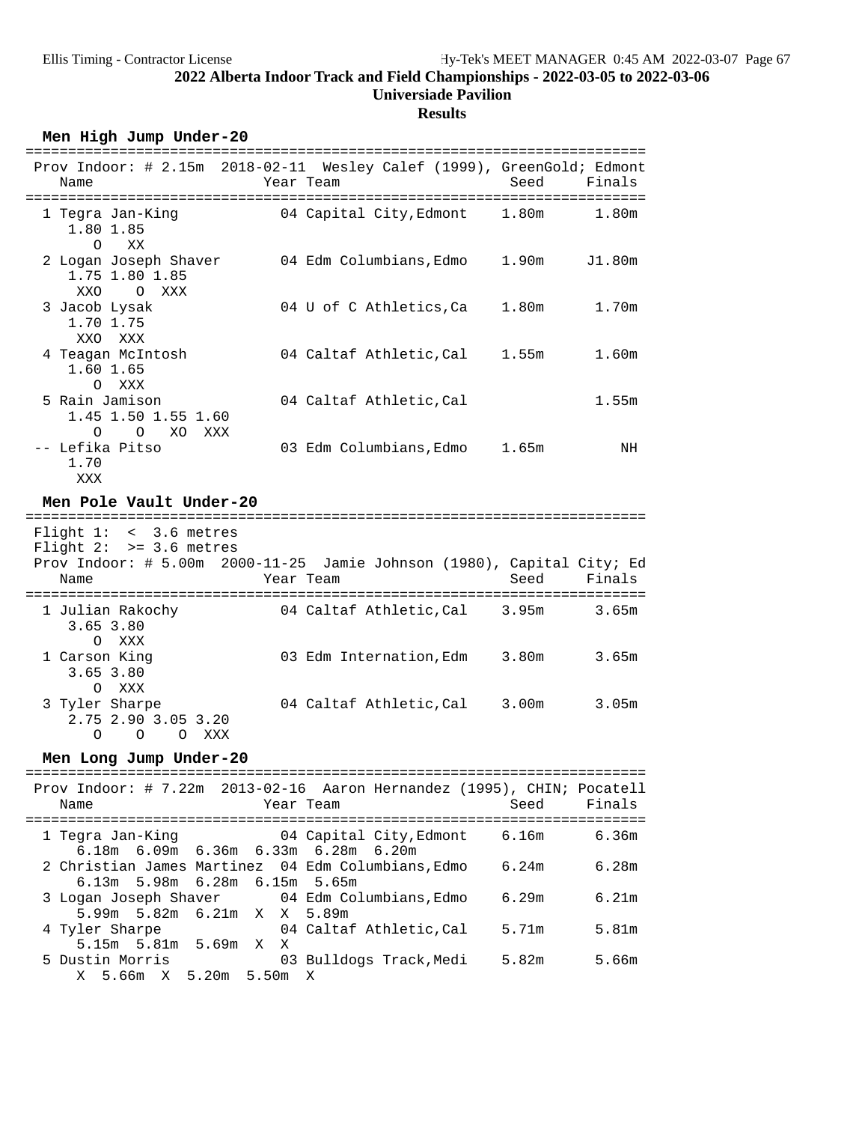### **Results**

Men High Jump Under-20

| Prov Indoor: # 2.15m 2018-02-11 Wesley Calef (1999), GreenGold; Edmont<br>Name   | Year Team                     | Seed<br>Finals             |
|----------------------------------------------------------------------------------|-------------------------------|----------------------------|
|                                                                                  |                               |                            |
| 1 Tegra Jan-King<br>1.80 1.85<br>$\Omega$<br>XX                                  | 04 Capital City, Edmont 1.80m | 1.80m                      |
| 2 Logan Joseph Shaver<br>1.75 1.80 1.85<br>XXO<br>O XXX                          | 04 Edm Columbians, Edmo 1.90m | J1.80m                     |
| 3 Jacob Lysak<br>1.70 1.75<br>XXO XXX                                            | 04 U of C Athletics,Ca        | 1.80 <sub>m</sub><br>1.70m |
| 4 Teagan McIntosh<br>1.60 1.65<br>O XXX                                          | 04 Caltaf Athletic,Cal        | 1.60m<br>1.55m             |
| 5 Rain Jamison<br>1.45 1.50 1.55 1.60<br>$\overline{O}$<br>XO<br>$\Omega$<br>XXX | 04 Caltaf Athletic, Cal       | 1.55m                      |
| -- Lefika Pitso<br>1.70<br>XXX                                                   | 03 Edm Columbians, Edmo 1.65m | NH                         |
| Men Pole Vault Under-20                                                          |                               |                            |

Flight 1: < 3.6 metres

 Flight 2: >= 3.6 metres Prov Indoor: # 5.00m 2000-11-25 Jamie Johnson (1980), Capital City; Ed Name **Name** Year Team Seed Finals ========================================================================= 1 Julian Rakochy 04 Caltaf Athletic,Cal 3.95m 3.65m 3.65 3.80 1 Carson King 03 Edm Internation, Edm 3.80m 3.65m 3.65 3.80 O XXX 3 Tyler Sharpe 04 Caltaf Athletic,Cal 3.00m 3.05m 2.75 2.90 3.05 3.20 O O O XXX

# **Men Long Jump Under-20** =========================================================================

| Name                                                                                | Prov Indoor: $\#$ 7.22m 2013-02-16 Aaron Hernandez (1995), CHIN; Pocatell<br>Finals<br>Seed<br>Year Team |
|-------------------------------------------------------------------------------------|----------------------------------------------------------------------------------------------------------|
| $6.18m$ $6.09m$ $6.36m$ $6.33m$ $6.28m$ $6.20m$                                     | 1 Tegra Jan-King                 04 Capital City, Edmont       6.16m<br>6.36m                            |
| 2 Christian James Martinez 04 Edm Columbians, Edmo<br>6.13m 5.98m 6.28m 6.15m 5.65m | 6.28m<br>6.24m                                                                                           |
| 5.99m 5.82m 6.21m X X 5.89m                                                         | 3 Logan Joseph Shaver 04 Edm Columbians, Edmo 6.29m<br>6.21m                                             |
| 4 Tyler Sharpe<br>5.15m 5.81m 5.69m X X                                             | 5.71m<br>04 Caltaf Athletic, Cal<br>5.81m                                                                |
| 5 Dustin Morris<br>X 5.66m X 5.20m 5.50m X                                          | 03 Bulldogs Track,Medi<br>5.82m<br>5.66m                                                                 |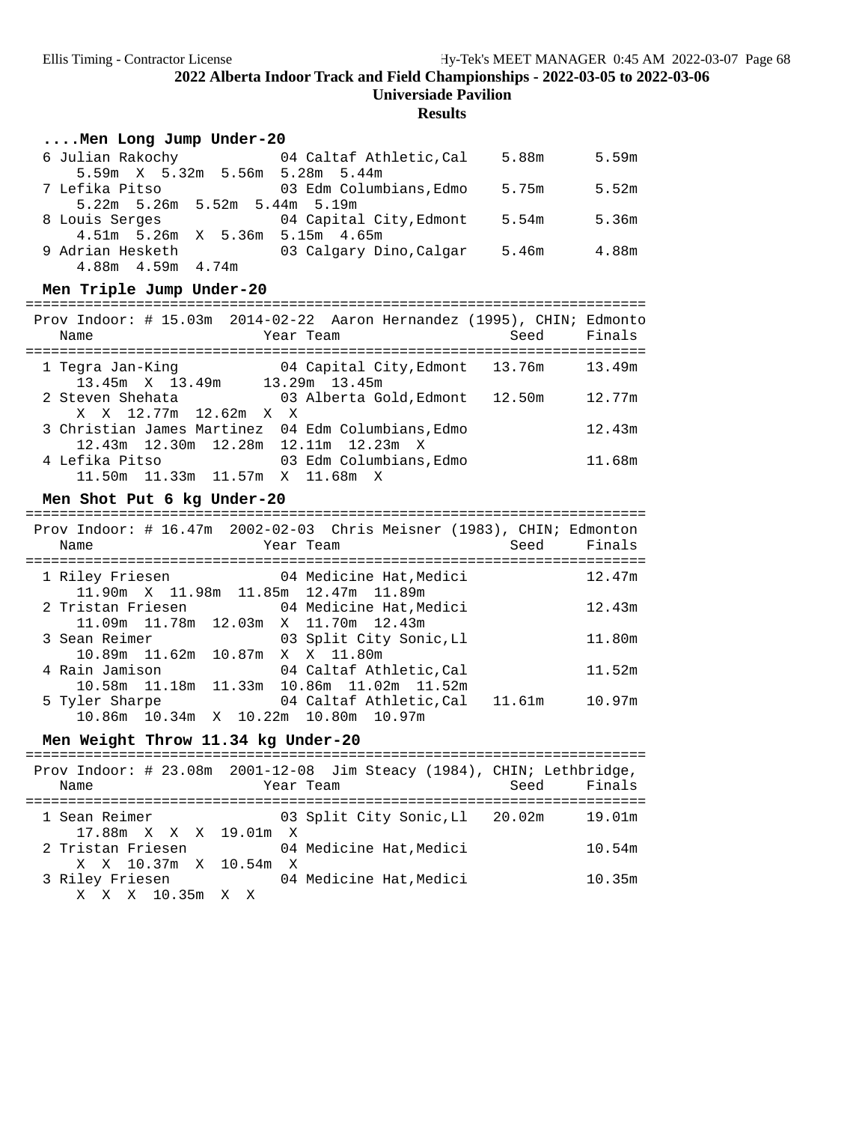### **Results**

### **....Men Long Jump Under-20**

| 6 Julian Rakochy                | 04 Caltaf Athletic, Cal | 5.88m | 5.59m |
|---------------------------------|-------------------------|-------|-------|
| 5.59m X 5.32m 5.56m 5.28m 5.44m |                         |       |       |
| 7 Lefika Pitso                  | 03 Edm Columbians, Edmo | 5.75m | 5.52m |
| 5.22m 5.26m 5.52m 5.44m 5.19m   |                         |       |       |
| 8 Louis Serges                  | 04 Capital City, Edmont | 5.54m | 5.36m |
| 4.51m 5.26m X 5.36m 5.15m 4.65m |                         |       |       |
| 9 Adrian Hesketh                | 03 Calgary Dino, Calgar | 5.46m | 4.88m |
| $4.88m$ $4.59m$ $4.74m$         |                         |       |       |

### Men Triple Jump Under-20

| Name           |                                      | Year Team |                                                            | Prov Indoor: # 15.03m 2014-02-22 Aaron Hernandez (1995), CHIN; Edmonto<br>Seed | Finals |
|----------------|--------------------------------------|-----------|------------------------------------------------------------|--------------------------------------------------------------------------------|--------|
|                | 13.45m X 13.49m 13.29m 13.45m        |           |                                                            | 1 Tegra Jan-King                     04 Capital City, Edmont     13.76m        | 13.49m |
|                | X X 12.77m 12.62m X X                |           | 2 Steven Shehata                   03 Alberta Gold, Edmont | 12.50m                                                                         | 12.77m |
|                | 12.43m 12.30m 12.28m 12.11m 12.23m X |           | 3 Christian James Martinez 04 Edm Columbians, Edmo         |                                                                                | 12.43m |
| 4 Lefika Pitso | 11.50m  11.33m  11.57m  X  11.68m  X |           | 03 Edm Columbians.Edmo                                     |                                                                                | 11.68m |

# **Men Shot Put 6 kg Under-20** =========================================================================

| Prov Indoor: # $16.47m$ 2002-02-03 Chris Meisner (1983), CHIN; Edmonton<br>Name |                                                | Year Team |                                | Seed | Finals |
|---------------------------------------------------------------------------------|------------------------------------------------|-----------|--------------------------------|------|--------|
| 1 Riley Friesen                     04 Medicine Hat, Medici                     | 11.90m X 11.98m 11.85m 12.47m 11.89m           |           |                                |      | 12.47m |
| 2 Tristan Friesen               04 Medicine Hat, Medici                         |                                                |           |                                |      | 12.43m |
| 3 Sean Reimer                                                                   | 11.09m  11.78m  12.03m  X  11.70m  12.43m      |           | 03 Split City Sonic,Ll         |      | 11.80m |
| 4 Rain Jamison                                                                  | 10.89m 11.62m 10.87m X X 11.80m                |           | 04 Caltaf Athletic, Cal        |      | 11.52m |
| 5 Tyler Sharpe                                                                  | 10.58m  11.18m  11.33m  10.86m  11.02m  11.52m |           | 04 Caltaf Athletic, Cal 11.61m |      | 10.97m |
|                                                                                 | 10.86m 10.34m X 10.22m 10.80m 10.97m           |           |                                |      |        |

**Men Weight Throw 11.34 kg Under-20** =========================================================================

| Name                                       | Prov Indoor: # 23.08m 2001-12-08 Jim Steacy (1984), CHIN; Lethbridge,<br>Year Team | Seed Finals |
|--------------------------------------------|------------------------------------------------------------------------------------|-------------|
| 1 Sean Reimer<br>17.88m X X X 19.01m X     | 03 Split City Sonic, Ll 20.02m                                                     | 19.01m      |
| 2 Tristan Friesen<br>X X 10.37m X 10.54m X | 04 Medicine Hat, Medici                                                            | 10.54m      |
| 3 Riley Friesen<br>X X X 10.35m X X        | 04 Medicine Hat. Medici                                                            | 10.35m      |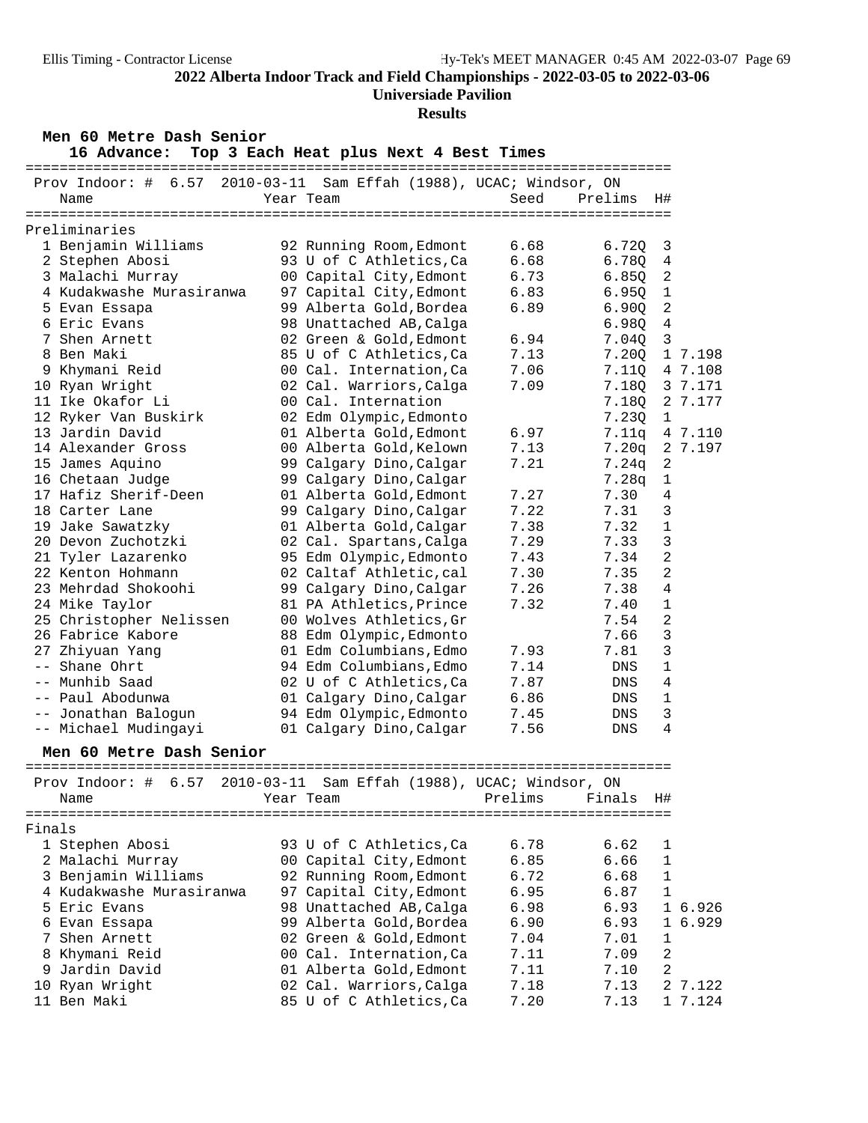**Universiade Pavilion**

### **Results**

**Men 60 Metre Dash Senior 16 Advance: Top 3 Each Heat plus Next 4 Best Times** ============================================================================

|        | Prov Indoor: #<br>6.57                     | 2010-03-11 Sam Effah (1988), UCAC; Windsor, ON     |              |         |                |         |
|--------|--------------------------------------------|----------------------------------------------------|--------------|---------|----------------|---------|
|        | Name                                       | Year Team                                          | Seed         | Prelims | H#             |         |
|        |                                            |                                                    |              |         |                |         |
|        | Preliminaries                              |                                                    |              |         |                |         |
|        | 1 Benjamin Williams                        | 92 Running Room, Edmont                            | 6.68         | 6.72Q   | 3              |         |
|        | 2 Stephen Abosi                            | 93 U of C Athletics, Ca                            | 6.68         | 6.78Q   | 4              |         |
|        | 3 Malachi Murray                           | 00 Capital City, Edmont                            | 6.73         | 6.850   | 2              |         |
|        | 4 Kudakwashe Murasiranwa                   | 97 Capital City, Edmont                            | 6.83         | 6.95Q   | $\mathbf{1}$   |         |
|        | 5 Evan Essapa                              | 99 Alberta Gold, Bordea                            | 6.89         | 6.900   | 2              |         |
|        | 6 Eric Evans                               | 98 Unattached AB, Calga                            |              | 6.98Q   | 4              |         |
|        | 7 Shen Arnett                              | 02 Green & Gold, Edmont                            | 6.94         | 7.04Q   | $\mathfrak{Z}$ |         |
|        | 8 Ben Maki                                 | 85 U of C Athletics, Ca                            | 7.13         | 7.20Q   |                | 1 7.198 |
|        | 9 Khymani Reid                             | 00 Cal. Internation, Ca                            | 7.06         | 7.110   |                | 4 7.108 |
|        | 10 Ryan Wright                             | 02 Cal. Warriors, Calga                            | 7.09         | 7.18Q   |                | 3 7.171 |
|        | 11 Ike Okafor Li                           | 00 Cal. Internation                                |              | 7.18Q   |                | 2 7.177 |
|        | 12 Ryker Van Buskirk                       | 02 Edm Olympic, Edmonto                            |              | 7.23Q   | 1              |         |
|        | 13 Jardin David                            | 01 Alberta Gold, Edmont                            | 6.97         | 7.11q   |                | 4 7.110 |
|        | 14 Alexander Gross                         | 00 Alberta Gold, Kelown                            | 7.13         | 7.20q   |                | 2 7.197 |
|        | 15 James Aquino                            | 99 Calgary Dino, Calgar                            | 7.21         | 7.24q   | $\sqrt{2}$     |         |
|        | 16 Chetaan Judge                           | 99 Calgary Dino, Calgar                            |              | 7.28q   | $\mathbf 1$    |         |
|        | 17 Hafiz Sherif-Deen                       | 01 Alberta Gold, Edmont                            | 7.27         | 7.30    | 4              |         |
|        | 18 Carter Lane                             | 99 Calgary Dino, Calgar                            | 7.22         | 7.31    | 3              |         |
|        | 19 Jake Sawatzky                           | 01 Alberta Gold, Calgar                            | 7.38         | 7.32    | $\mathbf{1}$   |         |
|        | 20 Devon Zuchotzki                         | 02 Cal. Spartans, Calga                            | 7.29         | 7.33    | 3              |         |
|        | 21 Tyler Lazarenko                         | 95 Edm Olympic, Edmonto                            | 7.43         | 7.34    | 2              |         |
|        | 22 Kenton Hohmann                          | 02 Caltaf Athletic, cal                            | 7.30         | 7.35    | 2              |         |
|        | 23 Mehrdad Shokoohi                        | 99 Calgary Dino, Calgar                            | 7.26         | 7.38    | 4              |         |
|        | 24 Mike Taylor                             | 81 PA Athletics, Prince                            | 7.32         | 7.40    | $\mathbf 1$    |         |
|        | 25 Christopher Nelissen                    | 00 Wolves Athletics, Gr                            |              | 7.54    | 2              |         |
|        | 26 Fabrice Kabore                          | 88 Edm Olympic, Edmonto                            |              | 7.66    | 3              |         |
|        | 27 Zhiyuan Yang                            | 01 Edm Columbians, Edmo                            | 7.93         | 7.81    | 3              |         |
| $- -$  | Shane Ohrt                                 | 94 Edm Columbians, Edmo                            | 7.14         | DNS     | 1              |         |
|        | -- Munhib Saad                             | 02 U of C Athletics, Ca                            | 7.87         | DNS     | 4              |         |
|        | -- Paul Abodunwa                           | 01 Calgary Dino, Calgar                            | 6.86         | DNS     | 1              |         |
|        | -- Jonathan Balogun                        | 94 Edm Olympic, Edmonto                            | 7.45         | DNS     | 3              |         |
|        | -- Michael Mudingayi                       | 01 Calgary Dino, Calgar                            | 7.56         | DNS     | 4              |         |
|        |                                            |                                                    |              |         |                |         |
|        | Men 60 Metre Dash Senior                   |                                                    |              |         |                |         |
|        | Prov Indoor: #<br>6.57<br>$2010 - 03 - 11$ | Sam Effah (1988), UCAC; Windsor, ON                |              |         |                |         |
|        | Name                                       | Year Team                                          | Prelims      | Finals  | H#             |         |
|        |                                            |                                                    |              |         |                |         |
| Finals |                                            |                                                    |              |         |                |         |
|        | 1 Stephen Abosi                            | 93 U of C Athletics, Ca                            | 6.78         | 6.62    | 1              |         |
|        | 2 Malachi Murray                           | 00 Capital City, Edmont                            | 6.85         | 6.66    | 1              |         |
|        | 3 Benjamin Williams                        | 92 Running Room, Edmont                            | 6.72         | 6.68    | $\mathbf{1}$   |         |
|        | 4 Kudakwashe Murasiranwa                   | 97 Capital City, Edmont                            | 6.95         | 6.87    | $\mathbf{1}$   |         |
|        | 5 Eric Evans                               | 98 Unattached AB, Calga                            | 6.98         | 6.93    |                | 1 6.926 |
|        |                                            | 99 Alberta Gold, Bordea                            | 6.90         | 6.93    |                | 1 6.929 |
| 7      | 6 Evan Essapa<br>Shen Arnett               | 02 Green & Gold, Edmont                            | 7.04         | 7.01    | 1              |         |
|        | 8 Khymani Reid                             |                                                    |              |         | 2              |         |
|        | 9 Jardin David                             | 00 Cal. Internation, Ca<br>01 Alberta Gold, Edmont | 7.11         | 7.09    | 2              |         |
|        |                                            |                                                    | 7.11<br>7.18 | 7.10    |                |         |
|        | 10 Ryan Wright                             | 02 Cal. Warriors, Calga                            |              | 7.13    |                | 2 7.122 |
|        | 11 Ben Maki                                | 85 U of C Athletics, Ca                            | 7.20         | 7.13    |                | 1 7.124 |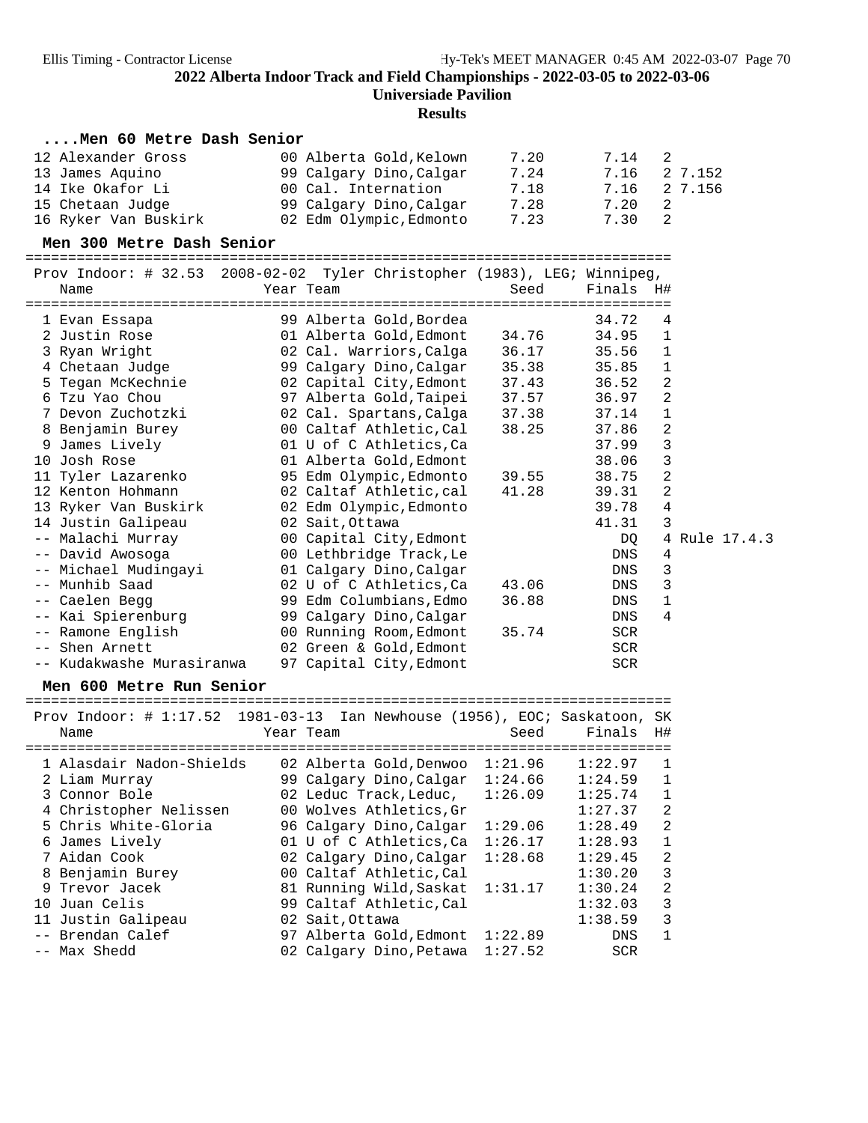## **Results**

### **....Men 60 Metre Dash Senior**

| 12 Alexander Gross   | 00 Alberta Gold, Kelown | 7.20 | 7.14 | $\overline{2}$ |
|----------------------|-------------------------|------|------|----------------|
| 13 James Aquino      | 99 Calgary Dino, Calgar | 7.24 | 7.16 | 2 7.152        |
| 14 Ike Okafor Li     | 00 Cal. Internation     | 7.18 | 7.16 | 2 7.156        |
| 15 Chetaan Judge     | 99 Calgary Dino, Calgar | 7.28 | 7.20 | - 2            |
| 16 Ryker Van Buskirk | 02 Edm Olympic, Edmonto | 7.23 | 7.30 | 2              |

**Men 300 Metre Dash Senior** ============================================================================

Prov Indoor: # 32.53 2008-02-02 Tyler Christopher (1983), LEG; Winnipeg,

| Name                      | Year Team               | Seed  | Finals     | H# |               |
|---------------------------|-------------------------|-------|------------|----|---------------|
| 1 Evan Essapa             | 99 Alberta Gold,Bordea  |       | 34.72      | 4  |               |
| 2 Justin Rose             | 01 Alberta Gold, Edmont | 34.76 | 34.95      | 1  |               |
| 3 Ryan Wright             | 02 Cal. Warriors,Calga  | 36.17 | 35.56      | 1  |               |
| 4 Chetaan Judge           | 99 Calgary Dino, Calgar | 35.38 | 35.85      | 1  |               |
| 5 Tegan McKechnie         | 02 Capital City, Edmont | 37.43 | 36.52      | 2  |               |
| 6 Tzu Yao Chou            | 97 Alberta Gold,Taipei  | 37.57 | 36.97      | 2  |               |
| 7 Devon Zuchotzki         | 02 Cal. Spartans, Calga | 37.38 | 37.14      | 1  |               |
| 8 Benjamin Burey          | 00 Caltaf Athletic, Cal | 38.25 | 37.86      | 2  |               |
| 9 James Lively            | 01 U of C Athletics, Ca |       | 37.99      | 3  |               |
| Josh Rose<br>10           | 01 Alberta Gold, Edmont |       | 38.06      | 3  |               |
| 11 Tyler Lazarenko        | 95 Edm Olympic, Edmonto | 39.55 | 38.75      | 2  |               |
| 12 Kenton Hohmann         | 02 Caltaf Athletic, cal | 41.28 | 39.31      | 2  |               |
| 13 Ryker Van Buskirk      | 02 Edm Olympic, Edmonto |       | 39.78      | 4  |               |
| 14 Justin Galipeau        | 02 Sait, Ottawa         |       | 41.31      | 3  |               |
| -- Malachi Murray         | 00 Capital City, Edmont |       | DQ         |    | 4 Rule 17.4.3 |
| -- David Awosoga          | 00 Lethbridge Track, Le |       | DNS        | 4  |               |
| -- Michael Mudingayi      | 01 Calgary Dino, Calgar |       | DNS        | 3  |               |
| -- Munhib Saad            | 02 U of C Athletics,Ca  | 43.06 | DNS        | 3  |               |
| -- Caelen Begg            | 99 Edm Columbians, Edmo | 36.88 | DNS        | 1  |               |
| -- Kai Spierenburg        | 99 Calgary Dino, Calgar |       | DNS        | 4  |               |
| -- Ramone English         | 00 Running Room, Edmont | 35.74 | SCR        |    |               |
| -- Shen Arnett            | 02 Green & Gold, Edmont |       | SCR        |    |               |
| -- Kudakwashe Murasiranwa | 97 Capital City, Edmont |       | <b>SCR</b> |    |               |

### Men 600 Metre Run Senior

| Prov Indoor: $\#$ 1:17.52 1981-03-13 Ian Newhouse (1956), EOC; Saskatoon, |                         |         |            | SK             |
|---------------------------------------------------------------------------|-------------------------|---------|------------|----------------|
| Name                                                                      | Year Team               | Seed    | Finals     | H#             |
|                                                                           | -------------------     |         |            |                |
| 1 Alasdair Nadon-Shields                                                  | 02 Alberta Gold, Denwoo | 1:21.96 | 1:22.97    | $\mathbf{1}$   |
| 2 Liam Murray                                                             | 99 Calgary Dino, Calgar | 1:24.66 | 1:24.59    | $\mathbf{1}$   |
| 3 Connor Bole                                                             | 02 Leduc Track, Leduc,  | 1:26.09 | 1:25.74    | $\mathbf{1}$   |
| 4 Christopher Nelissen                                                    | 00 Wolves Athletics, Gr |         | 1:27.37    | 2              |
| 5 Chris White-Gloria                                                      | 96 Calgary Dino, Calgar | 1:29.06 | 1:28.49    | $\overline{2}$ |
| 6 James Lively                                                            | 01 U of C Athletics, Ca | 1:26.17 | 1:28.93    | $\mathbf{1}$   |
| 7 Aidan Cook                                                              | 02 Calgary Dino, Calgar | 1:28.68 | 1:29.45    | 2              |
| 8 Benjamin Burey                                                          | 00 Caltaf Athletic, Cal |         | 1:30.20    | 3              |
| 9 Trevor Jacek                                                            | 81 Running Wild, Saskat | 1:31.17 | 1:30.24    | 2              |
| 10 Juan Celis                                                             | 99 Caltaf Athletic, Cal |         | 1:32.03    | 3              |
| 11 Justin Galipeau                                                        | 02 Sait, Ottawa         |         | 1:38.59    | 3              |
| -- Brendan Calef                                                          | 97 Alberta Gold, Edmont | 1:22.89 | <b>DNS</b> | $\mathbf{1}$   |
| -- Max Shedd                                                              | 02 Calgary Dino, Petawa | 1:27.52 | <b>SCR</b> |                |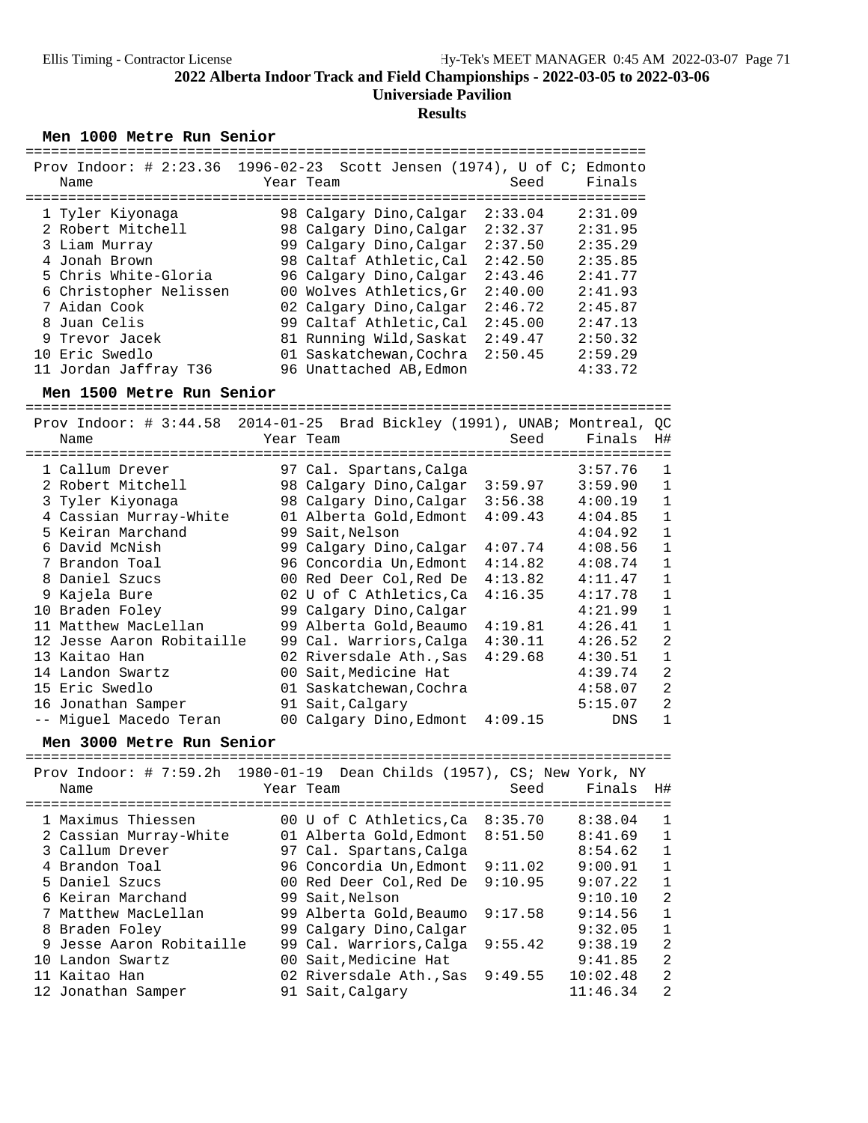### **Results**

Men 1000 Metre Run Senior

|                        | Prov Indoor: # $2:23.36$ 1996-02-23 Scott Jensen (1974), U of C; Edmonto |                    |
|------------------------|--------------------------------------------------------------------------|--------------------|
| Name                   | Year Team                                                                | Finals<br>Seed     |
|                        |                                                                          |                    |
| 1 Tyler Kiyonaga       | 98 Calgary Dino, Calgar                                                  | 2:33.04<br>2:31.09 |
| 2 Robert Mitchell      | 98 Calgary Dino, Calgar                                                  | 2:32.37<br>2:31.95 |
| 3 Liam Murray          | 99 Calgary Dino, Calgar                                                  | 2:37.50<br>2:35.29 |
| 4 Jonah Brown          | 98 Caltaf Athletic.Cal                                                   | 2:42.50<br>2:35.85 |
| 5 Chris White-Gloria   | 96 Calgary Dino, Calgar                                                  | 2:43.46<br>2:41.77 |
| 6 Christopher Nelissen | 00 Wolves Athletics, Gr                                                  | 2:41.93<br>2:40.00 |
| 7 Aidan Cook           | 02 Calgary Dino, Calgar                                                  | 2:45.87<br>2:46.72 |
| 8 Juan Celis           | 99 Caltaf Athletic, Cal                                                  | 2:45.00<br>2:47.13 |
| 9 Trevor Jacek         | 81 Running Wild, Saskat                                                  | 2:49.47<br>2:50.32 |
| 10 Eric Swedlo         | 01 Saskatchewan, Cochra                                                  | 2:50.45<br>2:59.29 |
| 11 Jordan Jaffray T36  | 96 Unattached AB, Edmon                                                  | 4:33.72            |

**Men 1500 Metre Run Senior** ============================================================================

|                           | Prov Indoor: $\#$ 3:44.58 2014-01-25 Brad Bickley (1991), UNAB; Montreal, QC |                           |
|---------------------------|------------------------------------------------------------------------------|---------------------------|
| Name                      | Year Team                                                                    | Finals<br>Seed<br>H#      |
|                           |                                                                              |                           |
| 1 Callum Drever           | 97 Cal. Spartans, Calga                                                      | 3:57.76<br>$\mathbf{1}$   |
| 2 Robert Mitchell         | 98 Calgary Dino,Calgar<br>3:59.97                                            | 3:59.90<br>1              |
| 3 Tyler Kiyonaga          | 98 Calgary Dino,Calgar<br>3:56.38                                            | 4:00.19<br>$\mathbf 1$    |
| 4 Cassian Murray-White    | 4:09.43<br>01 Alberta Gold, Edmont                                           | $\mathbf{1}$<br>4:04.85   |
| 5 Keiran Marchand         | 99 Sait, Nelson                                                              | $\mathbf{1}$<br>4:04.92   |
| 6 David McNish            | 99 Calgary Dino, Calgar<br>4:07.74                                           | $\mathbf{1}$<br>4:08.56   |
| 7 Brandon Toal            | 4:14.82<br>96 Concordia Un, Edmont                                           | $1\,$<br>4:08.74          |
| 8 Daniel Szucs            | 00 Red Deer Col,Red De<br>4:13.82                                            | $\mathbf{1}$<br>4:11.47   |
| 9 Kajela Bure             | 02 U of C Athletics, Ca<br>4:16.35                                           | $\mathbf 1$<br>4:17.78    |
| 10 Braden Foley           | 99 Calgary Dino, Calgar                                                      | 4:21.99<br>$\mathbf{1}$   |
| 11 Matthew MacLellan      | 99 Alberta Gold, Beaumo<br>4:19.81                                           | $\mathbf{1}$<br>4:26.41   |
| 12 Jesse Aaron Robitaille | 4:30.11<br>99 Cal. Warriors, Calga                                           | $\overline{2}$<br>4:26.52 |
| 13 Kaitao Han             | 02 Riversdale Ath., Sas<br>4:29.68                                           | 4:30.51<br>$\mathbf{1}$   |
| 14 Landon Swartz          | 00 Sait, Medicine Hat                                                        | $\overline{2}$<br>4:39.74 |
| 15 Eric Swedlo            | 01 Saskatchewan, Cochra                                                      | 2<br>4:58.07              |
| 16 Jonathan Samper        | 91 Sait, Calgary                                                             | 2<br>5:15.07              |
| -- Miquel Macedo Teran    | 00 Calgary Dino, Edmont 4:09.15                                              | $\mathbf 1$<br><b>DNS</b> |

# **Men 3000 Metre Run Senior** ============================================================================

| Prov Indoor: # $7:59.2h$ 1980-01-19 Dean Childs (1957), CS; New York, NY<br>Name | Year Team               | Seed    | Finals   | H#             |
|----------------------------------------------------------------------------------|-------------------------|---------|----------|----------------|
| 1 Maximus Thiessen                                                               | 00 U of C Athletics, Ca | 8:35.70 | 8:38.04  | $\mathbf{1}$   |
| 2 Cassian Murray-White                                                           | 01 Alberta Gold, Edmont | 8:51.50 | 8:41.69  | 1              |
| 3 Callum Drever                                                                  | 97 Cal. Spartans, Calga |         | 8:54.62  | $\mathbf{1}$   |
| 4 Brandon Toal                                                                   | 96 Concordia Un, Edmont | 9:11.02 | 9:00.91  | 1              |
| 5 Daniel Szucs                                                                   | 00 Red Deer Col, Red De | 9:10.95 | 9:07.22  | $\mathbf{1}$   |
| 6 Keiran Marchand                                                                | 99 Sait, Nelson         |         | 9:10.10  | 2              |
| 7 Matthew MacLellan                                                              | 99 Alberta Gold, Beaumo | 9:17.58 | 9:14.56  | $\mathbf{1}$   |
| 8 Braden Foley                                                                   | 99 Calgary Dino, Calgar |         | 9:32.05  | $\mathbf{1}$   |
| 9 Jesse Aaron Robitaille                                                         | 99 Cal. Warriors, Calga | 9:55.42 | 9:38.19  | 2              |
| 10 Landon Swartz                                                                 | 00 Sait, Medicine Hat   |         | 9:41.85  | 2              |
| 11 Kaitao Han                                                                    | 02 Riversdale Ath., Sas | 9:49.55 | 10:02.48 | 2              |
| 12 Jonathan Samper                                                               | 91 Sait, Calgary        |         | 11:46.34 | $\mathfrak{D}$ |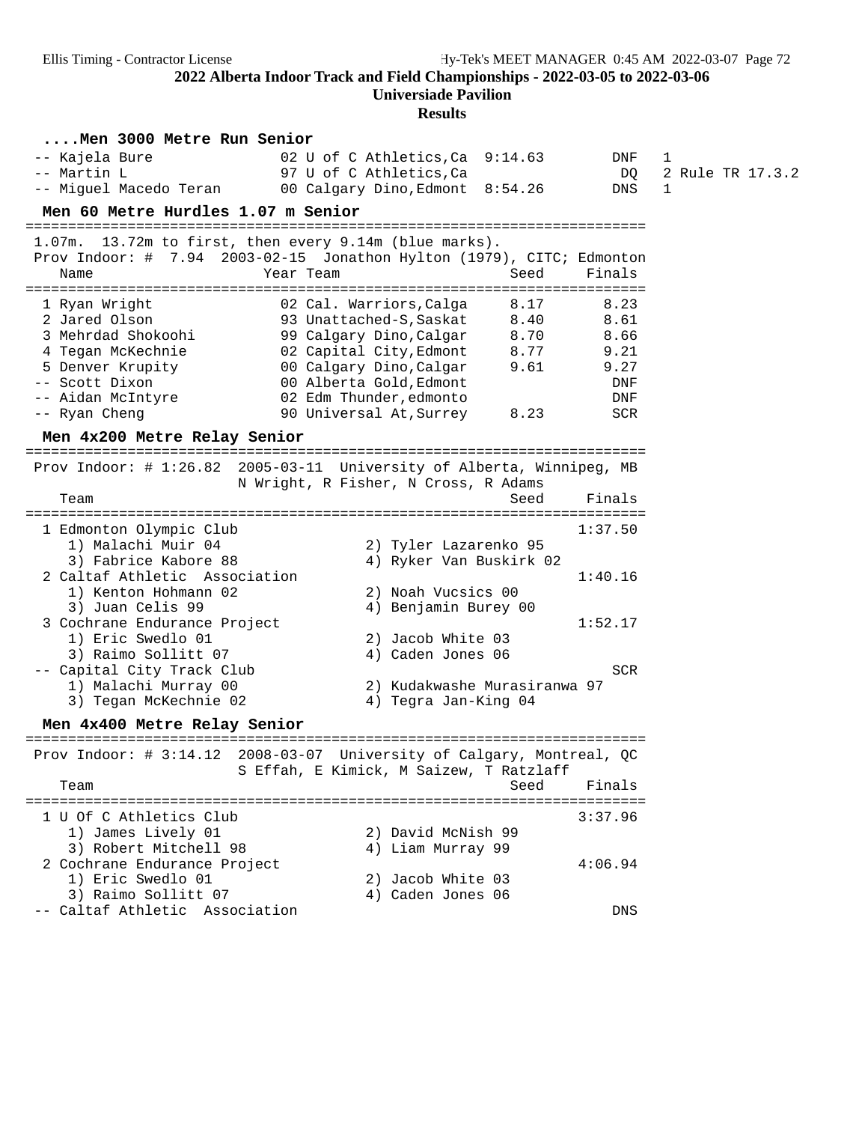**Universiade Pavilion**

**Results**

|                                                                                                                                                       | westures                                                                                                                                                                                                                                                          |                                                           |                                       |
|-------------------------------------------------------------------------------------------------------------------------------------------------------|-------------------------------------------------------------------------------------------------------------------------------------------------------------------------------------------------------------------------------------------------------------------|-----------------------------------------------------------|---------------------------------------|
| Men 3000 Metre Run Senior<br>-- Kajela Bure<br>-- Martin L<br>-- Miguel Macedo Teran                                                                  | 02 U of C Athletics, Ca $9:14.63$<br>97 U of C Athletics, Ca<br>00 Calgary Dino, Edmont 8:54.26                                                                                                                                                                   | DNF<br>DQ<br>DNS                                          | 1<br>2 Rule TR 17.3.2<br>$\mathbf{1}$ |
| Men 60 Metre Hurdles 1.07 m Senior                                                                                                                    | ==========================                                                                                                                                                                                                                                        |                                                           |                                       |
| 1.07m. 13.72m to first, then every 9.14m (blue marks).<br>Name                                                                                        | Prov Indoor: # 7.94 2003-02-15 Jonathon Hylton (1979), CITC; Edmonton<br>Year Team<br>Seed                                                                                                                                                                        | Finals                                                    |                                       |
| 1 Ryan Wright<br>2 Jared Olson<br>3 Mehrdad Shokoohi<br>4 Tegan McKechnie<br>5 Denver Krupity<br>-- Scott Dixon<br>-- Aidan McIntyre<br>-- Ryan Cheng | 02 Cal. Warriors, Calga<br>8.17<br>93 Unattached-S, Saskat<br>8.40<br>99 Calgary Dino,Calgar<br>8.70<br>02 Capital City, Edmont<br>8.77<br>00 Calgary Dino, Calgar<br>9.61<br>00 Alberta Gold,Edmont<br>02 Edm Thunder,edmonto<br>90 Universal At, Surrey<br>8.23 | 8.23<br>8.61<br>8.66<br>9.21<br>9.27<br>DNF<br>DNF<br>SCR |                                       |
| Men 4x200 Metre Relay Senior                                                                                                                          |                                                                                                                                                                                                                                                                   |                                                           |                                       |
| ----------------<br>Team                                                                                                                              | Prov Indoor: # 1:26.82 2005-03-11 University of Alberta, Winnipeg, MB<br>N Wright, R Fisher, N Cross, R Adams<br>Seed                                                                                                                                             | Finals                                                    |                                       |
|                                                                                                                                                       |                                                                                                                                                                                                                                                                   |                                                           |                                       |
| 1 Edmonton Olympic Club<br>1) Malachi Muir 04<br>3) Fabrice Kabore 88<br>2 Caltaf Athletic Association<br>1) Kenton Hohmann 02<br>3) Juan Celis 99    | 2) Tyler Lazarenko 95<br>4) Ryker Van Buskirk 02<br>2) Noah Vucsics 00<br>4) Benjamin Burey 00                                                                                                                                                                    | 1:37.50<br>1:40.16                                        |                                       |
| 3 Cochrane Endurance Project<br>1) Eric Swedlo 01<br>3) Raimo Sollitt 07<br>-- Capital City Track Club                                                | 2) Jacob White 03<br>4) Caden Jones 06                                                                                                                                                                                                                            | 1:52.17<br>SCR                                            |                                       |
| 1) Malachi Murray 00<br>3) Tegan McKechnie 02                                                                                                         | 2) Kudakwashe Murasiranwa 97<br>4) Tegra Jan-King 04                                                                                                                                                                                                              |                                                           |                                       |
| Men 4x400 Metre Relay Senior                                                                                                                          |                                                                                                                                                                                                                                                                   |                                                           |                                       |
|                                                                                                                                                       | Prov Indoor: # 3:14.12 2008-03-07 University of Calgary, Montreal, QC<br>S Effah, E Kimick, M Saizew, T Ratzlaff                                                                                                                                                  |                                                           |                                       |
| Team                                                                                                                                                  | Seed<br>========================                                                                                                                                                                                                                                  | Finals                                                    |                                       |
| 1 U Of C Athletics Club<br>1) James Lively 01<br>3) Robert Mitchell 98                                                                                | 2) David McNish 99<br>4) Liam Murray 99                                                                                                                                                                                                                           | 3:37.96                                                   |                                       |
| 2 Cochrane Endurance Project<br>1) Eric Swedlo 01<br>3) Raimo Sollitt 07                                                                              | 2) Jacob White 03<br>4) Caden Jones 06                                                                                                                                                                                                                            | 4:06.94                                                   |                                       |
| -- Caltaf Athletic Association                                                                                                                        |                                                                                                                                                                                                                                                                   | DNS                                                       |                                       |
|                                                                                                                                                       |                                                                                                                                                                                                                                                                   |                                                           |                                       |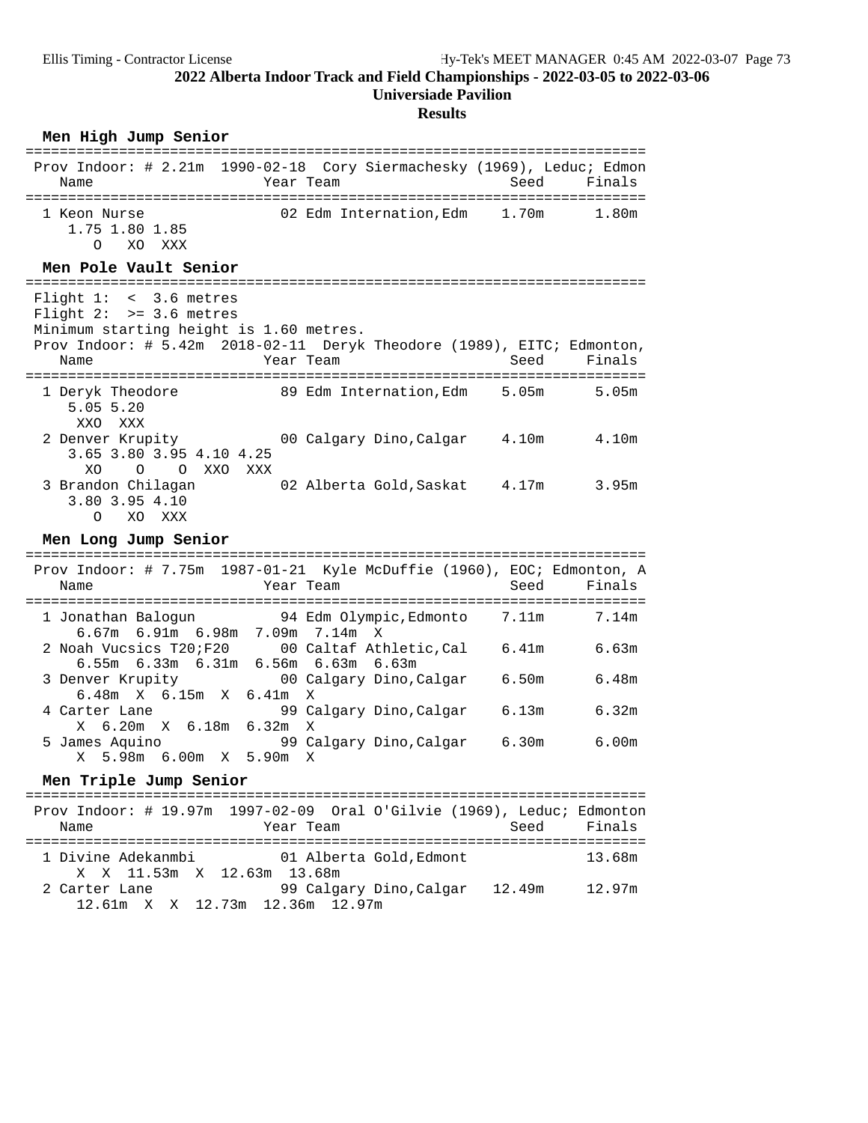### **Results**

### $Men$  High Jump Senior

| Prov Indoor: # 2.21m 1990-02-18 Cory Siermachesky (1969), Leduc; Edmon<br>Name                                            |           | Year Team and the control of the control of the control of the control of the control of the control of the co | Seed | Finals |
|---------------------------------------------------------------------------------------------------------------------------|-----------|----------------------------------------------------------------------------------------------------------------|------|--------|
| 1 Keon Nurse<br>1.75 1.80 1.85<br>O XO XXX                                                                                |           | 02 Edm Internation, Edm 1.70m                                                                                  |      | 1.80m  |
| Men Pole Vault Senior                                                                                                     |           |                                                                                                                |      |        |
| Flight $1: < 3.6$ metres<br>Flight $2:$ >= 3.6 metres                                                                     |           |                                                                                                                |      |        |
| Minimum starting height is 1.60 metres.<br>Prov Indoor: # 5.42m 2018-02-11 Deryk Theodore (1989), EITC; Edmonton,<br>Name | Year Team |                                                                                                                | Seed | Finals |
|                                                                                                                           |           |                                                                                                                |      |        |
| 1 Deryk Theodore<br>5.055.20<br>XXO XXX                                                                                   |           | 89 Edm Internation,Edm 5.05m                                                                                   |      | 5.05m  |
| 2 Denver Krupity<br>3.65 3.80 3.95 4.10 4.25<br>XO<br>O XXO<br>$\overline{O}$<br>XXX                                      |           | 00 Calgary Dino, Calgar 4.10m 4.10m                                                                            |      |        |

### Men Long Jump Senior

| Prov Indoor: # 7.75m $1987-01-21$ Kyle McDuffie (1960), EOC; Edmonton, A<br>Name                   | Year Team |                                        | Seed  | Finals |
|----------------------------------------------------------------------------------------------------|-----------|----------------------------------------|-------|--------|
| 1 Jonathan Baloqun 54 Edm Olympic, Edmonto 7.11m<br>$6.67m$ $6.91m$ $6.98m$ $7.09m$ $7.14m$ X      |           |                                        |       | 7.14m  |
| 2 Noah Vucsics T20; F20 00 Caltaf Athletic, Cal<br>$6.55m$ $6.33m$ $6.31m$ $6.56m$ $6.63m$ $6.63m$ |           |                                        | 6.41m | 6.63m  |
| 3 Denver Krupity 600 Calgary Dino, Calgar<br>$6.48m \times 6.15m \times 6.41m \times$              |           |                                        | 6.50m | 6.48m  |
| 4 Carter Lane<br>X 6.20m X 6.18m 6.32m X                                                           |           | 99 Calgary Dino,Calgar                 | 6.13m | 6.32m  |
| 5 James Aquino<br>X 5.98m 6.00m X 5.90m                                                            |           | 99 Calgary Dino,Calgar<br>$\mathbf{x}$ | 6.30m | 6.00m  |

# **Men Triple Jump Senior** =========================================================================

| Name                                        | Prov Indoor: # 19.97m 1997-02-09 Oral O'Gilvie (1969), Leduc; Edmonton<br>Year Team | Finals<br>Seed |
|---------------------------------------------|-------------------------------------------------------------------------------------|----------------|
|                                             | 1 Divine Adekanmbi (01 Alberta Gold, Edmont                                         | 13.68m         |
| X X 11.53m X 12.63m 13.68m<br>2 Carter Lane | 99 Calgary Dino, Calgar 12.49m<br>12.61m X X 12.73m 12.36m 12.97m                   | 12.97m         |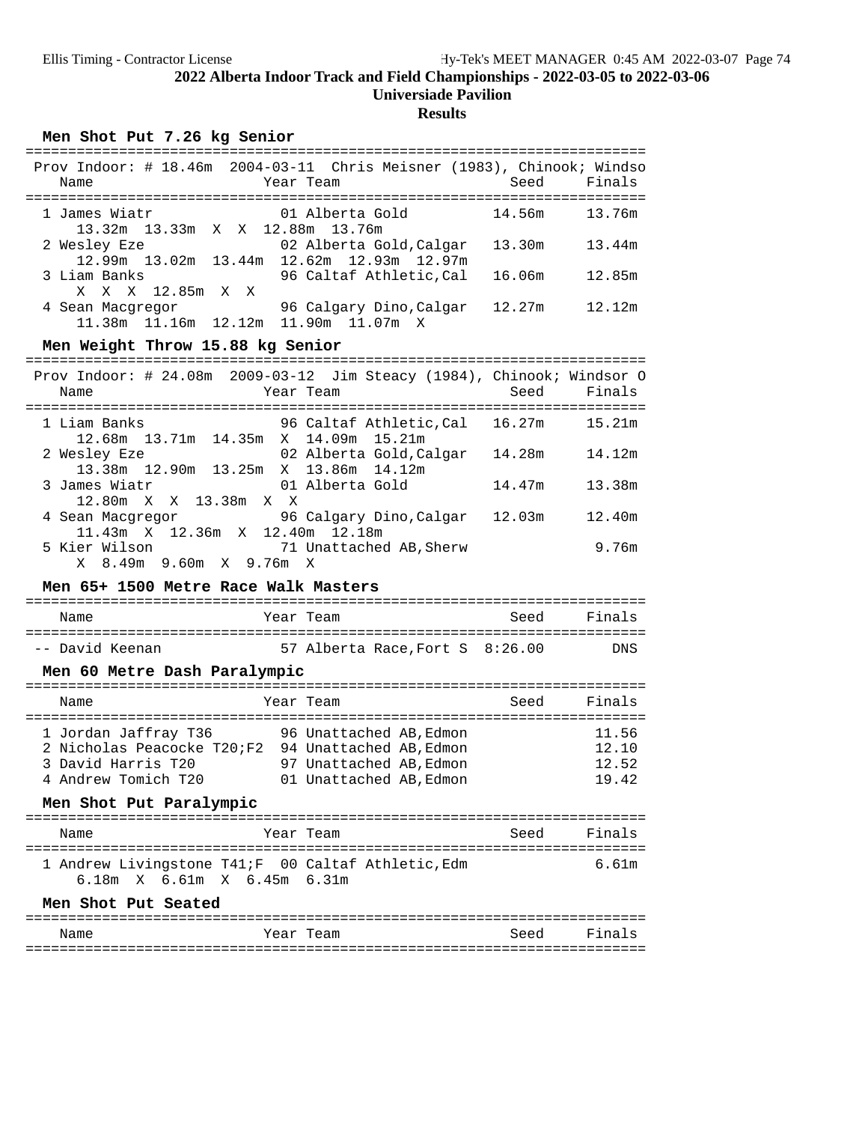## **Results**

### Men Shot Put 7.26 kg Senior

| Name             |                                 | Year Team |                                           | Prov Indoor: # 18.46m 2004-03-11 Chris Meisner (1983), Chinook; Windso<br>Seed | Finals |
|------------------|---------------------------------|-----------|-------------------------------------------|--------------------------------------------------------------------------------|--------|
|                  |                                 |           |                                           |                                                                                |        |
| 1 James Wiatr    |                                 |           | 01 Alberta Gold                           | 14.56m                                                                         | 13.76m |
|                  | 13.32m 13.33m X X 12.88m 13.76m |           |                                           |                                                                                |        |
| 2 Wesley Eze     |                                 |           | 02 Alberta Gold, Calgar                   | 13.30m                                                                         | 13.44m |
|                  |                                 |           | 12.99m 13.02m 13.44m 12.62m 12.93m 12.97m |                                                                                |        |
| 3 Liam Banks     |                                 |           | 96 Caltaf Athletic, Cal                   | 16.06m                                                                         | 12.85m |
|                  | X X X 12.85m X X                |           |                                           |                                                                                |        |
| 4 Sean Macgregor |                                 |           | 96 Calgary Dino, Calgar                   | 12.27m                                                                         | 12.12m |
|                  | $11.38m$ $11.16m$ $12.12m$      |           | 11.90m 11.07m X                           |                                                                                |        |

# Men Weight Throw 15.88 kg Senior

| Name          |                                                                                                 | Year Team       |                                |        | Prov Indoor: # $24.08$ m $2009-03-12$ Jim Steacy (1984), Chinook; Windsor O<br>Seed Finals |
|---------------|-------------------------------------------------------------------------------------------------|-----------------|--------------------------------|--------|--------------------------------------------------------------------------------------------|
| 1 Liam Banks  | 12.68m 13.71m 14.35m X 14.09m 15.21m                                                            |                 | 96 Caltaf Athletic, Cal 16.27m |        | 15.21m                                                                                     |
| 2 Wesley Eze  | 13.38m 12.90m 13.25m X 13.86m 14.12m                                                            |                 | 02 Alberta Gold, Calgar        | 14.28m | 14.12m                                                                                     |
| 3 James Wiatr | 12.80m X X 13.38m X X                                                                           | 01 Alberta Gold |                                | 14.47m | 13.38m                                                                                     |
|               | 4 Sean Macqreqor                     96 Calqary Dino, Calqar<br>11.43m X 12.36m X 12.40m 12.18m |                 |                                | 12.03m | 12.40m                                                                                     |
| 5 Kier Wilson | 71 Unattached AB, Sherw<br>X 8.49m 9.60m X 9.76m X                                              |                 |                                |        | 9.76m                                                                                      |

### Men 65+ 1500 Metre Race Walk Masters

| Name | 'ear<br>"eam | ے دی۔<br>1H<br>ັບບບພ |
|------|--------------|----------------------|

| -- David Keenan |  |  | 57 Alberta Race, Fort S 8:26.00 | <b>DNS</b> |
|-----------------|--|--|---------------------------------|------------|

### **Men 60 Metre Dash Paralympic**

| Name                                                                                            | Year Team                                                                                              | Seed | Finals                           |
|-------------------------------------------------------------------------------------------------|--------------------------------------------------------------------------------------------------------|------|----------------------------------|
| 1 Jordan Jaffray T36<br>2 Nicholas Peacocke T20;F2<br>3 David Harris T20<br>4 Andrew Tomich T20 | 96 Unattached AB.Edmon<br>94 Unattached AB, Edmon<br>97 Unattached AB.Edmon<br>01 Unattached AB, Edmon |      | 11.56<br>12.10<br>12.52<br>19.42 |

### **Men Shot Put Paralympic**

| Name                        | Year Team                                           | Seed | Finals |
|-----------------------------|-----------------------------------------------------|------|--------|
|                             | 1 Andrew Livingstone T41; F 00 Caltaf Athletic, Edm |      | 6 61m  |
| 6.18m X 6.61m X 6.45m 6.31m |                                                     |      |        |

### Men Shot Put Seated

| Name | Year Team | Seed | Finals |
|------|-----------|------|--------|
|      |           |      |        |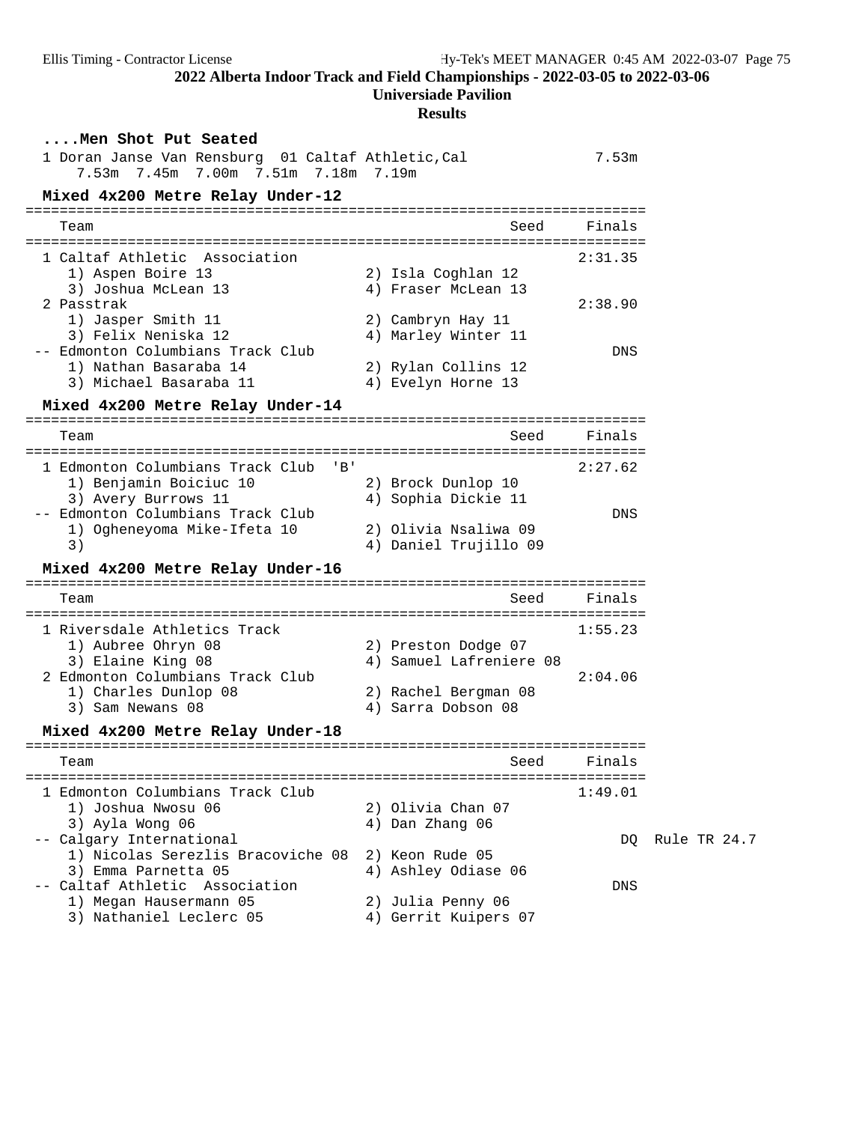**Universiade Pavilion**

## **Results**

| Men Shot Put Seated<br>1 Doran Janse Van Rensburg 01 Caltaf Athletic, Cal<br>7.53m 7.45m 7.00m 7.51m 7.18m 7.19m |                                                | 7.53m   |              |
|------------------------------------------------------------------------------------------------------------------|------------------------------------------------|---------|--------------|
| Mixed 4x200 Metre Relay Under-12                                                                                 |                                                |         |              |
| Team                                                                                                             | Seed                                           | Finals  |              |
| 1 Caltaf Athletic Association                                                                                    |                                                | 2:31.35 |              |
| 1) Aspen Boire 13<br>3) Joshua McLean 13                                                                         | 2) Isla Coghlan 12<br>4) Fraser McLean 13      |         |              |
| 2 Passtrak<br>1) Jasper Smith 11<br>3) Felix Neniska 12                                                          | 2) Cambryn Hay 11<br>4) Marley Winter 11       | 2:38.90 |              |
| -- Edmonton Columbians Track Club<br>1) Nathan Basaraba 14                                                       | 2) Rylan Collins 12                            | DNS     |              |
| 3) Michael Basaraba 11                                                                                           | 4) Evelyn Horne 13                             |         |              |
| Mixed 4x200 Metre Relay Under-14                                                                                 |                                                |         |              |
| Team                                                                                                             | Seed<br>======================                 | Finals  |              |
| 1 Edmonton Columbians Track Club<br>$'$ B $'$<br>1) Benjamin Boiciuc 10<br>3) Avery Burrows 11                   | 2) Brock Dunlop 10<br>4) Sophia Dickie 11      | 2:27.62 |              |
| -- Edmonton Columbians Track Club<br>1) Ogheneyoma Mike-Ifeta 10<br>3)                                           | 2) Olivia Nsaliwa 09<br>4) Daniel Trujillo 09  | DNS     |              |
| Mixed 4x200 Metre Relay Under-16                                                                                 |                                                |         |              |
| Team                                                                                                             | Seed                                           | Finals  |              |
| 1 Riversdale Athletics Track<br>1) Aubree Ohryn 08<br>3) Elaine King 08                                          | 2) Preston Dodge 07<br>4) Samuel Lafreniere 08 | 1:55.23 |              |
| 2 Edmonton Columbians Track Club<br>1) Charles Dunlop 08<br>3) Sam Newans 08                                     | 2) Rachel Bergman 08<br>4) Sarra Dobson 08     | 2:04.06 |              |
| Mixed 4x200 Metre Relay Under-18                                                                                 |                                                |         |              |
| Team                                                                                                             | Seed                                           | Finals  |              |
| 1 Edmonton Columbians Track Club<br>1) Joshua Nwosu 06                                                           | 2) Olivia Chan 07                              | 1:49.01 |              |
| 3) Ayla Wong 06<br>-- Calgary International<br>1) Nicolas Serezlis Bracoviche 08                                 | 4) Dan Zhang 06<br>2) Keon Rude 05             | DO.     | Rule TR 24.7 |
| 3) Emma Parnetta 05<br>-- Caltaf Athletic Association                                                            | 4) Ashley Odiase 06                            | DNS     |              |
| 1) Megan Hausermann 05<br>3) Nathaniel Leclerc 05                                                                | 2) Julia Penny 06<br>4) Gerrit Kuipers 07      |         |              |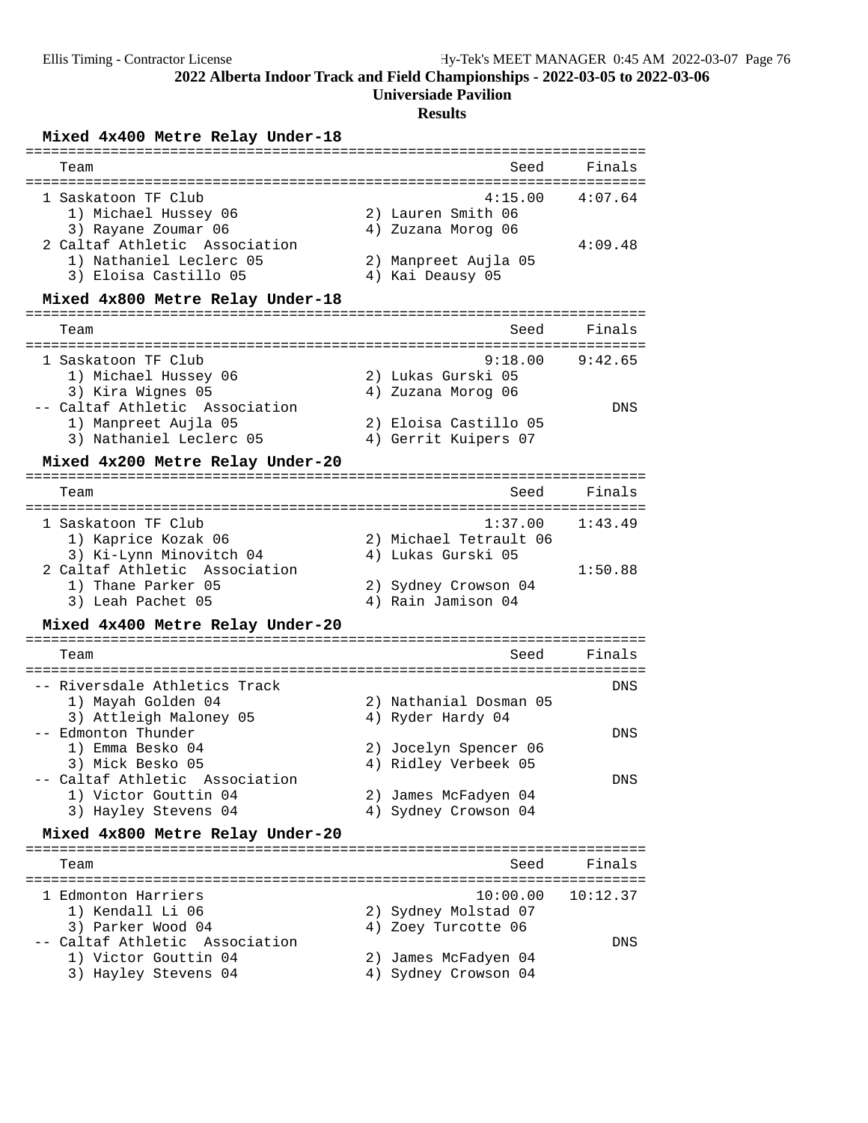# **Universiade Pavilion**

# **Results**

# **Mixed 4x400 Metre Relay Under-18** =========================================================================

| Team<br>=========================                                                                                                                                                           | Seed                                                                                                            | Finals<br>-----------            |
|---------------------------------------------------------------------------------------------------------------------------------------------------------------------------------------------|-----------------------------------------------------------------------------------------------------------------|----------------------------------|
| 1 Saskatoon TF Club<br>1) Michael Hussey 06<br>3) Rayane Zoumar 06<br>2 Caltaf Athletic Association<br>1) Nathaniel Leclerc 05<br>3) Eloisa Castillo 05<br>Mixed 4x800 Metre Relay Under-18 | 4:15.00<br>2) Lauren Smith 06<br>4) Zuzana Morog 06<br>2) Manpreet Aujla 05<br>4) Kai Deausy 05                 | 4:07.64<br>4:09.48               |
| Team                                                                                                                                                                                        | ================<br>Seed                                                                                        | Finals                           |
| 1 Saskatoon TF Club<br>1) Michael Hussey 06<br>3) Kira Wignes 05<br>-- Caltaf Athletic Association<br>1) Manpreet Aujla 05<br>3) Nathaniel Leclerc 05<br>Mixed 4x200 Metre Relay Under-20   | 9:18.00<br>2) Lukas Gurski 05<br>4) Zuzana Morog 06<br>2) Eloisa Castillo 05<br>4) Gerrit Kuipers 07            | 9:42.65<br>DNS                   |
| Team                                                                                                                                                                                        | Seed                                                                                                            | Finals                           |
| 1 Saskatoon TF Club<br>1) Kaprice Kozak 06<br>3) Ki-Lynn Minovitch 04                                                                                                                       | 1:37.00<br>2) Michael Tetrault 06<br>4) Lukas Gurski 05                                                         | :====================<br>1:43.49 |
| 2 Caltaf Athletic Association<br>1) Thane Parker 05<br>3) Leah Pachet 05                                                                                                                    | 2) Sydney Crowson 04<br>4) Rain Jamison 04                                                                      | 1:50.88                          |
| Mixed 4x400 Metre Relay Under-20                                                                                                                                                            |                                                                                                                 |                                  |
| Team                                                                                                                                                                                        | Seed                                                                                                            | Finals                           |
| -- Riversdale Athletics Track<br>1) Mayah Golden 04<br>3) Attleigh Maloney 05<br>-- Edmonton Thunder<br>1) Emma Besko 04<br>3) Mick Besko 05<br>-- Caltaf Athletic Association              | 2) Nathanial Dosman 05<br>4) Ryder Hardy 04<br>2) Jocelyn Spencer 06<br>4) Ridley Verbeek 05                    | DNS<br>DNS<br>DNS                |
| 1) Victor Gouttin 04<br>3) Hayley Stevens 04                                                                                                                                                | 2) James McFadyen 04<br>4) Sydney Crowson 04                                                                    |                                  |
| Mixed 4x800 Metre Relay Under-20                                                                                                                                                            |                                                                                                                 |                                  |
| Team<br>1 Edmonton Harriers<br>1) Kendall Li 06<br>3) Parker Wood 04<br>-- Caltaf Athletic Association<br>1) Victor Gouttin 04<br>3) Hayley Stevens 04                                      | Seed<br>10:00.00<br>2) Sydney Molstad 07<br>4) Zoey Turcotte 06<br>2) James McFadyen 04<br>4) Sydney Crowson 04 | Finals<br>10:12.37<br>DNS        |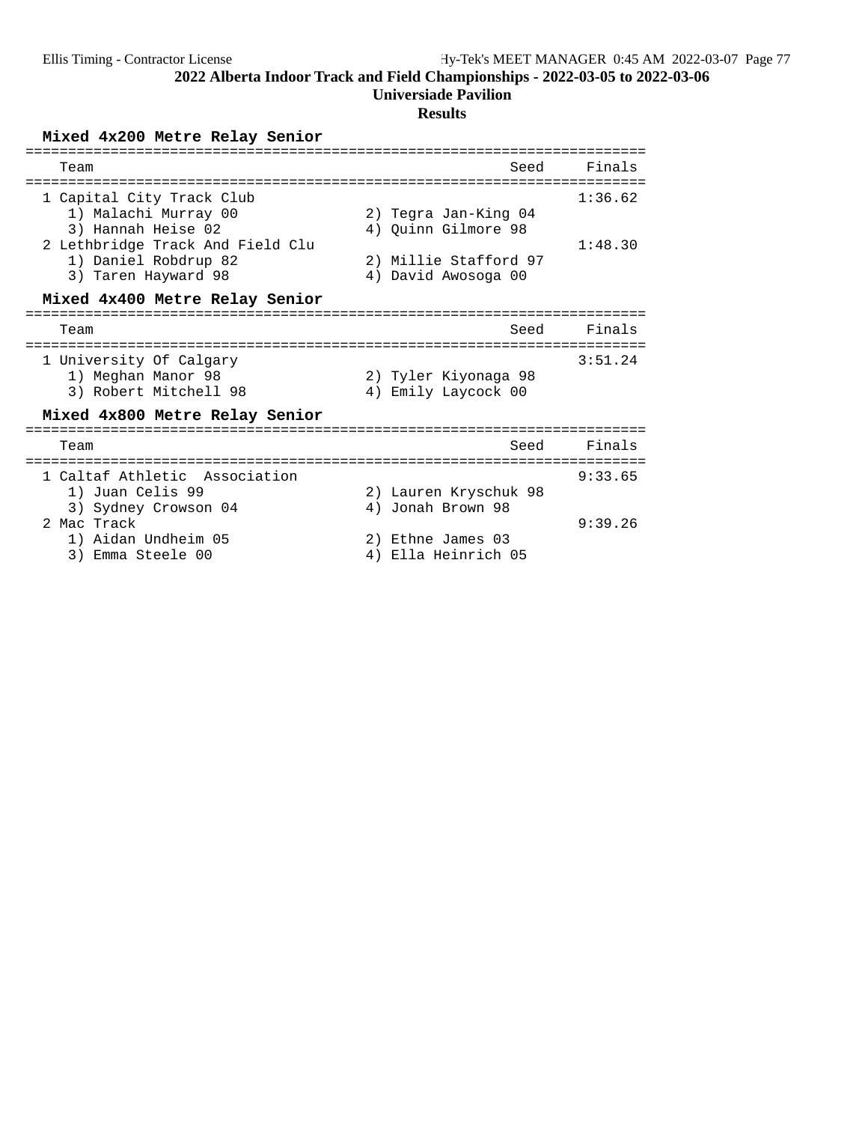# **Universiade Pavilion**

## **Results**

# **Mixed 4x200 Metre Relay Senior**

| Team                                                                                                                                                       | Seed                                                                                        | Finals             |
|------------------------------------------------------------------------------------------------------------------------------------------------------------|---------------------------------------------------------------------------------------------|--------------------|
| 1 Capital City Track Club<br>1) Malachi Murray 00<br>3) Hannah Heise 02<br>2 Lethbridge Track And Field Clu<br>1) Daniel Robdrup 82<br>3) Taren Hayward 98 | 2) Tegra Jan-King 04<br>4) Quinn Gilmore 98<br>2) Millie Stafford 97<br>4) David Awosoga 00 | 1:36.62<br>1:48.30 |
| Mixed 4x400 Metre Relay Senior                                                                                                                             |                                                                                             |                    |
| Team                                                                                                                                                       | Seed                                                                                        | Finals             |
| 1 University Of Calgary<br>1) Meghan Manor 98<br>3) Robert Mitchell 98                                                                                     | 2) Tyler Kiyonaga 98<br>4) Emily Laycock 00                                                 | 3:51.24            |
| Mixed 4x800 Metre Relay Senior                                                                                                                             |                                                                                             |                    |
| Team                                                                                                                                                       | Seed                                                                                        | Finals             |
| 1 Caltaf Athletic Association<br>1) Juan Celis 99<br>3) Sydney Crowson 04<br>2 Mac Track                                                                   | 2) Lauren Kryschuk 98<br>4) Jonah Brown 98                                                  | 9:33.65<br>9:39.26 |
| 1) Aidan Undheim 05<br>Emma Steele 00<br>3)                                                                                                                | Ethne James 03<br>2)<br>Ella Heinrich 05<br>4)                                              |                    |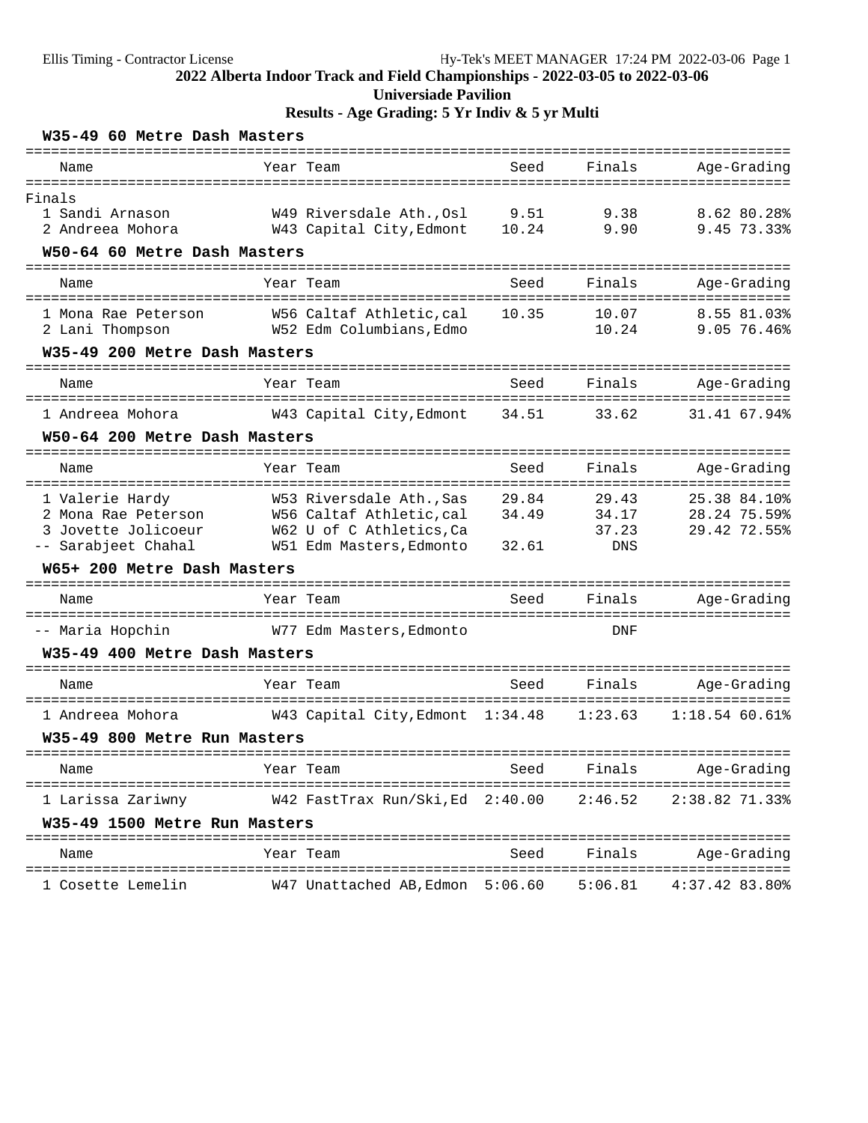# **Results - Age Grading: 5 Yr Indiv & 5 yr Multi**

| W35-49 60 Metre Dash Masters                               |                                                     |       |                |                                            |
|------------------------------------------------------------|-----------------------------------------------------|-------|----------------|--------------------------------------------|
| ================================<br>Name                   | Year Team                                           | Seed  | Finals         | Age-Grading                                |
| Finals                                                     |                                                     |       |                |                                            |
| 1 Sandi Arnason                                            | W49 Riversdale Ath.,Osl                             | 9.51  | 9.38           | 8.62 80.28%                                |
| 2 Andreea Mohora                                           | W43 Capital City, Edmont                            | 10.24 | 9.90           | 9.45 73.33%                                |
| W50-64 60 Metre Dash Masters<br>========================== |                                                     |       |                |                                            |
| Name                                                       | Year Team                                           | Seed  | Finals<br>==== | Age-Grading<br>======                      |
| 1 Mona Rae Peterson                                        | W56 Caltaf Athletic,cal                             | 10.35 | 10.07          | 8.55 81.03%                                |
| 2 Lani Thompson                                            | W52 Edm Columbians,Edmo                             |       | 10.24          | 9.05 76.46%                                |
| W35-49 200 Metre Dash Masters                              |                                                     |       |                |                                            |
| Name                                                       | Year Team                                           | Seed  | Finals         | Age-Grading                                |
|                                                            |                                                     |       |                | ====================                       |
| 1 Andreea Mohora                                           | W43 Capital City,Edmont                             | 34.51 | 33.62          | 31.41 67.94%                               |
| W50-64 200 Metre Dash Masters                              |                                                     |       |                |                                            |
| Name                                                       | Year Team                                           | Seed  | Finals         | Age-Grading                                |
| 1 Valerie Hardy                                            | W53 Riversdale Ath., Sas                            | 29.84 | 29.43          | 25.38 84.10%                               |
| 2 Mona Rae Peterson                                        | W56 Caltaf Athletic, cal                            | 34.49 | 34.17          | 28.24 75.59%                               |
| 3 Jovette Jolicoeur<br>-- Sarabjeet Chahal                 | W62 U of C Athletics,Ca<br>W51 Edm Masters, Edmonto | 32.61 | 37.23<br>DNS   | 29.42 72.55%                               |
| W65+ 200 Metre Dash Masters                                |                                                     |       |                |                                            |
|                                                            |                                                     |       |                |                                            |
| Name                                                       | Year Team                                           | Seed  | Finals         | Age-Grading                                |
| -- Maria Hopchin                                           | W77 Edm Masters,Edmonto                             |       | DNF            |                                            |
| W35-49 400 Metre Dash Masters                              |                                                     |       |                |                                            |
| Name                                                       | Year Team                                           | Seed  | Finals         | Age-Grading                                |
| 1 Andreea Mohora                                           | W43 Capital City,Edmont 1:34.48                     |       | 1:23.63        | $1:18.54$ 60.61%                           |
| W35-49 800 Metre Run Masters                               |                                                     |       |                |                                            |
| Name                                                       | Year Team                                           | Seed  | Finals         | Age-Grading                                |
| 1 Larissa Zariwny                                          | W42 FastTrax Run/Ski, Ed 2:40.00                    |       | 2:46.52        | ======================<br>$2:38.82$ 71.33% |
| W35-49 1500 Metre Run Masters                              |                                                     |       |                |                                            |
| Name                                                       | Year Team                                           | Seed  | Finals         | Age-Grading                                |
| 1 Cosette Lemelin                                          | $W47$ Unattached AB, Edmon $5:06.60$ $5:06.81$      |       |                | 4:37.42 83.80%                             |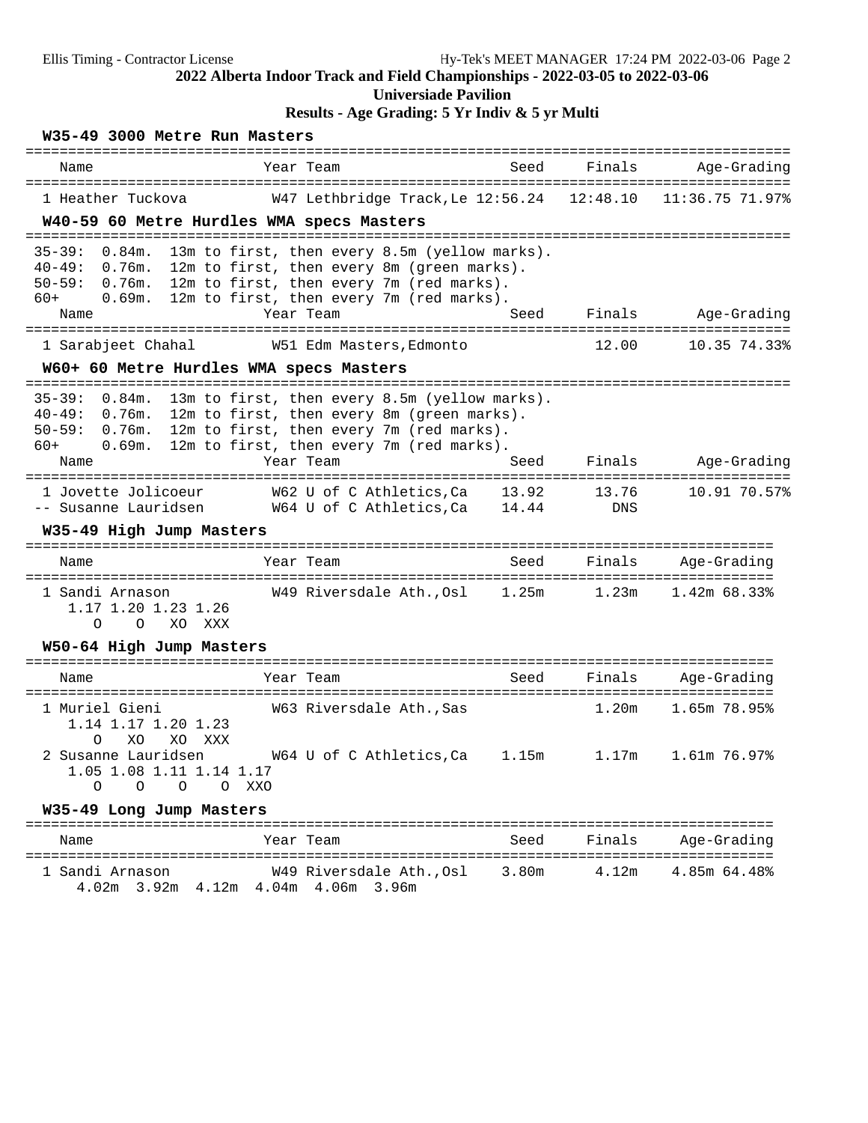## **Universiade Pavilion**

**Results - Age Grading: 5 Yr Indiv & 5 yr Multi**

## **W35-49 3000 Metre Run Masters**

| Name                                                                                                                                                                    | Year Team                                                                                                                                                                                        | Seed  | Finals                     | Age-Grading                  |
|-------------------------------------------------------------------------------------------------------------------------------------------------------------------------|--------------------------------------------------------------------------------------------------------------------------------------------------------------------------------------------------|-------|----------------------------|------------------------------|
| 1 Heather Tuckova<br>W40-59 60 Metre Hurdles WMA specs Masters                                                                                                          | W47 Lethbridge Track, Le 12:56.24 12:48.10                                                                                                                                                       |       |                            | 11:36.75 71.97%              |
| $35 - 39:$<br>0.84m.<br>$40 - 49:$<br>0.76m.<br>$50 - 59:$<br>0.76m.<br>$60+$<br>0.69m.<br>Name                                                                         | 13m to first, then every 8.5m (yellow marks).<br>12m to first, then every 8m (green marks).<br>12m to first, then every 7m (red marks).<br>12m to first, then every 7m (red marks).<br>Year Team | Seed  | Finals                     | Age-Grading                  |
| 1 Sarabjeet Chahal                                                                                                                                                      | W51 Edm Masters, Edmonto                                                                                                                                                                         |       | 12.00                      | 10.35 74.33%                 |
| W60+ 60 Metre Hurdles WMA specs Masters                                                                                                                                 |                                                                                                                                                                                                  |       |                            |                              |
| $35 - 39:$<br>$0.84m$ .<br>$40 - 49:$<br>0.76m.<br>$50 - 59:$<br>0.76m.<br>$60+$<br>0.69m.<br>Name                                                                      | 13m to first, then every 8.5m (yellow marks).<br>12m to first, then every 8m (green marks).<br>12m to first, then every 7m (red marks).<br>12m to first, then every 7m (red marks).<br>Year Team | Seed  | Finals                     | Age-Grading                  |
| 1 Jovette Jolicoeur<br>-- Susanne Lauridsen<br>W35-49 High Jump Masters                                                                                                 | W62 U of C Athletics,Ca<br>W64 U of C Athletics, Ca 14.44                                                                                                                                        | 13.92 | 13.76<br><b>DNS</b>        | 10.91 70.57%                 |
| Name                                                                                                                                                                    | Year Team                                                                                                                                                                                        | Seed  | Finals                     | Age-Grading                  |
| 1 Sandi Arnason<br>1.17 1.20 1.23 1.26<br>$\Omega$<br>$\Omega$<br>XO<br>XXX                                                                                             | W49 Riversdale Ath., Osl 1.25m                                                                                                                                                                   |       | 1.23m                      | $1.42m$ 68.33%               |
| W50-64 High Jump Masters                                                                                                                                                |                                                                                                                                                                                                  |       |                            |                              |
| Name                                                                                                                                                                    | Year Team                                                                                                                                                                                        | Seed  | Finals                     | Age-Grading                  |
| 1 Muriel Gieni<br>1.14 1.17 1.20 1.23<br>XO<br>XO<br>XXX<br>$\Omega$<br>2 Susanne Lauridsen<br>1.05 1.08 1.11 1.14 1.17<br>$\Omega$<br>$\Omega$<br>$\Omega$<br>$\Omega$ | W63 Riversdale Ath., Sas<br>W64 U of C Athletics, Ca 1.15m<br>XXO                                                                                                                                |       | 1.20 <sub>m</sub><br>1.17m | 1.65m 78.95%<br>1.61m 76.97% |
| W35-49 Long Jump Masters                                                                                                                                                |                                                                                                                                                                                                  |       |                            |                              |
| Name                                                                                                                                                                    | Year Team                                                                                                                                                                                        | Seed  | Finals                     | Age-Grading                  |
|                                                                                                                                                                         |                                                                                                                                                                                                  |       |                            |                              |

1 Sandi Arnason W49 Riversdale Ath.,Osl 3.80m 4.12m 4.85m 64.48%

4.02m 3.92m 4.12m 4.04m 4.06m 3.96m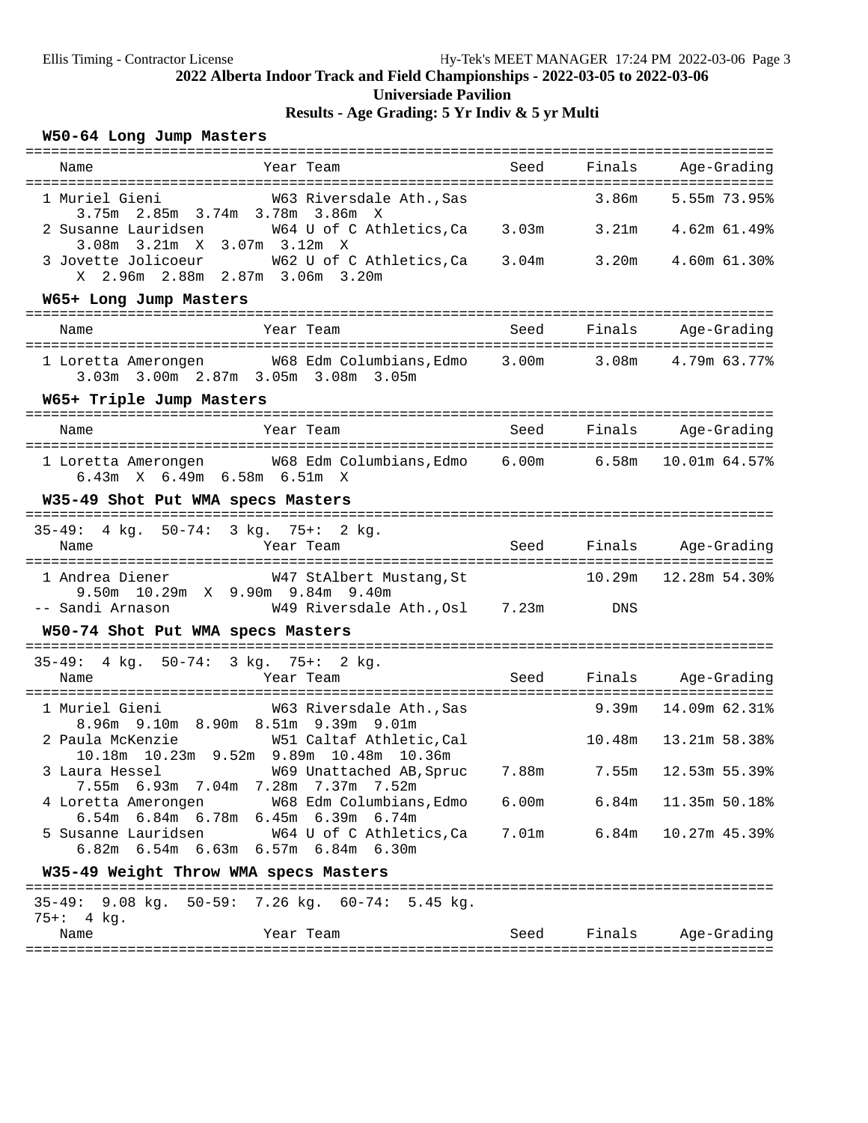# **2022 Alberta Indoor Track and Field Championships - 2022-03-05 to 2022-03-06 Universiade Pavilion Results - Age Grading: 5 Yr Indiv & 5 yr Multi**

### **W50-64 Long Jump Masters**

| Year Team<br>Name                                                                                                                       |                                      | Seed |                 | Finals Age-Grading       |
|-----------------------------------------------------------------------------------------------------------------------------------------|--------------------------------------|------|-----------------|--------------------------|
| 1 Muriel Gieni                                                                                                                          | W63 Riversdale Ath., Sas             |      | 3.86m           | 5.55m 73.95%             |
| 3.75m 2.85m 3.74m 3.78m 3.86m X<br>2 Susanne Lauridsen M64 U of C Athletics, Ca 3.03m 3.21m 4.62m 61.49%<br>3.08m 3.21m X 3.07m 3.12m X |                                      |      |                 |                          |
| 3 Jovette Jolicoeur M62 U of C Athletics, Ca 3.04m 3.20m 4.60m 61.30%<br>X 2.96m 2.88m 2.87m 3.06m 3.20m                                |                                      |      |                 |                          |
| W65+ Long Jump Masters                                                                                                                  |                                      |      |                 |                          |
| Year Team<br>Name                                                                                                                       |                                      | Seed | Finals          | Age-Grading              |
| 1 Loretta Amerongen M68 Edm Columbians, Edmo 3.00m 3.08m 4.79m 63.77%<br>3.03m 3.00m 2.87m 3.05m 3.08m 3.05m                            |                                      |      |                 |                          |
| W65+ Triple Jump Masters                                                                                                                |                                      |      |                 |                          |
| Year Team<br>Name                                                                                                                       |                                      | Seed | Finals          | Age-Grading              |
| 1 Loretta Amerongen M68 Edm Columbians, Edmo 6.00m 6.58m<br>6.43m X 6.49m 6.58m 6.51m X                                                 |                                      |      |                 | 10.01m 64.57%            |
| W35-49 Shot Put WMA specs Masters<br>-------------------                                                                                |                                      |      |                 |                          |
| $35 - 49:$<br>4 kg. 50-74: 3 kg. 75+: 2 kg.                                                                                             |                                      |      |                 |                          |
| Year Team<br>Name                                                                                                                       |                                      | Seed |                 | Finals Age-Grading       |
| 1 Andrea Diener                                                                                                                         | W47 StAlbert Mustang, St             |      |                 | 10.29m   12.28m   54.30% |
| 9.50m 10.29m X 9.90m 9.84m 9.40m<br>-- Sandi Arnason                                                                                    | W49 Riversdale Ath., Osl 7.23m DNS   |      |                 |                          |
| W50-74 Shot Put WMA specs Masters                                                                                                       |                                      |      |                 |                          |
| 35-49: 4 kg. 50-74: 3 kg. 75+: 2 kg.                                                                                                    |                                      |      |                 |                          |
| Name<br>Year Team                                                                                                                       |                                      | Seed |                 | Finals Age-Grading       |
| 1 Muriel Gieni<br>8.96m 9.10m 8.90m 8.51m 9.39m 9.01m                                                                                   | W63 Riversdale Ath., Sas             |      | <b>9.39m</b>    | 14.09m 62.31%            |
| 10.18m  10.23m  9.52m  9.89m  10.48m  10.36m                                                                                            |                                      |      | 10.48m          | 13.21m 58.38%            |
| 3 Laura Hessel<br>7.55m 6.93m 7.04m 7.28m 7.37m 7.52m                                                                                   | W69 Unattached AB, Spruc 7.88m 7.55m |      |                 | 12.53m 55.39%            |
| 4 Loretta Amerongen M68 Edm Columbians, Edmo<br>6.54m 6.84m 6.78m 6.45m 6.39m 6.74m                                                     |                                      |      | $6.00m$ $6.84m$ | 11.35m 50.18%            |
| 5 Susanne Lauridsen M64 U of C Athletics, Ca<br>6.82m 6.54m 6.63m 6.57m 6.84m 6.30m                                                     |                                      |      | 7.01m 6.84m     | 10.27m 45.39%            |
| W35-49 Weight Throw WMA specs Masters                                                                                                   |                                      |      |                 |                          |
| 35-49: 9.08 kg. 50-59: 7.26 kg. 60-74: 5.45 kg.<br>$75 +: 4$ kg.                                                                        |                                      |      |                 |                          |
| Year Team<br>Name                                                                                                                       |                                      | Seed | Finals          | Age-Grading              |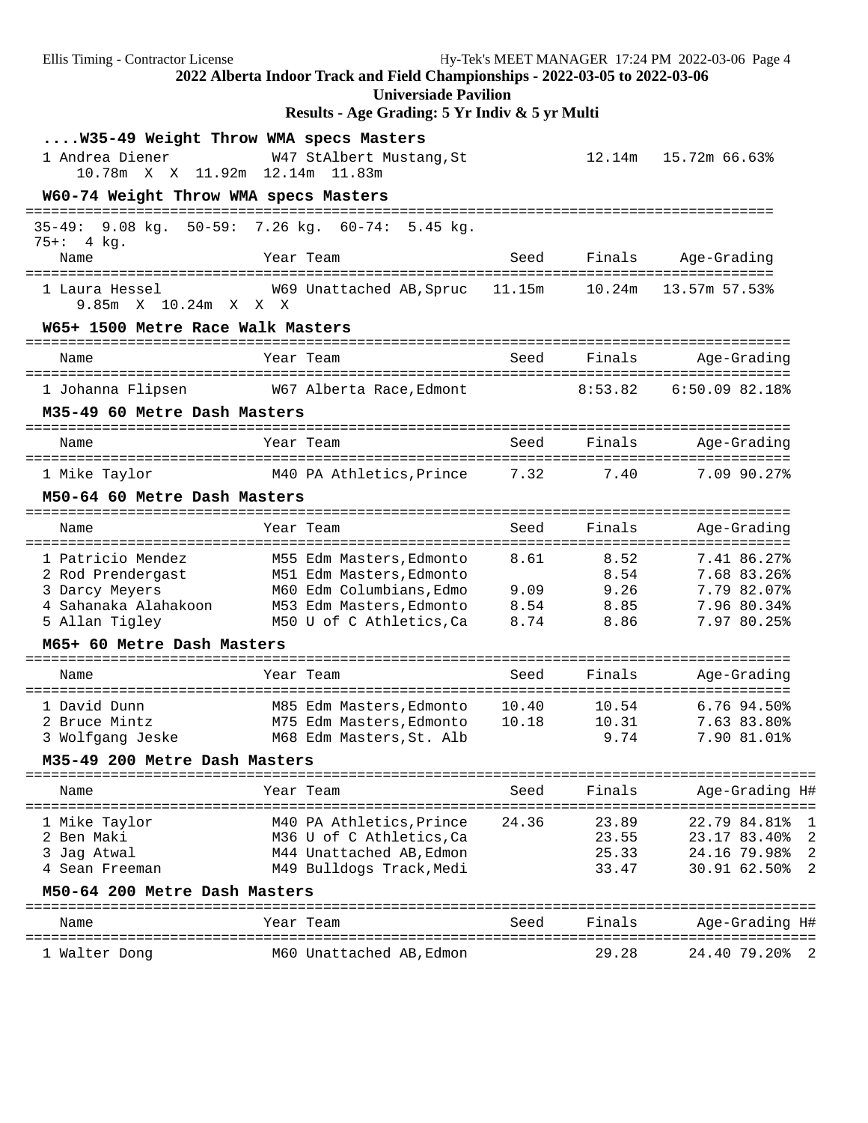Ellis Timing - Contractor License Hy-Tek's MEET MANAGER 17:24 PM 2022-03-06 Page 4 **2022 Alberta Indoor Track and Field Championships - 2022-03-05 to 2022-03-06 Universiade Pavilion Results - Age Grading: 5 Yr Indiv & 5 yr Multi ....W35-49 Weight Throw WMA specs Masters** 1 Andrea Diener W47 StAlbert Mustang,St 12.14m 15.72m 66.63% 10.78m X X 11.92m 12.14m 11.83m **W60-74 Weight Throw WMA specs Masters** ======================================================================================== 35-49: 9.08 kg. 50-59: 7.26 kg. 60-74: 5.45 kg. 75+: 4 kg. Name Tear Team Seed Finals Age-Grading ======================================================================================== 1 Laura Hessel W69 Unattached AB,Spruc 11.15m 10.24m 13.57m 57.53% 9.85m X 10.24m X X X **W65+ 1500 Metre Race Walk Masters** ========================================================================================== Name Year Team Seed Finals Age-Grading ========================================================================================== 1 Johanna Flipsen W67 Alberta Race,Edmont 8:53.82 6:50.09 82.18% **M35-49 60 Metre Dash Masters** ========================================================================================== Name Tear Team Seed Finals Age-Grading ========================================================================================== 1 Mike Taylor M40 PA Athletics,Prince 7.32 7.40 7.09 90.27% **M50-64 60 Metre Dash Masters** ========================================================================================== Name Year Team Seed Finals Age-Grading ========================================================================================== 1 Patricio Mendez M55 Edm Masters,Edmonto 8.61 8.52 7.41 86.27% 2 Rod Prendergast M51 Edm Masters,Edmonto 8.54 7.68 83.26% 3 Darcy Meyers M60 Edm Columbians,Edmo 9.09 9.26 7.79 82.07% 4 Sahanaka Alahakoon M53 Edm Masters,Edmonto 8.54 8.85 7.96 80.34% 5 Allan Tigley M50 U of C Athletics,Ca 8.74 8.86 7.97 80.25% **M65+ 60 Metre Dash Masters** ========================================================================================== Name Year Team Seed Finals Age-Grading ========================================================================================== 1 David Dunn M85 Edm Masters,Edmonto 10.40 10.54 6.76 94.50% 2 Bruce Mintz M75 Edm Masters,Edmonto 10.18 10.31 7.63 83.80% 3 Wolfgang Jeske M68 Edm Masters,St. Alb 9.74 7.90 81.01% **M35-49 200 Metre Dash Masters** ============================================================================================= Name Year Team Seed Finals Age-Grading H# ============================================================================================= 1 Mike Taylor M40 PA Athletics,Prince 24.36 23.89 22.79 84.81% 1 2 Ben Maki M36 U of C Athletics,Ca 23.55 23.17 83.40% 2 3 Jag Atwal M44 Unattached AB,Edmon 25.33 24.16 79.98% 2 4 Sean Freeman M49 Bulldogs Track,Medi 33.47 30.91 62.50% 2 **M50-64 200 Metre Dash Masters** ============================================================================================= Name Year Team Seed Finals Age-Grading H# =============================================================================================

1 Walter Dong M60 Unattached AB,Edmon 29.28 24.40 79.20% 2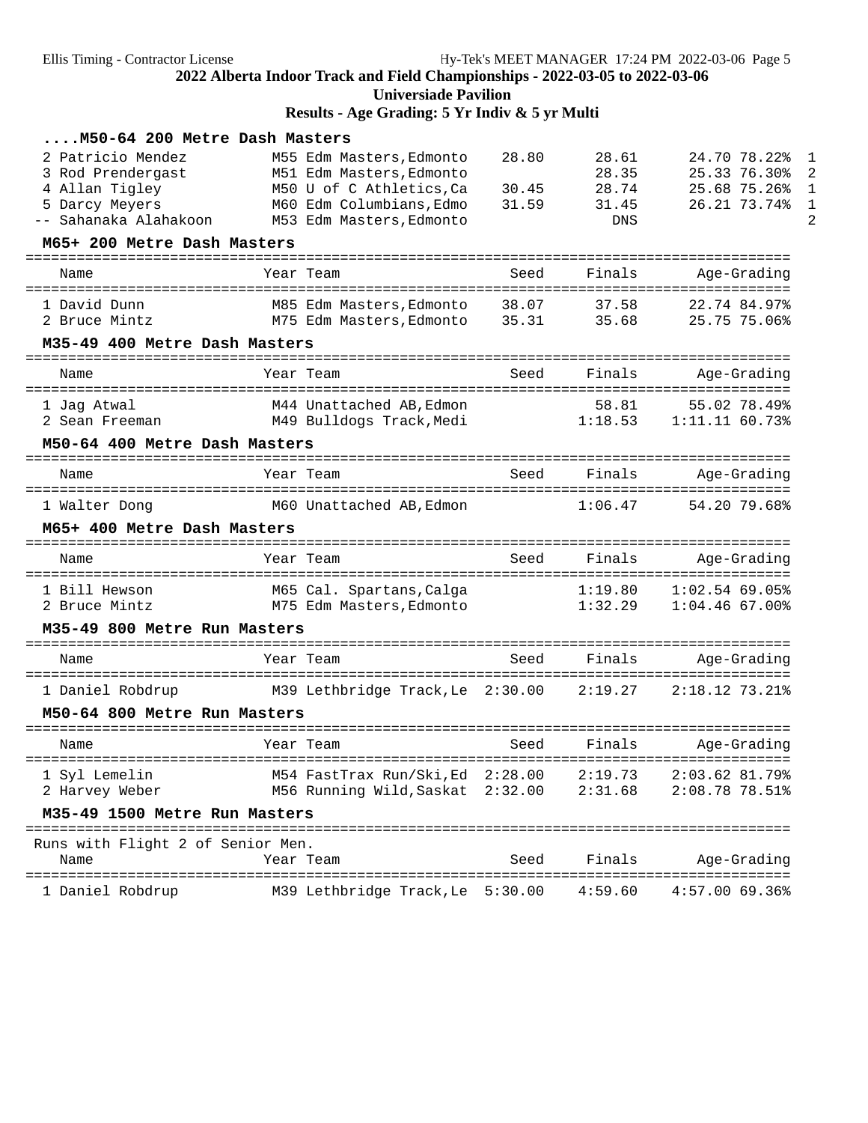**Universiade Pavilion**

**Results - Age Grading: 5 Yr Indiv & 5 yr Multi**

| M50-64 200 Metre Dash Masters                                                                       |                                                                                                                                          |                         |                                         |                                                              |
|-----------------------------------------------------------------------------------------------------|------------------------------------------------------------------------------------------------------------------------------------------|-------------------------|-----------------------------------------|--------------------------------------------------------------|
| 2 Patricio Mendez<br>3 Rod Prendergast<br>4 Allan Tigley<br>5 Darcy Meyers<br>-- Sahanaka Alahakoon | M55 Edm Masters, Edmonto<br>M51 Edm Masters, Edmonto<br>M50 U of C Athletics, Ca<br>M60 Edm Columbians, Edmo<br>M53 Edm Masters, Edmonto | 28.80<br>30.45<br>31.59 | 28.61<br>28.35<br>28.74<br>31.45<br>DNS | 24.70 78.22%<br>25.33 76.30%<br>25.68 75.26%<br>26.21 73.74% |
| M65+ 200 Metre Dash Masters                                                                         |                                                                                                                                          |                         |                                         |                                                              |
| Name                                                                                                | Year Team                                                                                                                                | Seed                    | Finals                                  | Age-Grading                                                  |
| 1 David Dunn<br>2 Bruce Mintz                                                                       | M85 Edm Masters,Edmonto<br>M75 Edm Masters, Edmonto                                                                                      | 38.07<br>35.31          | 37.58<br>35.68                          | 22.74 84.97%<br>25.75 75.06%                                 |
| M35-49 400 Metre Dash Masters<br>==================================                                 |                                                                                                                                          |                         |                                         |                                                              |
| Name                                                                                                | Year Team                                                                                                                                | Seed                    | Finals                                  | Age-Grading<br>===========                                   |
| 1 Jaq Atwal<br>2 Sean Freeman                                                                       | M44 Unattached AB, Edmon<br>M49 Bulldogs Track, Medi                                                                                     |                         | 58.81<br>1:18.53                        | 55.02 78.49%<br>1:11.1160.73%                                |
| M50-64 400 Metre Dash Masters                                                                       |                                                                                                                                          |                         |                                         |                                                              |
| Name                                                                                                | Year Team                                                                                                                                | Seed                    | Finals                                  | Age-Grading                                                  |
| 1 Walter Dong                                                                                       | M60 Unattached AB,Edmon                                                                                                                  |                         | 1:06.47                                 | 54.20 79.68%                                                 |
| M65+ 400 Metre Dash Masters                                                                         |                                                                                                                                          |                         |                                         |                                                              |
| Name                                                                                                | Year Team                                                                                                                                | Seed                    | Finals                                  | Age-Grading                                                  |
| 1 Bill Hewson<br>2 Bruce Mintz                                                                      | M65 Cal. Spartans, Calga<br>M75 Edm Masters,Edmonto                                                                                      |                         | 1:19.80<br>1:32.29                      | $1:02.54$ 69.05%<br>$1:04.46$ 67.00%                         |
| M35-49 800 Metre Run Masters                                                                        |                                                                                                                                          |                         |                                         |                                                              |
| Name                                                                                                | Year Team                                                                                                                                | Seed                    | Finals                                  | Age-Grading                                                  |
| 1 Daniel Robdrup                                                                                    | M39 Lethbridge Track, Le 2:30.00                                                                                                         |                         | 2:19.27                                 | $2:18.12$ 73.21%                                             |
| M50-64 800 Metre Run Masters                                                                        |                                                                                                                                          |                         |                                         |                                                              |
| Name                                                                                                | Year Team                                                                                                                                | Seed                    | Finals                                  | Age-Grading                                                  |
| 1 Syl Lemelin<br>2 Harvey Weber                                                                     | M54 FastTrax Run/Ski, Ed 2:28.00<br>M56 Running Wild, Saskat 2:32.00                                                                     |                         | 2:19.73<br>2:31.68                      | 2:03.62 81.79%<br>2:08.78 78.51%                             |
| M35-49 1500 Metre Run Masters                                                                       |                                                                                                                                          |                         |                                         |                                                              |
| Runs with Flight 2 of Senior Men.<br>Name                                                           | Year Team                                                                                                                                | Seed                    | Finals                                  | Age-Grading                                                  |
| 1 Daniel Robdrup                                                                                    | M39 Lethbridge Track, Le 5:30.00                                                                                                         |                         | 4:59.60                                 | 4:57.00 69.36%                                               |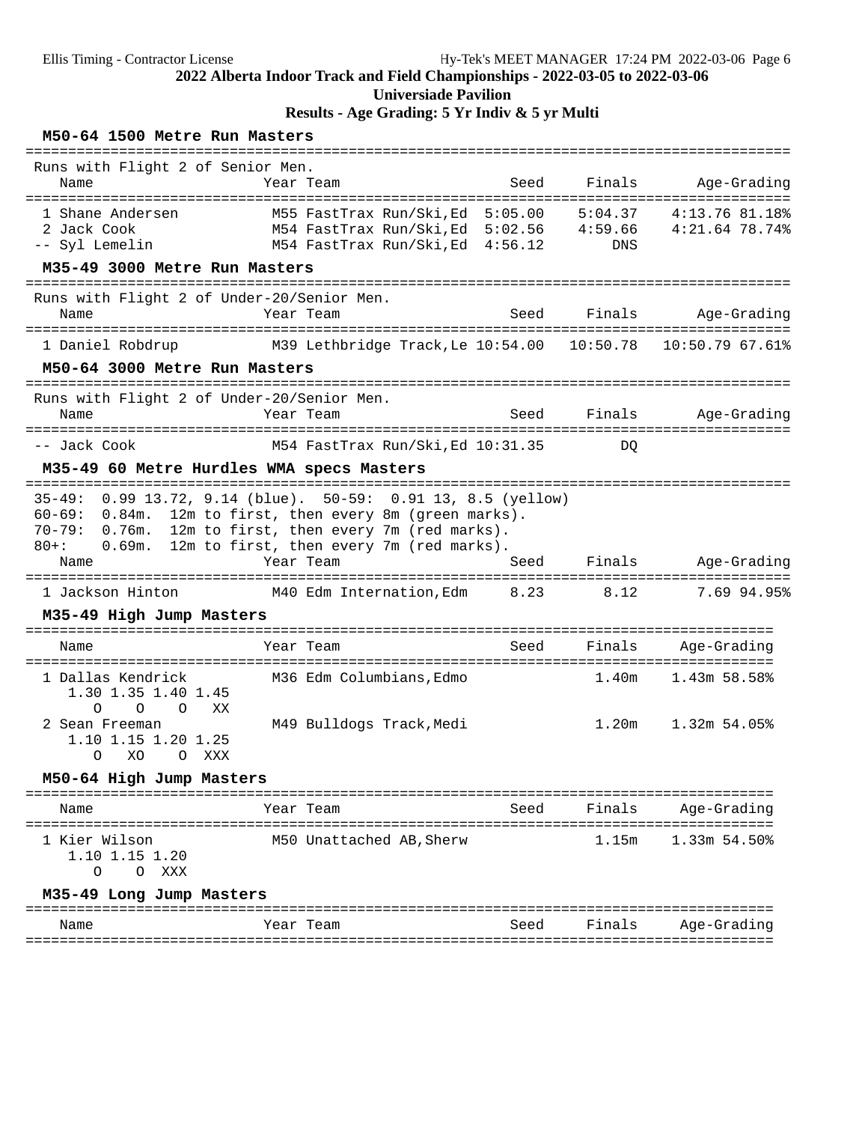# **Results - Age Grading: 5 Yr Indiv & 5 yr Multi**

### **M50-64 1500 Metre Run Masters**

| Runs with Flight 2 of Senior Men.                                                        |                                                                                                                                                                                                            |      |                |                |
|------------------------------------------------------------------------------------------|------------------------------------------------------------------------------------------------------------------------------------------------------------------------------------------------------------|------|----------------|----------------|
| Name                                                                                     | Year Team                                                                                                                                                                                                  | Seed | Finals         | Age-Grading    |
| 1 Shane Andersen<br>2 Jack Cook<br>-- Syl Lemelin                                        | M55 FastTrax Run/Ski, Ed 5:05.00<br>M54 FastTrax Run/Ski, Ed 5:02.56 4:59.66 4:21.64 78.74%<br>M54 FastTrax Run/Ski, Ed 4:56.12                                                                            |      | 5:04.37<br>DNS | 4:13.76 81.18% |
| M35-49 3000 Metre Run Masters                                                            |                                                                                                                                                                                                            |      |                |                |
| Runs with Flight 2 of Under-20/Senior Men.<br>Name                                       | Year Team                                                                                                                                                                                                  | Seed | Finals         | Age-Grading    |
| 1 Daniel Robdrup<br>M50-64 3000 Metre Run Masters                                        | M39 Lethbridge Track, Le 10:54.00    10:50.78    10:50.79    67.61%                                                                                                                                        |      |                |                |
|                                                                                          |                                                                                                                                                                                                            |      |                |                |
| Runs with Flight 2 of Under-20/Senior Men.<br>Name                                       | Year Team                                                                                                                                                                                                  | Seed | Finals         | Age-Grading    |
| -- Jack Cook                                                                             | M54 FastTrax Run/Ski, Ed 10:31.35                                                                                                                                                                          |      | DO.            |                |
| M35-49 60 Metre Hurdles WMA specs Masters                                                |                                                                                                                                                                                                            |      |                |                |
| $35 - 49:$<br>$60 - 69:$<br>0.84m.<br>$70 - 79:$<br>0.76m.<br>$80 + :$<br>0.69m.<br>Name | $0.99$ 13.72, 9.14 (blue). 50-59: 0.91 13, 8.5 (yellow)<br>12m to first, then every 8m (green marks).<br>12m to first, then every 7m (red marks).<br>12m to first, then every 7m (red marks).<br>Year Team | Seed | Finals         | Age-Grading    |
| 1 Jackson Hinton                                                                         | M40 Edm Internation, Edm 8.23                                                                                                                                                                              |      | 8.12           | 7.69 94.95%    |
| M35-49 High Jump Masters                                                                 |                                                                                                                                                                                                            |      |                |                |
| Name                                                                                     | Year Team                                                                                                                                                                                                  | Seed | Finals         | Age-Grading    |
| 1 Dallas Kendrick<br>1.30 1.35 1.40 1.45<br>$\Omega$<br>$\Omega$<br>XX<br>$\Omega$       | M36 Edm Columbians, Edmo                                                                                                                                                                                   |      | 1.40m          | 1.43m 58.58%   |
| 2 Sean Freeman<br>1.10 1.15 1.20 1.25<br>XO<br>O XXX<br>$\circ$                          | M49 Bulldogs Track, Medi                                                                                                                                                                                   |      | 1.20m          | 1.32m 54.05%   |
| M50-64 High Jump Masters                                                                 |                                                                                                                                                                                                            |      |                |                |
| Name                                                                                     | Year Team                                                                                                                                                                                                  | Seed | Finals         | Age-Grading    |
| 1 Kier Wilson<br>1.10 1.15 1.20<br>O XXX<br>O                                            | M50 Unattached AB, Sherw                                                                                                                                                                                   |      | 1.15m          | 1.33m 54.50%   |
| M35-49 Long Jump Masters                                                                 |                                                                                                                                                                                                            |      |                |                |
| Name                                                                                     | Year Team                                                                                                                                                                                                  | Seed | Finals         | Age-Grading    |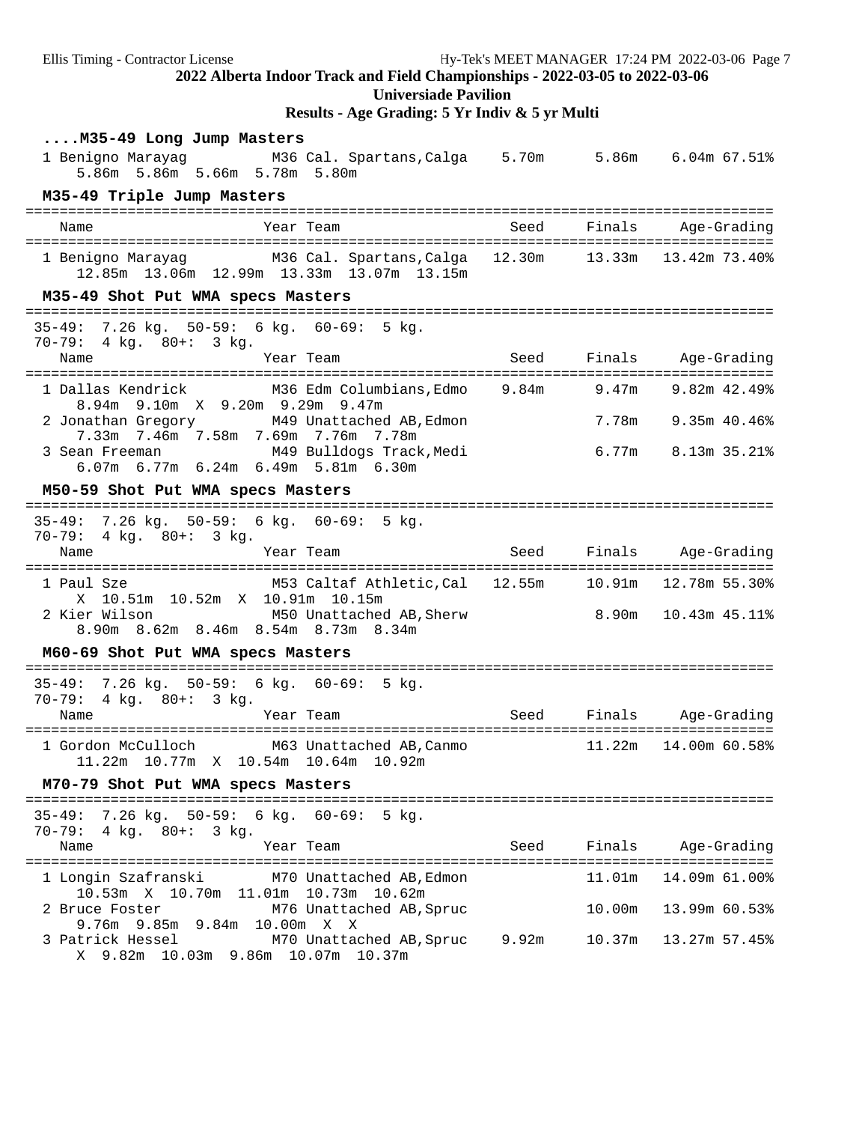Ellis Timing - Contractor License Hy-Tek's MEET MANAGER 17:24 PM 2022-03-06 Page 7 **2022 Alberta Indoor Track and Field Championships - 2022-03-05 to 2022-03-06 Universiade Pavilion Results - Age Grading: 5 Yr Indiv & 5 yr Multi ....M35-49 Long Jump Masters** 1 Benigno Marayag M36 Cal. Spartans,Calga 5.70m 5.86m 6.04m 67.51% 5.86m 5.86m 5.66m 5.78m 5.80m **M35-49 Triple Jump Masters** ======================================================================================== Name Year Team Seed Finals Age-Grading ======================================================================================== 1 Benigno Marayag M36 Cal. Spartans,Calga 12.30m 13.33m 13.42m 73.40% 12.85m 13.06m 12.99m 13.33m 13.07m 13.15m **M35-49 Shot Put WMA specs Masters** ======================================================================================== 35-49: 7.26 kg. 50-59: 6 kg. 60-69: 5 kg. 70-79: 4 kg. 80+: 3 kg. Name Team Year Team Seed Finals Age-Grading ======================================================================================== 1 Dallas Kendrick M36 Edm Columbians,Edmo 9.84m 9.47m 9.82m 42.49% 8.94m 9.10m X 9.20m 9.29m 9.47m 2 Jonathan Gregory M49 Unattached AB,Edmon 7.78m 9.35m 40.46% 7.33m 7.46m 7.58m 7.69m 7.76m 7.78m 3 Sean Freeman M49 Bulldogs Track,Medi 6.77m 8.13m 35.21% 6.07m 6.77m 6.24m 6.49m 5.81m 6.30m **M50-59 Shot Put WMA specs Masters** ======================================================================================== 35-49: 7.26 kg. 50-59: 6 kg. 60-69: 5 kg. 70-79: 4 kg. 80+: 3 kg. Name Year Team Seed Finals Age-Grading ======================================================================================== 1 Paul Sze M53 Caltaf Athletic,Cal 12.55m 10.91m 12.78m 55.30% X 10.51m 10.52m X 10.91m 10.15m<br>2 Kier Wilson M50 Unattached 2 Kier Wilson M50 Unattached AB,Sherw 8.90m 10.43m 45.11% 8.90m 8.62m 8.46m 8.54m 8.73m 8.34m **M60-69 Shot Put WMA specs Masters** ======================================================================================== 35-49: 7.26 kg. 50-59: 6 kg. 60-69: 5 kg. 70-79: 4 kg. 80+: 3 kg. Name Year Team Seed Finals Age-Grading ======================================================================================== 1 Gordon McCulloch M63 Unattached AB,Canmo 11.22m 14.00m 60.58% 11.22m 10.77m X 10.54m 10.64m 10.92m **M70-79 Shot Put WMA specs Masters** ======================================================================================== 35-49: 7.26 kg. 50-59: 6 kg. 60-69: 5 kg. 70-79: 4 kg. 80+: 3 kg. Name Seed Finals Age-Grading ======================================================================================== 1 Longin Szafranski M70 Unattached AB,Edmon 11.01m 14.09m 61.00% 10.53m X 10.70m 11.01m 10.73m 10.62m 2 Bruce Foster M76 Unattached AB,Spruc 10.00m 13.99m 60.53% 9.76m 9.85m 9.84m 10.00m X X 3 Patrick Hessel M70 Unattached AB,Spruc 9.92m 10.37m 13.27m 57.45% X 9.82m 10.03m 9.86m 10.07m 10.37m